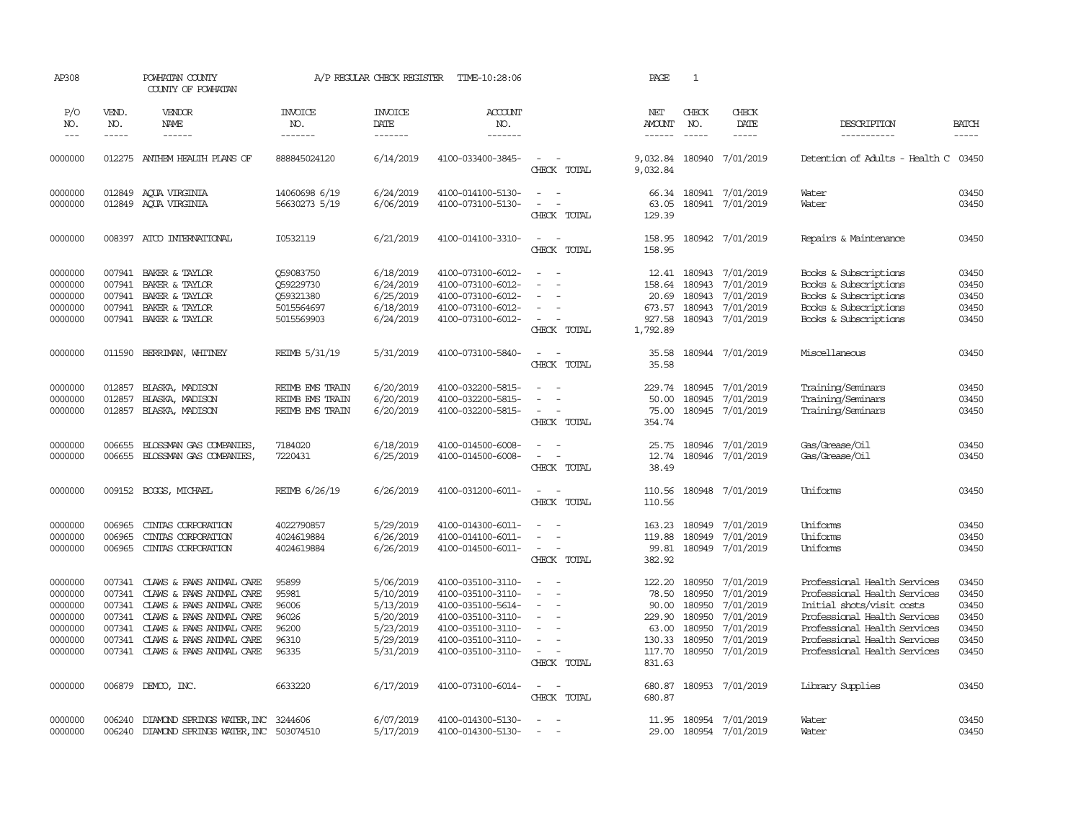| AP308                                                                     |                                                          | POWHATAN COUNTY<br>COUNTY OF POWHATAN                                                                                                                                                                   |                                                                 | A/P REGULAR CHECK REGISTER                                                              | TIME-10:28:06                                                                                                                                   |                                                                                                                                                   | PAGE                                                                      | $\mathbf{1}$                                             |                                                                                                |                                                                                                                                                                                                                           |                                                             |
|---------------------------------------------------------------------------|----------------------------------------------------------|---------------------------------------------------------------------------------------------------------------------------------------------------------------------------------------------------------|-----------------------------------------------------------------|-----------------------------------------------------------------------------------------|-------------------------------------------------------------------------------------------------------------------------------------------------|---------------------------------------------------------------------------------------------------------------------------------------------------|---------------------------------------------------------------------------|----------------------------------------------------------|------------------------------------------------------------------------------------------------|---------------------------------------------------------------------------------------------------------------------------------------------------------------------------------------------------------------------------|-------------------------------------------------------------|
| P/O<br>NO.<br>$\frac{1}{2}$                                               | VEND.<br>NO.<br>-----                                    | VENDOR<br>NAME<br>------                                                                                                                                                                                | <b>INVOICE</b><br>NO.<br>-------                                | <b>INVOICE</b><br>DATE<br>-------                                                       | <b>ACCOUNT</b><br>NO.<br>-------                                                                                                                |                                                                                                                                                   | NET<br><b>AMOUNT</b><br>------                                            | CHECK<br>NO.<br>$\frac{1}{2}$                            | CHECK<br>DATE<br>$- - - - -$                                                                   | DESCRIPTION<br>-----------                                                                                                                                                                                                | <b>BATCH</b><br>-----                                       |
| 0000000                                                                   |                                                          | 012275 ANTHEM HEALTH PLANS OF                                                                                                                                                                           | 888845024120                                                    | 6/14/2019                                                                               | 4100-033400-3845-                                                                                                                               | $\sim$<br>$\sim$ $-$<br>CHECK TOTAL                                                                                                               | 9,032.84<br>9,032.84                                                      | 180940                                                   | 7/01/2019                                                                                      | Detention of Adults - Health C                                                                                                                                                                                            | 03450                                                       |
| 0000000<br>0000000                                                        |                                                          | 012849 AOUA VIRGINIA<br>012849 AQUA VIRGINIA                                                                                                                                                            | 14060698 6/19<br>56630273 5/19                                  | 6/24/2019<br>6/06/2019                                                                  | 4100-014100-5130-<br>4100-073100-5130-                                                                                                          | $\sim$ $-$<br>$\overline{\phantom{a}}$<br>$\blacksquare$<br>$\overline{\phantom{a}}$<br>CHECK TOTAL                                               | 66.34<br>63.05<br>129.39                                                  |                                                          | 180941 7/01/2019<br>180941 7/01/2019                                                           | Water<br>Water                                                                                                                                                                                                            | 03450<br>03450                                              |
| 0000000                                                                   | 008397                                                   | ATCO INTERNATIONAL                                                                                                                                                                                      | I0532119                                                        | 6/21/2019                                                                               | 4100-014100-3310-                                                                                                                               | $\sim$<br>$\sim$<br>CHECK TOTAL                                                                                                                   | 158.95<br>158.95                                                          |                                                          | 180942 7/01/2019                                                                               | Repairs & Maintenance                                                                                                                                                                                                     | 03450                                                       |
| 0000000<br>0000000<br>0000000<br>0000000<br>0000000                       | 007941<br>007941<br>007941<br>007941<br>007941           | BAKER & TAYLOR<br>BAKER & TAYLOR<br>BAKER & TAYLOR<br>BAKER & TAYLOR<br>BAKER & TAYLOR                                                                                                                  | Q59083750<br>Q59229730<br>Q59321380<br>5015564697<br>5015569903 | 6/18/2019<br>6/24/2019<br>6/25/2019<br>6/18/2019<br>6/24/2019                           | 4100-073100-6012-<br>4100-073100-6012-<br>4100-073100-6012-<br>4100-073100-6012-<br>4100-073100-6012-                                           | $\equiv$<br>$\sim$<br>$\equiv$<br>$\sim$<br>CHECK TOTAL                                                                                           | 12.41<br>158.64<br>20.69<br>927.58<br>1,792.89                            | 180943<br>180943<br>180943<br>673.57 180943<br>180943    | 7/01/2019<br>7/01/2019<br>7/01/2019<br>7/01/2019<br>7/01/2019                                  | Books & Subscriptions<br>Books & Subscriptions<br>Books & Subscriptions<br>Books & Subscriptions<br>Books & Subscriptions                                                                                                 | 03450<br>03450<br>03450<br>03450<br>03450                   |
| 0000000                                                                   | 011590                                                   | BERRIMAN, WHITNEY                                                                                                                                                                                       | REIMB 5/31/19                                                   | 5/31/2019                                                                               | 4100-073100-5840-                                                                                                                               | $\sim$<br>$\sim$<br>CHECK TOTAL                                                                                                                   | 35.58<br>35.58                                                            |                                                          | 180944 7/01/2019                                                                               | Miscellaneous                                                                                                                                                                                                             | 03450                                                       |
| 0000000<br>0000000<br>0000000                                             | 012857<br>012857<br>012857                               | BLASKA, MADISON<br>BLASKA, MADISON<br>BLASKA, MADISON                                                                                                                                                   | REIMB EMS TRAIN<br>REIMB EMS TRAIN<br>REIMB EMS TRAIN           | 6/20/2019<br>6/20/2019<br>6/20/2019                                                     | 4100-032200-5815-<br>4100-032200-5815-<br>4100-032200-5815-                                                                                     | . —<br>$\overline{\phantom{a}}$<br>$\sim$<br>CHECK TOTAL                                                                                          | 229.74<br>50.00<br>75.00<br>354.74                                        | 180945<br>180945                                         | 7/01/2019<br>7/01/2019<br>180945 7/01/2019                                                     | Training/Seminars<br>Training/Seminars<br>Training/Seminars                                                                                                                                                               | 03450<br>03450<br>03450                                     |
| 0000000<br>0000000                                                        | 006655<br>006655                                         | BLOSSMAN GAS COMPANIES,<br>BLOSSMAN GAS COMPANIES,                                                                                                                                                      | 7184020<br>7220431                                              | 6/18/2019<br>6/25/2019                                                                  | 4100-014500-6008-<br>4100-014500-6008-                                                                                                          | $\sim$<br>$\sim$<br>$\sim$<br>$\overline{\phantom{a}}$<br>CHECK TOTAL                                                                             | 25.75<br>12.74<br>38.49                                                   | 180946                                                   | 7/01/2019<br>180946 7/01/2019                                                                  | Gas/Grease/Oil<br>Gas/Grease/Oil                                                                                                                                                                                          | 03450<br>03450                                              |
| 0000000                                                                   |                                                          | 009152 BOGGS, MICHAEL                                                                                                                                                                                   | REIMB 6/26/19                                                   | 6/26/2019                                                                               | 4100-031200-6011-                                                                                                                               | $\omega_{\rm{max}}$ and $\omega_{\rm{max}}$<br>CHECK TOTAL                                                                                        | 110.56<br>110.56                                                          |                                                          | 180948 7/01/2019                                                                               | Uniforms                                                                                                                                                                                                                  | 03450                                                       |
| 0000000<br>0000000<br>0000000                                             | 006965<br>006965<br>006965                               | CINTAS CORPORATION<br>CINIAS CORPORATION<br>CINTAS CORPORATION                                                                                                                                          | 4022790857<br>4024619884<br>4024619884                          | 5/29/2019<br>6/26/2019<br>6/26/2019                                                     | 4100-014300-6011-<br>4100-014100-6011-<br>4100-014500-6011-                                                                                     | $\sim$<br>$\sim$<br>$\bar{\phantom{a}}$<br>$\sim$<br>$\overline{\phantom{a}}$<br>CHECK TOTAL                                                      | 163.23<br>119.88<br>99.81<br>382.92                                       | 180949<br>180949<br>180949                               | 7/01/2019<br>7/01/2019<br>7/01/2019                                                            | Uniforms<br>Uniforms<br>Uniforms                                                                                                                                                                                          | 03450<br>03450<br>03450                                     |
| 0000000<br>0000000<br>0000000<br>0000000<br>0000000<br>0000000<br>0000000 | 007341<br>007341<br>007341<br>007341<br>007341<br>007341 | CLAWS & PAWS ANIMAL CARE<br>CLAWS & PAWS ANIMAL CARE<br>CLAWS & PAWS ANIMAL CARE<br>CLAWS & PAWS ANIMAL CARE<br>CLAWS & PAWS ANIMAL CARE<br>CLAWS & PAWS ANIMAL CARE<br>007341 CLAWS & PAWS ANIMAL CARE | 95899<br>95981<br>96006<br>96026<br>96200<br>96310<br>96335     | 5/06/2019<br>5/10/2019<br>5/13/2019<br>5/20/2019<br>5/23/2019<br>5/29/2019<br>5/31/2019 | 4100-035100-3110-<br>4100-035100-3110-<br>4100-035100-5614-<br>4100-035100-3110-<br>4100-035100-3110-<br>4100-035100-3110-<br>4100-035100-3110- | $\equiv$<br>$\sim$<br>$\sim$<br>$\sim$<br>$\equiv$<br>$\blacksquare$<br>$\equiv$<br>$\equiv$<br>$\sim$<br>$\overline{\phantom{a}}$<br>CHECK TOTAL | 122.20<br>78.50<br>90.00<br>229.90<br>63.00<br>130.33<br>117.70<br>831.63 | 180950<br>180950<br>180950<br>180950<br>180950<br>180950 | 7/01/2019<br>7/01/2019<br>7/01/2019<br>7/01/2019<br>7/01/2019<br>7/01/2019<br>180950 7/01/2019 | Professional Health Services<br>Professional Health Services<br>Initial shots/visit costs<br>Professional Health Services<br>Professional Health Services<br>Professional Health Services<br>Professional Health Services | 03450<br>03450<br>03450<br>03450<br>03450<br>03450<br>03450 |
| 0000000                                                                   |                                                          | 006879 DEMCO, INC.                                                                                                                                                                                      | 6633220                                                         | 6/17/2019                                                                               | 4100-073100-6014-                                                                                                                               | $\omega_{\rm{max}}$ and $\omega_{\rm{max}}$<br>CHECK TOTAL                                                                                        | 680.87<br>680.87                                                          |                                                          | 180953 7/01/2019                                                                               | Library Supplies                                                                                                                                                                                                          | 03450                                                       |
| 0000000<br>0000000                                                        | 006240<br>006240                                         | DIAMOND SPRINGS WATER, INC 3244606<br>DIAMOND SPRINGS WATER, INC                                                                                                                                        | 503074510                                                       | 6/07/2019<br>5/17/2019                                                                  | 4100-014300-5130-<br>4100-014300-5130-                                                                                                          | $\sim$<br>$\overline{\phantom{a}}$<br>$\overline{a}$                                                                                              | 29.00                                                                     |                                                          | 11.95 180954 7/01/2019<br>180954 7/01/2019                                                     | Water<br>Water                                                                                                                                                                                                            | 03450<br>03450                                              |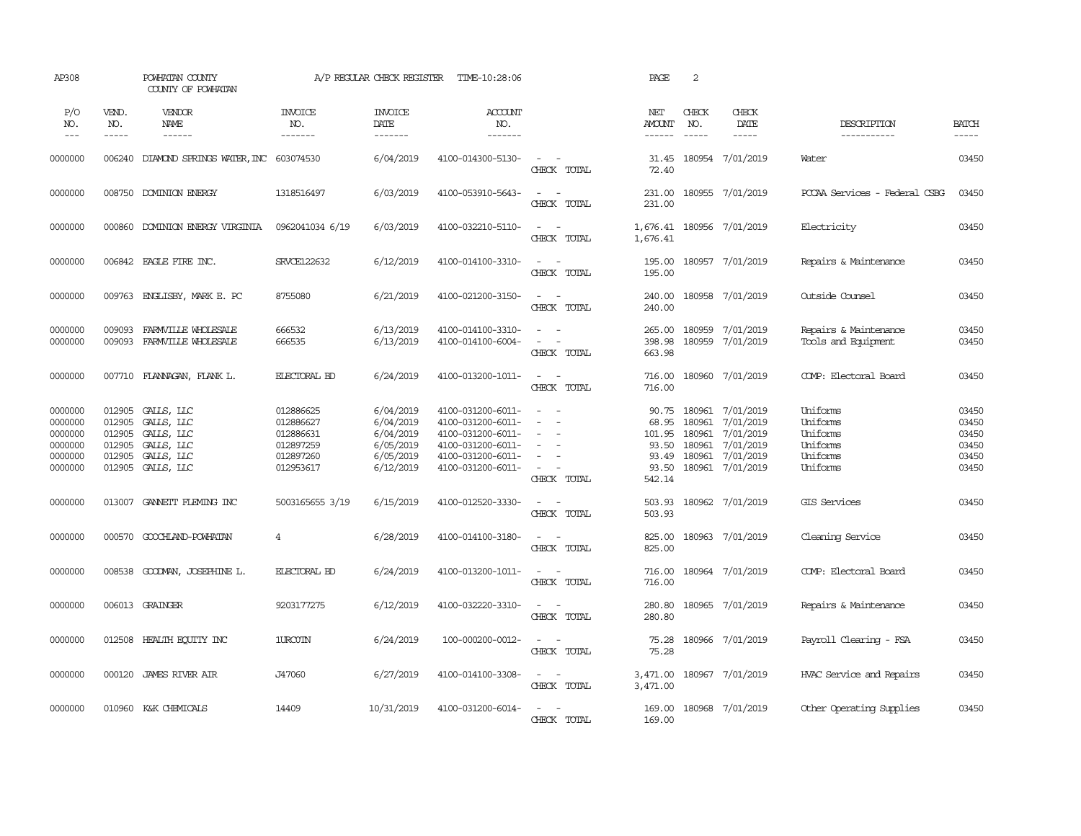| AP308                                                          |                                                          | POWHATAN COUNTY<br>COUNTY OF POWHATAN                                                                                                                                                                                                                                                                                                                                                                                                                                                                        |                                                                            | A/P REGULAR CHECK REGISTER                                                 | TIME-10:28:06                                                                                                              |                                                                                                  | PAGE                                                          | 2                                              |                                                                                   |                                                                      |                                                    |
|----------------------------------------------------------------|----------------------------------------------------------|--------------------------------------------------------------------------------------------------------------------------------------------------------------------------------------------------------------------------------------------------------------------------------------------------------------------------------------------------------------------------------------------------------------------------------------------------------------------------------------------------------------|----------------------------------------------------------------------------|----------------------------------------------------------------------------|----------------------------------------------------------------------------------------------------------------------------|--------------------------------------------------------------------------------------------------|---------------------------------------------------------------|------------------------------------------------|-----------------------------------------------------------------------------------|----------------------------------------------------------------------|----------------------------------------------------|
| P/O<br>NO.<br>$\frac{1}{2}$                                    | VEND.<br>NO.<br>$\cdots$                                 | VENDOR<br><b>NAME</b><br>$\begin{tabular}{ccccc} \multicolumn{2}{c}{} & \multicolumn{2}{c}{} & \multicolumn{2}{c}{} & \multicolumn{2}{c}{} & \multicolumn{2}{c}{} & \multicolumn{2}{c}{} & \multicolumn{2}{c}{} & \multicolumn{2}{c}{} & \multicolumn{2}{c}{} & \multicolumn{2}{c}{} & \multicolumn{2}{c}{} & \multicolumn{2}{c}{} & \multicolumn{2}{c}{} & \multicolumn{2}{c}{} & \multicolumn{2}{c}{} & \multicolumn{2}{c}{} & \multicolumn{2}{c}{} & \multicolumn{2}{c}{} & \multicolumn{2}{c}{} & \mult$ | <b>INVOICE</b><br>NO.<br>-------                                           | <b>INVOICE</b><br>DATE<br>-------                                          | ACCOUNT<br>NO.<br>-------                                                                                                  |                                                                                                  | NET<br>AMOUNT<br>------                                       | CHECK<br>NO.<br>$\frac{1}{2}$                  | CHECK<br><b>DATE</b><br>$- - - - -$                                               | DESCRIPTION<br>-----------                                           | <b>BATCH</b><br>$\cdots$                           |
| 0000000                                                        | 006240                                                   | DIAMOND SPRINGS WATER, INC 603074530                                                                                                                                                                                                                                                                                                                                                                                                                                                                         |                                                                            | 6/04/2019                                                                  | 4100-014300-5130-                                                                                                          | $\sim$<br>$\sim$<br>CHECK TOTAL                                                                  | 31.45<br>72.40                                                |                                                | 180954 7/01/2019                                                                  | Water                                                                | 03450                                              |
| 0000000                                                        | 008750                                                   | DOMINION ENERGY                                                                                                                                                                                                                                                                                                                                                                                                                                                                                              | 1318516497                                                                 | 6/03/2019                                                                  | 4100-053910-5643-                                                                                                          | $\sim$<br>$\sim$ $-$<br>CHECK TOTAL                                                              | 231.00<br>231.00                                              |                                                | 180955 7/01/2019                                                                  | PCCAA Services - Federal CSBG                                        | 03450                                              |
| 0000000                                                        | 000860                                                   | DOMINION ENERGY VIRGINIA                                                                                                                                                                                                                                                                                                                                                                                                                                                                                     | 0962041034 6/19                                                            | 6/03/2019                                                                  | 4100-032210-5110-                                                                                                          | $\sim$ $ \sim$<br>CHECK TOTAL                                                                    | 1,676.41                                                      |                                                | 1,676.41 180956 7/01/2019                                                         | Electricity                                                          | 03450                                              |
| 0000000                                                        |                                                          | 006842 EAGLE FIRE INC.                                                                                                                                                                                                                                                                                                                                                                                                                                                                                       | <b>SRVCE122632</b>                                                         | 6/12/2019                                                                  | 4100-014100-3310-                                                                                                          | $\omega_{\rm{max}}$ and $\omega_{\rm{max}}$<br>CHECK TOTAL                                       | 195.00<br>195.00                                              |                                                | 180957 7/01/2019                                                                  | Repairs & Maintenance                                                | 03450                                              |
| 0000000                                                        |                                                          | 009763 ENGLISBY, MARK E. PC                                                                                                                                                                                                                                                                                                                                                                                                                                                                                  | 8755080                                                                    | 6/21/2019                                                                  | 4100-021200-3150-                                                                                                          | $\sim$ $ -$<br>CHECK TOTAL                                                                       | 240.00<br>240.00                                              |                                                | 180958 7/01/2019                                                                  | Outside Counsel                                                      | 03450                                              |
| 0000000<br>0000000                                             | 009093<br>009093                                         | FARMVILLE WHOLESALE<br>FARMULLE WHOLESALE                                                                                                                                                                                                                                                                                                                                                                                                                                                                    | 666532<br>666535                                                           | 6/13/2019<br>6/13/2019                                                     | 4100-014100-3310-<br>4100-014100-6004-                                                                                     | $\omega_{\rm{max}}$<br>$\sim$ $ -$<br>CHECK TOTAL                                                | 265.00<br>398.98<br>663.98                                    | 180959<br>180959                               | 7/01/2019<br>7/01/2019                                                            | Repairs & Maintenance<br>Tools and Equipment                         | 03450<br>03450                                     |
| 0000000                                                        |                                                          | 007710 FLANNAGAN, FLANK L.                                                                                                                                                                                                                                                                                                                                                                                                                                                                                   | ELECTORAL BD                                                               | 6/24/2019                                                                  | 4100-013200-1011-                                                                                                          | $\sim$ $ \sim$<br>CHECK TOTAL                                                                    | 716.00<br>716.00                                              |                                                | 180960 7/01/2019                                                                  | COMP: Electoral Board                                                | 03450                                              |
| 0000000<br>0000000<br>0000000<br>0000000<br>0000000<br>0000000 | 012905<br>012905<br>012905<br>012905<br>012905<br>012905 | GALLS, LLC<br>GALLS, LLC<br>GALLS, LLC<br>GALLS, LLC<br>GALLS, LLC<br>GALLS, LLC                                                                                                                                                                                                                                                                                                                                                                                                                             | 012886625<br>012886627<br>012886631<br>012897259<br>012897260<br>012953617 | 6/04/2019<br>6/04/2019<br>6/04/2019<br>6/05/2019<br>6/05/2019<br>6/12/2019 | 4100-031200-6011-<br>4100-031200-6011-<br>4100-031200-6011-<br>4100-031200-6011-<br>4100-031200-6011-<br>4100-031200-6011- | $\sim$<br>$\sim$<br>$\equiv$<br>$\sim$<br>$\overline{\phantom{a}}$<br>$\sim$ $ -$<br>CHECK TOTAL | 90.75<br>68.95<br>101.95<br>93.50<br>93.49<br>93.50<br>542.14 | 180961<br>180961<br>180961<br>180961<br>180961 | 7/01/2019<br>7/01/2019<br>7/01/2019<br>7/01/2019<br>7/01/2019<br>180961 7/01/2019 | Uniforms<br>Uniforms<br>Uniforms<br>Uniforms<br>Uniforms<br>Uniforms | 03450<br>03450<br>03450<br>03450<br>03450<br>03450 |
| 0000000                                                        | 013007                                                   | GANNETT FLEMING INC                                                                                                                                                                                                                                                                                                                                                                                                                                                                                          | 5003165655 3/19                                                            | 6/15/2019                                                                  | 4100-012520-3330-                                                                                                          | $\sim$ 100 $\sim$<br>CHECK TOTAL                                                                 | 503.93<br>503.93                                              |                                                | 180962 7/01/2019                                                                  | <b>GIS Services</b>                                                  | 03450                                              |
| 0000000                                                        | 000570                                                   | GOOCHLAND-POWHATAN                                                                                                                                                                                                                                                                                                                                                                                                                                                                                           | 4                                                                          | 6/28/2019                                                                  | 4100-014100-3180-                                                                                                          | $\omega_{\rm{max}}$ and $\omega_{\rm{max}}$<br>CHECK TOTAL                                       | 825.00<br>825.00                                              |                                                | 180963 7/01/2019                                                                  | Cleaning Service                                                     | 03450                                              |
| 0000000                                                        | 008538                                                   | GOODMAN, JOSEPHINE L.                                                                                                                                                                                                                                                                                                                                                                                                                                                                                        | <b>ELECTORAL BD</b>                                                        | 6/24/2019                                                                  | 4100-013200-1011-                                                                                                          | $\sim$ 100 $\sim$<br>CHECK TOTAL                                                                 | 716.00<br>716.00                                              |                                                | 180964 7/01/2019                                                                  | COMP: Electoral Board                                                | 03450                                              |
| 0000000                                                        |                                                          | 006013 GRAINGER                                                                                                                                                                                                                                                                                                                                                                                                                                                                                              | 9203177275                                                                 | 6/12/2019                                                                  | 4100-032220-3310-                                                                                                          | $\sim$ $ \sim$<br>CHECK TOTAL                                                                    | 280.80<br>280.80                                              |                                                | 180965 7/01/2019                                                                  | Repairs & Maintenance                                                | 03450                                              |
| 0000000                                                        |                                                          | 012508 HEALTH EQUITY INC                                                                                                                                                                                                                                                                                                                                                                                                                                                                                     | 1URCOTN                                                                    | 6/24/2019                                                                  | 100-000200-0012-                                                                                                           | $\sim$ $ \sim$<br>CHECK TOTAL                                                                    | 75.28<br>75.28                                                |                                                | 180966 7/01/2019                                                                  | Payroll Clearing - FSA                                               | 03450                                              |
| 0000000                                                        | 000120                                                   | JAMES RIVER AIR                                                                                                                                                                                                                                                                                                                                                                                                                                                                                              | J47060                                                                     | 6/27/2019                                                                  | 4100-014100-3308-                                                                                                          | $\sim$ $ -$<br>CHECK TOTAL                                                                       | 3,471.00<br>3,471.00                                          |                                                | 180967 7/01/2019                                                                  | HVAC Service and Repairs                                             | 03450                                              |
| 0000000                                                        | 010960                                                   | K&K CHEMICALS                                                                                                                                                                                                                                                                                                                                                                                                                                                                                                | 14409                                                                      | 10/31/2019                                                                 | 4100-031200-6014-                                                                                                          | $\overline{\phantom{a}}$<br>$\sim$<br>CHECK TOTAL                                                | 169.00<br>169.00                                              |                                                | 180968 7/01/2019                                                                  | Other Operating Supplies                                             | 03450                                              |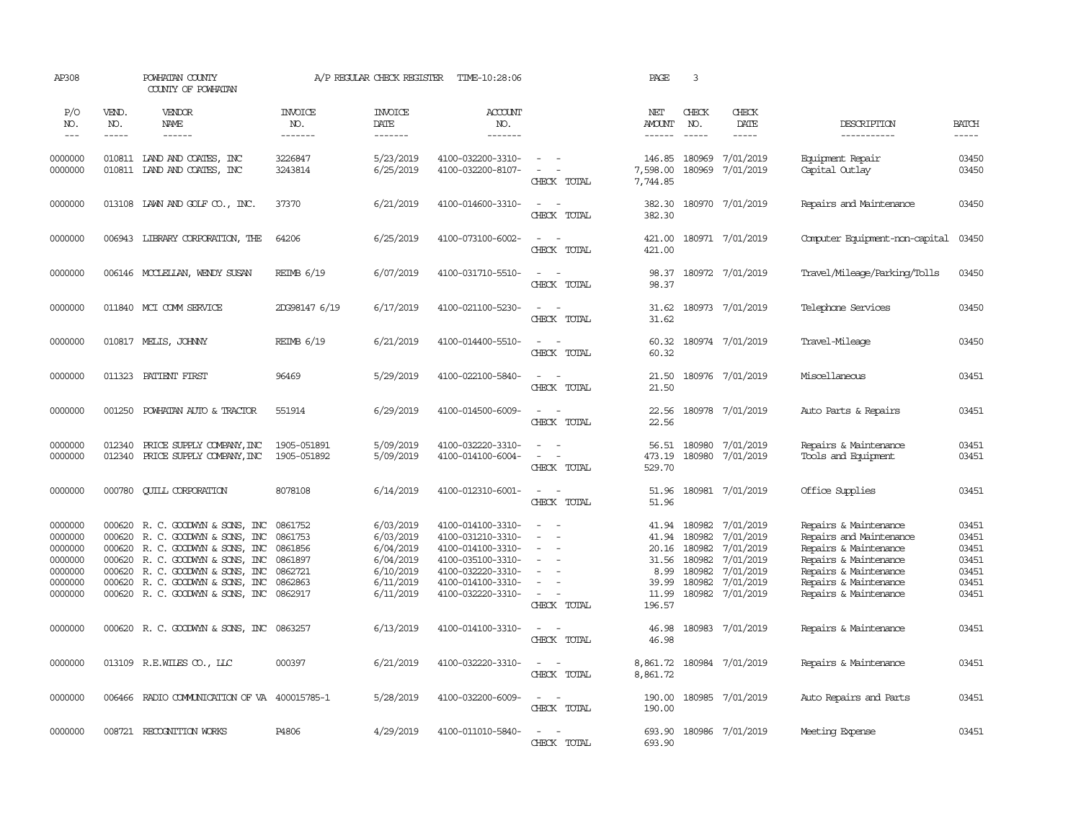| AP308                                                                     |                       | POWHATAN COUNTY<br>COUNTY OF POWHATAN                                                                                                                                                                                                          |                                                                           | A/P REGULAR CHECK REGISTER                                                              | TIME-10:28:06                                                                                                                                   |                                                                                                                                                                                                 | PAGE                                                                 | 3                                                                  |                                                                                         |                                                                                                                                                                               |                                                             |
|---------------------------------------------------------------------------|-----------------------|------------------------------------------------------------------------------------------------------------------------------------------------------------------------------------------------------------------------------------------------|---------------------------------------------------------------------------|-----------------------------------------------------------------------------------------|-------------------------------------------------------------------------------------------------------------------------------------------------|-------------------------------------------------------------------------------------------------------------------------------------------------------------------------------------------------|----------------------------------------------------------------------|--------------------------------------------------------------------|-----------------------------------------------------------------------------------------|-------------------------------------------------------------------------------------------------------------------------------------------------------------------------------|-------------------------------------------------------------|
| P/O<br>NO.<br>$\frac{1}{2}$                                               | VEND.<br>NO.<br>----- | VENDOR<br>NAME<br>------                                                                                                                                                                                                                       | <b>INVOICE</b><br>NO.<br>-------                                          | <b>INVOICE</b><br>DATE<br>-------                                                       | ACCOUNT<br>NO.<br>-------                                                                                                                       |                                                                                                                                                                                                 | NET<br><b>AMOUNT</b><br>------                                       | CHECK<br>NO.<br>$\frac{1}{2}$                                      | CHECK<br>DATE<br>$- - - - -$                                                            | DESCRIPTION<br>-----------                                                                                                                                                    | <b>BATCH</b><br>$- - - - -$                                 |
|                                                                           |                       |                                                                                                                                                                                                                                                |                                                                           |                                                                                         |                                                                                                                                                 |                                                                                                                                                                                                 |                                                                      |                                                                    |                                                                                         |                                                                                                                                                                               |                                                             |
| 0000000<br>0000000                                                        |                       | 010811 LAND AND COATES, INC<br>010811 IAND AND COATES, INC                                                                                                                                                                                     | 3226847<br>3243814                                                        | 5/23/2019<br>6/25/2019                                                                  | 4100-032200-3310-<br>4100-032200-8107-                                                                                                          | $\sim$ $ \sim$<br>$\sim$<br>CHECK TOTAL                                                                                                                                                         | 146.85<br>7,598.00<br>7,744.85                                       | 180969<br>180969                                                   | 7/01/2019<br>7/01/2019                                                                  | Equipment Repair<br>Capital Outlay                                                                                                                                            | 03450<br>03450                                              |
| 0000000                                                                   |                       | 013108 LAWN AND GOLF CO., INC.                                                                                                                                                                                                                 | 37370                                                                     | 6/21/2019                                                                               | 4100-014600-3310-                                                                                                                               | $\overline{\phantom{a}}$<br>$\sim$<br>CHECK TOTAL                                                                                                                                               | 382.30<br>382.30                                                     |                                                                    | 180970 7/01/2019                                                                        | Repairs and Maintenance                                                                                                                                                       | 03450                                                       |
| 0000000                                                                   |                       | 006943 LIBRARY CORPORATION, THE                                                                                                                                                                                                                | 64206                                                                     | 6/25/2019                                                                               | 4100-073100-6002-                                                                                                                               | $\overline{\phantom{a}}$<br>$\overline{\phantom{a}}$<br>CHECK TOTAL                                                                                                                             | 421.00<br>421.00                                                     |                                                                    | 180971 7/01/2019                                                                        | Computer Equipment-non-capital                                                                                                                                                | 03450                                                       |
| 0000000                                                                   |                       | 006146 MCCLELLAN, WENDY SUSAN                                                                                                                                                                                                                  | <b>REIMB 6/19</b>                                                         | 6/07/2019                                                                               | 4100-031710-5510-                                                                                                                               | $\sim$ 100 $\sim$<br>CHECK TOTAL                                                                                                                                                                | 98.37<br>98.37                                                       |                                                                    | 180972 7/01/2019                                                                        | Travel/Mileage/Parking/Tolls                                                                                                                                                  | 03450                                                       |
| 0000000                                                                   |                       | 011840 MCI COMM SERVICE                                                                                                                                                                                                                        | 2DG98147 6/19                                                             | 6/17/2019                                                                               | 4100-021100-5230-                                                                                                                               | $\sim$<br>$\sim$<br>CHECK TOTAL                                                                                                                                                                 | 31.62<br>31.62                                                       |                                                                    | 180973 7/01/2019                                                                        | Telephone Services                                                                                                                                                            | 03450                                                       |
| 0000000                                                                   |                       | 010817 MELIS, JOHNNY                                                                                                                                                                                                                           | <b>REIMB 6/19</b>                                                         | 6/21/2019                                                                               | 4100-014400-5510-                                                                                                                               | $\overline{\phantom{a}}$<br>$\overline{\phantom{a}}$<br>CHECK TOTAL                                                                                                                             | 60.32<br>60.32                                                       |                                                                    | 180974 7/01/2019                                                                        | Travel-Mileage                                                                                                                                                                | 03450                                                       |
| 0000000                                                                   |                       | 011323 PATIENT FIRST                                                                                                                                                                                                                           | 96469                                                                     | 5/29/2019                                                                               | 4100-022100-5840-                                                                                                                               | $\overline{\phantom{a}}$<br>. —<br>CHECK TOTAL                                                                                                                                                  | 21.50<br>21.50                                                       |                                                                    | 180976 7/01/2019                                                                        | Miscellaneous                                                                                                                                                                 | 03451                                                       |
| 0000000                                                                   |                       | 001250 POWHATAN AUTO & TRACTOR                                                                                                                                                                                                                 | 551914                                                                    | 6/29/2019                                                                               | 4100-014500-6009-                                                                                                                               | $\omega_{\rm{max}}$ and $\omega_{\rm{max}}$<br>CHECK TOTAL                                                                                                                                      | 22.56<br>22.56                                                       |                                                                    | 180978 7/01/2019                                                                        | Auto Parts & Repairs                                                                                                                                                          | 03451                                                       |
| 0000000<br>0000000                                                        | 012340<br>012340      | PRICE SUPPLY COMPANY, INC<br>PRICE SUPPLY COMPANY, INC                                                                                                                                                                                         | 1905-051891<br>1905-051892                                                | 5/09/2019<br>5/09/2019                                                                  | 4100-032220-3310-<br>4100-014100-6004-                                                                                                          | $\sim$<br>$\sim$<br>$\overline{\phantom{a}}$<br>$\overline{\phantom{a}}$<br>CHECK TOTAL                                                                                                         | 56.51<br>473.19<br>529.70                                            | 180980                                                             | 180980 7/01/2019<br>7/01/2019                                                           | Repairs & Maintenance<br>Tools and Equipment                                                                                                                                  | 03451<br>03451                                              |
| 0000000                                                                   |                       | 000780 QUILL CORPORATION                                                                                                                                                                                                                       | 8078108                                                                   | 6/14/2019                                                                               | 4100-012310-6001-                                                                                                                               | $\overline{\phantom{a}}$<br>$\overline{\phantom{a}}$<br>CHECK TOTAL                                                                                                                             | 51.96<br>51.96                                                       |                                                                    | 180981 7/01/2019                                                                        | Office Supplies                                                                                                                                                               | 03451                                                       |
| 0000000<br>0000000<br>0000000<br>0000000<br>0000000<br>0000000<br>0000000 | 000620                | 000620 R.C. GOODWIN & SONS, INC<br>R. C. GOODWYN & SONS, INC<br>000620 R. C. GOODWIN & SONS, INC<br>000620 R. C. GOODWYN & SONS, INC<br>000620 R. C. GOODWYN & SONS, INC<br>000620 R.C. GOODWYN & SONS, INC<br>000620 R.C. GOODWYN & SONS, INC | 0861752<br>0861753<br>0861856<br>0861897<br>0862721<br>0862863<br>0862917 | 6/03/2019<br>6/03/2019<br>6/04/2019<br>6/04/2019<br>6/10/2019<br>6/11/2019<br>6/11/2019 | 4100-014100-3310-<br>4100-031210-3310-<br>4100-014100-3310-<br>4100-035100-3310-<br>4100-032220-3310-<br>4100-014100-3310-<br>4100-032220-3310- | $\sim$<br>$\sim$<br>$\overline{\phantom{a}}$<br>$\overline{\phantom{a}}$<br>$\sim$<br>$\sim$<br>$\overline{\phantom{a}}$<br>$\overline{\phantom{a}}$<br>$\overline{\phantom{a}}$<br>CHECK TOTAL | 41.94<br>41.94<br>20.16<br>31.56<br>8.99<br>39.99<br>11.99<br>196.57 | 180982<br>180982<br>180982<br>180982<br>180982<br>180982<br>180982 | 7/01/2019<br>7/01/2019<br>7/01/2019<br>7/01/2019<br>7/01/2019<br>7/01/2019<br>7/01/2019 | Repairs & Maintenance<br>Repairs and Maintenance<br>Repairs & Maintenance<br>Repairs & Maintenance<br>Repairs & Maintenance<br>Repairs & Maintenance<br>Repairs & Maintenance | 03451<br>03451<br>03451<br>03451<br>03451<br>03451<br>03451 |
| 0000000                                                                   |                       | 000620 R. C. GOODWYN & SONS, INC                                                                                                                                                                                                               | 0863257                                                                   | 6/13/2019                                                                               | 4100-014100-3310-                                                                                                                               | $\overline{\phantom{a}}$<br>$\sim$<br>CHECK TOTAL                                                                                                                                               | 46.98<br>46.98                                                       | 180983                                                             | 7/01/2019                                                                               | Repairs & Maintenance                                                                                                                                                         | 03451                                                       |
| 0000000                                                                   |                       | 013109 R.E.WILES CO., LLC                                                                                                                                                                                                                      | 000397                                                                    | 6/21/2019                                                                               | 4100-032220-3310-                                                                                                                               | $\sim$<br>$\sim$<br>CHECK TOTAL                                                                                                                                                                 | 8,861.72<br>8,861.72                                                 |                                                                    | 180984 7/01/2019                                                                        | Repairs & Maintenance                                                                                                                                                         | 03451                                                       |
| 0000000                                                                   | 006466                | RADIO COMMUNICATION OF VA 400015785-1                                                                                                                                                                                                          |                                                                           | 5/28/2019                                                                               | 4100-032200-6009-                                                                                                                               | $\overline{\phantom{a}}$<br>$\sim$<br>CHECK TOTAL                                                                                                                                               | 190.00<br>190.00                                                     |                                                                    | 180985 7/01/2019                                                                        | Auto Repairs and Parts                                                                                                                                                        | 03451                                                       |
| 0000000                                                                   |                       | 008721 RECOGNITION WORKS                                                                                                                                                                                                                       | P4806                                                                     | 4/29/2019                                                                               | 4100-011010-5840-                                                                                                                               | $\overline{\phantom{a}}$<br>$\sim$<br>CHECK TOTAL                                                                                                                                               | 693.90<br>693.90                                                     |                                                                    | 180986 7/01/2019                                                                        | Meeting Expense                                                                                                                                                               | 03451                                                       |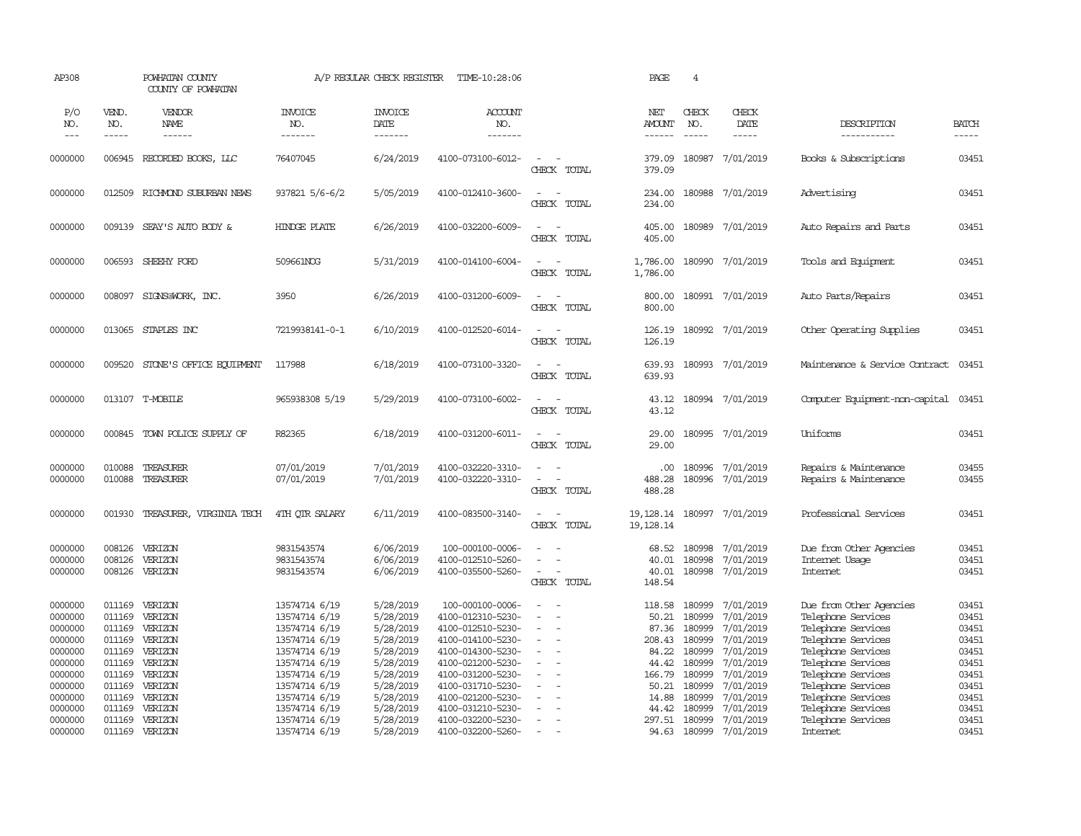| AP308                                                                                |                                                                              | POWHATAN COUNTY<br>COUNTY OF POWHATAN                                                |                                                                                                                                      | A/P REGULAR CHECK REGISTER                                                                           | TIME-10:28:06                                                                                                                                                       |                                                                                  | PAGE                                                                    | $\overline{4}$                                                               |                                                                                                      |                                                                                                                                                                                   |                                                                      |
|--------------------------------------------------------------------------------------|------------------------------------------------------------------------------|--------------------------------------------------------------------------------------|--------------------------------------------------------------------------------------------------------------------------------------|------------------------------------------------------------------------------------------------------|---------------------------------------------------------------------------------------------------------------------------------------------------------------------|----------------------------------------------------------------------------------|-------------------------------------------------------------------------|------------------------------------------------------------------------------|------------------------------------------------------------------------------------------------------|-----------------------------------------------------------------------------------------------------------------------------------------------------------------------------------|----------------------------------------------------------------------|
| P/O<br>NO.<br>$---$                                                                  | VEND.<br>NO.<br>-----                                                        | <b>VENDOR</b><br>NAME<br>$- - - - - -$                                               | <b>INVOICE</b><br>NO.<br>-------                                                                                                     | <b>INVOICE</b><br>DATE<br>-------                                                                    | ACCOUNT<br>NO.<br>-------                                                                                                                                           |                                                                                  | NET<br>AMOUNT<br>------                                                 | CHECK<br>NO.<br>$\frac{1}{2}$                                                | CHECK<br>DATE<br>$- - - - -$                                                                         | DESCRIPTION<br>-----------                                                                                                                                                        | <b>BATCH</b><br>-----                                                |
| 0000000                                                                              | 006945                                                                       | RECORDED BOOKS, LLC                                                                  | 76407045                                                                                                                             | 6/24/2019                                                                                            | 4100-073100-6012-                                                                                                                                                   | $\equiv$<br>CHECK TOTAL                                                          | 379.09<br>379.09                                                        | 180987                                                                       | 7/01/2019                                                                                            | Books & Subscriptions                                                                                                                                                             | 03451                                                                |
| 0000000                                                                              | 012509                                                                       | RICHMOND SUBURBAN NEWS                                                               | 937821 5/6-6/2                                                                                                                       | 5/05/2019                                                                                            | 4100-012410-3600-                                                                                                                                                   | $\overline{\phantom{a}}$<br>$\sim$<br>CHECK TOTAL                                | 234.00<br>234.00                                                        |                                                                              | 180988 7/01/2019                                                                                     | Advertising                                                                                                                                                                       | 03451                                                                |
| 0000000                                                                              |                                                                              | 009139 SEAY'S AUTO BODY &                                                            | HINDGE PLATE                                                                                                                         | 6/26/2019                                                                                            | 4100-032200-6009-                                                                                                                                                   | $\sim$<br>$\sim$<br>CHECK TOTAL                                                  | 405.00<br>405.00                                                        |                                                                              | 180989 7/01/2019                                                                                     | Auto Repairs and Parts                                                                                                                                                            | 03451                                                                |
| 0000000                                                                              | 006593                                                                       | SHEEHY FORD                                                                          | 509661NOG                                                                                                                            | 5/31/2019                                                                                            | 4100-014100-6004-                                                                                                                                                   | $\sim$<br>$\sim$<br>CHECK TOTAL                                                  | 1,786.00<br>1,786.00                                                    |                                                                              | 180990 7/01/2019                                                                                     | Tools and Equipment                                                                                                                                                               | 03451                                                                |
| 0000000                                                                              | 008097                                                                       | SIGNS@WORK, INC.                                                                     | 3950                                                                                                                                 | 6/26/2019                                                                                            | 4100-031200-6009-                                                                                                                                                   | $\sim$<br>$\sim$<br>CHECK TOTAL                                                  | 800.00<br>800.00                                                        |                                                                              | 180991 7/01/2019                                                                                     | Auto Parts/Repairs                                                                                                                                                                | 03451                                                                |
| 0000000                                                                              | 013065                                                                       | STAPLES INC                                                                          | 7219938141-0-1                                                                                                                       | 6/10/2019                                                                                            | 4100-012520-6014-                                                                                                                                                   | $\sim$<br>$\sim$<br>CHECK TOTAL                                                  | 126.19<br>126.19                                                        |                                                                              | 180992 7/01/2019                                                                                     | Other Operating Supplies                                                                                                                                                          | 03451                                                                |
| 0000000                                                                              | 009520                                                                       | STONE'S OFFICE EQUIPMENT                                                             | 117988                                                                                                                               | 6/18/2019                                                                                            | 4100-073100-3320-                                                                                                                                                   | $\sim$<br>$\sim$<br>CHECK TOTAL                                                  | 639.93<br>639.93                                                        |                                                                              | 180993 7/01/2019                                                                                     | Maintenance & Service Contract                                                                                                                                                    | 03451                                                                |
| 0000000                                                                              | 013107                                                                       | T-MOBILE                                                                             | 965938308 5/19                                                                                                                       | 5/29/2019                                                                                            | 4100-073100-6002-                                                                                                                                                   | $\sim$<br>$\sim$<br>CHECK TOTAL                                                  | 43.12<br>43.12                                                          |                                                                              | 180994 7/01/2019                                                                                     | Computer Equipment-non-capital                                                                                                                                                    | 03451                                                                |
| 0000000                                                                              | 000845                                                                       | TOWN POLICE SUPPLY OF                                                                | R82365                                                                                                                               | 6/18/2019                                                                                            | 4100-031200-6011-                                                                                                                                                   | $\sim$<br>CHECK TOTAL                                                            | 29.00<br>29.00                                                          |                                                                              | 180995 7/01/2019                                                                                     | Uniforms                                                                                                                                                                          | 03451                                                                |
| 0000000<br>0000000                                                                   | 010088<br>010088                                                             | TREASURER<br>TREASURER                                                               | 07/01/2019<br>07/01/2019                                                                                                             | 7/01/2019<br>7/01/2019                                                                               | 4100-032220-3310-<br>4100-032220-3310-                                                                                                                              | $\sim$<br>$\blacksquare$<br>CHECK TOTAL                                          | .00.<br>488.28<br>488.28                                                | 180996<br>180996                                                             | 7/01/2019<br>7/01/2019                                                                               | Repairs & Maintenance<br>Repairs & Maintenance                                                                                                                                    | 03455<br>03455                                                       |
| 0000000                                                                              | 001930                                                                       | TREASURER, VIRGINIA TECH                                                             | 4TH OTR SALARY                                                                                                                       | 6/11/2019                                                                                            | 4100-083500-3140-                                                                                                                                                   | $\overline{\phantom{a}}$<br>$\sim$<br>CHECK TOTAL                                | 19,128.14<br>19, 128. 14                                                |                                                                              | 180997 7/01/2019                                                                                     | Professional Services                                                                                                                                                             | 03451                                                                |
| 0000000<br>0000000<br>0000000                                                        | 008126<br>008126<br>008126                                                   | VERIZON<br>VERIZON<br>VERIZON                                                        | 9831543574<br>9831543574<br>9831543574                                                                                               | 6/06/2019<br>6/06/2019<br>6/06/2019                                                                  | 100-000100-0006-<br>4100-012510-5260-<br>4100-035500-5260-                                                                                                          | CHECK TOTAL                                                                      | 68.52<br>40.01<br>40.01<br>148.54                                       | 180998<br>180998<br>180998                                                   | 7/01/2019<br>7/01/2019<br>7/01/2019                                                                  | Due from Other Agencies<br>Internet Usage<br><b>Internet</b>                                                                                                                      | 03451<br>03451<br>03451                                              |
| 0000000<br>0000000<br>0000000<br>0000000<br>0000000<br>0000000<br>0000000<br>0000000 | 011169<br>011169<br>011169<br>011169<br>011169<br>011169<br>011169<br>011169 | VERIZON<br>VERIZON<br>VERIZON<br>VERIZON<br>VERIZON<br>VERIZON<br>VERIZON<br>VERIZON | 13574714 6/19<br>13574714 6/19<br>13574714 6/19<br>13574714 6/19<br>13574714 6/19<br>13574714 6/19<br>13574714 6/19<br>13574714 6/19 | 5/28/2019<br>5/28/2019<br>5/28/2019<br>5/28/2019<br>5/28/2019<br>5/28/2019<br>5/28/2019<br>5/28/2019 | 100-000100-0006-<br>4100-012310-5230-<br>4100-012510-5230-<br>4100-014100-5230-<br>4100-014300-5230-<br>4100-021200-5230-<br>4100-031200-5230-<br>4100-031710-5230- | $\overline{\phantom{a}}$<br>$\equiv$<br>$\sim$<br>$\equiv$<br>$\equiv$<br>$\sim$ | 118.58<br>50.21<br>87.36<br>208.43<br>84.22<br>44.42<br>166.79<br>50.21 | 180999<br>180999<br>180999<br>180999<br>180999<br>180999<br>180999<br>180999 | 7/01/2019<br>7/01/2019<br>7/01/2019<br>7/01/2019<br>7/01/2019<br>7/01/2019<br>7/01/2019<br>7/01/2019 | Due from Other Agencies<br>Telephone Services<br>Telephone Services<br>Telephone Services<br>Telephone Services<br>Telephone Services<br>Telephone Services<br>Telephone Services | 03451<br>03451<br>03451<br>03451<br>03451<br>03451<br>03451<br>03451 |
| 0000000<br>0000000<br>0000000<br>0000000                                             | 011169<br>011169<br>011169                                                   | VERIZON<br>VERIZON<br>VERIZON<br>011169 VERIZON                                      | 13574714 6/19<br>13574714 6/19<br>13574714 6/19<br>13574714 6/19                                                                     | 5/28/2019<br>5/28/2019<br>5/28/2019<br>5/28/2019                                                     | 4100-021200-5230-<br>4100-031210-5230-<br>4100-032200-5230-<br>4100-032200-5260-                                                                                    | $\equiv$<br>$\sim$<br>$\overline{a}$                                             | 14.88<br>44.42<br>94.63                                                 | 180999<br>180999<br>297.51 180999<br>180999                                  | 7/01/2019<br>7/01/2019<br>7/01/2019<br>7/01/2019                                                     | Telephone Services<br>Telephone Services<br>Telephone Services<br><b>Internet</b>                                                                                                 | 03451<br>03451<br>03451<br>03451                                     |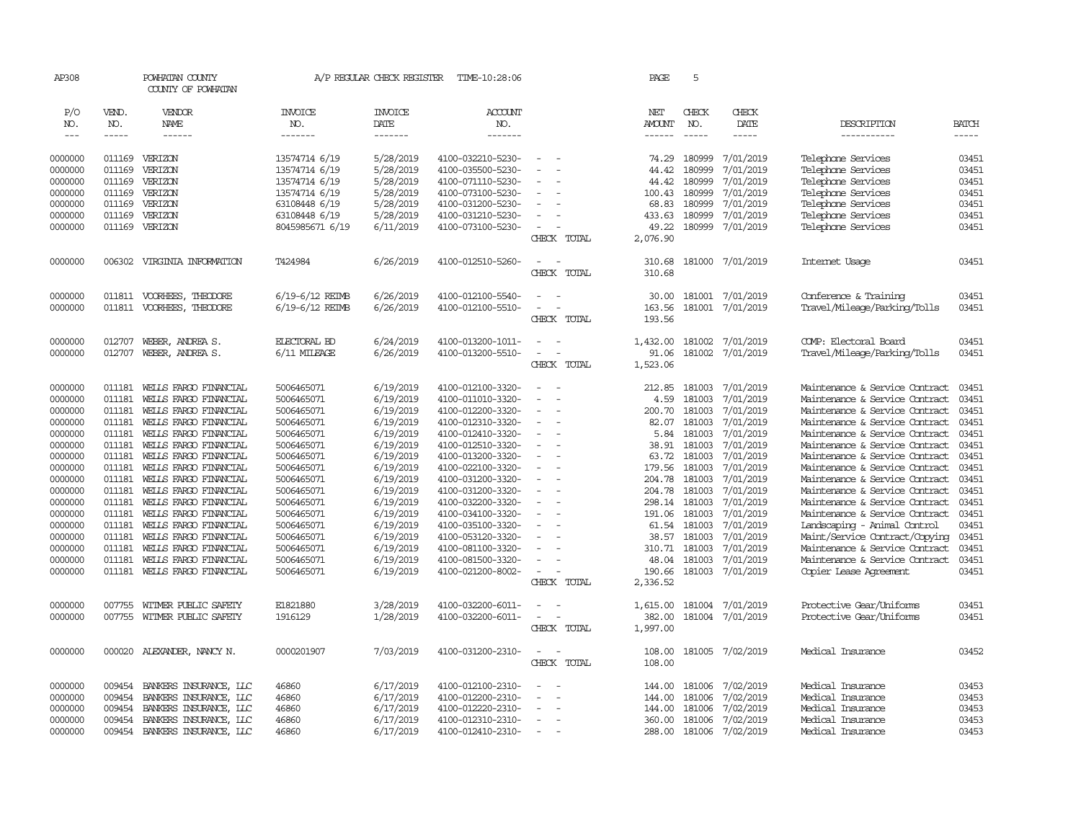| AP308              |                  | POWHATAN COUNTY<br>COUNTY OF POWHATAN          |                          | A/P REGULAR CHECK REGISTER | TIME-10:28:06                          |                                      | PAGE                    | 5                  |                        |                                                                  |                             |
|--------------------|------------------|------------------------------------------------|--------------------------|----------------------------|----------------------------------------|--------------------------------------|-------------------------|--------------------|------------------------|------------------------------------------------------------------|-----------------------------|
| P/O                | VEND.            | VENDOR<br><b>NAME</b>                          | <b>INVOICE</b>           | <b>INVOICE</b>             | ACCOUNT                                |                                      | NET                     | CHECK              | CHECK                  |                                                                  |                             |
| NO.<br>$---$       | NO.<br>-----     | ------                                         | NO.<br>-------           | DATE<br>-------            | NO.<br>-------                         |                                      | <b>AMOUNT</b><br>------ | NO.<br>$- - - - -$ | DATE<br>-----          | DESCRIPTION<br>-----------                                       | <b>BATCH</b><br>$- - - - -$ |
|                    |                  |                                                |                          |                            |                                        |                                      |                         |                    |                        |                                                                  |                             |
| 0000000            | 011169           | VERIZON                                        | 13574714 6/19            | 5/28/2019                  | 4100-032210-5230-                      | $\overline{\phantom{a}}$             | 74.29                   | 180999             | 7/01/2019              | Telephone Services                                               | 03451                       |
| 0000000            | 011169           | VERIZON                                        | 13574714 6/19            | 5/28/2019                  | 4100-035500-5230-                      | $\sim$                               | 44.42                   | 180999             | 7/01/2019              | Telephone Services                                               | 03451                       |
| 0000000            | 011169           | VERIZON                                        | 13574714 6/19            | 5/28/2019                  | 4100-071110-5230-                      |                                      | 44.42                   | 180999             | 7/01/2019              | Telephone Services                                               | 03451                       |
| 0000000            | 011169           | VERIZON                                        | 13574714 6/19            | 5/28/2019                  | 4100-073100-5230-                      | $\sim$                               | 100.43                  | 180999             | 7/01/2019              | Telephone Services                                               | 03451                       |
| 0000000            | 011169           | VERIZON                                        | 63108448 6/19            | 5/28/2019                  | 4100-031200-5230-                      | $\overline{\phantom{a}}$             | 68.83                   | 180999             | 7/01/2019              | Telephone Services                                               | 03451                       |
| 0000000            | 011169           | VERIZON                                        | 63108448 6/19            | 5/28/2019                  | 4100-031210-5230-                      | $\sim$                               | 433.63                  | 180999             | 7/01/2019              | Telephone Services                                               | 03451                       |
| 0000000            | 011169           | VERIZON                                        | 8045985671 6/19          | 6/11/2019                  | 4100-073100-5230-                      | $\overline{\phantom{a}}$             | 49.22                   | 180999             | 7/01/2019              | Telephone Services                                               | 03451                       |
|                    |                  |                                                |                          |                            |                                        | CHECK TOTAL                          | 2,076.90                |                    |                        |                                                                  |                             |
| 0000000            | 006302           | VIRGINIA INFORMATION                           | T424984                  | 6/26/2019                  | 4100-012510-5260-                      | $\sim$<br>$\sim$                     | 310.68                  |                    | 181000 7/01/2019       | Internet Usage                                                   | 03451                       |
|                    |                  |                                                |                          |                            |                                        | CHECK TOTAL                          | 310.68                  |                    |                        |                                                                  |                             |
| 0000000            | 011811           | VOORHEES, THEODORE                             | 6/19-6/12 REIMB          | 6/26/2019                  | 4100-012100-5540-                      | $\sim$                               | 30.00                   | 181001             | 7/01/2019              | Conference & Training                                            | 03451                       |
| 0000000            |                  | 011811 VOORHEES, THEODORE                      | 6/19-6/12 REIMB          | 6/26/2019                  | 4100-012100-5510-                      | $\blacksquare$                       | 163.56                  | 181001             | 7/01/2019              | Travel/Mileage/Parking/Tolls                                     | 03451                       |
|                    |                  |                                                |                          |                            |                                        | CHECK TOTAL                          | 193.56                  |                    |                        |                                                                  |                             |
| 0000000            | 012707           | WEBER, ANDREA S.                               | <b>ELECTORAL BD</b>      | 6/24/2019                  | 4100-013200-1011-                      | $\sim$                               | 1,432.00                | 181002             | 7/01/2019              | COMP: Electoral Board                                            | 03451                       |
| 0000000            | 012707           | WEBER, ANDREA S.                               | 6/11 MILEAGE             | 6/26/2019                  | 4100-013200-5510-                      | $\equiv$<br>$\sim$                   | 91.06                   | 181002             | 7/01/2019              | Travel/Mileage/Parking/Tolls                                     | 03451                       |
|                    |                  |                                                |                          |                            |                                        | CHECK TOTAL                          | 1,523.06                |                    |                        |                                                                  |                             |
|                    |                  |                                                |                          |                            |                                        |                                      |                         |                    |                        |                                                                  |                             |
| 0000000            | 011181           | WELLS FARGO FINANCIAL                          | 5006465071               | 6/19/2019                  | 4100-012100-3320-                      | $\equiv$<br>$\sim$                   | 212.85                  | 181003             | 7/01/2019              | Maintenance & Service Contract                                   | 03451                       |
| 0000000            | 011181           | WELLS FARGO FINANCIAL                          | 5006465071               | 6/19/2019                  | 4100-011010-3320-                      | $\sim$                               | 4.59                    | 181003             | 7/01/2019              | Maintenance & Service Contract                                   | 03451                       |
| 0000000            | 011181           | WELLS FARGO FINANCIAL                          | 5006465071               | 6/19/2019                  | 4100-012200-3320-                      | $\equiv$                             | 200.70                  | 181003             | 7/01/2019              | Maintenance & Service Contract                                   | 03451                       |
| 0000000            | 011181           | WELLS FARGO FINANCIAL                          | 5006465071               | 6/19/2019                  | 4100-012310-3320-                      | $\sim$                               | 82.07                   | 181003             | 7/01/2019              | Maintenance & Service Contract                                   | 03451                       |
| 0000000            | 011181           | WELLS FARGO FINANCIAL                          | 5006465071               | 6/19/2019                  | 4100-012410-3320-                      | $\bar{a}$                            | 5.84                    | 181003             | 7/01/2019              | Maintenance & Service Contract                                   | 03451                       |
| 0000000            | 011181           | WELLS FARGO FINANCIAL                          | 5006465071               | 6/19/2019                  | 4100-012510-3320-                      | $\equiv$<br>$\equiv$                 | 38.91                   | 181003             | 7/01/2019              | Maintenance & Service Contract                                   | 03451                       |
| 0000000<br>0000000 | 011181<br>011181 | WELLS FARGO FINANCIAL<br>WELLS FARGO FINANCIAL | 5006465071<br>5006465071 | 6/19/2019<br>6/19/2019     | 4100-013200-3320-<br>4100-022100-3320- | $\sim$                               | 63.72<br>179.56         | 181003<br>181003   | 7/01/2019<br>7/01/2019 | Maintenance & Service Contract<br>Maintenance & Service Contract | 03451<br>03451              |
| 0000000            | 011181           | WELLS FARGO FINANCIAL                          | 5006465071               | 6/19/2019                  | 4100-031200-3320-                      | $\sim$                               | 204.78                  | 181003             | 7/01/2019              | Maintenance & Service Contract                                   | 03451                       |
| 0000000            | 011181           | WELLS FARGO FINANCIAL                          | 5006465071               | 6/19/2019                  | 4100-031200-3320-                      |                                      | 204.78                  | 181003             | 7/01/2019              | Maintenance & Service Contract                                   | 03451                       |
| 0000000            | 011181           | WELLS FARGO FINANCIAL                          | 5006465071               | 6/19/2019                  | 4100-032200-3320-                      | $\overline{\phantom{a}}$             | 298.14                  | 181003             | 7/01/2019              | Maintenance & Service Contract                                   | 03451                       |
| 0000000            | 011181           | WELLS FARGO FINANCIAL                          | 5006465071               | 6/19/2019                  | 4100-034100-3320-                      | $\overline{\phantom{a}}$             | 191.06                  | 181003             | 7/01/2019              | Maintenance & Service Contract                                   | 03451                       |
| 0000000            | 011181           | WELLS FARGO FINANCIAL                          | 5006465071               | 6/19/2019                  | 4100-035100-3320-                      | $\equiv$                             | 61.54                   | 181003             | 7/01/2019              | Landscaping - Animal Control                                     | 03451                       |
| 0000000            | 011181           | WELLS FARGO FINANCIAL                          | 5006465071               | 6/19/2019                  | 4100-053120-3320-                      |                                      | 38.57                   | 181003             | 7/01/2019              | Maint/Service Contract/Copying                                   | 03451                       |
| 0000000            | 011181           | WELLS FARGO FINANCIAL                          | 5006465071               | 6/19/2019                  | 4100-081100-3320-                      |                                      | 310.71                  | 181003             | 7/01/2019              | Maintenance & Service Contract                                   | 03451                       |
| 0000000            | 011181           | WELLS FARGO FINANCIAL                          | 5006465071               | 6/19/2019                  | 4100-081500-3320-                      | $\overline{\phantom{a}}$             | 48.04                   | 181003             | 7/01/2019              | Maintenance & Service Contract                                   | 03451                       |
| 0000000            | 011181           | WELLS FARGO FINANCIAL                          | 5006465071               | 6/19/2019                  | 4100-021200-8002-                      |                                      | 190.66                  | 181003             | 7/01/2019              | Copier Lease Agreement                                           | 03451                       |
|                    |                  |                                                |                          |                            |                                        | CHECK TOTAL                          | 2,336.52                |                    |                        |                                                                  |                             |
| 0000000            | 007755           | WITMER PUBLIC SAFETY                           | E1821880                 | 3/28/2019                  | 4100-032200-6011-                      |                                      | 1,615.00                | 181004             | 7/01/2019              | Protective Gear/Uniforms                                         | 03451                       |
| 0000000            | 007755           | WITMER PUBLIC SAFETY                           | 1916129                  | 1/28/2019                  | 4100-032200-6011-                      | $\equiv$<br>$\overline{\phantom{a}}$ | 382.00                  |                    | 181004 7/01/2019       | Protective Gear/Uniforms                                         | 03451                       |
|                    |                  |                                                |                          |                            |                                        | CHECK TOTAL                          | 1,997.00                |                    |                        |                                                                  |                             |
|                    |                  |                                                |                          |                            |                                        | $\sim$<br>$\sim$                     |                         |                    |                        |                                                                  |                             |
| 0000000            |                  | 000020 ALEXANDER, NANCY N.                     | 0000201907               | 7/03/2019                  | 4100-031200-2310-                      | CHECK TOTAL                          | 108.00<br>108.00        |                    | 181005 7/02/2019       | Medical Insurance                                                | 03452                       |
|                    |                  |                                                |                          |                            |                                        |                                      |                         |                    |                        |                                                                  |                             |
| 0000000            | 009454           | BANKERS INSURANCE, LLC                         | 46860                    | 6/17/2019                  | 4100-012100-2310-                      |                                      | 144.00                  | 181006             | 7/02/2019              | Medical Insurance                                                | 03453                       |
| 0000000            | 009454           | BANKERS INSURANCE, LLC                         | 46860                    | 6/17/2019                  | 4100-012200-2310-                      | $\overline{\phantom{a}}$<br>$\sim$   | 144.00                  | 181006             | 7/02/2019              | Medical Insurance                                                | 03453                       |
| 0000000            | 009454           | BANKERS INSURANCE, LLC                         | 46860                    | 6/17/2019                  | 4100-012220-2310-                      |                                      | 144.00                  | 181006             | 7/02/2019              | Medical Insurance                                                | 03453                       |
| 0000000            | 009454           | BANKERS INSURANCE, LLC                         | 46860                    | 6/17/2019                  | 4100-012310-2310-                      | $\sim$<br>$\overline{a}$             | 360.00                  | 181006             | 7/02/2019              | Medical Insurance                                                | 03453                       |
| 0000000            | 009454           | BANKERS INSURANCE, LLC                         | 46860                    | 6/17/2019                  | 4100-012410-2310-                      |                                      | 288.00                  | 181006             | 7/02/2019              | Medical Insurance                                                | 03453                       |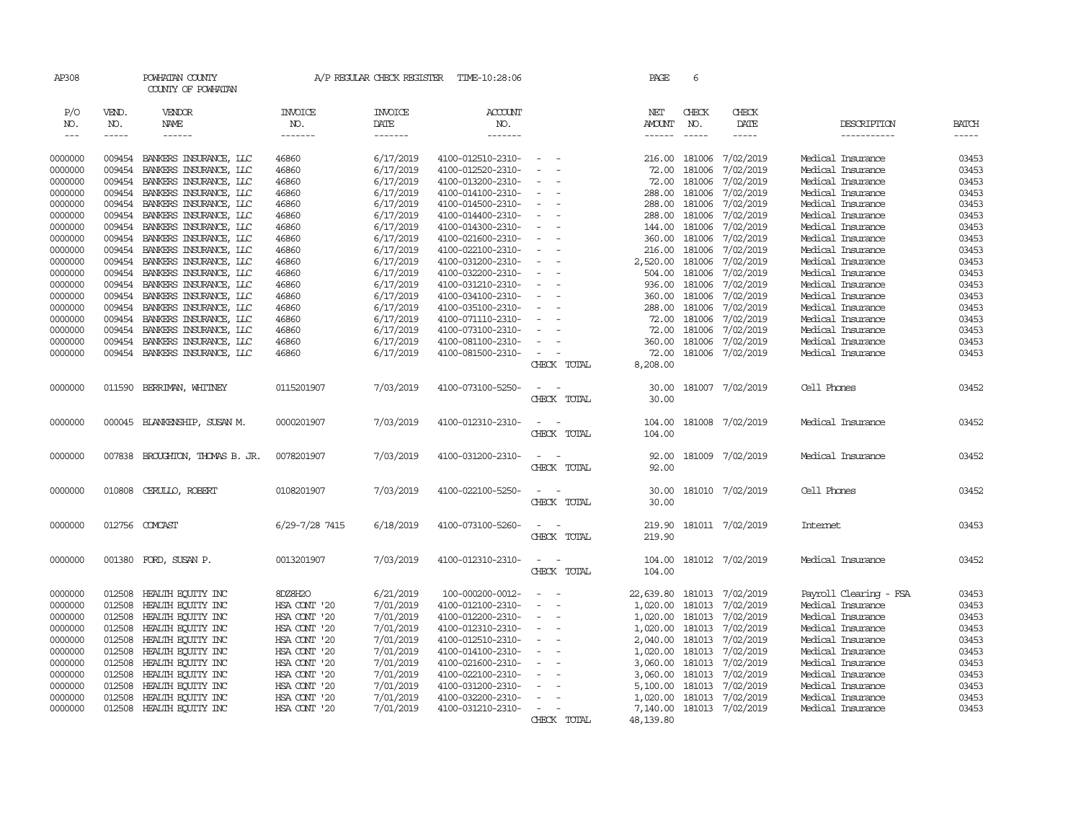| AP308               |                             | POWHATAN COUNTY<br>COUNTY OF POWHATAN            |                                  | A/P REGULAR CHECK REGISTER        | TIME-10:28:06                          |                                         | PAGE                    | 6                             |                              |                                        |                       |
|---------------------|-----------------------------|--------------------------------------------------|----------------------------------|-----------------------------------|----------------------------------------|-----------------------------------------|-------------------------|-------------------------------|------------------------------|----------------------------------------|-----------------------|
| P/O<br>NO.<br>$---$ | VEND.<br>NO.<br>$- - - - -$ | VENDOR<br>NAME<br>$- - - - - -$                  | <b>INVOICE</b><br>NO.<br>------- | <b>INVOICE</b><br>DATE<br>------- | <b>ACCOUNT</b><br>NO.<br>-------       |                                         | NET<br>AMOUNT<br>------ | CHECK<br>NO.<br>$\frac{1}{2}$ | CHECK<br>DATE<br>$- - - - -$ | DESCRIPTION<br>-----------             | <b>BATCH</b><br>----- |
|                     |                             |                                                  |                                  |                                   |                                        |                                         |                         |                               |                              |                                        |                       |
| 0000000             | 009454                      | BANKERS INSURANCE, LLC                           | 46860                            | 6/17/2019                         | 4100-012510-2310-                      |                                         | 216.00                  | 181006                        | 7/02/2019                    | Medical Insurance                      | 03453                 |
| 0000000             | 009454                      | BANKERS INSURANCE, LLC                           | 46860                            | 6/17/2019                         | 4100-012520-2310-                      |                                         | 72.00                   | 181006                        | 7/02/2019                    | Medical Insurance                      | 03453                 |
| 0000000             | 009454                      | BANKERS INSURANCE, LLC                           | 46860                            | 6/17/2019                         | 4100-013200-2310-                      |                                         | 72.00                   | 181006                        | 7/02/2019                    | Medical Insurance                      | 03453                 |
| 0000000             | 009454                      | BANKERS INSURANCE, LLC                           | 46860                            | 6/17/2019                         | 4100-014100-2310-                      |                                         | 288.00                  | 181006                        | 7/02/2019                    | Medical Insurance                      | 03453                 |
| 0000000             | 009454                      | BANKERS INSURANCE, LLC                           | 46860                            | 6/17/2019                         | 4100-014500-2310-                      |                                         | 288.00                  | 181006                        | 7/02/2019                    | Medical Insurance                      | 03453                 |
| 0000000             | 009454                      | BANKERS INSURANCE, LLC                           | 46860                            | 6/17/2019<br>6/17/2019            | 4100-014400-2310-                      |                                         | 288.00                  | 181006                        | 7/02/2019                    | Medical Insurance                      | 03453                 |
| 0000000<br>0000000  | 009454<br>009454            | BANKERS INSURANCE, LLC                           | 46860                            | 6/17/2019                         | 4100-014300-2310-                      |                                         | 144.00<br>360.00        | 181006<br>181006              | 7/02/2019<br>7/02/2019       | Medical Insurance<br>Medical Insurance | 03453<br>03453        |
| 0000000             | 009454                      | BANKERS INSURANCE, LLC<br>BANKERS INSURANCE, LLC | 46860<br>46860                   | 6/17/2019                         | 4100-021600-2310-<br>4100-022100-2310- |                                         | 216.00                  | 181006                        | 7/02/2019                    | Medical Insurance                      | 03453                 |
| 0000000             | 009454                      | BANKERS INSURANCE, LLC                           | 46860                            | 6/17/2019                         | 4100-031200-2310-                      |                                         | 2,520.00                | 181006                        | 7/02/2019                    | Medical Insurance                      | 03453                 |
| 0000000             | 009454                      | BANKERS INSURANCE, LLC                           | 46860                            | 6/17/2019                         | 4100-032200-2310-                      |                                         | 504.00                  | 181006                        | 7/02/2019                    | Medical Insurance                      | 03453                 |
| 0000000             | 009454                      | BANKERS INSURANCE, LLC                           | 46860                            | 6/17/2019                         | 4100-031210-2310-                      |                                         | 936.00                  | 181006                        | 7/02/2019                    | Medical Insurance                      | 03453                 |
| 0000000             | 009454                      | BANKERS INSURANCE, LLC                           | 46860                            | 6/17/2019                         | 4100-034100-2310-                      |                                         | 360.00                  | 181006                        | 7/02/2019                    | Medical Insurance                      | 03453                 |
| 0000000             | 009454                      | BANKERS INSURANCE, LLC                           | 46860                            | 6/17/2019                         | 4100-035100-2310-                      |                                         | 288.00                  | 181006                        | 7/02/2019                    | Medical Insurance                      | 03453                 |
| 0000000             | 009454                      | BANKERS INSURANCE, LLC                           | 46860                            | 6/17/2019                         | 4100-071110-2310-                      |                                         | 72.00                   | 181006                        | 7/02/2019                    | Medical Insurance                      | 03453                 |
| 0000000             | 009454                      | BANKERS INSURANCE, LLC                           | 46860                            | 6/17/2019                         | 4100-073100-2310-                      |                                         | 72.00                   | 181006                        | 7/02/2019                    | Medical Insurance                      | 03453                 |
| 0000000             | 009454                      | BANKERS INSURANCE, LLC                           | 46860                            | 6/17/2019                         | 4100-081100-2310-                      |                                         | 360.00                  | 181006                        | 7/02/2019                    | Medical Insurance                      | 03453                 |
| 0000000             |                             | 009454 BANKERS INSURANCE, LLC                    | 46860                            | 6/17/2019                         | 4100-081500-2310-                      |                                         | 72.00                   |                               | 181006 7/02/2019             | Medical Insurance                      | 03453                 |
|                     |                             |                                                  |                                  |                                   |                                        | CHECK TOTAL                             | 8,208.00                |                               |                              |                                        |                       |
| 0000000             | 011590                      | BERRIMAN, WHITNEY                                | 0115201907                       | 7/03/2019                         | 4100-073100-5250-                      | $\overline{\phantom{a}}$<br>CHECK TOTAL | 30.00                   |                               | 181007 7/02/2019             | Cell Phones                            | 03452                 |
|                     |                             |                                                  |                                  |                                   |                                        |                                         | 30.00                   |                               |                              |                                        |                       |
| 0000000             |                             | 000045 BLANKENSHIP, SUSAN M.                     | 0000201907                       | 7/03/2019                         | 4100-012310-2310-                      | $\equiv$                                | 104.00                  |                               | 181008 7/02/2019             | Medical Insurance                      | 03452                 |
|                     |                             |                                                  |                                  |                                   |                                        | CHECK TOTAL                             | 104.00                  |                               |                              |                                        |                       |
| 0000000             | 007838                      | BROUGHTON, THOMAS B. JR.                         | 0078201907                       | 7/03/2019                         | 4100-031200-2310-                      | $\sim$                                  | 92.00                   |                               | 181009 7/02/2019             | Medical Insurance                      | 03452                 |
|                     |                             |                                                  |                                  |                                   |                                        | CHECK TOTAL                             | 92.00                   |                               |                              |                                        |                       |
| 0000000             | 010808                      | CERULLO, ROBERT                                  | 0108201907                       | 7/03/2019                         | 4100-022100-5250-                      | $\sim$                                  | 30.00                   |                               | 181010 7/02/2019             | Cell Phones                            | 03452                 |
|                     |                             |                                                  |                                  |                                   |                                        | CHECK TOTAL                             | 30.00                   |                               |                              |                                        |                       |
| 0000000             |                             | 012756 COMCAST                                   | 6/29-7/28 7415                   | 6/18/2019                         | 4100-073100-5260-                      | $\sim$<br>$\sim$                        | 219.90                  |                               | 181011 7/02/2019             | Internet                               | 03453                 |
|                     |                             |                                                  |                                  |                                   |                                        | CHECK TOTAL                             | 219.90                  |                               |                              |                                        |                       |
|                     |                             |                                                  |                                  |                                   |                                        |                                         |                         |                               |                              |                                        |                       |
| 0000000             | 001380                      | FORD, SUSAN P.                                   | 0013201907                       | 7/03/2019                         | 4100-012310-2310-                      | $\sim$<br>$\sim$<br>CHECK TOTAL         | 104.00<br>104.00        |                               | 181012 7/02/2019             | Medical Insurance                      | 03452                 |
|                     |                             |                                                  |                                  |                                   |                                        |                                         |                         |                               |                              |                                        |                       |
| 0000000             | 012508                      | HEALTH EQUITY INC                                | 8DZ8H2O                          | 6/21/2019                         | 100-000200-0012-                       |                                         | 22,639.80               |                               | 181013 7/02/2019             | Payroll Clearing - FSA                 | 03453                 |
| 0000000             | 012508                      | HEALTH EQUITY INC                                | HSA CONT '20                     | 7/01/2019                         | 4100-012100-2310-                      |                                         | 1,020.00                | 181013                        | 7/02/2019                    | Medical Insurance                      | 03453                 |
| 0000000             | 012508                      | HEALTH EQUITY INC                                | HSA CONT '20                     | 7/01/2019                         | 4100-012200-2310-                      |                                         | 1,020.00                | 181013                        | 7/02/2019                    | Medical Insurance                      | 03453                 |
| 0000000             | 012508                      | HEALTH EQUITY INC                                | HSA CONT '20                     | 7/01/2019                         | 4100-012310-2310-                      |                                         | 1,020.00                | 181013                        | 7/02/2019                    | Medical Insurance                      | 03453                 |
| 0000000             | 012508                      | HEALTH ECUITY INC                                | HSA CONT '20                     | 7/01/2019                         | 4100-012510-2310-                      |                                         | 2,040.00                | 181013                        | 7/02/2019                    | Medical Insurance                      | 03453                 |
| 0000000             | 012508                      | HEALTH EQUITY INC                                | HSA CONT '20                     | 7/01/2019                         | 4100-014100-2310-                      |                                         | 1,020.00                | 181013                        | 7/02/2019                    | Medical Insurance                      | 03453                 |
| 0000000             | 012508                      | HEALTH EQUITY INC                                | HSA CONT '20                     | 7/01/2019                         | 4100-021600-2310-                      |                                         | 3,060.00                | 181013                        | 7/02/2019                    | Medical Insurance                      | 03453                 |
| 0000000             | 012508                      | HEALTH ECUITY INC<br>HEALTH EQUITY INC           | HSA CONT '20                     | 7/01/2019                         | 4100-022100-2310-                      |                                         | 3,060.00                | 181013                        | 7/02/2019                    | Medical Insurance<br>Medical Insurance | 03453                 |
| 0000000<br>0000000  | 012508<br>012508            | HEALTH EQUITY INC                                | HSA CONT '20<br>HSA CONT '20     | 7/01/2019<br>7/01/2019            | 4100-031200-2310-<br>4100-032200-2310- |                                         | 5,100.00<br>1,020.00    | 181013<br>181013              | 7/02/2019<br>7/02/2019       | Medical Insurance                      | 03453<br>03453        |
| 0000000             | 012508                      | HEALTH EQUITY INC                                | HSA CONT '20                     | 7/01/2019                         | 4100-031210-2310-                      |                                         | 7,140.00                |                               | 181013 7/02/2019             | Medical Insurance                      | 03453                 |
|                     |                             |                                                  |                                  |                                   |                                        | CHECK TOTAL                             | 48,139.80               |                               |                              |                                        |                       |
|                     |                             |                                                  |                                  |                                   |                                        |                                         |                         |                               |                              |                                        |                       |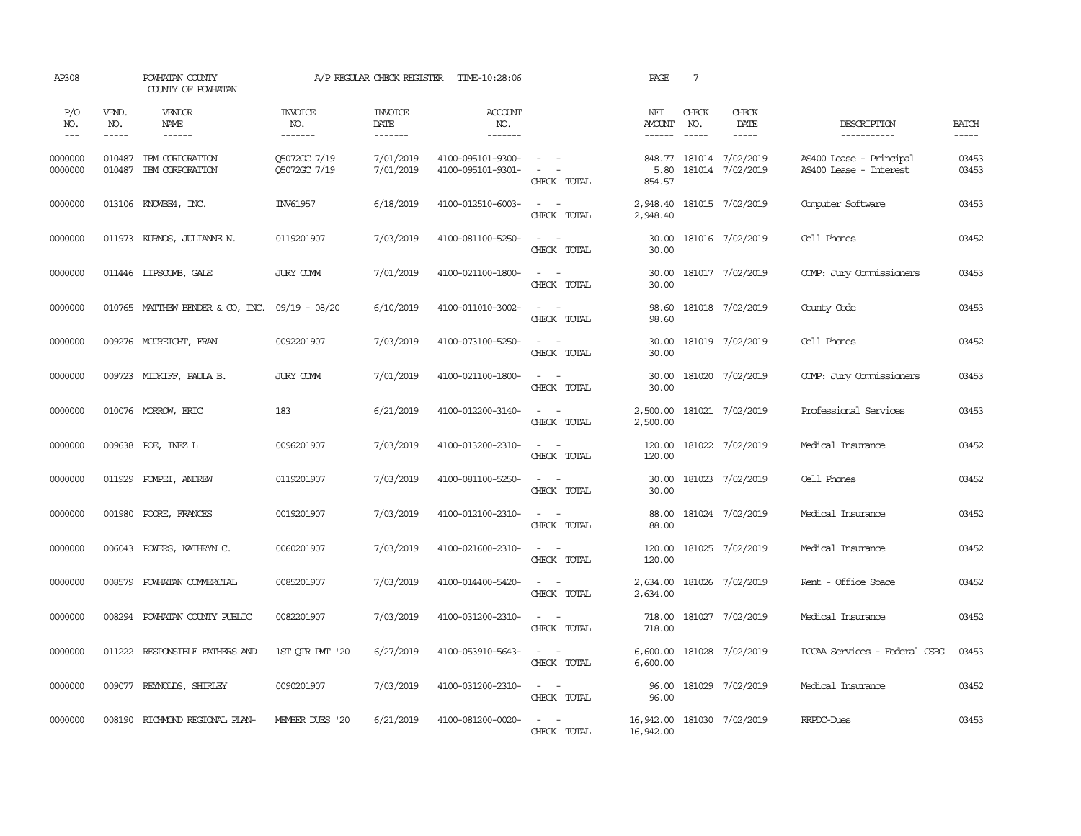| AP308               |                             | POWHATAN COUNTY<br>COUNTY OF POWHATAN          |                                  | A/P REGULAR CHECK REGISTER         | TIME-10:28:06                          |                                                            | PAGE                                    | $7\phantom{.0}$               |                                             |                                                   |                             |
|---------------------|-----------------------------|------------------------------------------------|----------------------------------|------------------------------------|----------------------------------------|------------------------------------------------------------|-----------------------------------------|-------------------------------|---------------------------------------------|---------------------------------------------------|-----------------------------|
| P/O<br>NO.<br>$---$ | VEND.<br>NO.<br>$- - - - -$ | VENDOR<br>NAME<br>$- - - - - -$                | <b>INVOICE</b><br>NO.<br>------- | <b>INVOICE</b><br>DATE<br>-------- | ACCOUNT<br>NO.<br>--------             |                                                            | NET<br><b>AMOUNT</b><br>$- - - - - -$   | CHECK<br>NO.<br>$\frac{1}{2}$ | CHECK<br>DATE<br>$- - - - -$                | DESCRIPTION<br>-----------                        | <b>BATCH</b><br>$- - - - -$ |
| 0000000<br>0000000  | 010487<br>010487            | IEM CORPORATION<br>IEM CORPORATION             | 05072GC 7/19<br>Q5072GC 7/19     | 7/01/2019<br>7/01/2019             | 4100-095101-9300-<br>4100-095101-9301- | $\sim$ $ -$<br>$\sim$ $ -$<br>CHECK TOTAL                  | 5.80<br>854.57                          |                               | 848.77 181014 7/02/2019<br>181014 7/02/2019 | AS400 Lease - Principal<br>AS400 Lease - Interest | 03453<br>03453              |
| 0000000             |                             | 013106 KNOWBE4, INC.                           | INV61957                         | 6/18/2019                          | 4100-012510-6003-                      | $\sim$ $ \sim$<br>CHECK TOTAL                              | 2,948.40<br>2,948.40                    |                               | 181015 7/02/2019                            | Computer Software                                 | 03453                       |
| 0000000             |                             | 011973 KURNOS, JULIANNE N.                     | 0119201907                       | 7/03/2019                          | 4100-081100-5250-                      | $\sim$ $ \sim$<br>CHECK TOTAL                              | 30.00<br>30.00                          |                               | 181016 7/02/2019                            | Cell Phones                                       | 03452                       |
| 0000000             |                             | 011446 LIPSCOMB, GALE                          | JURY COMM                        | 7/01/2019                          | 4100-021100-1800-                      | $\omega_{\rm{max}}$ and $\omega_{\rm{max}}$<br>CHECK TOTAL | 30.00<br>30.00                          |                               | 181017 7/02/2019                            | COMP: Jury Commissioners                          | 03453                       |
| 0000000             |                             | 010765 MATTHEW BENDER & CO, INC. 09/19 - 08/20 |                                  | 6/10/2019                          | 4100-011010-3002-                      | $\omega_{\rm{max}}$ and $\omega_{\rm{max}}$<br>CHECK TOTAL | 98.60<br>98.60                          |                               | 181018 7/02/2019                            | County Code                                       | 03453                       |
| 0000000             |                             | 009276 MCCREIGHT, FRAN                         | 0092201907                       | 7/03/2019                          | 4100-073100-5250-                      | $\sim$ 100 $\sim$<br>CHECK TOTAL                           | 30.00<br>30.00                          |                               | 181019 7/02/2019                            | Cell Phones                                       | 03452                       |
| 0000000             |                             | 009723 MIDKIFF, PAULA B.                       | JURY COMM                        | 7/01/2019                          | 4100-021100-1800-                      | $\sim$ $ -$<br>CHECK TOTAL                                 | 30.00<br>30.00                          |                               | 181020 7/02/2019                            | COMP: Jury Commissioners                          | 03453                       |
| 0000000             |                             | 010076 MORROW, ERIC                            | 183                              | 6/21/2019                          | 4100-012200-3140-                      | $\sim$ $ -$<br>CHECK TOTAL                                 | 2,500.00<br>2,500.00                    |                               | 181021 7/02/2019                            | Professional Services                             | 03453                       |
| 0000000             |                             | 009638 POE, INEZ L                             | 0096201907                       | 7/03/2019                          | 4100-013200-2310-                      | $\omega_{\rm{max}}$ and $\omega_{\rm{max}}$<br>CHECK TOTAL | 120.00                                  |                               | 120.00 181022 7/02/2019                     | Medical Insurance                                 | 03452                       |
| 0000000             |                             | 011929 POMPEI, ANDREW                          | 0119201907                       | 7/03/2019                          | 4100-081100-5250-                      | $\omega_{\rm{max}}$ and $\omega_{\rm{max}}$<br>CHECK TOTAL | 30.00<br>30.00                          |                               | 181023 7/02/2019                            | Cell Phones                                       | 03452                       |
| 0000000             |                             | 001980 POORE, FRANCES                          | 0019201907                       | 7/03/2019                          | 4100-012100-2310-                      | $\sim$ $ \sim$<br>CHECK TOTAL                              | 88.00<br>88.00                          |                               | 181024 7/02/2019                            | Medical Insurance                                 | 03452                       |
| 0000000             |                             | 006043 POWERS, KATHRYN C.                      | 0060201907                       | 7/03/2019                          | 4100-021600-2310-                      | $\sim$ 100 $\sim$<br>CHECK TOTAL                           | 120.00<br>120.00                        |                               | 181025 7/02/2019                            | Medical Insurance                                 | 03452                       |
| 0000000             |                             | 008579 POWHATAN COMMERCIAL                     | 0085201907                       | 7/03/2019                          | 4100-014400-5420-                      | $\sim$ $ \sim$<br>CHECK TOTAL                              | 2,634.00<br>2,634.00                    |                               | 181026 7/02/2019                            | Rent - Office Space                               | 03452                       |
| 0000000             |                             | 008294 POWHATAN COUNTY PUBLIC                  | 0082201907                       | 7/03/2019                          | 4100-031200-2310-                      | $\sim$ $ \sim$<br>CHECK TOTAL                              | 718.00<br>718.00                        |                               | 181027 7/02/2019                            | Medical Insurance                                 | 03452                       |
| 0000000             |                             | 011222 RESPONSIBLE FAIHERS AND                 | 1ST OIR PMT '20                  | 6/27/2019                          | 4100-053910-5643-                      | $\sim$ $ -$<br>CHECK TOTAL                                 | 6,600.00                                |                               | 6,600.00 181028 7/02/2019                   | PCCAA Services - Federal CSBG                     | 03453                       |
| 0000000             |                             | 009077 REYNOLDS, SHIRLEY                       | 0090201907                       | 7/03/2019                          | 4100-031200-2310-                      | $\omega_{\rm{max}}$ and $\omega_{\rm{max}}$<br>CHECK TOTAL | 96.00<br>96.00                          |                               | 181029 7/02/2019                            | Medical Insurance                                 | 03452                       |
| 0000000             | 008190                      | RICHMOND REGIONAL PLAN-                        | MEMBER DUES '20                  | 6/21/2019                          | 4100-081200-0020-                      | $\sim$ $ -$<br>CHECK TOTAL                                 | 16,942.00 181030 7/02/2019<br>16,942.00 |                               |                                             | RRPDC-Dues                                        | 03453                       |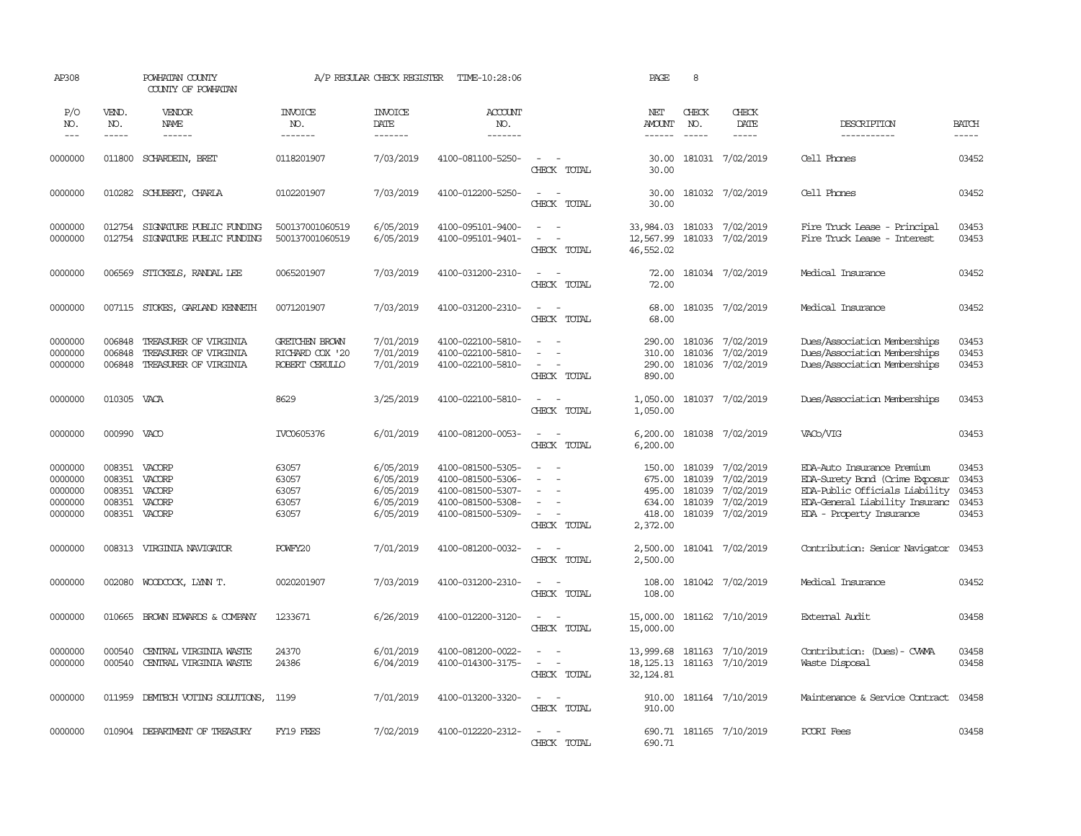| AP308                                               |                                                | POWHATAN COUNTY<br>COUNTY OF POWHATAN                                   |                                                     | A/P REGULAR CHECK REGISTER                                    | TIME-10:28:06                                                                                         |                                                                                     | PAGE                                                       | 8                           |                                                                             |                                                                                                                                                              |                                           |
|-----------------------------------------------------|------------------------------------------------|-------------------------------------------------------------------------|-----------------------------------------------------|---------------------------------------------------------------|-------------------------------------------------------------------------------------------------------|-------------------------------------------------------------------------------------|------------------------------------------------------------|-----------------------------|-----------------------------------------------------------------------------|--------------------------------------------------------------------------------------------------------------------------------------------------------------|-------------------------------------------|
| P/O<br>NO.<br>$---$                                 | VEND.<br>NO.<br>$- - - - -$                    | VENDOR<br>NAME<br>------                                                | <b>INVOICE</b><br>NO.<br>-------                    | <b>INVOICE</b><br>DATE<br>-------                             | <b>ACCOUNT</b><br>NO.<br>-------                                                                      |                                                                                     | NET<br>AMOUNT<br>$- - - - - -$                             | CHECK<br>NO.<br>$- - - - -$ | CHECK<br>DATE<br>-----                                                      | DESCRIPTION<br>-----------                                                                                                                                   | <b>BATCH</b><br>$- - - - -$               |
| 0000000                                             | 011800                                         | SCHARDEIN, BRET                                                         | 0118201907                                          | 7/03/2019                                                     | 4100-081100-5250-                                                                                     | $\overline{\phantom{a}}$<br>CHECK TOTAL                                             | 30.00<br>30.00                                             |                             | 181031 7/02/2019                                                            | Cell Phones                                                                                                                                                  | 03452                                     |
| 0000000                                             |                                                | 010282 SCHUBERT, CHARLA                                                 | 0102201907                                          | 7/03/2019                                                     | 4100-012200-5250-                                                                                     | $\sim$<br>$\sim$<br>CHECK TOTAL                                                     | 30.00<br>30.00                                             |                             | 181032 7/02/2019                                                            | Cell Phones                                                                                                                                                  | 03452                                     |
| 0000000<br>0000000                                  | 012754<br>012754                               | SIGNATURE PUBLIC FUNDING<br>SIGNATURE PUBLIC FUNDING                    | 500137001060519<br>500137001060519                  | 6/05/2019<br>6/05/2019                                        | 4100-095101-9400-<br>4100-095101-9401-                                                                | $\sim$<br>$\sim$<br>$\equiv$<br>$\equiv$<br>CHECK TOTAL                             | 33,984.03<br>12,567.99<br>46,552.02                        | 181033                      | 181033 7/02/2019<br>7/02/2019                                               | Fire Truck Lease - Principal<br>Fire Truck Lease - Interest                                                                                                  | 03453<br>03453                            |
| 0000000                                             | 006569                                         | STICKELS, RANDAL LEE                                                    | 0065201907                                          | 7/03/2019                                                     | 4100-031200-2310-                                                                                     | $\sim$<br>$\sim$<br>CHECK TOTAL                                                     | 72.00<br>72.00                                             |                             | 181034 7/02/2019                                                            | Medical Insurance                                                                                                                                            | 03452                                     |
| 0000000                                             |                                                | 007115 STOKES, GARLAND KENNETH                                          | 0071201907                                          | 7/03/2019                                                     | 4100-031200-2310-                                                                                     | $\sim$ $\sim$<br>CHECK TOTAL                                                        | 68.00<br>68.00                                             |                             | 181035 7/02/2019                                                            | Medical Insurance                                                                                                                                            | 03452                                     |
| 0000000<br>0000000<br>0000000                       | 006848<br>006848<br>006848                     | TREASURER OF VIRGINIA<br>TREASURER OF VIRGINIA<br>TREASURER OF VIRGINIA | GRETCHEN BROWN<br>RICHARD COX '20<br>ROBERT CERULLO | 7/01/2019<br>7/01/2019<br>7/01/2019                           | 4100-022100-5810-<br>4100-022100-5810-<br>4100-022100-5810-                                           | $\equiv$<br>$\sim$<br>CHECK TOTAL                                                   | 290.00<br>310.00<br>290.00<br>890.00                       | 181036                      | 181036 7/02/2019<br>7/02/2019<br>181036 7/02/2019                           | Dues/Association Memberships<br>Dues/Association Memberships<br>Dues/Association Memberships                                                                 | 03453<br>03453<br>03453                   |
| 0000000                                             | 010305                                         | VACA                                                                    | 8629                                                | 3/25/2019                                                     | 4100-022100-5810-                                                                                     | $\sim$<br>$\sim$<br>CHECK TOTAL                                                     | 1,050.00<br>1,050.00                                       |                             | 181037 7/02/2019                                                            | Dues/Association Memberships                                                                                                                                 | 03453                                     |
| 0000000                                             | 000990 VACO                                    |                                                                         | IVC0605376                                          | 6/01/2019                                                     | 4100-081200-0053-                                                                                     | $\sim$<br>$\sim$<br>CHECK TOTAL                                                     | 6,200.00<br>6,200.00                                       |                             | 181038 7/02/2019                                                            | VACb/VIG                                                                                                                                                     | 03453                                     |
| 0000000<br>0000000<br>0000000<br>0000000<br>0000000 | 008351<br>008351<br>008351<br>008351<br>008351 | VACORP<br>VACORP<br>VACORP<br>VACORP<br>VACORP                          | 63057<br>63057<br>63057<br>63057<br>63057           | 6/05/2019<br>6/05/2019<br>6/05/2019<br>6/05/2019<br>6/05/2019 | 4100-081500-5305-<br>4100-081500-5306-<br>4100-081500-5307-<br>4100-081500-5308-<br>4100-081500-5309- | $\equiv$<br>$\equiv$<br>$\overline{\phantom{a}}$<br>$\sim$<br>$\sim$<br>CHECK TOTAL | 150.00<br>675.00<br>495.00<br>634.00<br>418.00<br>2,372.00 | 181039<br>181039<br>181039  | 181039 7/02/2019<br>7/02/2019<br>7/02/2019<br>7/02/2019<br>181039 7/02/2019 | EDA-Auto Insurance Premium<br>EDA-Surety Bond (Crime Exposur<br>EDA-Public Officials Liability<br>EDA-General Liability Insuranc<br>EDA - Property Insurance | 03453<br>03453<br>03453<br>03453<br>03453 |
| 0000000                                             | 008313                                         | VIRGINIA NAVIGATOR                                                      | POWFY20                                             | 7/01/2019                                                     | 4100-081200-0032-                                                                                     | $\overline{\phantom{a}}$<br>$\overline{\phantom{a}}$<br>CHECK TOTAL                 | 2,500.00<br>2,500.00                                       |                             | 181041 7/02/2019                                                            | Contribution: Senior Navigator                                                                                                                               | 03453                                     |
| 0000000                                             | 002080                                         | WOODCOCK, LYNN T.                                                       | 0020201907                                          | 7/03/2019                                                     | 4100-031200-2310-                                                                                     | $\sim$<br>- -<br>CHECK TOTAL                                                        | 108.00<br>108.00                                           |                             | 181042 7/02/2019                                                            | Medical Insurance                                                                                                                                            | 03452                                     |
| 0000000                                             | 010665                                         | BROWN EDWARDS & COMPANY                                                 | 1233671                                             | 6/26/2019                                                     | 4100-012200-3120-                                                                                     | $\sim$<br>$\sim$<br>CHECK TOTAL                                                     | 15,000.00<br>15,000.00                                     |                             | 181162 7/10/2019                                                            | External Audit                                                                                                                                               | 03458                                     |
| 0000000<br>0000000                                  | 000540<br>000540                               | CENTRAL VIRGINIA WASTE<br>CENTRAL VIRGINIA WASTE                        | 24370<br>24386                                      | 6/01/2019<br>6/04/2019                                        | 4100-081200-0022-<br>4100-014300-3175-                                                                | $\equiv$<br>$\blacksquare$<br>$\sim$<br>CHECK TOTAL                                 | 13,999.68<br>18, 125. 13<br>32, 124.81                     | 181163                      | 181163 7/10/2019<br>7/10/2019                                               | Contribution: (Dues) - CWMA<br>Waste Disposal                                                                                                                | 03458<br>03458                            |
| 0000000                                             |                                                | 011959 DEMIECH VOTING SOLUTIONS,                                        | 1199                                                | 7/01/2019                                                     | 4100-013200-3320-                                                                                     | $\sim$<br>$\sim$<br>CHECK TOTAL                                                     | 910.00<br>910.00                                           |                             | 181164 7/10/2019                                                            | Maintenance & Service Contract                                                                                                                               | 03458                                     |
| 0000000                                             |                                                | 010904 DEPARIMENT OF TREASURY                                           | FY19 FEES                                           | 7/02/2019                                                     | 4100-012220-2312-                                                                                     | $\overline{a}$<br>- -<br><b>CHRCK</b><br>TOTAT,                                     | 690.71                                                     |                             | 690.71 181165 7/10/2019                                                     | PCORI Fees                                                                                                                                                   | 03458                                     |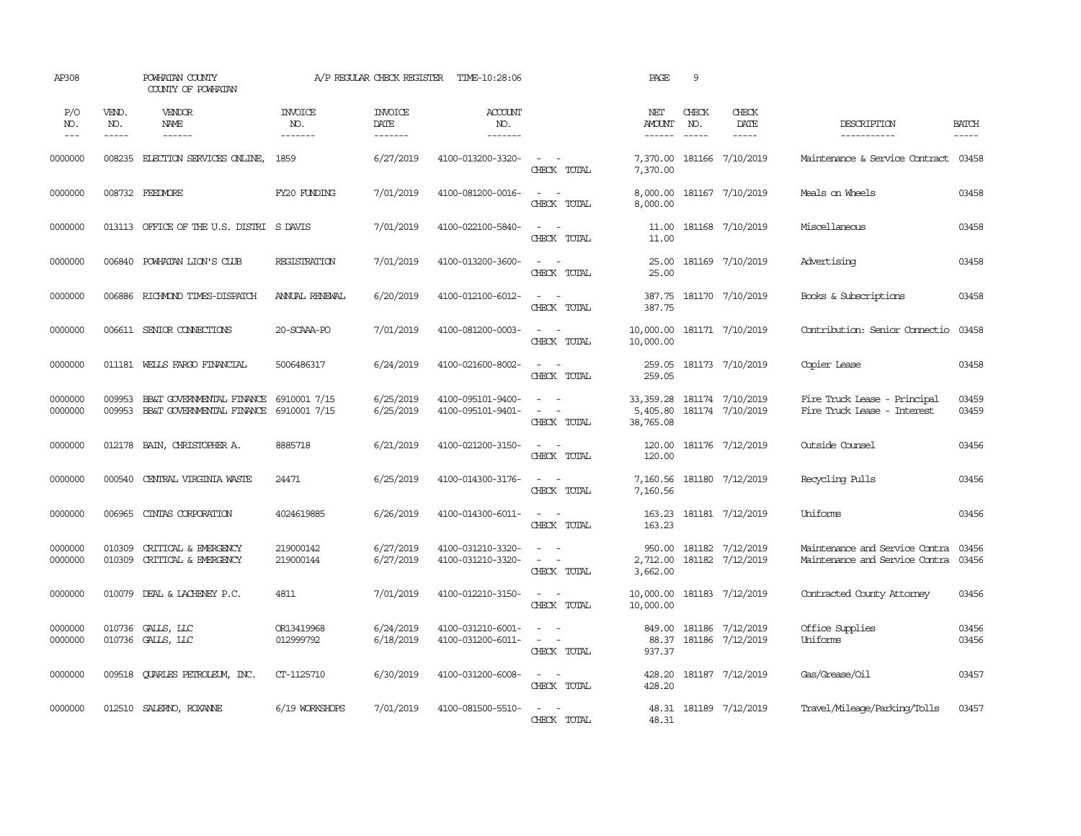| AP308                       |                             | POWHATAN COUNTY<br>COUNTY OF POWHATAN                  |                                  | A/P REGULAR CHECK REGISTER        | TIME-10:28:06                          |                                                                                                                             | PAGE                                    | 9                             |                                      |                                                                  |                       |
|-----------------------------|-----------------------------|--------------------------------------------------------|----------------------------------|-----------------------------------|----------------------------------------|-----------------------------------------------------------------------------------------------------------------------------|-----------------------------------------|-------------------------------|--------------------------------------|------------------------------------------------------------------|-----------------------|
| P/O<br>NO.<br>$\frac{1}{2}$ | VEND.<br>NO.<br>$- - - - -$ | VENDOR<br><b>NAME</b><br>------                        | <b>INVOICE</b><br>NO.<br>------- | <b>INVOICE</b><br>DATE<br>------- | <b>ACCOUNT</b><br>NO.<br>--------      |                                                                                                                             | NET<br><b>AMOUNT</b><br>------          | CHECK<br>NO.<br>$\frac{1}{2}$ | CHECK<br>DATE<br>$- - - - -$         | DESCRIPTION<br>-----------                                       | <b>BATCH</b><br>----- |
| 0000000                     | 008235                      | ELECTION SERVICES ONLINE,                              | 1859                             | 6/27/2019                         | 4100-013200-3320-                      | $\sim$<br>$\sim$<br>CHECK TOTAL                                                                                             | 7,370.00<br>7,370.00                    |                               | 181166 7/10/2019                     | Maintenance & Service Contract                                   | 03458                 |
| 0000000                     |                             | 008732 FEEDMORE                                        | FY20 FUNDING                     | 7/01/2019                         | 4100-081200-0016-                      | $\sim$<br>$\sim$<br>CHECK TOTAL                                                                                             | 8,000.00<br>8,000.00                    |                               | 181167 7/10/2019                     | Meals on Wheels                                                  | 03458                 |
| 0000000                     |                             | 013113 OFFICE OF THE U.S. DISTRI S DAVIS               |                                  | 7/01/2019                         | 4100-022100-5840-                      | $\sim$<br>$\sim$<br>CHECK TOTAL                                                                                             | 11.00<br>11.00                          |                               | 181168 7/10/2019                     | Miscellaneous                                                    | 03458                 |
| 0000000                     |                             | 006840 POWHATAN LION'S CLUB                            | REGISTRATION                     | 7/01/2019                         | 4100-013200-3600-                      | $\omega_{\rm{max}}$ and $\omega_{\rm{max}}$<br>CHECK TOTAL                                                                  | 25.00<br>25.00                          |                               | 181169 7/10/2019                     | Advertising                                                      | 03458                 |
| 0000000                     | 006886                      | RICHMOND TIMES-DISPATCH                                | ANNUAL RENEWAL                   | 6/20/2019                         | 4100-012100-6012-                      | $\sim$<br>$\sim$ $-$<br>CHECK TOTAL                                                                                         | 387.75<br>387.75                        |                               | 181170 7/10/2019                     | Books & Subscriptions                                            | 03458                 |
| 0000000                     | 006611                      | SENIOR CONNECTIONS                                     | 20-SCAAA-PO                      | 7/01/2019                         | 4100-081200-0003-                      | $\sim$ $ -$<br>CHECK TOTAL                                                                                                  | 10,000.00 181171 7/10/2019<br>10,000.00 |                               |                                      | Contribution: Senior Connectio                                   | 03458                 |
| 0000000                     |                             | 011181 WELLS FARGO FINANCIAL                           | 5006486317                       | 6/24/2019                         | 4100-021600-8002-                      | $\sim$ $ \sim$<br>CHECK TOTAL                                                                                               | 259.05<br>259.05                        |                               | 181173 7/10/2019                     | Copier Lease                                                     | 03458                 |
| 0000000<br>0000000          | 009953<br>009953            | BB&T GOVERNMENTAL FINANCE<br>BB&T GOVERNMENTAL FINANCE | 6910001 7/15<br>6910001 7/15     | 6/25/2019<br>6/25/2019            | 4100-095101-9400-<br>4100-095101-9401- | $\sim$<br>$\sim$<br>$\sim$<br>$\sim$<br>CHECK TOTAL                                                                         | 33, 359.28<br>5,405.80<br>38,765.08     |                               | 181174 7/10/2019<br>181174 7/10/2019 | Fire Truck Lease - Principal<br>Fire Truck Lease - Interest      | 03459<br>03459        |
| 0000000                     | 012178                      | BAIN, CHRISTOPHER A.                                   | 8885718                          | 6/21/2019                         | 4100-021200-3150-                      | $\sim$<br>$\sim$ $-$<br>CHECK TOTAL                                                                                         | 120.00<br>120.00                        |                               | 181176 7/12/2019                     | Outside Counsel                                                  | 03456                 |
| 0000000                     | 000540                      | CENTRAL VIRGINIA WASTE                                 | 24471                            | 6/25/2019                         | 4100-014300-3176-                      | $\sim$ $ \sim$<br>CHECK TOTAL                                                                                               | 7,160.56<br>7,160.56                    |                               | 181180 7/12/2019                     | Recycling Pulls                                                  | 03456                 |
| 0000000                     | 006965                      | CINIAS CORPORATION                                     | 4024619885                       | 6/26/2019                         | 4100-014300-6011-                      | $\frac{1}{2} \left( \frac{1}{2} \right) \left( \frac{1}{2} \right) = \frac{1}{2} \left( \frac{1}{2} \right)$<br>CHECK TOTAL | 163.23<br>163.23                        |                               | 181181 7/12/2019                     | Uniforms                                                         | 03456                 |
| 0000000<br>0000000          | 010309<br>010309            | CRITICAL & EMERGENCY<br>CRITICAL & EMERGENCY           | 219000142<br>219000144           | 6/27/2019<br>6/27/2019            | 4100-031210-3320-<br>4100-031210-3320- | $\equiv$<br>$\sim$<br>$\sim$ $ -$<br>CHECK TOTAL                                                                            | 950.00<br>2,712.00<br>3,662.00          |                               | 181182 7/12/2019<br>181182 7/12/2019 | Maintenance and Service Contra<br>Maintenance and Service Contra | 03456<br>03456        |
| 0000000                     |                             | 010079 DEAL & LACHENEY P.C.                            | 4811                             | 7/01/2019                         | 4100-012210-3150-                      | $\sim$ $\sim$<br>CHECK TOTAL                                                                                                | 10,000.00<br>10,000.00                  |                               | 181183 7/12/2019                     | Contracted County Attorney                                       | 03456                 |
| 0000000<br>0000000          | 010736                      | GALLS, LLC<br>010736 GALLS, LLC                        | OR13419968<br>012999792          | 6/24/2019<br>6/18/2019            | 4100-031210-6001-<br>4100-031200-6011- | $\overline{\phantom{a}}$<br>$\sim$<br>$\omega_{\rm{max}}$ and $\omega_{\rm{max}}$<br>CHECK TOTAL                            | 849.00<br>88.37<br>937.37               |                               | 181186 7/12/2019<br>181186 7/12/2019 | Office Supplies<br>Uniforms                                      | 03456<br>03456        |
| 0000000                     | 009518                      | QUARLES PETROLEUM, INC.                                | CT-1125710                       | 6/30/2019                         | 4100-031200-6008-                      | $\sim$ $-$<br>$\sim$<br>CHECK TOTAL                                                                                         | 428.20<br>428.20                        |                               | 181187 7/12/2019                     | Gas/Grease/Oil                                                   | 03457                 |
| 0000000                     |                             | 012510 SALERNO, ROXANNE                                | 6/19 WORKSHOPS                   | 7/01/2019                         | 4100-081500-5510-                      | $\sim$ $ \sim$<br>CHECK TOTAL                                                                                               | 48.31<br>48.31                          |                               | 181189 7/12/2019                     | Travel/Mileage/Parking/Tolls                                     | 03457                 |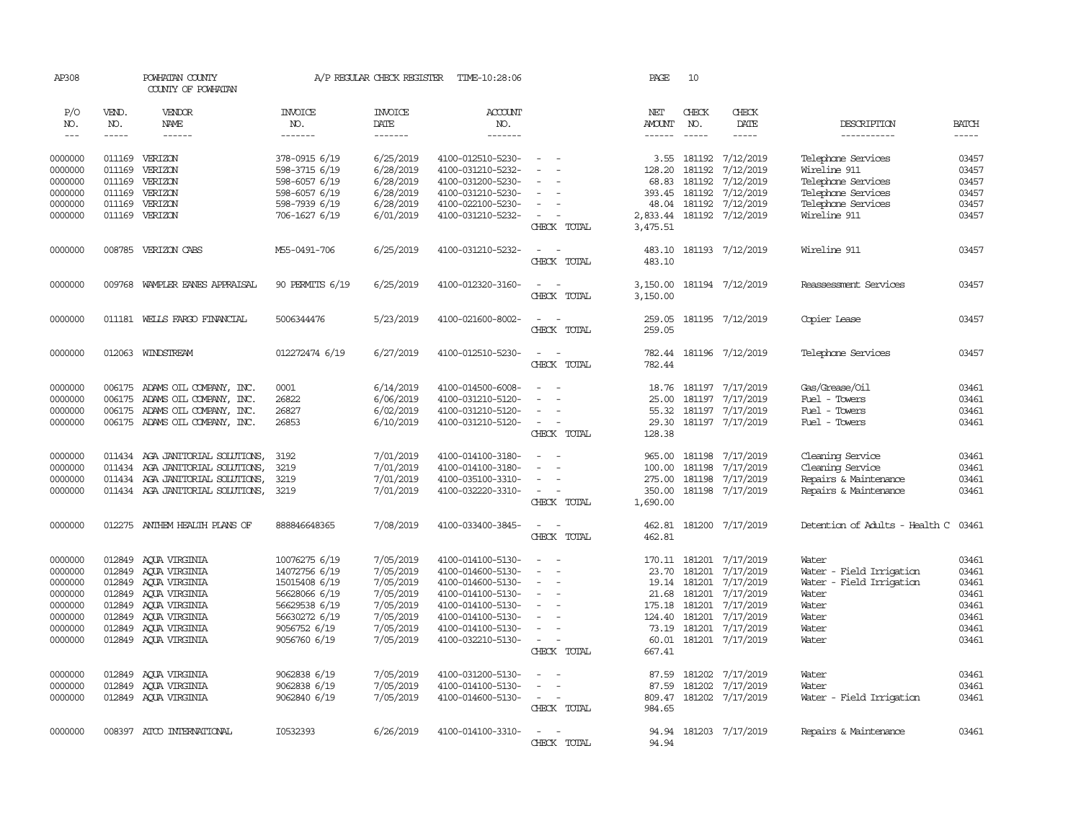| AP308              |                  | POWHATAN COUNTY<br>COUNTY OF POWHATAN                            |                                | A/P REGULAR CHECK REGISTER | TIME-10:28:06                          |                                                                                                              | PAGE                 | 10               |                                      |                                    |                |
|--------------------|------------------|------------------------------------------------------------------|--------------------------------|----------------------------|----------------------------------------|--------------------------------------------------------------------------------------------------------------|----------------------|------------------|--------------------------------------|------------------------------------|----------------|
| P/O<br>NO.         | VEND.<br>NO.     | VENDOR<br>NAME                                                   | <b>INVOICE</b><br>NO.          | <b>INVOICE</b><br>DATE     | ACCOUNT<br>NO.                         |                                                                                                              | NET<br><b>AMOUNT</b> | CHECK<br>NO.     | CHECK<br>DATE                        | DESCRIPTION                        | <b>BATCH</b>   |
| $\frac{1}{2}$      | -----            | ------                                                           | -------                        | -------                    | -------                                |                                                                                                              | ------               | $- - - - -$      | $- - - - -$                          | -----------                        | $- - - - -$    |
| 0000000<br>0000000 | 011169           | 011169 VERIZON<br>VERIZON                                        | 378-0915 6/19<br>598-3715 6/19 | 6/25/2019<br>6/28/2019     | 4100-012510-5230-<br>4100-031210-5232- | $\sim$<br>$\equiv$                                                                                           | 3.55<br>128.20       | 181192           | 181192 7/12/2019<br>7/12/2019        | Telephone Services<br>Wireline 911 | 03457<br>03457 |
| 0000000            | 011169           | VERIZON                                                          | 598-6057 6/19                  | 6/28/2019                  | 4100-031200-5230-                      |                                                                                                              | 68.83                | 181192           | 7/12/2019                            | Telephone Services                 | 03457          |
| 0000000            | 011169           | VERIZON                                                          | 598-6057 6/19                  | 6/28/2019                  | 4100-031210-5230-                      |                                                                                                              | 393.45               | 181192           | 7/12/2019                            | Telephone Services                 | 03457          |
| 0000000            | 011169           | VERIZON                                                          | 598-7939 6/19                  | 6/28/2019                  | 4100-022100-5230-                      | $\sim$                                                                                                       | 48.04                |                  | 181192 7/12/2019                     | Telephone Services                 | 03457          |
| 0000000            | 011169           | VERIZON                                                          | 706-1627 6/19                  | 6/01/2019                  | 4100-031210-5232-                      | $\overline{\phantom{a}}$<br>CHECK TOTAL                                                                      | 2,833.44<br>3,475.51 |                  | 181192 7/12/2019                     | Wireline 911                       | 03457          |
| 0000000            |                  | 008785 VERIZON CABS                                              | M55-0491-706                   | 6/25/2019                  | 4100-031210-5232-                      | $\overline{\phantom{a}}$<br>$\sim$<br>CHECK TOTAL                                                            | 483.10<br>483.10     |                  | 181193 7/12/2019                     | Wireline 911                       | 03457          |
| 0000000            |                  | 009768 WAMPLER EANES APPRAISAL                                   | 90 PERMITS 6/19                | 6/25/2019                  | 4100-012320-3160-                      | $\sim$<br>$\sim$<br>CHECK TOTAL                                                                              | 3,150.00<br>3,150.00 |                  | 181194 7/12/2019                     | Reassessment Services              | 03457          |
| 0000000            |                  | 011181 WELLS FARGO FINANCIAL                                     | 5006344476                     | 5/23/2019                  | 4100-021600-8002-                      | $\sim$<br>$\sim$<br>CHECK TOTAL                                                                              | 259.05<br>259.05     |                  | 181195 7/12/2019                     | Copier Lease                       | 03457          |
| 0000000            |                  | 012063 WINDSTREAM                                                | 012272474 6/19                 | 6/27/2019                  | 4100-012510-5230-                      | $\sim$<br>$\sim$<br>CHECK TOTAL                                                                              | 782.44<br>782.44     |                  | 181196 7/12/2019                     | Telephone Services                 | 03457          |
|                    |                  |                                                                  |                                |                            |                                        |                                                                                                              |                      |                  |                                      |                                    |                |
| 0000000            |                  | 006175 ADAMS OIL COMPANY, INC.                                   | 0001                           | 6/14/2019                  | 4100-014500-6008-                      |                                                                                                              | 18.76                |                  | 181197 7/17/2019                     | Gas/Grease/0il                     | 03461          |
| 0000000<br>0000000 |                  | 006175 ADAMS OIL COMPANY, INC.<br>006175 ADAMS OIL COMPANY, INC. | 26822<br>26827                 | 6/06/2019<br>6/02/2019     | 4100-031210-5120-<br>4100-031210-5120- | $\sim$                                                                                                       | 25.00<br>55.32       |                  | 181197 7/17/2019<br>181197 7/17/2019 | Fuel - Towers<br>Fuel - Towers     | 03461<br>03461 |
| 0000000            |                  | 006175 ADAMS OIL COMPANY, INC.                                   | 26853                          | 6/10/2019                  | 4100-031210-5120-                      | $\sim$<br>CHECK TOTAL                                                                                        | 29.30<br>128.38      |                  | 181197 7/17/2019                     | Fuel - Towers                      | 03461          |
| 0000000            |                  | 011434 AGA JANITORIAL SOLUTIONS,                                 | 3192                           | 7/01/2019                  | 4100-014100-3180-                      | $\sim$<br>- 1                                                                                                | 965,00               | 181198           | 7/17/2019                            | Cleaning Service                   | 03461          |
| 0000000            | 011434           | AGA JANITORIAL SOLUTIONS,                                        | 3219                           | 7/01/2019                  | 4100-014100-3180-                      | $\sim$                                                                                                       | 100.00               | 181198           | 7/17/2019                            | Cleaning Service                   | 03461          |
| 0000000            | 011434           | AGA JANITORIAL SOLUTIONS,                                        | 3219                           | 7/01/2019                  | 4100-035100-3310-                      |                                                                                                              | 275.00               | 181198           | 7/17/2019                            | Repairs & Maintenance              | 03461          |
| 0000000            |                  | 011434 AGA JANITORIAL SOLUTIONS,                                 | 3219                           | 7/01/2019                  | 4100-032220-3310-                      | $\sim$<br>CHECK TOTAL                                                                                        | 350.00<br>1,690.00   |                  | 181198 7/17/2019                     | Repairs & Maintenance              | 03461          |
| 0000000            | 012275           | ANIHEM HEALTH PLANS OF                                           | 888846648365                   | 7/08/2019                  | 4100-033400-3845-                      | $\frac{1}{2} \left( \frac{1}{2} \right) \left( \frac{1}{2} \right) = \frac{1}{2} \left( \frac{1}{2} \right)$ | 462.81               |                  | 181200 7/17/2019                     | Detention of Adults - Health C     | 03461          |
|                    |                  |                                                                  |                                |                            |                                        | CHECK TOTAL                                                                                                  | 462.81               |                  |                                      |                                    |                |
| 0000000            | 012849           | AQUA VIRGINIA                                                    | 10076275 6/19                  | 7/05/2019                  | 4100-014100-5130-                      |                                                                                                              |                      |                  | 170.11 181201 7/17/2019              | Water                              | 03461          |
| 0000000            | 012849           | AQUA VIRGINIA                                                    | 14072756 6/19                  | 7/05/2019                  | 4100-014600-5130-                      | $\equiv$                                                                                                     | 23.70                | 181201           | 7/17/2019                            | Water - Field Irrigation           | 03461          |
| 0000000            | 012849           | AQUA VIRGINIA                                                    | 15015408 6/19                  | 7/05/2019                  | 4100-014600-5130-                      | $\overline{\phantom{a}}$                                                                                     | 19.14                | 181201           | 7/17/2019                            | Water - Field Irrigation           | 03461          |
| 0000000            | 012849<br>012849 | AQUA VIRGINIA                                                    | 56628066 6/19                  | 7/05/2019<br>7/05/2019     | 4100-014100-5130-                      | $\overline{\phantom{a}}$                                                                                     | 21.68<br>175.18      | 181201<br>181201 | 7/17/2019                            | Water<br>Water                     | 03461<br>03461 |
| 0000000<br>0000000 | 012849           | AQUA VIRGINIA<br>AOUA VIRGINIA                                   | 56629538 6/19<br>56630272 6/19 | 7/05/2019                  | 4100-014100-5130-<br>4100-014100-5130- |                                                                                                              | 124.40               | 181201           | 7/17/2019<br>7/17/2019               | Water                              | 03461          |
| 0000000            | 012849           | AQUA VIRGINIA                                                    | 9056752 6/19                   | 7/05/2019                  | 4100-014100-5130-                      | $\sim$                                                                                                       | 73.19                | 181201           | 7/17/2019                            | Water                              | 03461          |
| 0000000            |                  | 012849 AQUA VIRGINIA                                             | 9056760 6/19                   | 7/05/2019                  | 4100-032210-5130-                      | $\sim$<br>$\sim$                                                                                             | 60.01                |                  | 181201 7/17/2019                     | Water                              | 03461          |
|                    |                  |                                                                  |                                |                            |                                        | CHECK TOTAL                                                                                                  | 667.41               |                  |                                      |                                    |                |
| 0000000            | 012849           | ACUA VIRGINIA                                                    | 9062838 6/19                   | 7/05/2019                  | 4100-031200-5130-                      | $\sim$<br>$\sim$                                                                                             | 87.59                | 181202           | 7/17/2019                            | Water                              | 03461          |
| 0000000            | 012849           | AOUA VIRGINIA                                                    | 9062838 6/19                   | 7/05/2019                  | 4100-014100-5130-                      | $\sim$                                                                                                       | 87.59                |                  | 181202 7/17/2019                     | Water                              | 03461          |
| 0000000            |                  | 012849 AQUA VIRGINIA                                             | 9062840 6/19                   | 7/05/2019                  | 4100-014600-5130-                      | $\sim$<br>$\overline{\phantom{a}}$<br>CHECK TOTAL                                                            | 984.65               |                  | 809.47 181202 7/17/2019              | Water - Field Irrigation           | 03461          |
| 0000000            |                  | 008397 ATCO INTERNATIONAL                                        | I0532393                       | 6/26/2019                  | 4100-014100-3310-                      | $\sim$<br>- 14<br>CHECK TOTAL                                                                                | 94.94<br>94.94       |                  | 181203 7/17/2019                     | Repairs & Maintenance              | 03461          |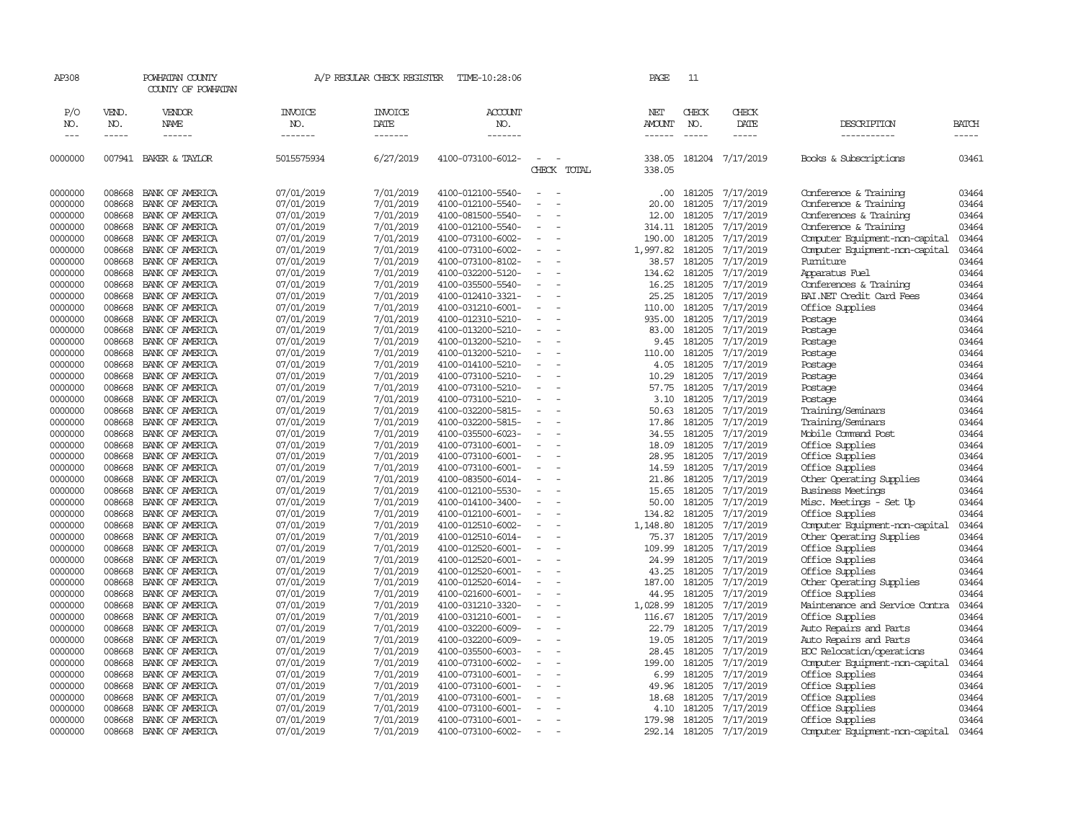| AP308      |              | POWHATAN COUNTY<br>COUNTY OF POWHATAN |                | A/P REGULAR CHECK REGISTER | TIME-10:28:06     |                          |                                         | PAGE                 | 11            |                  |                                |       |
|------------|--------------|---------------------------------------|----------------|----------------------------|-------------------|--------------------------|-----------------------------------------|----------------------|---------------|------------------|--------------------------------|-------|
| P/O<br>NO. | VEND.<br>NO. | VENDOR<br>NAME                        | INVOICE<br>NO. | INVOICE<br>DATE            | ACCOUNT<br>NO.    |                          |                                         | NET<br><b>AMOUNT</b> | CHECK<br>NO.  | CHECK<br>DATE    | DESCRIPTION                    | BATCH |
| $---$      | -----        | ------                                | -------        | -------                    | -------           |                          |                                         | $- - - - - -$        | $\frac{1}{2}$ | -----            | -----------                    | ----- |
| 0000000    |              | 007941 BAKER & TAYLOR                 | 5015575934     | 6/27/2019                  | 4100-073100-6012- | $\equiv$                 | $\overline{\phantom{a}}$<br>CHECK TOTAL | 338.05<br>338.05     |               | 181204 7/17/2019 | Books & Subscriptions          | 03461 |
| 0000000    | 008668       | BANK OF AMERICA                       | 07/01/2019     | 7/01/2019                  | 4100-012100-5540- | $\overline{\phantom{a}}$ |                                         | .00                  | 181205        | 7/17/2019        | Conference & Training          | 03464 |
| 0000000    | 008668       | BANK OF AMERICA                       | 07/01/2019     | 7/01/2019                  | 4100-012100-5540- |                          |                                         | 20.00                | 181205        | 7/17/2019        | Conference & Training          | 03464 |
| 0000000    | 008668       | BANK OF AMERICA                       | 07/01/2019     | 7/01/2019                  | 4100-081500-5540- | $\blacksquare$           |                                         | 12.00                | 181205        | 7/17/2019        | Conferences & Training         | 03464 |
| 0000000    | 008668       | BANK OF AMERICA                       | 07/01/2019     | 7/01/2019                  | 4100-012100-5540- |                          |                                         | 314.11               | 181205        | 7/17/2019        | Conference & Training          | 03464 |
| 0000000    | 008668       | BANK OF AMERICA                       | 07/01/2019     | 7/01/2019                  | 4100-073100-6002- | $\equiv$                 |                                         | 190.00               | 181205        | 7/17/2019        | Computer Equipment-non-capital | 03464 |
| 0000000    | 008668       | BANK OF AMERICA                       | 07/01/2019     | 7/01/2019                  | 4100-073100-6002- |                          |                                         | 1,997.82             | 181205        | 7/17/2019        | Computer Equipment-non-capital | 03464 |
| 0000000    | 008668       | BANK OF AMERICA                       | 07/01/2019     | 7/01/2019                  | 4100-073100-8102- | $\sim$                   |                                         | 38.57                | 181205        | 7/17/2019        | Fumiture                       | 03464 |
| 0000000    | 008668       | BANK OF AMERICA                       | 07/01/2019     | 7/01/2019                  | 4100-032200-5120- |                          |                                         | 134.62               | 181205        | 7/17/2019        | Apparatus Fuel                 | 03464 |
| 0000000    | 008668       | BANK OF AMERICA                       | 07/01/2019     | 7/01/2019                  | 4100-035500-5540- |                          |                                         | 16.25                | 181205        | 7/17/2019        | Conferences & Training         | 03464 |
| 0000000    | 008668       | BANK OF AMERICA                       | 07/01/2019     | 7/01/2019                  | 4100-012410-3321- |                          |                                         | 25.25                | 181205        | 7/17/2019        | BAI.NET Credit Card Fees       | 03464 |
| 0000000    | 008668       | BANK OF AMERICA                       | 07/01/2019     | 7/01/2019                  | 4100-031210-6001- |                          |                                         | 110.00               | 181205        | 7/17/2019        | Office Supplies                | 03464 |
| 0000000    | 008668       | BANK OF AMERICA                       | 07/01/2019     | 7/01/2019                  | 4100-012310-5210- |                          |                                         | 935.00               | 181205        | 7/17/2019        | Postage                        | 03464 |
| 0000000    | 008668       | BANK OF AMERICA                       | 07/01/2019     | 7/01/2019                  | 4100-013200-5210- |                          |                                         | 83.00                | 181205        | 7/17/2019        | Postage                        | 03464 |
| 0000000    | 008668       | BANK OF AMERICA                       | 07/01/2019     | 7/01/2019                  | 4100-013200-5210- | $\equiv$                 |                                         | 9.45                 | 181205        | 7/17/2019        | Postage                        | 03464 |
| 0000000    | 008668       | BANK OF AMERICA                       | 07/01/2019     | 7/01/2019                  | 4100-013200-5210- |                          |                                         | 110.00               | 181205        | 7/17/2019        | Postage                        | 03464 |
| 0000000    | 008668       | BANK OF AMERICA                       | 07/01/2019     | 7/01/2019                  | 4100-014100-5210- |                          |                                         | 4.05                 | 181205        | 7/17/2019        | Postage                        | 03464 |
| 0000000    | 008668       | BANK OF AMERICA                       | 07/01/2019     | 7/01/2019                  | 4100-073100-5210- |                          |                                         | 10.29                | 181205        | 7/17/2019        | Postage                        | 03464 |
| 0000000    | 008668       | BANK OF AMERICA                       | 07/01/2019     | 7/01/2019                  | 4100-073100-5210- |                          |                                         | 57.75                | 181205        | 7/17/2019        | Postage                        | 03464 |
| 0000000    | 008668       | BANK OF AMERICA                       | 07/01/2019     | 7/01/2019                  | 4100-073100-5210- |                          |                                         | 3.10                 | 181205        | 7/17/2019        | Postage                        | 03464 |
| 0000000    | 008668       | BANK OF AMERICA                       | 07/01/2019     | 7/01/2019                  | 4100-032200-5815- |                          |                                         | 50.63                | 181205        | 7/17/2019        | Training/Seminars              | 03464 |
| 0000000    | 008668       | BANK OF AMERICA                       | 07/01/2019     | 7/01/2019                  | 4100-032200-5815- |                          |                                         | 17.86                | 181205        | 7/17/2019        | Training/Seminars              | 03464 |
| 0000000    | 008668       | BANK OF AMERICA                       | 07/01/2019     | 7/01/2019                  | 4100-035500-6023- |                          |                                         | 34.55                | 181205        | 7/17/2019        | Mobile Command Post            | 03464 |
| 0000000    | 008668       | BANK OF AMERICA                       | 07/01/2019     | 7/01/2019                  | 4100-073100-6001- | $\equiv$                 |                                         | 18.09                | 181205        | 7/17/2019        | Office Supplies                | 03464 |
| 0000000    | 008668       | BANK OF AMERICA                       | 07/01/2019     | 7/01/2019                  | 4100-073100-6001- |                          |                                         | 28.95                | 181205        | 7/17/2019        | Office Supplies                | 03464 |
| 0000000    | 008668       | BANK OF AMERICA                       | 07/01/2019     | 7/01/2019                  | 4100-073100-6001- | $\equiv$                 |                                         | 14.59                | 181205        | 7/17/2019        | Office Supplies                | 03464 |
| 0000000    | 008668       | BANK OF AMERICA                       | 07/01/2019     | 7/01/2019                  | 4100-083500-6014- |                          |                                         | 21.86                | 181205        | 7/17/2019        | Other Operating Supplies       | 03464 |
| 0000000    | 008668       | BANK OF AMERICA                       | 07/01/2019     | 7/01/2019                  | 4100-012100-5530- |                          |                                         | 15.65                | 181205        | 7/17/2019        | Business Meetings              | 03464 |
| 0000000    | 008668       | BANK OF AMERICA                       | 07/01/2019     | 7/01/2019                  | 4100-014100-3400- | $\blacksquare$           |                                         | 50.00                | 181205        | 7/17/2019        | Misc. Meetings - Set Up        | 03464 |
| 0000000    | 008668       | BANK OF AMERICA                       | 07/01/2019     | 7/01/2019                  | 4100-012100-6001- |                          |                                         | 134.82               | 181205        | 7/17/2019        | Office Supplies                | 03464 |
| 0000000    | 008668       | BANK OF AMERICA                       | 07/01/2019     | 7/01/2019                  | 4100-012510-6002- | $\sim$                   |                                         | 1,148.80             | 181205        | 7/17/2019        | Computer Equipment-non-capital | 03464 |
| 0000000    | 008668       | BANK OF AMERICA                       | 07/01/2019     | 7/01/2019                  | 4100-012510-6014- |                          |                                         | 75.37                | 181205        | 7/17/2019        | Other Operating Supplies       | 03464 |
| 0000000    | 008668       | BANK OF AMERICA                       | 07/01/2019     | 7/01/2019                  | 4100-012520-6001- | $\equiv$                 |                                         | 109.99               | 181205        | 7/17/2019        | Office Supplies                | 03464 |
| 0000000    | 008668       | BANK OF AMERICA                       | 07/01/2019     | 7/01/2019                  | 4100-012520-6001- |                          |                                         | 24.99                | 181205        | 7/17/2019        | Office Supplies                | 03464 |
| 0000000    | 008668       | BANK OF AMERICA                       | 07/01/2019     | 7/01/2019                  | 4100-012520-6001- |                          |                                         | 43.25                | 181205        | 7/17/2019        | Office Supplies                | 03464 |
| 0000000    | 008668       | BANK OF AMERICA                       | 07/01/2019     | 7/01/2019                  | 4100-012520-6014- |                          |                                         | 187.00               | 181205        | 7/17/2019        | Other Operating Supplies       | 03464 |
| 0000000    | 008668       | BANK OF AMERICA                       | 07/01/2019     | 7/01/2019                  | 4100-021600-6001- | $\equiv$                 |                                         | 44.95                | 181205        | 7/17/2019        | Office Supplies                | 03464 |
| 0000000    | 008668       | BANK OF AMERICA                       | 07/01/2019     | 7/01/2019                  | 4100-031210-3320- | $\sim$                   |                                         | 1,028.99             | 181205        | 7/17/2019        | Maintenance and Service Contra | 03464 |
| 0000000    | 008668       | BANK OF AMERICA                       | 07/01/2019     | 7/01/2019                  | 4100-031210-6001- |                          |                                         | 116.67               | 181205        | 7/17/2019        | Office Supplies                | 03464 |
| 0000000    | 008668       | BANK OF AMERICA                       | 07/01/2019     | 7/01/2019                  | 4100-032200-6009- |                          |                                         | 22.79                | 181205        | 7/17/2019        | Auto Repairs and Parts         | 03464 |
| 0000000    | 008668       | BANK OF AMERICA                       | 07/01/2019     | 7/01/2019                  | 4100-032200-6009- |                          |                                         | 19.05                | 181205        | 7/17/2019        | Auto Repairs and Parts         | 03464 |
| 0000000    | 008668       | BANK OF AMERICA                       | 07/01/2019     | 7/01/2019                  | 4100-035500-6003- | $\overline{\phantom{a}}$ |                                         | 28.45                | 181205        | 7/17/2019        | ECC Relocation/operations      | 03464 |
| 0000000    | 008668       | BANK OF AMERICA                       | 07/01/2019     | 7/01/2019                  | 4100-073100-6002- |                          |                                         | 199.00               | 181205        | 7/17/2019        | Computer Equipment-non-capital | 03464 |
| 0000000    | 008668       | BANK OF AMERICA                       | 07/01/2019     | 7/01/2019                  | 4100-073100-6001- | $\equiv$                 |                                         | 6.99                 | 181205        | 7/17/2019        | Office Supplies                | 03464 |
| 0000000    | 008668       | BANK OF AMERICA                       | 07/01/2019     | 7/01/2019                  | 4100-073100-6001- |                          |                                         | 49.96                | 181205        | 7/17/2019        | Office Supplies                | 03464 |
| 0000000    | 008668       | BANK OF AMERICA                       | 07/01/2019     | 7/01/2019                  | 4100-073100-6001- |                          |                                         | 18.68                | 181205        | 7/17/2019        | Office Supplies                | 03464 |
| 0000000    | 008668       | BANK OF AMERICA                       | 07/01/2019     | 7/01/2019                  | 4100-073100-6001- |                          |                                         | 4.10                 | 181205        | 7/17/2019        | Office Supplies                | 03464 |
| 0000000    | 008668       | BANK OF AMERICA                       | 07/01/2019     | 7/01/2019                  | 4100-073100-6001- |                          |                                         | 179.98               | 181205        | 7/17/2019        | Office Supplies                | 03464 |
| 0000000    | 008668       | BANK OF AMERICA                       | 07/01/2019     | 7/01/2019                  | 4100-073100-6002- | $\sim$                   |                                         | 292.14               | 181205        | 7/17/2019        | Computer Equipment-non-capital | 03464 |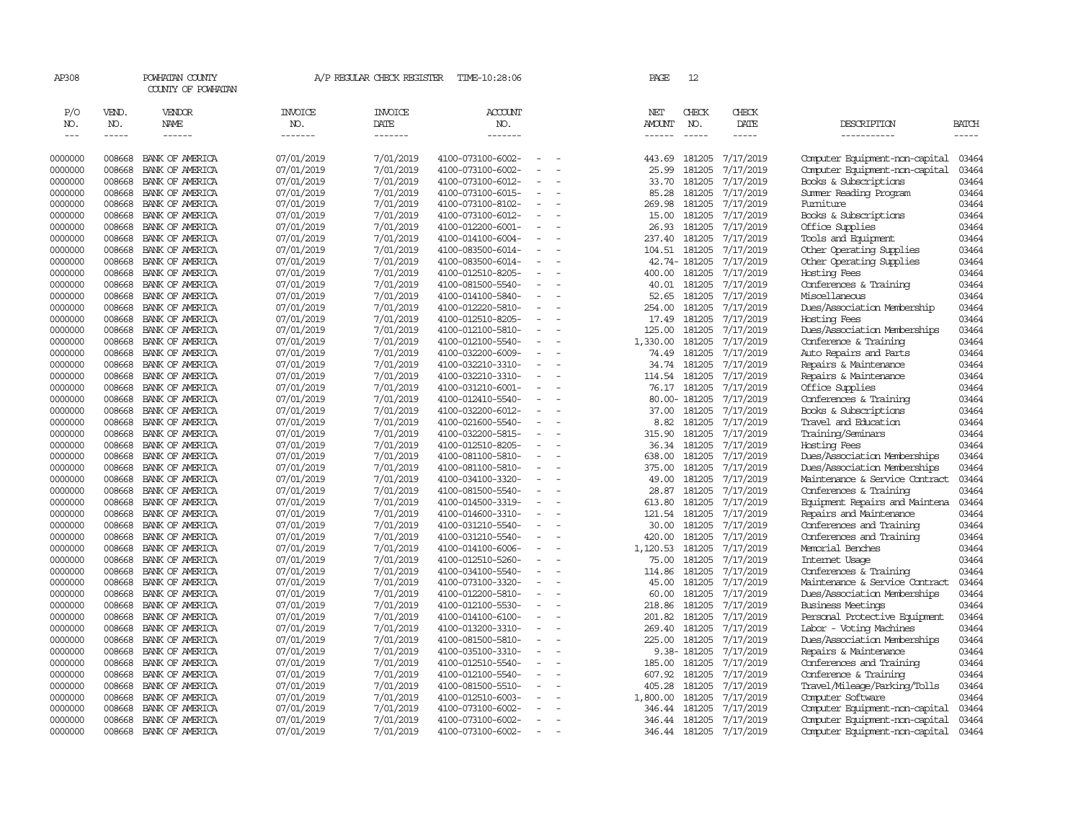| AP308                             |                                      | POWHATAN COUNTY<br>COUNTY OF POWHATAN |                           | A/P REGULAR CHECK REGISTER        | TIME-10:28:06                          |                          |                          | PAGE                    | 12                     |                        |                                                      |                       |
|-----------------------------------|--------------------------------------|---------------------------------------|---------------------------|-----------------------------------|----------------------------------------|--------------------------|--------------------------|-------------------------|------------------------|------------------------|------------------------------------------------------|-----------------------|
| P/O<br>NO.<br>$\qquad \qquad - -$ | VEND.<br>NO.<br>$\cdots\cdots\cdots$ | VENDOR<br>NAME<br>------              | INVOICE<br>NO.<br>------- | <b>INVOICE</b><br>DATE<br>------- | <b>ACCOUNT</b><br>NO.<br>-------       |                          |                          | NET<br>AMOUNT<br>------ | CHECK<br>NO.           | CHECK<br>DATE<br>----- | DESCRIPTION<br>__________                            | <b>BATCH</b><br>----- |
|                                   |                                      |                                       |                           |                                   |                                        |                          |                          |                         |                        |                        |                                                      |                       |
| 0000000                           | 008668                               | BANK OF AMERICA                       | 07/01/2019                | 7/01/2019                         | 4100-073100-6002-                      |                          | $\overline{\phantom{a}}$ | 443.69                  | 181205                 | 7/17/2019              | Computer Equipment-non-capital                       | 03464                 |
| 0000000                           | 008668                               | BANK OF AMERICA                       | 07/01/2019                | 7/01/2019                         | 4100-073100-6002-                      | $\overline{\phantom{a}}$ |                          | 25.99                   | 181205                 | 7/17/2019              | Computer Equipment-non-capital                       | 03464                 |
| 0000000                           | 008668                               | BANK OF AMERICA                       | 07/01/2019                | 7/01/2019                         | 4100-073100-6012-                      |                          |                          | 33.70                   | 181205                 | 7/17/2019              | Books & Subscriptions                                | 03464                 |
| 0000000                           | 008668                               | BANK OF AMERICA                       | 07/01/2019                | 7/01/2019                         | 4100-073100-6015-                      |                          |                          | 85.28                   | 181205                 | 7/17/2019              | Summer Reading Program                               | 03464                 |
| 0000000                           | 008668                               | BANK OF AMERICA                       | 07/01/2019                | 7/01/2019                         | 4100-073100-8102-                      | $\blacksquare$           |                          | 269.98                  | 181205                 | 7/17/2019              | Fumiture                                             | 03464                 |
| 0000000                           | 008668                               | BANK OF AMERICA                       | 07/01/2019                | 7/01/2019                         | 4100-073100-6012-                      |                          |                          | 15.00                   | 181205                 | 7/17/2019              | Books & Subscriptions                                | 03464                 |
| 0000000                           | 008668                               | BANK OF AMERICA                       | 07/01/2019                | 7/01/2019                         | 4100-012200-6001-                      |                          |                          | 26.93                   | 181205                 | 7/17/2019              | Office Supplies                                      | 03464                 |
| 0000000                           | 008668<br>008668                     | BANK OF AMERICA                       | 07/01/2019                | 7/01/2019                         | 4100-014100-6004-                      | $\overline{\phantom{a}}$ |                          | 237.40                  | 181205                 | 7/17/2019              | Tools and Equipment                                  | 03464                 |
| 0000000<br>0000000                | 008668                               | BANK OF AMERICA<br>BANK OF AMERICA    | 07/01/2019<br>07/01/2019  | 7/01/2019<br>7/01/2019            | 4100-083500-6014-<br>4100-083500-6014- |                          |                          | 104.51                  | 181205<br>42.74-181205 | 7/17/2019<br>7/17/2019 | Other Operating Supplies<br>Other Operating Supplies | 03464<br>03464        |
| 0000000                           | 008668                               | BANK OF AMERICA                       | 07/01/2019                | 7/01/2019                         | 4100-012510-8205-                      |                          |                          | 400.00                  | 181205                 | 7/17/2019              | Hosting Fees                                         | 03464                 |
| 0000000                           | 008668                               | BANK OF AMERICA                       | 07/01/2019                | 7/01/2019                         | 4100-081500-5540-                      | $\overline{\phantom{a}}$ | $\sim$                   | 40.01                   | 181205                 | 7/17/2019              | Conferences & Training                               | 03464                 |
| 0000000                           | 008668                               | BANK OF AMERICA                       | 07/01/2019                | 7/01/2019                         | 4100-014100-5840-                      | $\blacksquare$           |                          | 52.65                   | 181205                 | 7/17/2019              | Miscellaneous                                        | 03464                 |
| 0000000                           | 008668                               | BANK OF AMERICA                       | 07/01/2019                | 7/01/2019                         | 4100-012220-5810-                      | $\blacksquare$           |                          | 254.00                  | 181205                 | 7/17/2019              | Dues/Association Membership                          | 03464                 |
| 0000000                           | 008668                               | BANK OF AMERICA                       | 07/01/2019                | 7/01/2019                         | 4100-012510-8205-                      |                          |                          | 17.49                   | 181205                 | 7/17/2019              | Hosting Fees                                         | 03464                 |
| 0000000                           | 008668                               | BANK OF AMERICA                       | 07/01/2019                | 7/01/2019                         | 4100-012100-5810-                      | $\sim$                   |                          | 125.00                  | 181205                 | 7/17/2019              | Dues/Association Memberships                         | 03464                 |
| 0000000                           | 008668                               | BANK OF AMERICA                       | 07/01/2019                | 7/01/2019                         | 4100-012100-5540-                      | $\overline{\phantom{a}}$ |                          | 1,330.00                | 181205                 | 7/17/2019              | Conference & Training                                | 03464                 |
| 0000000                           | 008668                               | BANK OF AMERICA                       | 07/01/2019                | 7/01/2019                         | 4100-032200-6009-                      |                          |                          | 74.49                   | 181205                 | 7/17/2019              | Auto Repairs and Parts                               | 03464                 |
| 0000000                           | 008668                               | BANK OF AMERICA                       | 07/01/2019                | 7/01/2019                         | 4100-032210-3310-                      | $\sim$                   |                          | 34.74                   | 181205                 | 7/17/2019              | Repairs & Maintenance                                | 03464                 |
| 0000000                           | 008668                               | BANK OF AMERICA                       | 07/01/2019                | 7/01/2019                         | 4100-032210-3310-                      |                          |                          | 114.54                  | 181205                 | 7/17/2019              | Repairs & Maintenance                                | 03464                 |
| 0000000                           | 008668                               | BANK OF AMERICA                       | 07/01/2019                | 7/01/2019                         | 4100-031210-6001-                      | $\overline{\phantom{a}}$ |                          | 76.17                   | 181205                 | 7/17/2019              | Office Supplies                                      | 03464                 |
| 0000000                           | 008668                               | BANK OF AMERICA                       | 07/01/2019                | 7/01/2019                         | 4100-012410-5540-                      |                          |                          |                         | 80.00-181205           | 7/17/2019              | Conferences & Training                               | 03464                 |
| 0000000                           | 008668                               | BANK OF AMERICA                       | 07/01/2019                | 7/01/2019                         | 4100-032200-6012-                      | $\equiv$                 | $\overline{a}$           | 37.00                   | 181205                 | 7/17/2019              | Books & Subscriptions                                | 03464                 |
| 0000000                           | 008668                               | BANK OF AMERICA                       | 07/01/2019                | 7/01/2019                         | 4100-021600-5540-                      | $\blacksquare$           |                          | 8.82                    | 181205                 | 7/17/2019              | Travel and Education                                 | 03464                 |
| 0000000                           | 008668                               | BANK OF AMERICA                       | 07/01/2019                | 7/01/2019                         | 4100-032200-5815-                      | $\blacksquare$           |                          | 315.90                  | 181205                 | 7/17/2019              | Training/Seminars                                    | 03464                 |
| 0000000                           | 008668                               | BANK OF AMERICA                       | 07/01/2019                | 7/01/2019                         | 4100-012510-8205-                      |                          |                          | 36.34                   | 181205                 | 7/17/2019              | Hosting Fees                                         | 03464                 |
| 0000000                           | 008668                               | BANK OF AMERICA                       | 07/01/2019                | 7/01/2019                         | 4100-081100-5810-                      | $\sim$                   |                          | 638.00                  | 181205                 | 7/17/2019              | Dues/Association Memberships                         | 03464                 |
| 0000000                           | 008668                               | BANK OF AMERICA                       | 07/01/2019                | 7/01/2019                         | 4100-081100-5810-                      | $\overline{\phantom{a}}$ |                          | 375.00                  | 181205                 | 7/17/2019              | Dues/Association Memberships                         | 03464                 |
| 0000000                           | 008668                               | BANK OF AMERICA                       | 07/01/2019                | 7/01/2019                         | 4100-034100-3320-                      | $\overline{a}$           |                          | 49.00                   | 181205                 | 7/17/2019              | Maintenance & Service Contract                       | 03464                 |
| 0000000                           | 008668                               | BANK OF AMERICA                       | 07/01/2019                | 7/01/2019                         | 4100-081500-5540-                      |                          |                          | 28.87                   | 181205                 | 7/17/2019              | Conferences & Training                               | 03464                 |
| 0000000                           | 008668<br>008668                     | BANK OF AMERICA                       | 07/01/2019                | 7/01/2019                         | 4100-014500-3319-                      | $\equiv$                 |                          | 613.80<br>121.54        | 181205<br>181205       | 7/17/2019              | Equipment Repairs and Maintena                       | 03464                 |
| 0000000<br>0000000                | 008668                               | BANK OF AMERICA<br>BANK OF AMERICA    | 07/01/2019<br>07/01/2019  | 7/01/2019<br>7/01/2019            | 4100-014600-3310-<br>4100-031210-5540- |                          |                          | 30.00                   | 181205                 | 7/17/2019<br>7/17/2019 | Repairs and Maintenance<br>Conferences and Training  | 03464<br>03464        |
| 0000000                           | 008668                               | BANK OF AMERICA                       | 07/01/2019                | 7/01/2019                         | 4100-031210-5540-                      | $\equiv$                 | $\overline{\phantom{a}}$ | 420.00                  | 181205                 | 7/17/2019              | Conferences and Training                             | 03464                 |
| 0000000                           | 008668                               | BANK OF AMERICA                       | 07/01/2019                | 7/01/2019                         | 4100-014100-6006-                      |                          |                          | 1,120.53                | 181205                 | 7/17/2019              | Memorial Benches                                     | 03464                 |
| 0000000                           | 008668                               | BANK OF AMERICA                       | 07/01/2019                | 7/01/2019                         | 4100-012510-5260-                      | $\equiv$                 |                          | 75.00                   | 181205                 | 7/17/2019              | Internet Usage                                       | 03464                 |
| 0000000                           | 008668                               | BANK OF AMERICA                       | 07/01/2019                | 7/01/2019                         | 4100-034100-5540-                      |                          |                          | 114.86                  | 181205                 | 7/17/2019              | Conferences & Training                               | 03464                 |
| 0000000                           | 008668                               | BANK OF AMERICA                       | 07/01/2019                | 7/01/2019                         | 4100-073100-3320-                      |                          |                          | 45.00                   | 181205                 | 7/17/2019              | Maintenance & Service Contract                       | 03464                 |
| 0000000                           | 008668                               | BANK OF AMERICA                       | 07/01/2019                | 7/01/2019                         | 4100-012200-5810-                      | $\overline{\phantom{a}}$ |                          | 60.00                   | 181205                 | 7/17/2019              | Dues/Association Memberships                         | 03464                 |
| 0000000                           | 008668                               | BANK OF AMERICA                       | 07/01/2019                | 7/01/2019                         | 4100-012100-5530-                      |                          |                          | 218.86                  | 181205                 | 7/17/2019              | <b>Business Meetings</b>                             | 03464                 |
| 0000000                           | 008668                               | BANK OF AMERICA                       | 07/01/2019                | 7/01/2019                         | 4100-014100-6100-                      | $\sim$                   |                          | 201.82                  | 181205                 | 7/17/2019              | Personal Protective Equipment                        | 03464                 |
| 0000000                           | 008668                               | BANK OF AMERICA                       | 07/01/2019                | 7/01/2019                         | 4100-013200-3310-                      |                          |                          | 269.40                  | 181205                 | 7/17/2019              | Labor - Voting Machines                              | 03464                 |
| 0000000                           | 008668                               | BANK OF AMERICA                       | 07/01/2019                | 7/01/2019                         | 4100-081500-5810-                      | ÷                        |                          | 225.00                  | 181205                 | 7/17/2019              | Dues/Association Memberships                         | 03464                 |
| 0000000                           | 008668                               | BANK OF AMERICA                       | 07/01/2019                | 7/01/2019                         | 4100-035100-3310-                      |                          |                          |                         | 9.38-181205            | 7/17/2019              | Repairs & Maintenance                                | 03464                 |
| 0000000                           | 008668                               | BANK OF AMERICA                       | 07/01/2019                | 7/01/2019                         | 4100-012510-5540-                      | $\equiv$                 | $\overline{a}$           | 185.00                  | 181205                 | 7/17/2019              | Conferences and Training                             | 03464                 |
| 0000000                           | 008668                               | BANK OF AMERICA                       | 07/01/2019                | 7/01/2019                         | 4100-012100-5540-                      | $\equiv$                 |                          | 607.92                  | 181205                 | 7/17/2019              | Conference & Training                                | 03464                 |
| 0000000                           | 008668                               | BANK OF AMERICA                       | 07/01/2019                | 7/01/2019                         | 4100-081500-5510-                      |                          |                          | 405.28                  | 181205                 | 7/17/2019              | Travel/Mileage/Parking/Tolls                         | 03464                 |
| 0000000                           | 008668                               | BANK OF AMERICA                       | 07/01/2019                | 7/01/2019                         | 4100-012510-6003-                      |                          |                          | 1,800.00                | 181205                 | 7/17/2019              | Computer Software                                    | 03464                 |
| 0000000                           | 008668                               | BANK OF AMERICA                       | 07/01/2019                | 7/01/2019                         | 4100-073100-6002-                      |                          |                          | 346.44                  | 181205                 | 7/17/2019              | Computer Equipment-non-capital                       | 03464                 |
| 0000000                           | 008668                               | BANK OF AMERICA                       | 07/01/2019                | 7/01/2019                         | 4100-073100-6002-                      | $\overline{\phantom{0}}$ |                          | 346.44                  | 181205                 | 7/17/2019              | Computer Equipment-non-capital                       | 03464                 |
| 0000000                           | 008668                               | BANK OF AMERICA                       | 07/01/2019                | 7/01/2019                         | 4100-073100-6002-                      | $\overline{\phantom{a}}$ |                          | 346.44                  | 181205                 | 7/17/2019              | Computer Equipment-non-capital                       | 03464                 |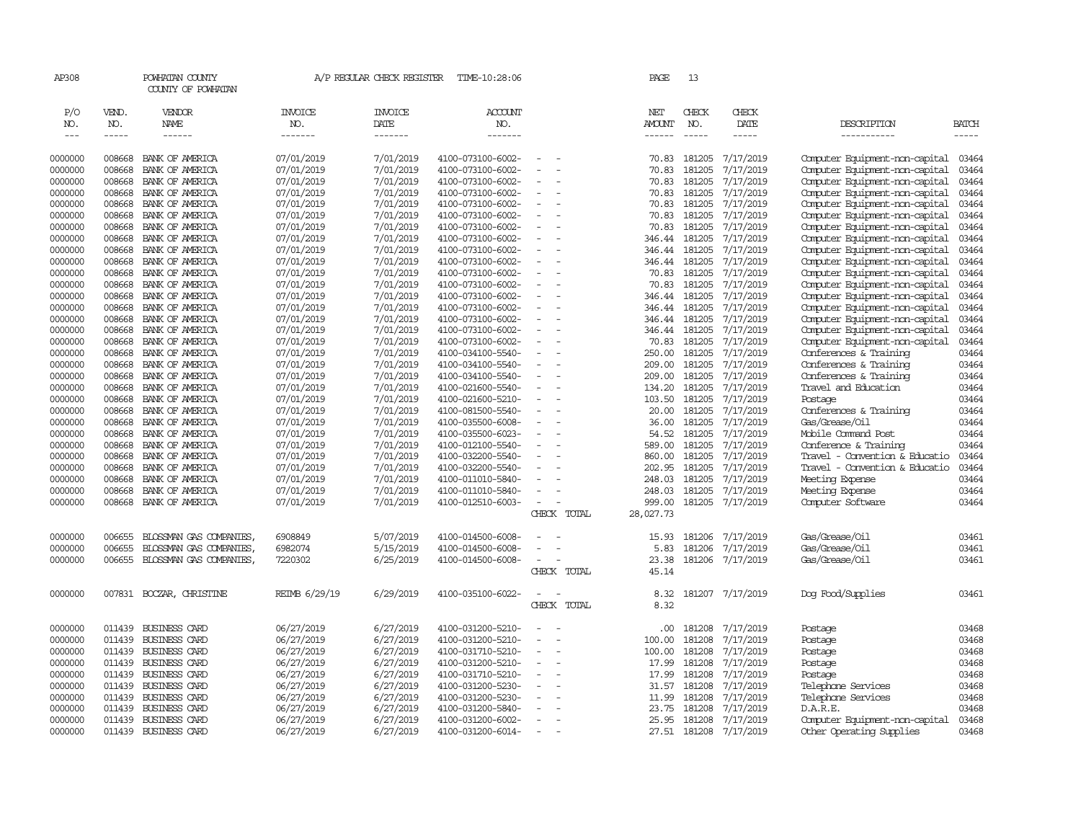| AP308               |                             | POWHATAN COUNTY<br>COUNTY OF POWHATAN |                                  | A/P REGULAR CHECK REGISTER        | TIME-10:28:06                          |                          |             | PAGE                                  | 13                          |                              |                                                  |                             |
|---------------------|-----------------------------|---------------------------------------|----------------------------------|-----------------------------------|----------------------------------------|--------------------------|-------------|---------------------------------------|-----------------------------|------------------------------|--------------------------------------------------|-----------------------------|
| P/O<br>NO.<br>$---$ | VEND.<br>NO.<br>$- - - - -$ | VENDOR<br>NAME<br>------              | <b>INVOICE</b><br>NO.<br>------- | <b>INVOICE</b><br>DATE<br>------- | <b>ACCOUNT</b><br>NO.<br>-------       |                          |             | NET<br><b>AMOUNT</b><br>$- - - - - -$ | CHECK<br>NO.<br>$- - - - -$ | CHECK<br>DATE<br>$- - - - -$ | DESCRIPTION<br>-----------                       | <b>BATCH</b><br>$- - - - -$ |
| 0000000             | 008668                      | BANK OF AMERICA                       | 07/01/2019                       | 7/01/2019                         | 4100-073100-6002-                      |                          |             | 70.83                                 | 181205                      | 7/17/2019                    | Computer Equipment-non-capital                   | 03464                       |
| 0000000             | 008668                      | BANK OF AMERICA                       | 07/01/2019                       | 7/01/2019                         | 4100-073100-6002-                      |                          |             | 70.83                                 | 181205                      | 7/17/2019                    | Computer Equipment-non-capital                   | 03464                       |
| 0000000             | 008668                      | BANK OF AMERICA                       | 07/01/2019                       | 7/01/2019                         | 4100-073100-6002-                      | $\overline{\phantom{a}}$ |             | 70.83                                 | 181205                      | 7/17/2019                    | Computer Equipment-non-capital                   | 03464                       |
| 0000000             | 008668                      | BANK OF AMERICA                       | 07/01/2019                       | 7/01/2019                         | 4100-073100-6002-                      |                          |             | 70.83                                 | 181205                      | 7/17/2019                    | Computer Equipment-non-capital                   | 03464                       |
| 0000000             | 008668                      | BANK OF AMERICA                       | 07/01/2019                       | 7/01/2019                         | 4100-073100-6002-                      | $\overline{\phantom{a}}$ |             | 70.83                                 | 181205                      | 7/17/2019                    | Computer Equipment-non-capital                   | 03464                       |
| 0000000             | 008668                      | BANK OF AMERICA                       | 07/01/2019                       | 7/01/2019                         | 4100-073100-6002-                      |                          |             | 70.83                                 | 181205                      | 7/17/2019                    | Computer Equipment-non-capital                   | 03464                       |
| 0000000             | 008668                      | BANK OF AMERICA                       | 07/01/2019                       | 7/01/2019                         | 4100-073100-6002-                      |                          |             | 70.83                                 | 181205                      | 7/17/2019                    | Computer Equipment-non-capital                   | 03464                       |
| 0000000             | 008668                      | BANK OF AMERICA                       | 07/01/2019                       | 7/01/2019                         | 4100-073100-6002-                      | $\overline{\phantom{a}}$ |             | 346.44                                | 181205                      | 7/17/2019                    | Computer Equipment-non-capital                   | 03464                       |
| 0000000             | 008668                      | BANK OF AMERICA                       | 07/01/2019                       | 7/01/2019                         | 4100-073100-6002-                      |                          |             | 346.44                                | 181205                      | 7/17/2019                    | Computer Equipment-non-capital                   | 03464                       |
| 0000000             | 008668                      | BANK OF AMERICA                       | 07/01/2019                       | 7/01/2019                         | 4100-073100-6002-                      | $\equiv$                 |             | 346.44                                | 181205                      | 7/17/2019                    | Computer Equipment-non-capital                   | 03464                       |
| 0000000             | 008668                      | BANK OF AMERICA                       | 07/01/2019                       | 7/01/2019                         | 4100-073100-6002-                      |                          |             | 70.83                                 | 181205                      | 7/17/2019                    | Computer Equipment-non-capital                   | 03464                       |
| 0000000             | 008668                      | BANK OF AMERICA                       | 07/01/2019                       | 7/01/2019                         | 4100-073100-6002-                      | $\sim$                   |             | 70.83                                 | 181205                      | 7/17/2019                    | Computer Equipment-non-capital                   | 03464                       |
| 0000000             | 008668                      | BANK OF AMERICA                       | 07/01/2019                       | 7/01/2019                         | 4100-073100-6002-                      | $\sim$                   |             | 346.44                                | 181205                      | 7/17/2019                    | Computer Equipment-non-capital                   | 03464                       |
| 0000000             | 008668                      | BANK OF AMERICA                       | 07/01/2019                       | 7/01/2019                         | 4100-073100-6002-                      |                          |             | 346.44                                | 181205                      | 7/17/2019                    | Computer Equipment-non-capital                   | 03464                       |
| 0000000             | 008668                      | BANK OF AMERICA                       | 07/01/2019                       | 7/01/2019                         | 4100-073100-6002-                      |                          |             | 346.44                                | 181205                      | 7/17/2019                    | Computer Equipment-non-capital                   | 03464                       |
| 0000000             | 008668                      | BANK OF AMERICA                       | 07/01/2019                       | 7/01/2019                         | 4100-073100-6002-                      |                          |             | 346.44                                | 181205                      | 7/17/2019                    | Computer Equipment-non-capital                   | 03464                       |
| 0000000             | 008668                      | BANK OF AMERICA                       | 07/01/2019                       | 7/01/2019                         | 4100-073100-6002-                      | $\sim$                   |             | 70.83                                 | 181205                      | 7/17/2019                    | Computer Equipment-non-capital                   | 03464                       |
| 0000000<br>0000000  | 008668<br>008668            | BANK OF AMERICA<br>BANK OF AMERICA    | 07/01/2019<br>07/01/2019         | 7/01/2019<br>7/01/2019            | 4100-034100-5540-<br>4100-034100-5540- | $\sim$                   |             | 250.00<br>209.00                      | 181205<br>181205            | 7/17/2019<br>7/17/2019       | Conferences & Training<br>Conferences & Training | 03464<br>03464              |
| 0000000             | 008668                      | BANK OF AMERICA                       | 07/01/2019                       | 7/01/2019                         | 4100-034100-5540-                      |                          |             | 209.00                                | 181205                      | 7/17/2019                    | Conferences & Training                           | 03464                       |
| 0000000             | 008668                      | BANK OF AMERICA                       | 07/01/2019                       | 7/01/2019                         | 4100-021600-5540-                      | ٠                        |             | 134.20                                | 181205                      | 7/17/2019                    | Travel and Education                             | 03464                       |
| 0000000             | 008668                      | BANK OF AMERICA                       | 07/01/2019                       | 7/01/2019                         | 4100-021600-5210-                      |                          |             | 103.50                                | 181205                      | 7/17/2019                    | Postage                                          | 03464                       |
| 0000000             | 008668                      | BANK OF AMERICA                       | 07/01/2019                       | 7/01/2019                         | 4100-081500-5540-                      | $\sim$                   |             | 20.00                                 | 181205                      | 7/17/2019                    | Conferences & Training                           | 03464                       |
| 0000000             | 008668                      | BANK OF AMERICA                       | 07/01/2019                       | 7/01/2019                         | 4100-035500-6008-                      | $\overline{\phantom{a}}$ |             | 36.00                                 | 181205                      | 7/17/2019                    | Gas/Grease/Oil                                   | 03464                       |
| 0000000             | 008668                      | BANK OF AMERICA                       | 07/01/2019                       | 7/01/2019                         | 4100-035500-6023-                      |                          |             | 54.52                                 | 181205                      | 7/17/2019                    | Mobile Command Post                              | 03464                       |
| 0000000             | 008668                      | BANK OF AMERICA                       | 07/01/2019                       | 7/01/2019                         | 4100-012100-5540-                      |                          |             | 589.00                                | 181205                      | 7/17/2019                    | Conference & Training                            | 03464                       |
| 0000000             | 008668                      | BANK OF AMERICA                       | 07/01/2019                       | 7/01/2019                         | 4100-032200-5540-                      |                          |             | 860.00                                | 181205                      | 7/17/2019                    | Travel - Convention & Educatio                   | 03464                       |
| 0000000             | 008668                      | BANK OF AMERICA                       | 07/01/2019                       | 7/01/2019                         | 4100-032200-5540-                      |                          |             | 202.95                                | 181205                      | 7/17/2019                    | Travel - Convention & Educatio                   | 03464                       |
| 0000000             | 008668                      | BANK OF AMERICA                       | 07/01/2019                       | 7/01/2019                         | 4100-011010-5840-                      |                          |             | 248.03                                | 181205                      | 7/17/2019                    | Meeting Expense                                  | 03464                       |
| 0000000             | 008668                      | BANK OF AMERICA                       | 07/01/2019                       | 7/01/2019                         | 4100-011010-5840-                      | $\sim$                   |             | 248.03                                | 181205                      | 7/17/2019                    | Meeting Expense                                  | 03464                       |
| 0000000             | 008668                      | BANK OF AMERICA                       | 07/01/2019                       | 7/01/2019                         | 4100-012510-6003-                      | $\overline{\phantom{a}}$ |             | 999.00                                | 181205                      | 7/17/2019                    | Computer Software                                | 03464                       |
|                     |                             |                                       |                                  |                                   |                                        |                          | CHECK TOTAL | 28,027.73                             |                             |                              |                                                  |                             |
| 0000000             | 006655                      | BLOSSMAN GAS COMPANIES                | 6908849                          | 5/07/2019                         | 4100-014500-6008-                      |                          |             | 15.93                                 | 181206                      | 7/17/2019                    | Gas/Grease/Oil                                   | 03461                       |
| 0000000             | 006655                      | BLOSSMAN GAS COMPANIES,               | 6982074                          | 5/15/2019                         | 4100-014500-6008-                      |                          |             | 5.83                                  | 181206                      | 7/17/2019                    | Gas/Grease/Oil                                   | 03461                       |
| 0000000             | 006655                      | BLOSSMAN GAS COMPANIES,               | 7220302                          | 6/25/2019                         | 4100-014500-6008-                      | $\sim$                   |             | 23.38                                 |                             | 181206 7/17/2019             | Gas/Grease/0il                                   | 03461                       |
|                     |                             |                                       |                                  |                                   |                                        |                          | CHECK TOTAL | 45.14                                 |                             |                              |                                                  |                             |
| 0000000             | 007831                      | BOCZAR, CHRISTINE                     | REIMB 6/29/19                    | 6/29/2019                         | 4100-035100-6022-                      | $\overline{\phantom{a}}$ |             | 8.32                                  |                             | 181207 7/17/2019             | Dog Food/Supplies                                | 03461                       |
|                     |                             |                                       |                                  |                                   |                                        |                          | CHECK TOTAL | 8.32                                  |                             |                              |                                                  |                             |
| 0000000             | 011439                      | BUSINESS CARD                         | 06/27/2019                       | 6/27/2019                         | 4100-031200-5210-                      |                          |             | .00                                   | 181208                      | 7/17/2019                    | Postage                                          | 03468                       |
| 0000000             | 011439                      | <b>BUSINESS CARD</b>                  | 06/27/2019                       | 6/27/2019                         | 4100-031200-5210-                      |                          |             | 100.00                                | 181208                      | 7/17/2019                    | Postage                                          | 03468                       |
| 0000000             | 011439                      | BUSINESS CARD                         | 06/27/2019                       | 6/27/2019                         | 4100-031710-5210-                      | $\equiv$                 |             | 100.00                                | 181208                      | 7/17/2019                    | Postage                                          | 03468                       |
| 0000000             | 011439                      | <b>BUSINESS CARD</b>                  | 06/27/2019                       | 6/27/2019                         | 4100-031200-5210-                      |                          |             | 17.99                                 | 181208                      | 7/17/2019                    | Postage                                          | 03468                       |
| 0000000             | 011439                      | BUSINESS CARD                         | 06/27/2019                       | 6/27/2019                         | 4100-031710-5210-                      | ÷                        |             | 17.99                                 | 181208                      | 7/17/2019                    | Postage                                          | 03468                       |
| 0000000             | 011439                      | BUSINESS CARD                         | 06/27/2019                       | 6/27/2019                         | 4100-031200-5230-                      |                          |             | 31.57                                 | 181208                      | 7/17/2019                    | Telephone Services                               | 03468                       |
| 0000000             | 011439                      | BUSINESS CARD                         | 06/27/2019                       | 6/27/2019                         | 4100-031200-5230-                      |                          |             | 11.99                                 | 181208                      | 7/17/2019                    | Telephone Services                               | 03468                       |
| 0000000             | 011439                      | BUSINESS CARD                         | 06/27/2019                       | 6/27/2019                         | 4100-031200-5840-                      |                          |             | 23.75                                 | 181208                      | 7/17/2019                    | D.A.R.E.                                         | 03468                       |
| 0000000             | 011439                      | BUSINESS CARD                         | 06/27/2019                       | 6/27/2019                         | 4100-031200-6002-                      |                          |             | 25.95                                 | 181208                      | 7/17/2019                    | Computer Equipment-non-capital                   | 03468                       |
| 0000000             |                             | 011439 BUSINESS CARD                  | 06/27/2019                       | 6/27/2019                         | 4100-031200-6014-                      | $\equiv$                 |             |                                       |                             | 27.51 181208 7/17/2019       | Other Operating Supplies                         | 03468                       |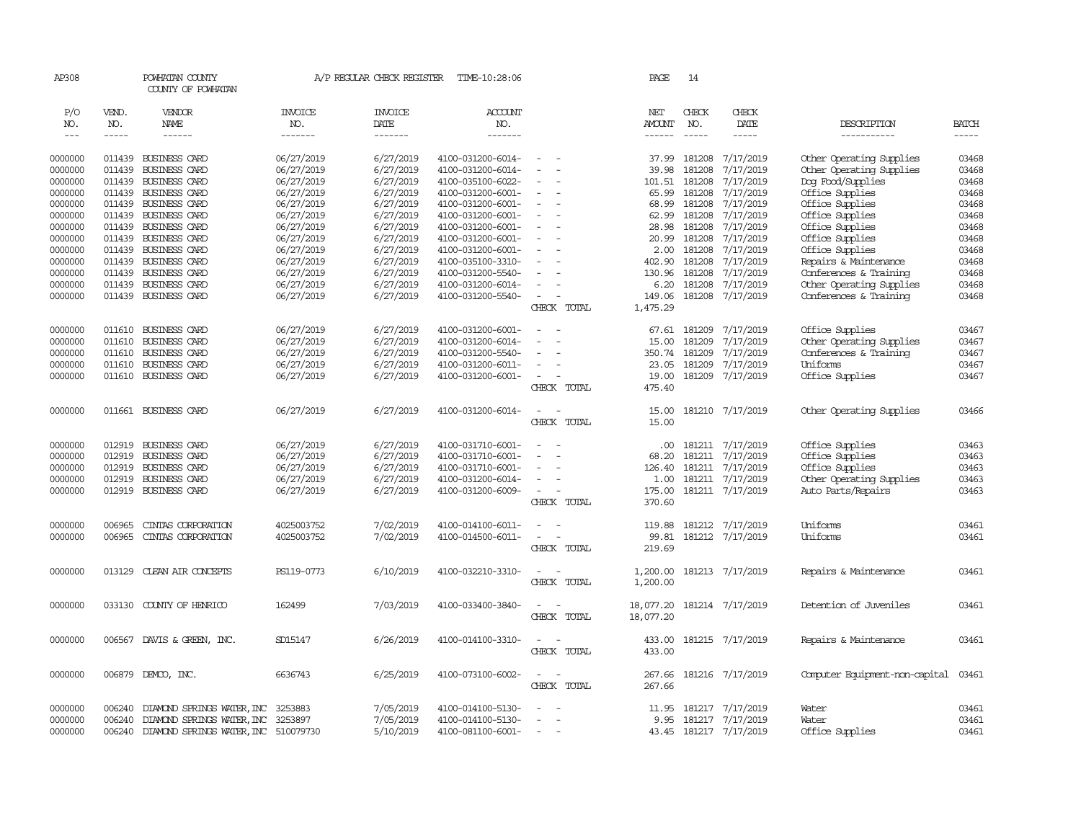| AP308         |        | POWHATAN COUNTY<br>COUNTY OF POWHATAN |                | A/P REGULAR CHECK REGISTER | TIME-10:28:06     |                          | PAGE          | 14            |                        |                                |              |
|---------------|--------|---------------------------------------|----------------|----------------------------|-------------------|--------------------------|---------------|---------------|------------------------|--------------------------------|--------------|
| P/O           | VEND.  | VENDOR                                | <b>INVOICE</b> | <b>INVOICE</b>             | ACCOUNT           |                          | NET           | CHECK         | CHECK                  |                                |              |
| NO.           | NO.    | NAME                                  | NO.            | DATE                       | NO.               |                          | AMOUNT        | NO.           | DATE                   | DESCRIPTION                    | <b>BATCH</b> |
| $\frac{1}{2}$ | -----  | ------                                | -------        | $- - - - - - -$            | -------           |                          | $- - - - - -$ | $\frac{1}{2}$ | -----                  | -----------                    |              |
| 0000000       | 011439 | BUSINESS CARD                         | 06/27/2019     | 6/27/2019                  | 4100-031200-6014- | $\equiv$                 | 37.99         | 181208        | 7/17/2019              | Other Operating Supplies       | 03468        |
| 0000000       | 011439 | BUSINESS CARD                         | 06/27/2019     | 6/27/2019                  | 4100-031200-6014- |                          | 39.98         | 181208        | 7/17/2019              | Other Operating Supplies       | 03468        |
| 0000000       | 011439 | BUSINESS CARD                         | 06/27/2019     | 6/27/2019                  | 4100-035100-6022- |                          | 101.51        | 181208        | 7/17/2019              | Dog Food/Supplies              | 03468        |
| 0000000       | 011439 | BUSINESS CARD                         | 06/27/2019     | 6/27/2019                  | 4100-031200-6001- | $\overline{\phantom{a}}$ | 65.99         | 181208        | 7/17/2019              | Office Supplies                | 03468        |
| 0000000       | 011439 | <b>BUSINESS CARD</b>                  | 06/27/2019     | 6/27/2019                  | 4100-031200-6001- |                          | 68.99         | 181208        | 7/17/2019              | Office Supplies                | 03468        |
| 0000000       | 011439 | BUSINESS CARD                         | 06/27/2019     | 6/27/2019                  | 4100-031200-6001- |                          | 62.99         | 181208        | 7/17/2019              | Office Supplies                | 03468        |
| 0000000       | 011439 | BUSINESS CARD                         | 06/27/2019     | 6/27/2019                  | 4100-031200-6001- |                          | 28.98         | 181208        | 7/17/2019              | Office Supplies                | 03468        |
| 0000000       | 011439 | BUSINESS CARD                         | 06/27/2019     | 6/27/2019                  | 4100-031200-6001- |                          | 20.99         | 181208        | 7/17/2019              | Office Supplies                | 03468        |
| 0000000       | 011439 | BUSINESS CARD                         | 06/27/2019     | 6/27/2019                  | 4100-031200-6001- |                          | 2.00          | 181208        | 7/17/2019              | Office Supplies                | 03468        |
| 0000000       | 011439 | <b>BUSINESS CARD</b>                  | 06/27/2019     | 6/27/2019                  | 4100-035100-3310- |                          | 402.90        | 181208        | 7/17/2019              | Repairs & Maintenance          | 03468        |
| 0000000       | 011439 | BUSINESS CARD                         | 06/27/2019     | 6/27/2019                  | 4100-031200-5540- |                          | 130.96        | 181208        | 7/17/2019              | Conferences & Training         | 03468        |
| 0000000       | 011439 | BUSINESS CARD                         | 06/27/2019     | 6/27/2019                  | 4100-031200-6014- |                          | 6.20          | 181208        | 7/17/2019              | Other Operating Supplies       | 03468        |
| 0000000       | 011439 | <b>BUSINESS CARD</b>                  | 06/27/2019     | 6/27/2019                  | 4100-031200-5540- | $\sim$                   | 149.06        |               | 181208 7/17/2019       | Conferences & Training         | 03468        |
|               |        |                                       |                |                            |                   | CHECK TOTAL              | 1,475.29      |               |                        |                                |              |
|               |        |                                       |                |                            |                   |                          |               |               |                        |                                |              |
| 0000000       | 011610 | <b>BUSINESS CARD</b>                  | 06/27/2019     | 6/27/2019                  | 4100-031200-6001- |                          | 67.61         | 181209        | 7/17/2019              | Office Supplies                | 03467        |
| 0000000       | 011610 | BUSINESS CARD                         | 06/27/2019     | 6/27/2019                  | 4100-031200-6014- |                          | 15.00         | 181209        | 7/17/2019              | Other Operating Supplies       | 03467        |
| 0000000       | 011610 | BUSINESS CARD                         | 06/27/2019     | 6/27/2019                  | 4100-031200-5540- |                          | 350.74        | 181209        | 7/17/2019              | Conferences & Training         | 03467        |
| 0000000       | 011610 | BUSINESS CARD                         | 06/27/2019     | 6/27/2019                  | 4100-031200-6011- |                          | 23.05         | 181209        | 7/17/2019              | Uniforms                       | 03467        |
| 0000000       | 011610 | <b>BUSINESS CARD</b>                  | 06/27/2019     | 6/27/2019                  | 4100-031200-6001- |                          | 19.00         |               | 181209 7/17/2019       | Office Supplies                | 03467        |
|               |        |                                       |                |                            |                   | CHECK TOTAL              | 475.40        |               |                        |                                |              |
|               |        |                                       |                |                            |                   |                          |               |               |                        |                                |              |
| 0000000       |        | 011661 BUSINESS CARD                  | 06/27/2019     | 6/27/2019                  | 4100-031200-6014- | $\equiv$                 | 15.00         |               | 181210 7/17/2019       | Other Operating Supplies       | 03466        |
|               |        |                                       |                |                            |                   | CHECK TOTAL              | 15.00         |               |                        |                                |              |
| 0000000       | 012919 | <b>BUSINESS CARD</b>                  | 06/27/2019     | 6/27/2019                  | 4100-031710-6001- |                          | .00.          |               | 181211 7/17/2019       | Office Supplies                | 03463        |
| 0000000       | 012919 | <b>BUSINESS CARD</b>                  | 06/27/2019     | 6/27/2019                  | 4100-031710-6001- |                          | 68.20         |               | 181211 7/17/2019       | Office Supplies                | 03463        |
| 0000000       | 012919 | BUSINESS CARD                         | 06/27/2019     | 6/27/2019                  | 4100-031710-6001- |                          | 126.40        |               | 181211 7/17/2019       | Office Supplies                | 03463        |
| 0000000       | 012919 | <b>BUSINESS CARD</b>                  | 06/27/2019     | 6/27/2019                  | 4100-031200-6014- |                          | 1.00          |               | 181211 7/17/2019       | Other Operating Supplies       | 03463        |
| 0000000       | 012919 | BUSINESS CARD                         | 06/27/2019     | 6/27/2019                  | 4100-031200-6009- | $\overline{\phantom{a}}$ | 175.00        |               | 181211 7/17/2019       | Auto Parts/Repairs             | 03463        |
|               |        |                                       |                |                            |                   | CHECK TOTAL              | 370.60        |               |                        |                                |              |
|               |        |                                       |                |                            |                   |                          |               |               |                        |                                |              |
| 0000000       | 006965 | CINTAS CORPORATION                    | 4025003752     | 7/02/2019                  | 4100-014100-6011- | $\equiv$                 | 119.88        |               | 181212 7/17/2019       | Uniforms                       | 03461        |
| 0000000       | 006965 | CINIAS CORPORATION                    | 4025003752     | 7/02/2019                  | 4100-014500-6011- |                          | 99.81         |               | 181212 7/17/2019       | Uniforms                       | 03461        |
|               |        |                                       |                |                            |                   | CHECK TOTAL              | 219.69        |               |                        |                                |              |
| 0000000       | 013129 | CLEAN AIR CONCEPTS                    | PS119-0773     | 6/10/2019                  | 4100-032210-3310- | $\overline{\phantom{a}}$ | 1,200.00      |               | 181213 7/17/2019       | Repairs & Maintenance          | 03461        |
|               |        |                                       |                |                            |                   | CHECK TOTAL              | 1,200.00      |               |                        |                                |              |
|               |        |                                       |                |                            |                   |                          |               |               |                        |                                |              |
| 0000000       | 033130 | COUNTY OF HENRICO                     | 162499         | 7/03/2019                  | 4100-033400-3840- |                          | 18,077.20     |               | 181214 7/17/2019       | Detention of Juveniles         | 03461        |
|               |        |                                       |                |                            |                   | CHECK TOTAL              | 18,077.20     |               |                        |                                |              |
|               |        |                                       |                |                            |                   |                          |               |               |                        |                                |              |
| 0000000       | 006567 | DAVIS & GREEN, INC.                   | SD15147        | 6/26/2019                  | 4100-014100-3310- |                          | 433.00        |               | 181215 7/17/2019       | Repairs & Maintenance          | 03461        |
|               |        |                                       |                |                            |                   | CHECK TOTAL              | 433.00        |               |                        |                                |              |
| 0000000       | 006879 | DEMCO, INC.                           | 6636743        | 6/25/2019                  | 4100-073100-6002- | $\sim$                   | 267.66        |               | 181216 7/17/2019       | Computer Equipment-non-capital | 03461        |
|               |        |                                       |                |                            |                   | CHECK TOTAL              | 267.66        |               |                        |                                |              |
|               |        |                                       |                |                            |                   |                          |               |               |                        |                                |              |
| 0000000       | 006240 | DIAMOND SPRINGS WATER, INC            | 3253883        | 7/05/2019                  | 4100-014100-5130- |                          | 11.95         |               | 181217 7/17/2019       | Water                          | 03461        |
| 0000000       | 006240 | DIAMOND SPRINGS WATER, INC            | 3253897        | 7/05/2019                  | 4100-014100-5130- |                          | 9.95          |               | 181217 7/17/2019       | Water                          | 03461        |
| 0000000       | 006240 | DIAMOND SPRINGS WATER, INC 510079730  |                | 5/10/2019                  | 4100-081100-6001- |                          |               |               | 43.45 181217 7/17/2019 | Office Supplies                | 03461        |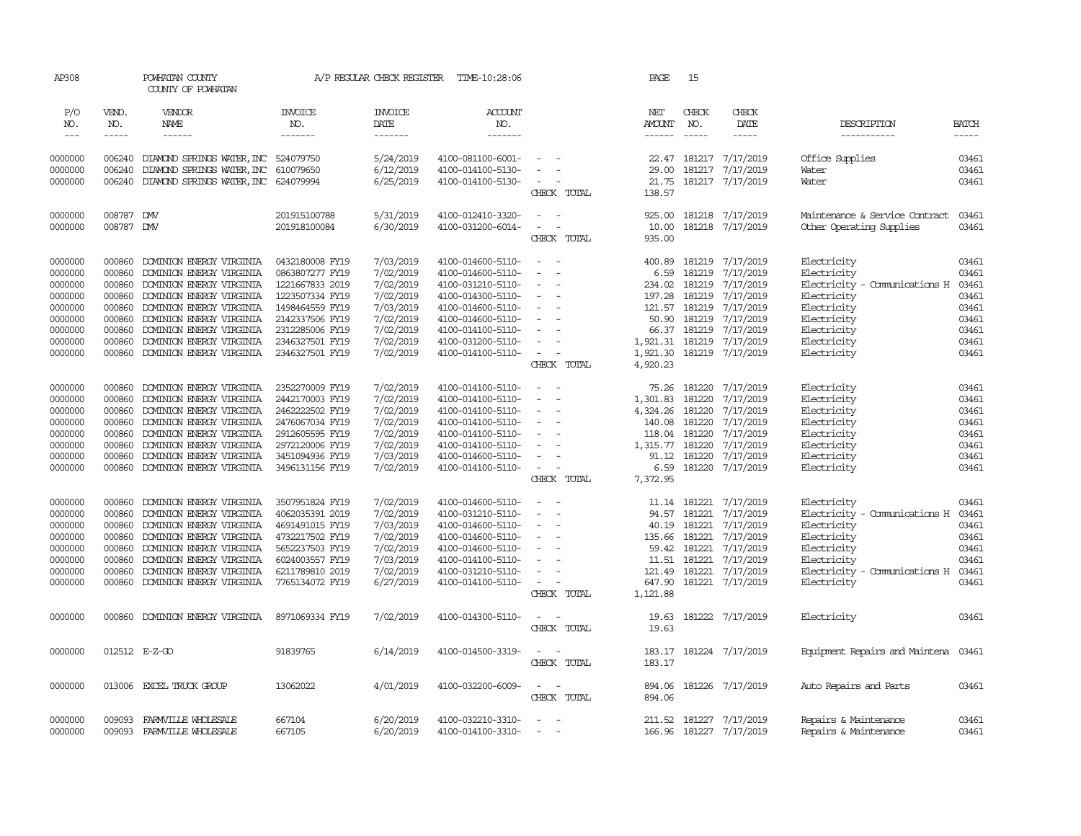| AP308                |                  | POWHATAN COUNTY<br>COUNTY OF POWHATAN                    |                                    | A/P REGULAR CHECK REGISTER | TIME-10:28:06                          |                                                                                  | PAGE                 | 15           |                                                                                                                                                                                                                                                                                                                                                                                                                                                                                     |                                |                |
|----------------------|------------------|----------------------------------------------------------|------------------------------------|----------------------------|----------------------------------------|----------------------------------------------------------------------------------|----------------------|--------------|-------------------------------------------------------------------------------------------------------------------------------------------------------------------------------------------------------------------------------------------------------------------------------------------------------------------------------------------------------------------------------------------------------------------------------------------------------------------------------------|--------------------------------|----------------|
| P/O<br>NO.           | VEND.<br>NO.     | VENDOR<br>NAME                                           | <b>INVOICE</b><br>NO.              | <b>INVOICE</b><br>DATE     | <b>ACCOUNT</b><br>NO.                  |                                                                                  | NET<br><b>AMOUNT</b> | CHECK<br>NO. | CHECK<br>DATE                                                                                                                                                                                                                                                                                                                                                                                                                                                                       | DESCRIPTION                    | <b>BATCH</b>   |
| $\sim$ $\sim$ $\sim$ | $- - - - -$      | ------                                                   | -------                            | -------                    | -------                                |                                                                                  | ------               | $- - - - -$  | $\begin{tabular}{ccccc} \multicolumn{2}{c}{} & \multicolumn{2}{c}{} & \multicolumn{2}{c}{} & \multicolumn{2}{c}{} & \multicolumn{2}{c}{} & \multicolumn{2}{c}{} & \multicolumn{2}{c}{} & \multicolumn{2}{c}{} & \multicolumn{2}{c}{} & \multicolumn{2}{c}{} & \multicolumn{2}{c}{} & \multicolumn{2}{c}{} & \multicolumn{2}{c}{} & \multicolumn{2}{c}{} & \multicolumn{2}{c}{} & \multicolumn{2}{c}{} & \multicolumn{2}{c}{} & \multicolumn{2}{c}{} & \multicolumn{2}{c}{} & \mult$ | -----------                    | $- - - - -$    |
|                      |                  |                                                          |                                    |                            |                                        | $\sim$                                                                           |                      |              |                                                                                                                                                                                                                                                                                                                                                                                                                                                                                     |                                |                |
| 0000000<br>0000000   | 006240<br>006240 | DIAMOND SPRINGS WATER, INC<br>DIAMOND SPRINGS WATER, INC | 524079750<br>610079650             | 5/24/2019<br>6/12/2019     | 4100-081100-6001-<br>4100-014100-5130- | $\overline{\phantom{a}}$                                                         | 29.00                | 181217       | 22.47 181217 7/17/2019<br>7/17/2019                                                                                                                                                                                                                                                                                                                                                                                                                                                 | Office Supplies<br>Water       | 03461<br>03461 |
| 0000000              | 006240           | DIAMOND SPRINGS WATER, INC                               | 624079994                          | 6/25/2019                  | 4100-014100-5130-                      | $\sim$<br>$\overline{\phantom{a}}$                                               | 21.75                |              | 181217 7/17/2019                                                                                                                                                                                                                                                                                                                                                                                                                                                                    | Water                          | 03461          |
|                      |                  |                                                          |                                    |                            |                                        | CHECK TOTAL                                                                      | 138.57               |              |                                                                                                                                                                                                                                                                                                                                                                                                                                                                                     |                                |                |
|                      |                  |                                                          |                                    |                            |                                        |                                                                                  |                      |              |                                                                                                                                                                                                                                                                                                                                                                                                                                                                                     |                                |                |
| 0000000              | 008787           | <b>DMV</b>                                               | 201915100788                       | 5/31/2019                  | 4100-012410-3320-                      | $\overline{\phantom{a}}$                                                         | 925.00               |              | 181218 7/17/2019                                                                                                                                                                                                                                                                                                                                                                                                                                                                    | Maintenance & Service Contract | 03461          |
| 0000000              | 008787 DMV       |                                                          | 201918100084                       | 6/30/2019                  | 4100-031200-6014-                      | $\sim$<br>$\sim$                                                                 | 10.00                |              | 181218 7/17/2019                                                                                                                                                                                                                                                                                                                                                                                                                                                                    | Other Operating Supplies       | 03461          |
|                      |                  |                                                          |                                    |                            |                                        | CHECK TOTAL                                                                      | 935.00               |              |                                                                                                                                                                                                                                                                                                                                                                                                                                                                                     |                                |                |
| 0000000              | 000860           | DOMINION ENERGY VIRGINIA                                 | 0432180008 FY19                    | 7/03/2019                  | 4100-014600-5110-                      | $\sim$                                                                           | 400.89               | 181219       | 7/17/2019                                                                                                                                                                                                                                                                                                                                                                                                                                                                           | Electricity                    | 03461          |
| 0000000              | 000860           | DOMINION ENERGY VIRGINIA                                 | 0863807277 FY19                    | 7/02/2019                  | 4100-014600-5110-                      | $\sim$<br>$\sim$                                                                 | 6.59                 | 181219       | 7/17/2019                                                                                                                                                                                                                                                                                                                                                                                                                                                                           | Electricity                    | 03461          |
| 0000000              | 000860           | DOMINION ENERGY VIRGINIA                                 | 1221667833 2019                    | 7/02/2019                  | 4100-031210-5110-                      |                                                                                  | 234.02               | 181219       | 7/17/2019                                                                                                                                                                                                                                                                                                                                                                                                                                                                           | Electricity - Comunications H  | 03461          |
| 0000000              | 000860           | DOMINION ENERGY VIRGINIA                                 | 1223507334 FY19                    | 7/02/2019                  | 4100-014300-5110-                      | $\overline{\phantom{a}}$                                                         | 197.28               | 181219       | 7/17/2019                                                                                                                                                                                                                                                                                                                                                                                                                                                                           | Electricity                    | 03461          |
| 0000000              | 000860           | DOMINION ENERGY VIRGINIA                                 | 1498464559 FY19                    | 7/03/2019                  | 4100-014600-5110-                      |                                                                                  | 121.57               | 181219       | 7/17/2019                                                                                                                                                                                                                                                                                                                                                                                                                                                                           | Electricity                    | 03461          |
| 0000000              | 000860           | DOMINION ENERGY VIRGINIA                                 | 2142337506 FY19                    | 7/02/2019                  | 4100-014600-5110-                      | $\overline{\phantom{a}}$                                                         | 50.90                | 181219       | 7/17/2019                                                                                                                                                                                                                                                                                                                                                                                                                                                                           | Electricity                    | 03461          |
| 0000000              | 000860           | DOMINION ENERGY VIRGINIA                                 | 2312285006 FY19                    | 7/02/2019                  | 4100-014100-5110-                      | $\overline{\phantom{a}}$                                                         | 66.37                | 181219       | 7/17/2019                                                                                                                                                                                                                                                                                                                                                                                                                                                                           | Electricity                    | 03461          |
| 0000000              | 000860           | DOMINION ENERGY VIRGINIA                                 | 2346327501 FY19                    | 7/02/2019                  | 4100-031200-5110-                      |                                                                                  | 1,921.31             | 181219       | 7/17/2019                                                                                                                                                                                                                                                                                                                                                                                                                                                                           | Electricity                    | 03461          |
| 0000000              | 000860           | DOMINION ENERGY VIRGINIA                                 | 2346327501 FY19                    | 7/02/2019                  | 4100-014100-5110-                      | $\sim$<br>$\overline{\phantom{a}}$                                               | 1,921.30             |              | 181219 7/17/2019                                                                                                                                                                                                                                                                                                                                                                                                                                                                    | Electricity                    | 03461          |
|                      |                  |                                                          |                                    |                            |                                        | CHECK TOTAL                                                                      | 4,920.23             |              |                                                                                                                                                                                                                                                                                                                                                                                                                                                                                     |                                |                |
| 0000000              | 000860           | DOMINION ENERGY VIRGINIA                                 | 2352270009 FY19                    | 7/02/2019                  | 4100-014100-5110-                      | $\overline{\phantom{a}}$<br>- 11                                                 | 75.26                |              | 181220 7/17/2019                                                                                                                                                                                                                                                                                                                                                                                                                                                                    | Electricity                    | 03461          |
| 0000000              | 000860           | DOMINION ENERGY VIRGINIA                                 | 2442170003 FY19                    | 7/02/2019                  | 4100-014100-5110-                      | $\overline{\phantom{a}}$<br>$\overline{\phantom{a}}$                             | 1,301.83             | 181220       | 7/17/2019                                                                                                                                                                                                                                                                                                                                                                                                                                                                           | Electricity                    | 03461          |
| 0000000              | 000860           | DOMINION ENERGY VIRGINIA                                 | 2462222502 FY19                    | 7/02/2019                  | 4100-014100-5110-                      |                                                                                  | 4,324.26             | 181220       | 7/17/2019                                                                                                                                                                                                                                                                                                                                                                                                                                                                           | Electricity                    | 03461          |
| 0000000              | 000860           | DOMINION ENERGY VIRGINIA                                 | 2476067034 FY19                    | 7/02/2019                  | 4100-014100-5110-                      |                                                                                  | 140.08               | 181220       | 7/17/2019                                                                                                                                                                                                                                                                                                                                                                                                                                                                           | Electricity                    | 03461          |
| 0000000              | 000860           | DOMINION ENERGY VIRGINIA                                 | 2912605595 FY19                    | 7/02/2019                  | 4100-014100-5110-                      | $\sim$<br>$\overline{\phantom{a}}$                                               | 118.04               | 181220       | 7/17/2019                                                                                                                                                                                                                                                                                                                                                                                                                                                                           | Electricity                    | 03461          |
| 0000000              | 000860           | DOMINION ENERGY VIRGINIA                                 | 2972120006 FY19                    | 7/02/2019                  | 4100-014100-5110-                      | $\overline{\phantom{a}}$                                                         | 1,315.77             | 181220       | 7/17/2019                                                                                                                                                                                                                                                                                                                                                                                                                                                                           | Electricity                    | 03461          |
| 0000000              | 000860           | DOMINION ENERGY VIRGINIA                                 | 3451094936 FY19                    | 7/03/2019                  | 4100-014600-5110-                      |                                                                                  | 91.12                | 181220       | 7/17/2019                                                                                                                                                                                                                                                                                                                                                                                                                                                                           | Electricity                    | 03461          |
| 0000000              | 000860           | DOMINION ENERGY VIRGINIA                                 | 3496131156 FY19                    | 7/02/2019                  | 4100-014100-5110-                      | $\overline{\phantom{a}}$<br>CHECK TOTAL                                          | 6.59<br>7,372.95     |              | 181220 7/17/2019                                                                                                                                                                                                                                                                                                                                                                                                                                                                    | Electricity                    | 03461          |
|                      |                  |                                                          |                                    |                            |                                        |                                                                                  |                      |              |                                                                                                                                                                                                                                                                                                                                                                                                                                                                                     |                                |                |
| 0000000              | 000860           | DOMINION ENERGY VIRGINIA                                 | 3507951824 FY19                    | 7/02/2019                  | 4100-014600-5110-                      | $\sim$                                                                           | 11.14                | 181221       | 7/17/2019                                                                                                                                                                                                                                                                                                                                                                                                                                                                           | Electricity                    | 03461          |
| 0000000              | 000860           | DOMINION ENERGY VIRGINIA                                 | 4062035391 2019                    | 7/02/2019                  | 4100-031210-5110-                      | $\sim$<br>$\overline{\phantom{a}}$                                               | 94.57                | 181221       | 7/17/2019                                                                                                                                                                                                                                                                                                                                                                                                                                                                           | Electricity - Comunications H  | 03461          |
| 0000000              | 000860           | DOMINION ENERGY VIRGINIA                                 | 4691491015 FY19                    | 7/03/2019                  | 4100-014600-5110-                      | $\overline{\phantom{a}}$                                                         | 40.19                | 181221       | 7/17/2019                                                                                                                                                                                                                                                                                                                                                                                                                                                                           | Electricity                    | 03461          |
| 0000000              | 000860           | DOMINION ENERGY VIRGINIA                                 | 4732217502 FY19                    | 7/02/2019                  | 4100-014600-5110-                      | $\sim$                                                                           | 135.66               | 181221       | 7/17/2019                                                                                                                                                                                                                                                                                                                                                                                                                                                                           | Electricity                    | 03461          |
| 0000000              | 000860           | DOMINION ENERGY VIRGINIA                                 | 5652237503 FY19                    | 7/02/2019                  | 4100-014600-5110-                      | $\overline{\phantom{a}}$                                                         | 59.42                | 181221       | 7/17/2019                                                                                                                                                                                                                                                                                                                                                                                                                                                                           | Electricity                    | 03461          |
| 0000000              | 000860           | DOMINION ENERGY VIRGINIA                                 | 6024003557 FY19                    | 7/03/2019                  | 4100-014100-5110-                      |                                                                                  | 11.51                | 181221       | 7/17/2019                                                                                                                                                                                                                                                                                                                                                                                                                                                                           | Electricity                    | 03461          |
| 0000000<br>0000000   | 000860<br>000860 | DOMINION ENERGY VIRGINIA<br>DOMINION ENERGY VIRGINIA     | 6211789810 2019<br>7765134072 FY19 | 7/02/2019<br>6/27/2019     | 4100-031210-5110-                      | $\overline{\phantom{a}}$<br>$\overline{\phantom{a}}$<br>$\overline{\phantom{a}}$ | 121.49<br>647.90     | 181221       | 7/17/2019<br>181221 7/17/2019                                                                                                                                                                                                                                                                                                                                                                                                                                                       | Electricity - Comunications H  | 03461<br>03461 |
|                      |                  |                                                          |                                    |                            | 4100-014100-5110-                      | CHECK TOTAL                                                                      | 1,121.88             |              |                                                                                                                                                                                                                                                                                                                                                                                                                                                                                     | Electricity                    |                |
|                      |                  |                                                          |                                    |                            |                                        |                                                                                  |                      |              |                                                                                                                                                                                                                                                                                                                                                                                                                                                                                     |                                |                |
| 0000000              | 000860           | DOMINION ENERGY VIRGINIA                                 | 8971069334 FY19                    | 7/02/2019                  | 4100-014300-5110-                      | $\overline{\phantom{a}}$<br>$\sim$                                               | 19.63                |              | 181222 7/17/2019                                                                                                                                                                                                                                                                                                                                                                                                                                                                    | Electricity                    | 03461          |
|                      |                  |                                                          |                                    |                            |                                        | CHECK TOTAL                                                                      | 19.63                |              |                                                                                                                                                                                                                                                                                                                                                                                                                                                                                     |                                |                |
|                      |                  |                                                          |                                    |                            |                                        |                                                                                  |                      |              |                                                                                                                                                                                                                                                                                                                                                                                                                                                                                     |                                |                |
| 0000000              |                  | 012512 E-Z-GO                                            | 91839765                           | 6/14/2019                  | 4100-014500-3319-                      | $\sim$ 100 $\sim$                                                                | 183.17               |              | 181224 7/17/2019                                                                                                                                                                                                                                                                                                                                                                                                                                                                    | Equipment Repairs and Maintena | 03461          |
|                      |                  |                                                          |                                    |                            |                                        | CHECK TOTAL                                                                      | 183.17               |              |                                                                                                                                                                                                                                                                                                                                                                                                                                                                                     |                                |                |
| 0000000              | 013006           | EXCEL TRUCK GROUP                                        | 13062022                           | 4/01/2019                  | 4100-032200-6009-                      | $\overline{\phantom{a}}$<br>$\overline{\phantom{a}}$                             | 894.06               |              | 181226 7/17/2019                                                                                                                                                                                                                                                                                                                                                                                                                                                                    | Auto Repairs and Parts         | 03461          |
|                      |                  |                                                          |                                    |                            |                                        | CHECK TOTAL                                                                      | 894.06               |              |                                                                                                                                                                                                                                                                                                                                                                                                                                                                                     |                                |                |
|                      |                  |                                                          |                                    |                            |                                        |                                                                                  |                      |              |                                                                                                                                                                                                                                                                                                                                                                                                                                                                                     |                                |                |
| 0000000              | 009093           | FARMVILLE WHOLESALE                                      | 667104                             | 6/20/2019                  | 4100-032210-3310-                      | $\overline{\phantom{a}}$                                                         | 211.52               |              | 181227 7/17/2019                                                                                                                                                                                                                                                                                                                                                                                                                                                                    | Repairs & Maintenance          | 03461          |
| 0000000              |                  | 009093 FARMVILLE WHOLESALE                               | 667105                             | 6/20/2019                  | 4100-014100-3310-                      | $\overline{\phantom{a}}$<br>$\sim$                                               |                      |              | 166.96 181227 7/17/2019                                                                                                                                                                                                                                                                                                                                                                                                                                                             | Repairs & Maintenance          | 03461          |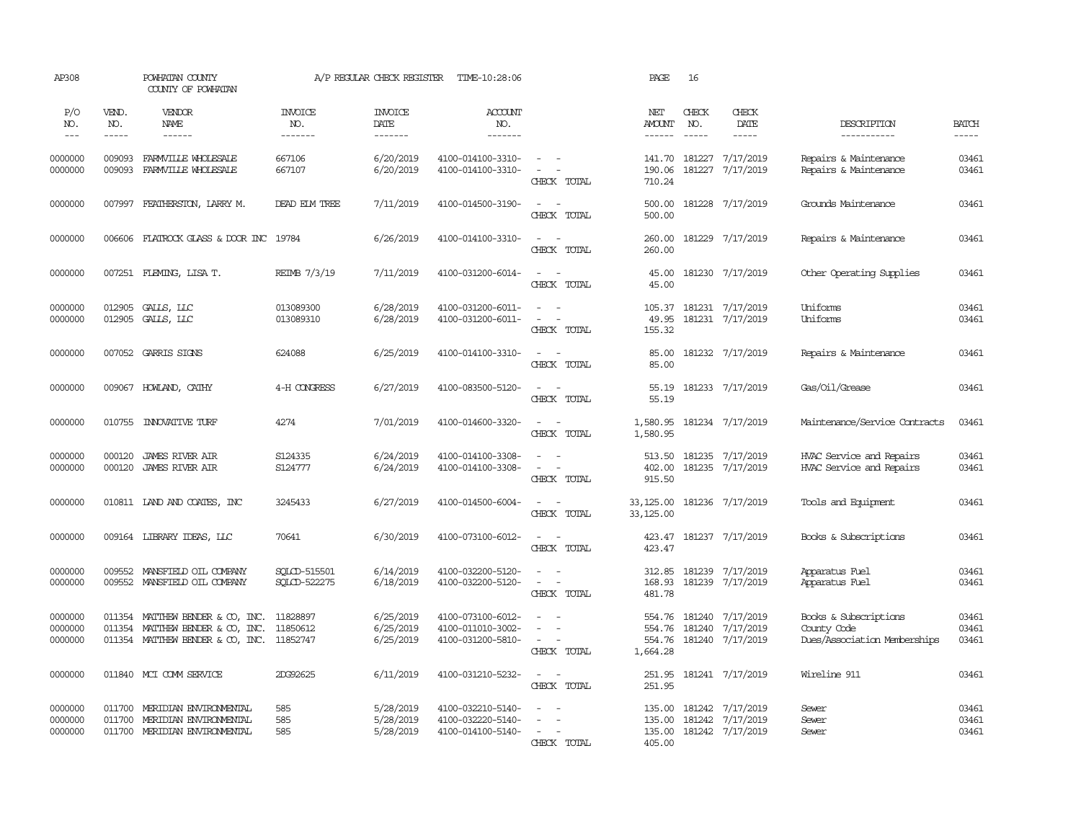| AP308                              |                             | POWHATAN COUNTY<br>COUNTY OF POWHATAN                                                                                      |                                  | A/P REGULAR CHECK REGISTER                | TIME-10:28:06                                               |                                                                                                                             | PAGE                                   | 16                                     |                                                   |                                                                      |                         |
|------------------------------------|-----------------------------|----------------------------------------------------------------------------------------------------------------------------|----------------------------------|-------------------------------------------|-------------------------------------------------------------|-----------------------------------------------------------------------------------------------------------------------------|----------------------------------------|----------------------------------------|---------------------------------------------------|----------------------------------------------------------------------|-------------------------|
| P/O<br>NO.<br>$\sim$ $\sim$ $\sim$ | VEND.<br>NO.<br>$- - - - -$ | VENDOR<br>NAME<br>$- - - - - -$                                                                                            | <b>INVOICE</b><br>NO.<br>------- | <b>INVOICE</b><br>DATE<br>$- - - - - - -$ | ACCOUNT<br>NO.<br>$- - - - - - -$                           |                                                                                                                             | NET<br><b>AMOUNT</b>                   | CHECK<br>NO.<br>$\cdots \cdots \cdots$ | CHECK<br>DATE<br>-----                            | DESCRIPTION<br>-----------                                           | <b>BATCH</b><br>-----   |
| 0000000<br>0000000                 | 009093<br>009093            | FARMVILLE WHOLESALE<br>FARMVILLE WHOLESALE                                                                                 | 667106<br>667107                 | 6/20/2019<br>6/20/2019                    | 4100-014100-3310-<br>4100-014100-3310-                      | $\sim$ $ -$<br>$\sim$ $ -$<br>CHECK TOTAL                                                                                   | 141.70<br>190.06<br>710.24             | 181227                                 | 181227 7/17/2019<br>7/17/2019                     | Repairs & Maintenance<br>Repairs & Maintenance                       | 03461<br>03461          |
| 0000000                            | 007997                      | FEATHERSTON, LARRY M.                                                                                                      | DEAD EIM TREE                    | 7/11/2019                                 | 4100-014500-3190-                                           | $\sim$ $ -$<br>CHECK TOTAL                                                                                                  | 500.00<br>500.00                       |                                        | 181228 7/17/2019                                  | Grounds Maintenance                                                  | 03461                   |
| 0000000                            |                             | 006606 FLATROCK GLASS & DOOR INC 19784                                                                                     |                                  | 6/26/2019                                 | 4100-014100-3310-                                           | $\omega_{\rm{max}}$ and $\omega_{\rm{max}}$<br>CHECK TOTAL                                                                  | 260.00<br>260.00                       |                                        | 181229 7/17/2019                                  | Repairs & Maintenance                                                | 03461                   |
| 0000000                            |                             | 007251 FLEMING, LISA T.                                                                                                    | REIMB 7/3/19                     | 7/11/2019                                 | 4100-031200-6014-                                           | $\sim$ $ \sim$<br>CHECK TOTAL                                                                                               | 45.00<br>45.00                         |                                        | 181230 7/17/2019                                  | Other Operating Supplies                                             | 03461                   |
| 0000000<br>0000000                 |                             | 012905 GALLS, LLC<br>012905 GALLS, LLC                                                                                     | 013089300<br>013089310           | 6/28/2019<br>6/28/2019                    | 4100-031200-6011-<br>4100-031200-6011-                      | $\sim$ $ \sim$<br>$\sim$ $ -$<br>CHECK TOTAL                                                                                | 105.37<br>49.95<br>155.32              |                                        | 181231 7/17/2019<br>181231 7/17/2019              | Uniforms<br>Uniforms                                                 | 03461<br>03461          |
| 0000000                            |                             | 007052 GARRIS SIGNS                                                                                                        | 624088                           | 6/25/2019                                 | 4100-014100-3310-                                           | $\sim$ $\sim$<br>CHECK TOTAL                                                                                                | 85.00<br>85.00                         |                                        | 181232 7/17/2019                                  | Repairs & Maintenance                                                | 03461                   |
| 0000000                            |                             | 009067 HOWLAND, CATHY                                                                                                      | 4-H CONGRESS                     | 6/27/2019                                 | 4100-083500-5120-                                           | $\sim$ $ \sim$<br>CHECK TOTAL                                                                                               | 55.19<br>55.19                         |                                        | 181233 7/17/2019                                  | Gas/Oil/Grease                                                       | 03461                   |
| 0000000                            | 010755                      | <b>INOVATIVE TURF</b>                                                                                                      | 4274                             | 7/01/2019                                 | 4100-014600-3320-                                           | $\sim$<br>$\sim$<br>CHECK TOTAL                                                                                             | 1,580.95<br>1,580.95                   |                                        | 181234 7/17/2019                                  | Maintenance/Service Contracts                                        | 03461                   |
| 0000000<br>0000000                 | 000120<br>000120            | <b>JAMES RIVER AIR</b><br><b>JAMES RIVER AIR</b>                                                                           | S124335<br>S124777               | 6/24/2019<br>6/24/2019                    | 4100-014100-3308-<br>4100-014100-3308-                      | $\sim$<br>$\sim$<br>$\sim$<br>$\sim$<br>CHECK TOTAL                                                                         | 513.50<br>402.00<br>915.50             |                                        | 181235 7/17/2019<br>181235 7/17/2019              | HVAC Service and Repairs<br>HVAC Service and Repairs                 | 03461<br>03461          |
| 0000000                            |                             | 010811 IAND AND COATES, INC                                                                                                | 3245433                          | 6/27/2019                                 | 4100-014500-6004-                                           | $\sim$<br>$\sim$<br>CHECK TOTAL                                                                                             | 33,125.00<br>33,125.00                 |                                        | 181236 7/17/2019                                  | Tools and Equipment                                                  | 03461                   |
| 0000000                            |                             | 009164 LIBRARY IDEAS, LLC                                                                                                  | 70641                            | 6/30/2019                                 | 4100-073100-6012-                                           | $\frac{1}{2} \left( \frac{1}{2} \right) \left( \frac{1}{2} \right) = \frac{1}{2} \left( \frac{1}{2} \right)$<br>CHECK TOTAL | 423.47                                 |                                        | 423.47 181237 7/17/2019                           | Books & Subscriptions                                                | 03461                   |
| 0000000<br>0000000                 | 009552                      | MANSFIEID OIL COMPANY<br>009552 MANSFIELD OIL COMPANY                                                                      | SOLCD-515501<br>SOLCD-522275     | 6/14/2019<br>6/18/2019                    | 4100-032200-5120-<br>4100-032200-5120-                      | $\sim$<br>$\sim$<br>$\sim$<br>$\sim$<br>CHECK TOTAL                                                                         | 312.85<br>168.93<br>481.78             |                                        | 181239 7/17/2019<br>181239 7/17/2019              | Apparatus Fuel<br>Apparatus Fuel                                     | 03461<br>03461          |
| 0000000<br>0000000<br>0000000      |                             | 011354 MATTHEW BENDER & CO, INC. 11828897<br>011354 MATTHEW BENDER & CO, INC.<br>011354 MATTHEW BENDER & CO, INC. 11852747 | 11850612                         | 6/25/2019<br>6/25/2019<br>6/25/2019       | 4100-073100-6012-<br>4100-011010-3002-<br>4100-031200-5810- | $\sim$<br>$\sim$<br>$\sim$<br>$\sim$<br>$\sim$ $ \sim$<br>CHECK TOTAL                                                       | 554.76<br>554.76<br>554.76<br>1,664.28 | 181240                                 | 181240 7/17/2019<br>7/17/2019<br>181240 7/17/2019 | Books & Subscriptions<br>County Code<br>Dues/Association Memberships | 03461<br>03461<br>03461 |
| 0000000                            |                             | 011840 MCI COMM SERVICE                                                                                                    | 2DG92625                         | 6/11/2019                                 | 4100-031210-5232-                                           | $\sim$<br>$\sim$<br>CHECK TOTAL                                                                                             | 251.95<br>251.95                       |                                        | 181241 7/17/2019                                  | Wireline 911                                                         | 03461                   |
| 0000000<br>0000000<br>0000000      | 011700<br>011700            | MERIDIAN ENVIRONMENTAL<br>MERIDIAN ENVIRONMENTAL<br>011700 MERIDIAN ENVIRONMENTAL                                          | 585<br>585<br>585                | 5/28/2019<br>5/28/2019<br>5/28/2019       | 4100-032210-5140-<br>4100-032220-5140-<br>4100-014100-5140- | $\overline{\phantom{a}}$<br>- 14<br>$\sim$<br>CHECK TOTAL                                                                   | 135.00<br>135.00<br>135.00<br>405.00   | 181242                                 | 181242 7/17/2019<br>7/17/2019<br>181242 7/17/2019 | Sewer<br>Sewer<br>Sewer                                              | 03461<br>03461<br>03461 |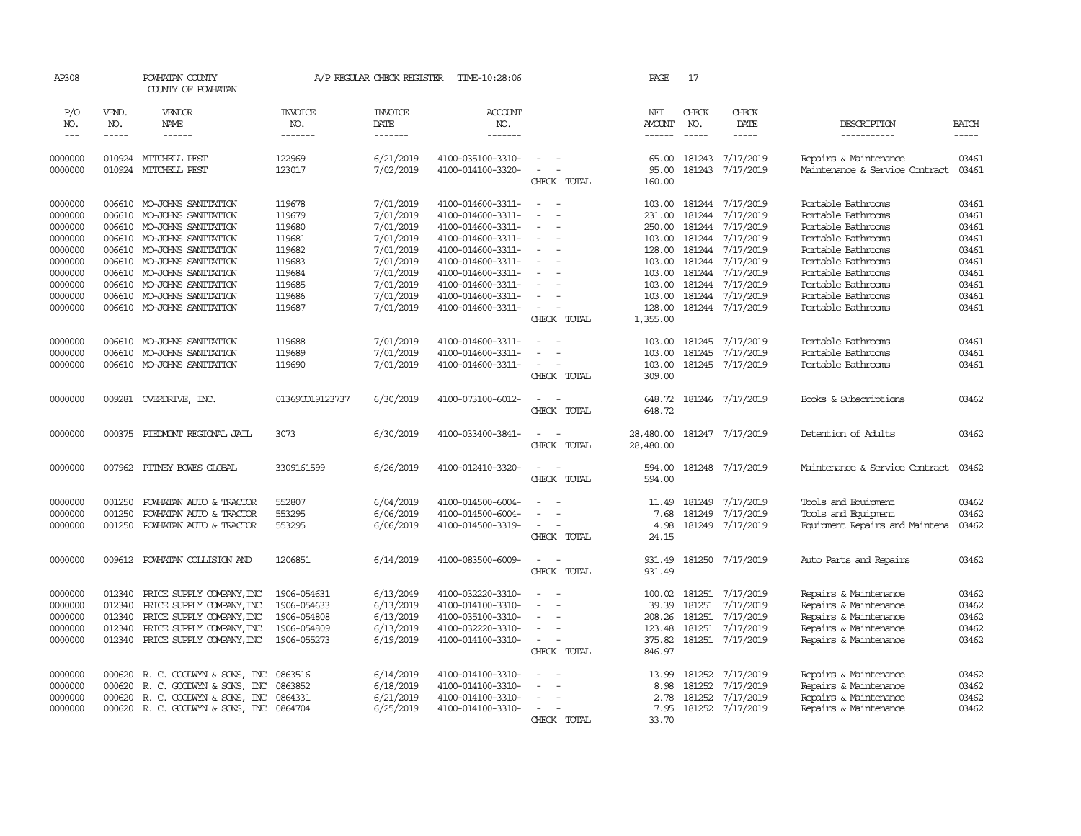| AP308               |                       | POWHATAN COUNTY<br>COUNTY OF POWHATAN        |                                  | A/P REGULAR CHECK REGISTER        | TIME-10:28:06                          |                                                             | PAGE                           | 17           |                               |                                                         |                       |
|---------------------|-----------------------|----------------------------------------------|----------------------------------|-----------------------------------|----------------------------------------|-------------------------------------------------------------|--------------------------------|--------------|-------------------------------|---------------------------------------------------------|-----------------------|
| P/O<br>NO.<br>$---$ | VEND.<br>NO.<br>----- | VENDOR<br>NAME<br>------                     | <b>INVOICE</b><br>NO.<br>------- | <b>INVOICE</b><br>DATE<br>------- | <b>ACCOUNT</b><br>NO.<br>-------       |                                                             | NET<br>AMOUNT<br>$- - - - - -$ | CHECK<br>NO. | CHECK<br>DATE<br>-----        | DESCRIPTION<br>-----------                              | <b>BATCH</b><br>----- |
|                     |                       |                                              |                                  |                                   |                                        |                                                             |                                |              |                               |                                                         |                       |
| 0000000<br>0000000  |                       | 010924 MITCHELL PEST<br>010924 MITCHELL PEST | 122969<br>123017                 | 6/21/2019<br>7/02/2019            | 4100-035100-3310-<br>4100-014100-3320- | $\overline{\phantom{a}}$<br>$\sim$<br>$\sim$<br>CHECK TOTAL | 65.00<br>95.00<br>160.00       | 181243       | 7/17/2019<br>181243 7/17/2019 | Repairs & Maintenance<br>Maintenance & Service Contract | 03461<br>03461        |
| 0000000             |                       | 006610 MO-JOHNS SANITATION                   | 119678                           | 7/01/2019                         | 4100-014600-3311-                      | $\overline{\phantom{a}}$<br>- 11                            | 103.00                         | 181244       | 7/17/2019                     | Portable Bathrooms                                      | 03461                 |
| 0000000             | 006610                | MO-JOHNS SANITATION                          | 119679                           | 7/01/2019                         | 4100-014600-3311-                      | $\blacksquare$                                              | 231.00                         | 181244       | 7/17/2019                     | Portable Bathrooms                                      | 03461                 |
| 0000000             |                       | 006610 MO-JOHNS SANITATION                   | 119680                           | 7/01/2019                         | 4100-014600-3311-                      | $\sim$                                                      | 250.00                         | 181244       | 7/17/2019                     | Portable Bathrooms                                      | 03461                 |
| 0000000             |                       | 006610 MO-JOHNS SANITATION                   | 119681                           | 7/01/2019                         | 4100-014600-3311-                      | $\sim$                                                      | 103.00                         | 181244       | 7/17/2019                     | Portable Bathrooms                                      | 03461                 |
| 0000000             |                       | 006610 MO-JOHNS SANITATION                   | 119682                           | 7/01/2019                         | 4100-014600-3311-                      | $\sim$                                                      | 128.00                         | 181244       | 7/17/2019                     | Portable Bathrooms                                      | 03461                 |
| 0000000             | 006610                | MO-JOHNS SANITATION                          | 119683                           | 7/01/2019                         | 4100-014600-3311-                      |                                                             | 103.00                         | 181244       | 7/17/2019                     | Portable Bathrooms                                      | 03461                 |
| 0000000             | 006610                |                                              | 119684                           | 7/01/2019                         |                                        | $\sim$                                                      |                                | 181244       | 7/17/2019                     | Portable Bathrooms                                      | 03461                 |
|                     |                       | MO-JOHNS SANITATION                          |                                  |                                   | 4100-014600-3311-                      |                                                             | 103.00                         |              |                               |                                                         |                       |
| 0000000             |                       | 006610 MO-JOHNS SANITATION                   | 119685                           | 7/01/2019                         | 4100-014600-3311-                      |                                                             | 103.00                         | 181244       | 7/17/2019                     | Portable Bathrooms                                      | 03461                 |
| 0000000             |                       | 006610 MO-JOHNS SANITATION                   | 119686                           | 7/01/2019                         | 4100-014600-3311-                      | $\sim$                                                      | 103.00                         | 181244       | 7/17/2019                     | Portable Bathrooms                                      | 03461                 |
| 0000000             |                       | 006610 MO-JOHNS SANITATION                   | 119687                           | 7/01/2019                         | 4100-014600-3311-                      | $\sim$<br>$\overline{\phantom{a}}$<br>CHECK TOTAL           | 128.00<br>1,355.00             |              | 181244 7/17/2019              | Portable Bathrooms                                      | 03461                 |
| 0000000             | 006610                | MO-JOHNS SANITATION                          | 119688                           | 7/01/2019                         | 4100-014600-3311-                      | $\sim$                                                      | 103.00                         | 181245       | 7/17/2019                     | Portable Bathrooms                                      | 03461                 |
| 0000000             | 006610                | MO-JOHNS SANITATION                          | 119689                           | 7/01/2019                         | 4100-014600-3311-                      |                                                             | 103.00                         | 181245       | 7/17/2019                     | Portable Bathrooms                                      | 03461                 |
| 0000000             |                       | 006610 MO-JOHNS SANITATION                   | 119690                           | 7/01/2019                         | 4100-014600-3311-                      | $\overline{\phantom{a}}$                                    | 103.00                         |              | 181245 7/17/2019              | Portable Bathrooms                                      | 03461                 |
|                     |                       |                                              |                                  |                                   |                                        | CHECK TOTAL                                                 | 309.00                         |              |                               |                                                         |                       |
| 0000000             |                       | 009281 OVERDRIVE, INC.                       | 01369CO19123737                  | 6/30/2019                         | 4100-073100-6012-                      | $\equiv$                                                    | 648.72                         |              | 181246 7/17/2019              | Books & Subscriptions                                   | 03462                 |
|                     |                       |                                              |                                  |                                   |                                        | CHECK TOTAL                                                 | 648.72                         |              |                               |                                                         |                       |
| 0000000             |                       | 000375 PIEDMONT REGIONAL JAIL                | 3073                             | 6/30/2019                         | 4100-033400-3841-                      | $\sim$<br>$\overline{\phantom{a}}$<br>CHECK TOTAL           | 28,480.00<br>28,480.00         |              | 181247 7/17/2019              | Detention of Adults                                     | 03462                 |
|                     |                       |                                              |                                  |                                   |                                        |                                                             |                                |              |                               |                                                         |                       |
| 0000000             |                       | 007962 PITNEY BOWES GLOBAL                   | 3309161599                       | 6/26/2019                         | 4100-012410-3320-                      | $\overline{\phantom{a}}$<br>$\sim$                          | 594.00                         |              | 181248 7/17/2019              | Maintenance & Service Contract                          | 03462                 |
|                     |                       |                                              |                                  |                                   |                                        | CHECK TOTAL                                                 | 594.00                         |              |                               |                                                         |                       |
| 0000000             | 001250                | POWHATAN AUTO & TRACTOR                      | 552807                           | 6/04/2019                         | 4100-014500-6004-                      | ÷                                                           | 11.49                          |              | 181249 7/17/2019              | Tools and Equipment                                     | 03462                 |
| 0000000             | 001250                | POWHATAN AUTO & TRACTOR                      | 553295                           | 6/06/2019                         | 4100-014500-6004-                      | $\overline{\phantom{a}}$<br>$\overline{a}$                  | 7.68                           | 181249       | 7/17/2019                     | Tools and Equipment                                     | 03462                 |
| 0000000             | 001250                | POWHATAN AUTO & TRACTOR                      | 553295                           | 6/06/2019                         | 4100-014500-3319-                      | $\overline{\phantom{a}}$<br>$\overline{\phantom{a}}$        | 4.98                           |              | 181249 7/17/2019              | Equipment Repairs and Maintena                          | 03462                 |
|                     |                       |                                              |                                  |                                   |                                        | CHECK TOTAL                                                 | 24.15                          |              |                               |                                                         |                       |
| 0000000             | 009612                | POWHATAN COLLISION AND                       | 1206851                          | 6/14/2019                         | 4100-083500-6009-                      |                                                             | 931.49                         |              | 181250 7/17/2019              | Auto Parts and Repairs                                  | 03462                 |
|                     |                       |                                              |                                  |                                   |                                        | CHECK TOTAL                                                 | 931.49                         |              |                               |                                                         |                       |
| 0000000             | 012340                | PRICE SUPPLY COMPANY, INC                    | 1906-054631                      | 6/13/2049                         | 4100-032220-3310-                      | $\sim$                                                      | 100.02                         |              | 181251 7/17/2019              | Repairs & Maintenance                                   | 03462                 |
| 0000000             | 012340                | PRICE SUPPLY COMPANY, INC                    | 1906-054633                      | 6/13/2019                         | 4100-014100-3310-                      |                                                             | 39.39                          | 181251       | 7/17/2019                     | Repairs & Maintenance                                   | 03462                 |
| 0000000             | 012340                | PRICE SUPPLY COMPANY, INC                    | 1906-054808                      | 6/13/2019                         | 4100-035100-3310-                      | $\equiv$                                                    | 208.26                         | 181251       | 7/17/2019                     | Repairs & Maintenance                                   | 03462                 |
| 0000000             | 012340                | PRICE SUPPLY COMPANY, INC                    | 1906-054809                      | 6/13/2019                         | 4100-032220-3310-                      | $\equiv$                                                    | 123.48                         | 181251       | 7/17/2019                     | Repairs & Maintenance                                   | 03462                 |
| 0000000             | 012340                | PRICE SUPPLY COMPANY, INC                    | 1906-055273                      | 6/19/2019                         | 4100-014100-3310-                      | $\overline{\phantom{a}}$<br>$\sim$                          | 375.82                         |              | 181251 7/17/2019              | Repairs & Maintenance                                   | 03462                 |
|                     |                       |                                              |                                  |                                   |                                        | CHECK TOTAL                                                 | 846.97                         |              |                               |                                                         |                       |
| 0000000             |                       | 000620 R. C. GOODWIN & SONS, INC             | 0863516                          | 6/14/2019                         | 4100-014100-3310-                      |                                                             | 13.99                          | 181252       | 7/17/2019                     | Repairs & Maintenance                                   | 03462                 |
| 0000000             | 000620                | R. C. GOODWYN & SONS, INC                    | 0863852                          | 6/18/2019                         | 4100-014100-3310-                      | $\blacksquare$                                              | 8.98                           | 181252       | 7/17/2019                     | Repairs & Maintenance                                   | 03462                 |
| 0000000             | 000620                | R. C. GOODWIN & SONS, INC                    | 0864331                          | 6/21/2019                         | 4100-014100-3310-                      | ÷                                                           | 2.78                           | 181252       | 7/17/2019                     | Repairs & Maintenance                                   | 03462                 |
| 0000000             |                       | 000620 R. C. GOODWIN & SONS, INC 0864704     |                                  | 6/25/2019                         | 4100-014100-3310-                      | $\sim$                                                      | 7.95                           |              | 181252 7/17/2019              | Repairs & Maintenance                                   | 03462                 |
|                     |                       |                                              |                                  |                                   |                                        | CHECK TOTAL                                                 | 33.70                          |              |                               |                                                         |                       |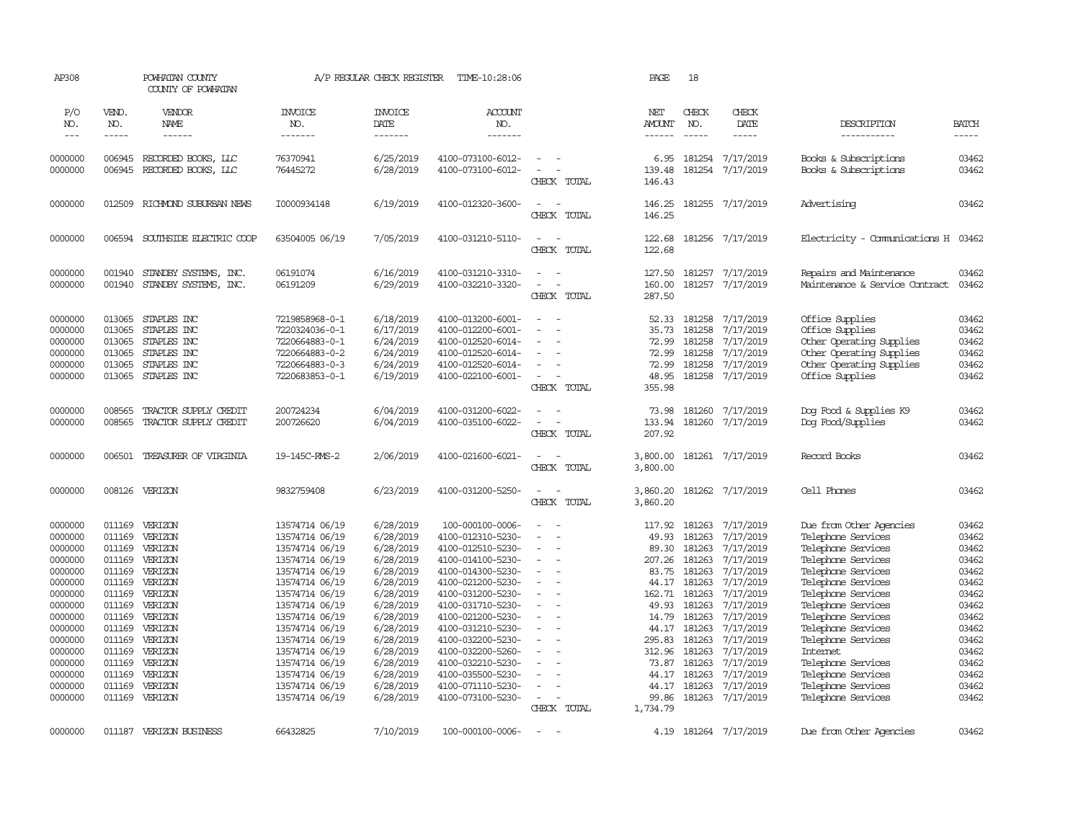| AP308                                                                                                                                                                        |                                                                                                                                                              | POWHATAN COUNTY<br>COUNTY OF POWHATAN                                                                                                                                        |                                                                                                                                                                                                                                                                                              | A/P REGULAR CHECK REGISTER                                                                                                                                                                                   | TIME-10:28:06                                                                                                                                                                                                                                                                                                                               |                                                                                                 | PAGE                                                                                                                                     | 18                                                                                                                                                                                                                                                                                                                                                                                                           |                                                                                                                                                                                                              |                                                                                                                                                                                                                                                                                                                                                         |                                                                                                                                              |
|------------------------------------------------------------------------------------------------------------------------------------------------------------------------------|--------------------------------------------------------------------------------------------------------------------------------------------------------------|------------------------------------------------------------------------------------------------------------------------------------------------------------------------------|----------------------------------------------------------------------------------------------------------------------------------------------------------------------------------------------------------------------------------------------------------------------------------------------|--------------------------------------------------------------------------------------------------------------------------------------------------------------------------------------------------------------|---------------------------------------------------------------------------------------------------------------------------------------------------------------------------------------------------------------------------------------------------------------------------------------------------------------------------------------------|-------------------------------------------------------------------------------------------------|------------------------------------------------------------------------------------------------------------------------------------------|--------------------------------------------------------------------------------------------------------------------------------------------------------------------------------------------------------------------------------------------------------------------------------------------------------------------------------------------------------------------------------------------------------------|--------------------------------------------------------------------------------------------------------------------------------------------------------------------------------------------------------------|---------------------------------------------------------------------------------------------------------------------------------------------------------------------------------------------------------------------------------------------------------------------------------------------------------------------------------------------------------|----------------------------------------------------------------------------------------------------------------------------------------------|
| P/O<br>NO.<br>$---$                                                                                                                                                          | VEND.<br>NO.<br>$- - - - -$                                                                                                                                  | VENDOR<br>NAME<br>------                                                                                                                                                     | <b>INVOICE</b><br>NO.<br>-------                                                                                                                                                                                                                                                             | <b>INVOICE</b><br>DATE<br>-------                                                                                                                                                                            | ACCOUNT<br>NO.<br>-------                                                                                                                                                                                                                                                                                                                   |                                                                                                 | NET<br>AMOUNT<br>------                                                                                                                  | CHECK<br>NO.<br>$\frac{1}{2} \frac{1}{2} \frac{1}{2} \frac{1}{2} \frac{1}{2} \frac{1}{2} \frac{1}{2} \frac{1}{2} \frac{1}{2} \frac{1}{2} \frac{1}{2} \frac{1}{2} \frac{1}{2} \frac{1}{2} \frac{1}{2} \frac{1}{2} \frac{1}{2} \frac{1}{2} \frac{1}{2} \frac{1}{2} \frac{1}{2} \frac{1}{2} \frac{1}{2} \frac{1}{2} \frac{1}{2} \frac{1}{2} \frac{1}{2} \frac{1}{2} \frac{1}{2} \frac{1}{2} \frac{1}{2} \frac{$ | CHECK<br>DATE<br>$\cdots\cdots\cdots$                                                                                                                                                                        | DESCRIPTION<br>-----------                                                                                                                                                                                                                                                                                                                              | <b>BATCH</b><br>-----                                                                                                                        |
| 0000000<br>0000000                                                                                                                                                           | 006945<br>006945                                                                                                                                             | RECORDED BOOKS, LLC<br>RECORDED BOOKS, LLC                                                                                                                                   | 76370941<br>76445272                                                                                                                                                                                                                                                                         | 6/25/2019<br>6/28/2019                                                                                                                                                                                       | 4100-073100-6012-<br>4100-073100-6012-                                                                                                                                                                                                                                                                                                      | $\overline{\phantom{a}}$<br>$\equiv$<br>$\overline{\phantom{a}}$<br>CHECK TOTAL                 | 6.95<br>139.48<br>146.43                                                                                                                 | 181254                                                                                                                                                                                                                                                                                                                                                                                                       | 7/17/2019<br>181254 7/17/2019                                                                                                                                                                                | Books & Subscriptions<br>Books & Subscriptions                                                                                                                                                                                                                                                                                                          | 03462<br>03462                                                                                                                               |
| 0000000                                                                                                                                                                      | 012509                                                                                                                                                       | RICHMOND SUBURBAN NEWS                                                                                                                                                       | I0000934148                                                                                                                                                                                                                                                                                  | 6/19/2019                                                                                                                                                                                                    | 4100-012320-3600-                                                                                                                                                                                                                                                                                                                           | $\sim$<br>$\overline{\phantom{a}}$<br>CHECK TOTAL                                               | 146.25<br>146.25                                                                                                                         |                                                                                                                                                                                                                                                                                                                                                                                                              | 181255 7/17/2019                                                                                                                                                                                             | Advertising                                                                                                                                                                                                                                                                                                                                             | 03462                                                                                                                                        |
| 0000000                                                                                                                                                                      | 006594                                                                                                                                                       | SOUTHSIDE ELECTRIC COOP                                                                                                                                                      | 63504005 06/19                                                                                                                                                                                                                                                                               | 7/05/2019                                                                                                                                                                                                    | 4100-031210-5110-                                                                                                                                                                                                                                                                                                                           | $\sim$<br>. —<br>CHECK TOTAL                                                                    | 122.68<br>122.68                                                                                                                         |                                                                                                                                                                                                                                                                                                                                                                                                              | 181256 7/17/2019                                                                                                                                                                                             | Electricity - Comunications H 03462                                                                                                                                                                                                                                                                                                                     |                                                                                                                                              |
| 0000000<br>0000000                                                                                                                                                           | 001940<br>001940                                                                                                                                             | STANDBY SYSTEMS, INC.<br>STANDBY SYSTEMS, INC.                                                                                                                               | 06191074<br>06191209                                                                                                                                                                                                                                                                         | 6/16/2019<br>6/29/2019                                                                                                                                                                                       | 4100-031210-3310-<br>4100-032210-3320-                                                                                                                                                                                                                                                                                                      | $\overline{\phantom{a}}$<br>$\sim$<br>$\overline{a}$<br>$\overline{\phantom{a}}$<br>CHECK TOTAL | 127.50<br>160.00<br>287.50                                                                                                               | 181257<br>181257                                                                                                                                                                                                                                                                                                                                                                                             | 7/17/2019<br>7/17/2019                                                                                                                                                                                       | Repairs and Maintenance<br>Maintenance & Service Contract                                                                                                                                                                                                                                                                                               | 03462<br>03462                                                                                                                               |
| 0000000<br>0000000<br>0000000<br>0000000<br>0000000<br>0000000                                                                                                               | 013065<br>013065<br>013065<br>013065<br>013065<br>013065                                                                                                     | STAPLES INC<br>STAPLES INC<br>STAPLES INC<br>STAPLES INC<br>STAPLES INC<br>STAPLES INC                                                                                       | 7219858968-0-1<br>7220324036-0-1<br>7220664883-0-1<br>7220664883-0-2<br>7220664883-0-3<br>7220683853-0-1                                                                                                                                                                                     | 6/18/2019<br>6/17/2019<br>6/24/2019<br>6/24/2019<br>6/24/2019<br>6/19/2019                                                                                                                                   | 4100-013200-6001-<br>4100-012200-6001-<br>4100-012520-6014-<br>4100-012520-6014-<br>4100-012520-6014-<br>4100-022100-6001-                                                                                                                                                                                                                  | $\sim$<br>$\overline{\phantom{a}}$<br>CHECK TOTAL                                               | 52.33<br>35.73<br>72.99<br>72.99<br>72.99<br>48.95<br>355.98                                                                             | 181258<br>181258<br>181258<br>181258<br>181258                                                                                                                                                                                                                                                                                                                                                               | 7/17/2019<br>7/17/2019<br>7/17/2019<br>7/17/2019<br>7/17/2019<br>181258 7/17/2019                                                                                                                            | Office Supplies<br>Office Supplies<br>Other Operating Supplies<br>Other Operating Supplies<br>Other Operating Supplies<br>Office Supplies                                                                                                                                                                                                               | 03462<br>03462<br>03462<br>03462<br>03462<br>03462                                                                                           |
| 0000000<br>0000000                                                                                                                                                           | 008565<br>008565                                                                                                                                             | TRACTOR SUPPLY CREDIT<br>TRACTOR SUPPLY CREDIT                                                                                                                               | 200724234<br>200726620                                                                                                                                                                                                                                                                       | 6/04/2019<br>6/04/2019                                                                                                                                                                                       | 4100-031200-6022-<br>4100-035100-6022-                                                                                                                                                                                                                                                                                                      | $\overline{\phantom{a}}$<br>$\overline{\phantom{a}}$<br>CHECK TOTAL                             | 73.98<br>133.94<br>207.92                                                                                                                | 181260                                                                                                                                                                                                                                                                                                                                                                                                       | 7/17/2019<br>181260 7/17/2019                                                                                                                                                                                | Dog Food & Supplies K9<br>Dog Food/Supplies                                                                                                                                                                                                                                                                                                             | 03462<br>03462                                                                                                                               |
| 0000000                                                                                                                                                                      | 006501                                                                                                                                                       | TREASURER OF VIRGINIA                                                                                                                                                        | 19-145C-RMS-2                                                                                                                                                                                                                                                                                | 2/06/2019                                                                                                                                                                                                    | 4100-021600-6021-                                                                                                                                                                                                                                                                                                                           | $\sim$ $ \sim$<br>CHECK TOTAL                                                                   | 3,800.00<br>3,800.00                                                                                                                     |                                                                                                                                                                                                                                                                                                                                                                                                              | 181261 7/17/2019                                                                                                                                                                                             | Record Books                                                                                                                                                                                                                                                                                                                                            | 03462                                                                                                                                        |
| 0000000                                                                                                                                                                      | 008126                                                                                                                                                       | VERIZON                                                                                                                                                                      | 9832759408                                                                                                                                                                                                                                                                                   | 6/23/2019                                                                                                                                                                                                    | 4100-031200-5250-                                                                                                                                                                                                                                                                                                                           | $\sim$<br>$\sim$<br>CHECK TOTAL                                                                 | 3,860.20<br>3,860.20                                                                                                                     |                                                                                                                                                                                                                                                                                                                                                                                                              | 181262 7/17/2019                                                                                                                                                                                             | Cell Phones                                                                                                                                                                                                                                                                                                                                             | 03462                                                                                                                                        |
| 0000000<br>0000000<br>0000000<br>0000000<br>0000000<br>0000000<br>0000000<br>0000000<br>0000000<br>0000000<br>0000000<br>0000000<br>0000000<br>0000000<br>0000000<br>0000000 | 011169<br>011169<br>011169<br>011169<br>011169<br>011169<br>011169<br>011169<br>011169<br>011169<br>011169<br>011169<br>011169<br>011169<br>011169<br>011169 | VERIZON<br>VERIZON<br>VERIZON<br>VERIZON<br>VERIZON<br>VERIZON<br>VERIZON<br>VERIZON<br>VERIZON<br>VERIZON<br>VERIZON<br>VERIZON<br>VERIZON<br>VERIZON<br>VERIZON<br>VERIZON | 13574714 06/19<br>13574714 06/19<br>13574714 06/19<br>13574714 06/19<br>13574714 06/19<br>13574714 06/19<br>13574714 06/19<br>13574714 06/19<br>13574714 06/19<br>13574714 06/19<br>13574714 06/19<br>13574714 06/19<br>13574714 06/19<br>13574714 06/19<br>13574714 06/19<br>13574714 06/19 | 6/28/2019<br>6/28/2019<br>6/28/2019<br>6/28/2019<br>6/28/2019<br>6/28/2019<br>6/28/2019<br>6/28/2019<br>6/28/2019<br>6/28/2019<br>6/28/2019<br>6/28/2019<br>6/28/2019<br>6/28/2019<br>6/28/2019<br>6/28/2019 | 100-000100-0006-<br>4100-012310-5230-<br>4100-012510-5230-<br>4100-014100-5230-<br>4100-014300-5230-<br>4100-021200-5230-<br>4100-031200-5230-<br>4100-031710-5230-<br>4100-021200-5230-<br>4100-031210-5230-<br>4100-032200-5230-<br>4100-032200-5260-<br>4100-032210-5230-<br>4100-035500-5230-<br>4100-071110-5230-<br>4100-073100-5230- | $\equiv$<br>$\equiv$<br>$\sim$<br>$\sim$<br>$\equiv$<br>$\overline{\phantom{a}}$                | 117.92<br>49.93<br>89.30<br>207.26<br>83.75<br>162.71<br>49.93<br>14.79<br>44.17<br>295.83<br>312.96<br>73.87<br>44.17<br>44.17<br>99.86 | 181263<br>181263<br>181263<br>181263<br>181263<br>44.17 181263<br>181263<br>181263<br>181263<br>181263<br>181263<br>181263<br>181263<br>181263<br>181263<br>181263                                                                                                                                                                                                                                           | 7/17/2019<br>7/17/2019<br>7/17/2019<br>7/17/2019<br>7/17/2019<br>7/17/2019<br>7/17/2019<br>7/17/2019<br>7/17/2019<br>7/17/2019<br>7/17/2019<br>7/17/2019<br>7/17/2019<br>7/17/2019<br>7/17/2019<br>7/17/2019 | Due from Other Agencies<br>Telephone Services<br>Telephone Services<br>Telephone Services<br>Telephone Services<br>Telephone Services<br>Telephone Services<br>Telephone Services<br>Telephone Services<br>Telephone Services<br>Telephone Services<br>Internet<br>Telephone Services<br>Telephone Services<br>Telephone Services<br>Telephone Services | 03462<br>03462<br>03462<br>03462<br>03462<br>03462<br>03462<br>03462<br>03462<br>03462<br>03462<br>03462<br>03462<br>03462<br>03462<br>03462 |
| 0000000                                                                                                                                                                      |                                                                                                                                                              | 011187 VERIZON BUSINESS                                                                                                                                                      | 66432825                                                                                                                                                                                                                                                                                     | 7/10/2019                                                                                                                                                                                                    | 100-000100-0006-                                                                                                                                                                                                                                                                                                                            | CHECK TOTAL<br>$\sim$                                                                           | 1,734.79<br>4.19                                                                                                                         |                                                                                                                                                                                                                                                                                                                                                                                                              | 181264 7/17/2019                                                                                                                                                                                             | Due from Other Agencies                                                                                                                                                                                                                                                                                                                                 | 03462                                                                                                                                        |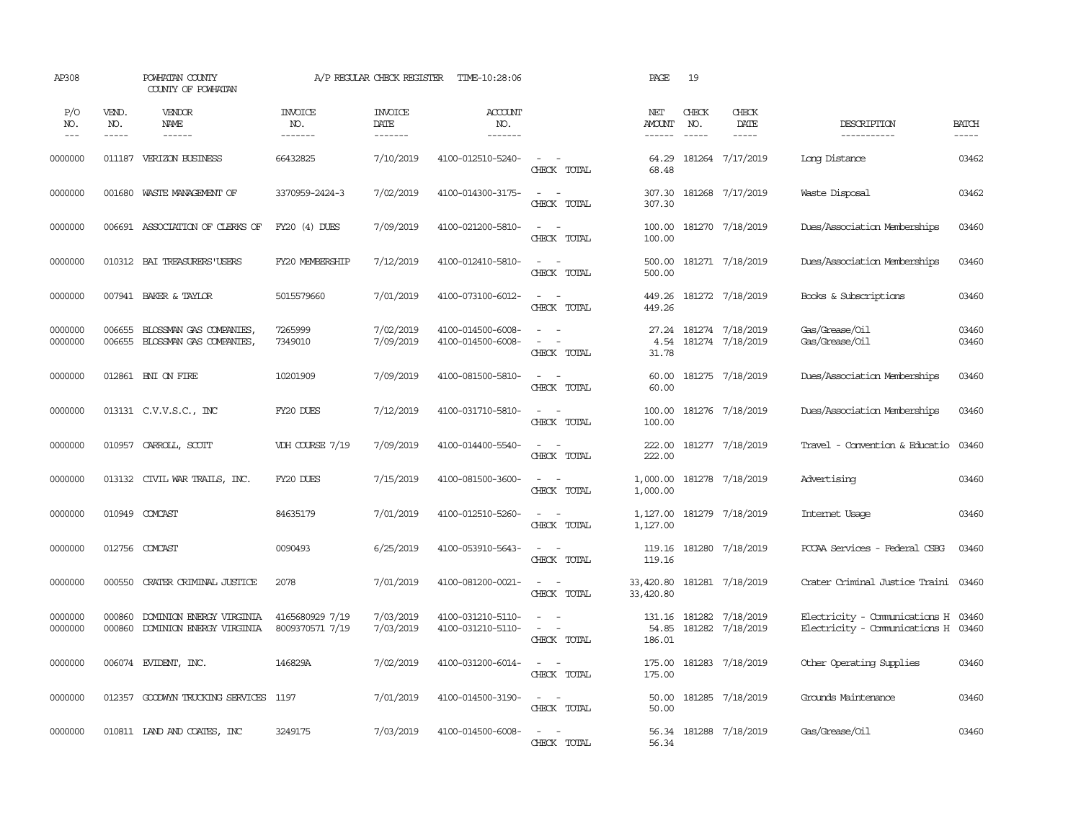| AP308              |                  | POWHATAN COUNTY<br>COUNTY OF POWHATAN                |                                    | A/P REGULAR CHECK REGISTER | TIME-10:28:06                          |                                                                       | PAGE                      | 19                  |                                      |                                                                |                |
|--------------------|------------------|------------------------------------------------------|------------------------------------|----------------------------|----------------------------------------|-----------------------------------------------------------------------|---------------------------|---------------------|--------------------------------------|----------------------------------------------------------------|----------------|
| P/O<br>NO.         | VEND.<br>NO.     | VENDOR<br>NAME                                       | <b>INVOICE</b><br>NO.              | <b>INVOICE</b><br>DATE     | ACCOUNT<br>NO.                         |                                                                       | NET<br><b>AMOUNT</b>      | <b>CHECK</b><br>NO. | CHECK<br>DATE                        | DESCRIPTION                                                    | <b>BATCH</b>   |
| $---$              | $- - - - -$      | ------                                               | -------                            | $- - - - - - -$            | -------                                |                                                                       | $- - - - - -$             | $\frac{1}{2}$       | $- - - - -$                          | ------------                                                   | $\cdots$       |
| 0000000            |                  | 011187 VERIZON BUSINESS                              | 66432825                           | 7/10/2019                  | 4100-012510-5240-                      | $\sim$ $ \sim$<br>CHECK TOTAL                                         | 64.29<br>68.48            |                     | 181264 7/17/2019                     | Long Distance                                                  | 03462          |
| 0000000            | 001680           | WASTE MANAGEMENT OF                                  | 3370959-2424-3                     | 7/02/2019                  | 4100-014300-3175-                      | $\sim$<br>$\sim$<br>CHECK TOTAL                                       | 307.30<br>307.30          |                     | 181268 7/17/2019                     | Waste Disposal                                                 | 03462          |
| 0000000            |                  | 006691 ASSOCIATION OF CLERKS OF                      | $FY20(4)$ DUES                     | 7/09/2019                  | 4100-021200-5810-                      | $\sim$<br>$\equiv$<br>CHECK TOTAL                                     | 100.00<br>100.00          |                     | 181270 7/18/2019                     | Dues/Association Memberships                                   | 03460          |
| 0000000            |                  | 010312 BAI TREASURERS USERS                          | FY20 MEMBERSHIP                    | 7/12/2019                  | 4100-012410-5810-                      | $\sim$<br>$\overline{\phantom{a}}$<br>CHECK TOTAL                     | 500.00<br>500.00          |                     | 181271 7/18/2019                     | Dues/Association Memberships                                   | 03460          |
| 0000000            |                  | 007941 BAKER & TAYLOR                                | 5015579660                         | 7/01/2019                  | 4100-073100-6012-                      | $\sim$<br>$\sim$<br>CHECK TOTAL                                       | 449.26<br>449.26          |                     | 181272 7/18/2019                     | Books & Subscriptions                                          | 03460          |
| 0000000<br>0000000 | 006655<br>006655 | BLOSSMAN GAS COMPANIES,<br>BLOSSMAN GAS COMPANIES,   | 7265999<br>7349010                 | 7/02/2019<br>7/09/2019     | 4100-014500-6008-<br>4100-014500-6008- | $\overline{\phantom{a}}$<br>$\sim$<br>$\sim$<br>$\sim$<br>CHECK TOTAL | 27.24<br>4.54<br>31.78    |                     | 181274 7/18/2019<br>181274 7/18/2019 | Gas/Grease/Oil<br>Gas/Grease/Oil                               | 03460<br>03460 |
| 0000000            |                  | 012861 BNI ON FIRE                                   | 10201909                           | 7/09/2019                  | 4100-081500-5810-                      | $\sim$<br>$\sim$<br>CHECK TOTAL                                       | 60.00<br>60.00            |                     | 181275 7/18/2019                     | Dues/Association Memberships                                   | 03460          |
| 0000000            |                  | 013131 C.V.V.S.C., INC                               | FY20 DUES                          | 7/12/2019                  | 4100-031710-5810-                      | $\omega_{\rm{max}}$ and $\omega_{\rm{max}}$<br>CHECK TOTAL            | 100.00<br>100.00          |                     | 181276 7/18/2019                     | Dues/Association Memberships                                   | 03460          |
| 0000000            | 010957           | CARROLL, SCOTT                                       | VDH COURSE 7/19                    | 7/09/2019                  | 4100-014400-5540-                      | $\sim$ $\sim$<br>CHECK TOTAL                                          | 222.00<br>222.00          |                     | 181277 7/18/2019                     | Travel - Convention & Educatio                                 | 03460          |
| 0000000            | 013132           | CIVIL WAR TRAILS, INC.                               | FY20 DUES                          | 7/15/2019                  | 4100-081500-3600-                      | $\sim$ 100 $\sim$<br>CHECK TOTAL                                      | 1,000.00<br>1,000.00      |                     | 181278 7/18/2019                     | Advertising                                                    | 03460          |
| 0000000            | 010949           | COMCAST                                              | 84635179                           | 7/01/2019                  | 4100-012510-5260-                      | $\sim$<br>$\overline{\phantom{a}}$<br>CHECK TOTAL                     | 1,127.00<br>1,127.00      |                     | 181279 7/18/2019                     | Internet Usage                                                 | 03460          |
| 0000000            | 012756           | COMCAST                                              | 0090493                            | 6/25/2019                  | 4100-053910-5643-                      | $\sim$<br>$\sim$<br>CHECK TOTAL                                       | 119.16<br>119.16          |                     | 181280 7/18/2019                     | PCCAA Services - Federal CSBG                                  | 03460          |
| 0000000            | 000550           | CRATER CRIMINAL JUSTICE                              | 2078                               | 7/01/2019                  | 4100-081200-0021-                      | $\sim$ $ \sim$<br>CHECK TOTAL                                         | 33,420.80<br>33,420.80    |                     | 181281 7/18/2019                     | Crater Criminal Justice Traini                                 | 03460          |
| 0000000<br>0000000 | 000860<br>000860 | DOMINION ENERGY VIRGINIA<br>DOMINION ENERGY VIRGINIA | 4165680929 7/19<br>8009370571 7/19 | 7/03/2019<br>7/03/2019     | 4100-031210-5110-<br>4100-031210-5110- | $\sim$<br>$\sim$<br>$\sim$<br>$\sim$ $-$<br>CHECK TOTAL               | 131.16<br>54.85<br>186.01 | 181282<br>181282    | 7/18/2019<br>7/18/2019               | Electricity - Comunications H<br>Electricity - Comunications H | 03460<br>03460 |
| 0000000            |                  | 006074 EVIDENT, INC.                                 | 146829A                            | 7/02/2019                  | 4100-031200-6014-                      | $\sim$<br>$\equiv$<br>CHECK TOTAL                                     | 175.00<br>175.00          |                     | 181283 7/18/2019                     | Other Operating Supplies                                       | 03460          |
| 0000000            |                  | 012357 GOODWYN TRUCKING SERVICES 1197                |                                    | 7/01/2019                  | 4100-014500-3190-                      | $\sim$ $ \sim$<br>CHECK TOTAL                                         | 50.00<br>50.00            |                     | 181285 7/18/2019                     | Grounds Maintenance                                            | 03460          |
| 0000000            |                  | 010811 LAND AND COATES, INC                          | 3249175                            | 7/03/2019                  | 4100-014500-6008-                      | $\sim$<br>$\sim$<br>CHECK TOTAL                                       | 56.34<br>56.34            |                     | 181288 7/18/2019                     | Gas/Grease/Oil                                                 | 03460          |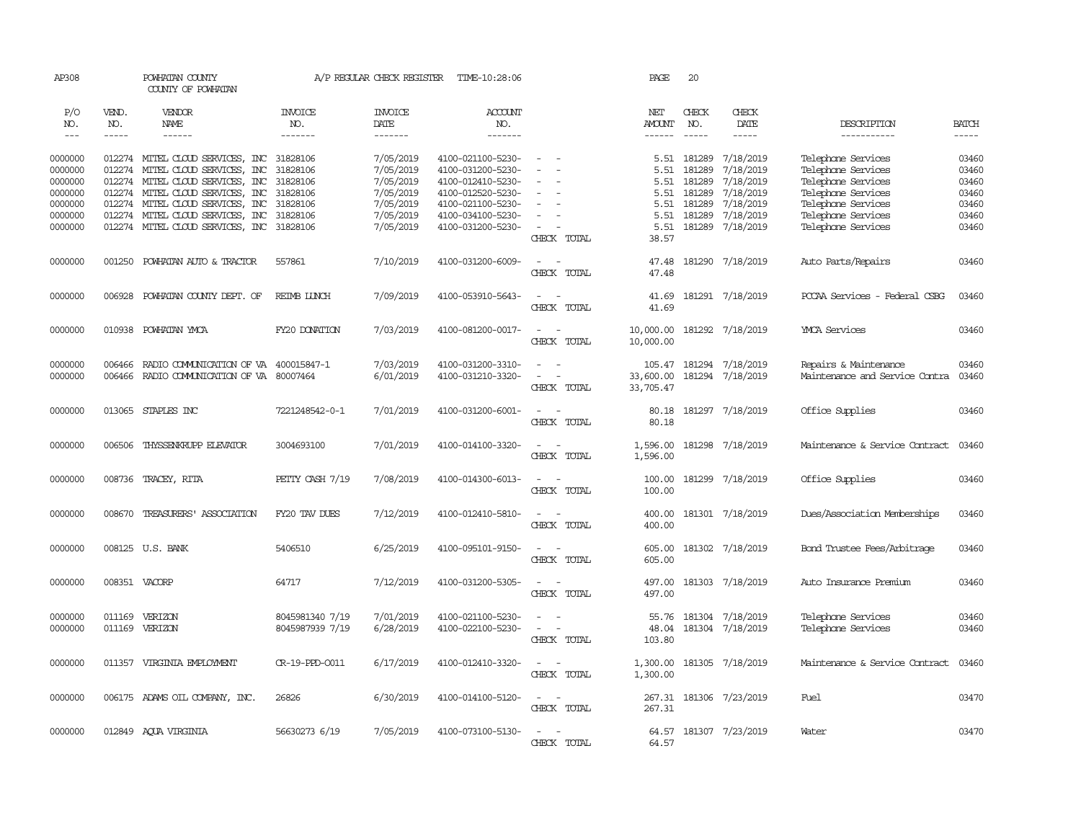| AP308               |              | POWHATAN COUNTY<br>COUNTY OF POWHATAN     |                       | A/P REGULAR CHECK REGISTER | TIME-10:28:06     |                                    | PAGE           | 20                                                                                                                                                                                                                                                                                                                                                                                           |                         |                                |              |
|---------------------|--------------|-------------------------------------------|-----------------------|----------------------------|-------------------|------------------------------------|----------------|----------------------------------------------------------------------------------------------------------------------------------------------------------------------------------------------------------------------------------------------------------------------------------------------------------------------------------------------------------------------------------------------|-------------------------|--------------------------------|--------------|
| P/O<br>NO.          | VEND.<br>NO. | VENDOR<br>NAME                            | <b>INVOICE</b><br>NO. | <b>INVOICE</b><br>DATE     | ACCOUNT<br>NO.    |                                    | NET<br>AMOUNT  | CHECK<br>NO.                                                                                                                                                                                                                                                                                                                                                                                 | CHECK<br>DATE           | DESCRIPTION                    | <b>BATCH</b> |
| $\qquad \qquad - -$ | -----        | ------                                    | -------               | -------                    | -------           |                                    | ------         | $\frac{1}{2} \frac{1}{2} \frac{1}{2} \frac{1}{2} \frac{1}{2} \frac{1}{2} \frac{1}{2} \frac{1}{2} \frac{1}{2} \frac{1}{2} \frac{1}{2} \frac{1}{2} \frac{1}{2} \frac{1}{2} \frac{1}{2} \frac{1}{2} \frac{1}{2} \frac{1}{2} \frac{1}{2} \frac{1}{2} \frac{1}{2} \frac{1}{2} \frac{1}{2} \frac{1}{2} \frac{1}{2} \frac{1}{2} \frac{1}{2} \frac{1}{2} \frac{1}{2} \frac{1}{2} \frac{1}{2} \frac{$ | $- - - - -$             | -----------                    | -----        |
| 0000000             |              | 012274 MITEL CLOUD SERVICES, INC          | 31828106              | 7/05/2019                  | 4100-021100-5230- | $\equiv$                           | 5.51           | 181289                                                                                                                                                                                                                                                                                                                                                                                       | 7/18/2019               | Telephone Services             | 03460        |
| 0000000             |              | 012274 MITEL CLOUD SERVICES, INC          | 31828106              | 7/05/2019                  | 4100-031200-5230- | $\equiv$                           | 5.51           | 181289                                                                                                                                                                                                                                                                                                                                                                                       | 7/18/2019               | Telephone Services             | 03460        |
|                     |              |                                           |                       |                            |                   | $\equiv$                           |                |                                                                                                                                                                                                                                                                                                                                                                                              |                         |                                |              |
| 0000000             |              | 012274 MITEL CLOUD SERVICES, INC          | 31828106              | 7/05/2019                  | 4100-012410-5230- |                                    | 5.51           | 181289                                                                                                                                                                                                                                                                                                                                                                                       | 7/18/2019               | Telephone Services             | 03460        |
| 0000000             |              | 012274 MITEL CLOUD SERVICES, INC          | 31828106              | 7/05/2019                  | 4100-012520-5230- |                                    | 5.51           | 181289                                                                                                                                                                                                                                                                                                                                                                                       | 7/18/2019               | Telephone Services             | 03460        |
| 0000000             |              | 012274 MITEL CLOUD SERVICES, INC 31828106 |                       | 7/05/2019                  | 4100-021100-5230- | $\sim$                             | 5.51           | 181289                                                                                                                                                                                                                                                                                                                                                                                       | 7/18/2019               | Telephone Services             | 03460        |
| 0000000             |              | 012274 MITEL CLOUD SERVICES, INC          | 31828106              | 7/05/2019                  | 4100-034100-5230- | $\equiv$                           | 5.51           | 181289                                                                                                                                                                                                                                                                                                                                                                                       | 7/18/2019               | Telephone Services             | 03460        |
| 0000000             |              | 012274 MITEL CLOUD SERVICES, INC 31828106 |                       | 7/05/2019                  | 4100-031200-5230- | $\sim$<br>$\overline{\phantom{a}}$ | 5.51           |                                                                                                                                                                                                                                                                                                                                                                                              | 181289 7/18/2019        | Telephone Services             | 03460        |
|                     |              |                                           |                       |                            |                   | CHECK TOTAL                        | 38.57          |                                                                                                                                                                                                                                                                                                                                                                                              |                         |                                |              |
| 0000000             | 001250       | POWHATAN AUTO & TRACTOR                   | 557861                | 7/10/2019                  | 4100-031200-6009- | $\overline{\phantom{a}}$<br>$\sim$ | 47.48          |                                                                                                                                                                                                                                                                                                                                                                                              | 181290 7/18/2019        | Auto Parts/Repairs             | 03460        |
|                     |              |                                           |                       |                            |                   | CHECK TOTAL                        | 47.48          |                                                                                                                                                                                                                                                                                                                                                                                              |                         |                                |              |
| 0000000             | 006928       | POWHATAN COUNTY DEPT. OF                  | <b>REIMB LUNCH</b>    | 7/09/2019                  | 4100-053910-5643- | $\sim$<br>$\sim$                   | 41.69          |                                                                                                                                                                                                                                                                                                                                                                                              | 181291 7/18/2019        | PCCAA Services - Federal CSBG  | 03460        |
|                     |              |                                           |                       |                            |                   | CHECK TOTAL                        | 41.69          |                                                                                                                                                                                                                                                                                                                                                                                              |                         |                                |              |
| 0000000             |              | 010938 POWHATAN YMCA                      | FY20 DONATION         | 7/03/2019                  | 4100-081200-0017- | $\overline{\phantom{0}}$<br>$\sim$ | 10,000.00      |                                                                                                                                                                                                                                                                                                                                                                                              | 181292 7/18/2019        | <b>YMCA</b> Services           | 03460        |
|                     |              |                                           |                       |                            |                   | CHECK TOTAL                        | 10,000.00      |                                                                                                                                                                                                                                                                                                                                                                                              |                         |                                |              |
|                     |              |                                           |                       |                            |                   |                                    |                |                                                                                                                                                                                                                                                                                                                                                                                              |                         |                                |              |
| 0000000             | 006466       | RADIO COMMUNICATION OF VA                 | 400015847-1           | 7/03/2019                  | 4100-031200-3310- | $\equiv$                           | 105.47         |                                                                                                                                                                                                                                                                                                                                                                                              | 181294 7/18/2019        | Repairs & Maintenance          | 03460        |
| 0000000             | 006466       | RADIO COMMUNICATION OF VA 80007464        |                       | 6/01/2019                  | 4100-031210-3320- | $\overline{\phantom{a}}$<br>$\sim$ | 33,600.00      |                                                                                                                                                                                                                                                                                                                                                                                              | 181294 7/18/2019        | Maintenance and Service Contra | 03460        |
|                     |              |                                           |                       |                            |                   | CHECK TOTAL                        | 33,705.47      |                                                                                                                                                                                                                                                                                                                                                                                              |                         |                                |              |
| 0000000             |              | 013065 STAPLES INC                        | 7221248542-0-1        | 7/01/2019                  | 4100-031200-6001- | $\sim$ $ \sim$                     | 80.18          |                                                                                                                                                                                                                                                                                                                                                                                              | 181297 7/18/2019        | Office Supplies                | 03460        |
|                     |              |                                           |                       |                            |                   | CHECK TOTAL                        | 80.18          |                                                                                                                                                                                                                                                                                                                                                                                              |                         |                                |              |
|                     |              |                                           |                       |                            |                   |                                    |                |                                                                                                                                                                                                                                                                                                                                                                                              |                         |                                |              |
| 0000000             | 006506       | THYSSENKRUPP ELEVATOR                     | 3004693100            | 7/01/2019                  | 4100-014100-3320- | $\sim$ $ \sim$                     | 1,596.00       |                                                                                                                                                                                                                                                                                                                                                                                              | 181298 7/18/2019        | Maintenance & Service Contract | 03460        |
|                     |              |                                           |                       |                            |                   | CHECK TOTAL                        | 1,596.00       |                                                                                                                                                                                                                                                                                                                                                                                              |                         |                                |              |
| 0000000             |              | 008736 TRACEY, RITA                       | PETTY CASH 7/19       | 7/08/2019                  | 4100-014300-6013- | $\sim$ $ \sim$                     | 100.00         |                                                                                                                                                                                                                                                                                                                                                                                              | 181299 7/18/2019        | Office Supplies                | 03460        |
|                     |              |                                           |                       |                            |                   | CHECK TOTAL                        | 100.00         |                                                                                                                                                                                                                                                                                                                                                                                              |                         |                                |              |
|                     |              |                                           |                       |                            |                   |                                    |                |                                                                                                                                                                                                                                                                                                                                                                                              |                         |                                |              |
| 0000000             | 008670       | TREASURERS' ASSOCIATION                   | FY20 TAV DUES         | 7/12/2019                  | 4100-012410-5810- | $\overline{\phantom{a}}$           | 400.00         |                                                                                                                                                                                                                                                                                                                                                                                              | 181301 7/18/2019        | Dues/Association Memberships   | 03460        |
|                     |              |                                           |                       |                            |                   | CHECK TOTAL                        | 400.00         |                                                                                                                                                                                                                                                                                                                                                                                              |                         |                                |              |
| 0000000             |              | 008125 U.S. BANK                          | 5406510               | 6/25/2019                  | 4100-095101-9150- | $\sim$<br>$\sim$                   | 605.00         |                                                                                                                                                                                                                                                                                                                                                                                              | 181302 7/18/2019        | Bond Trustee Fees/Arbitrage    | 03460        |
|                     |              |                                           |                       |                            |                   | CHECK TOTAL                        | 605.00         |                                                                                                                                                                                                                                                                                                                                                                                              |                         |                                |              |
|                     |              |                                           |                       |                            |                   |                                    |                |                                                                                                                                                                                                                                                                                                                                                                                              |                         |                                |              |
| 0000000             |              | 008351 VACORP                             | 64717                 | 7/12/2019                  | 4100-031200-5305- | $\sim$<br>$\sim$                   | 497.00         |                                                                                                                                                                                                                                                                                                                                                                                              | 181303 7/18/2019        | Auto Insurance Premium         | 03460        |
|                     |              |                                           |                       |                            |                   | CHECK TOTAL                        | 497.00         |                                                                                                                                                                                                                                                                                                                                                                                              |                         |                                |              |
|                     |              |                                           |                       |                            |                   |                                    |                |                                                                                                                                                                                                                                                                                                                                                                                              |                         |                                |              |
| 0000000             | 011169       | VERIZON                                   | 8045981340 7/19       | 7/01/2019                  | 4100-021100-5230- | $\equiv$<br>$\sim$<br>$\sim$ $-$   | 55.76          |                                                                                                                                                                                                                                                                                                                                                                                              | 181304 7/18/2019        | Telephone Services             | 03460        |
| 0000000             | 011169       | VERIZON                                   | 8045987939 7/19       | 6/28/2019                  | 4100-022100-5230- |                                    | 48.04          |                                                                                                                                                                                                                                                                                                                                                                                              | 181304 7/18/2019        | Telephone Services             | 03460        |
|                     |              |                                           |                       |                            |                   | CHECK TOTAL                        | 103.80         |                                                                                                                                                                                                                                                                                                                                                                                              |                         |                                |              |
| 0000000             |              | 011357 VIRGINIA EMPLOYMENT                | CR-19-PPD-0011        | 6/17/2019                  | 4100-012410-3320- | $\sim$ $ \sim$                     | 1,300.00       |                                                                                                                                                                                                                                                                                                                                                                                              | 181305 7/18/2019        | Maintenance & Service Contract | 03460        |
|                     |              |                                           |                       |                            |                   | CHECK TOTAL                        | 1,300.00       |                                                                                                                                                                                                                                                                                                                                                                                              |                         |                                |              |
|                     |              |                                           |                       |                            |                   |                                    |                |                                                                                                                                                                                                                                                                                                                                                                                              |                         |                                |              |
| 0000000             |              | 006175 ADAMS OIL COMPANY, INC.            | 26826                 | 6/30/2019                  | 4100-014100-5120- | $\sim$<br>$\sim$                   |                |                                                                                                                                                                                                                                                                                                                                                                                              | 267.31 181306 7/23/2019 | Fuel                           | 03470        |
|                     |              |                                           |                       |                            |                   | CHECK TOTAL                        | 267.31         |                                                                                                                                                                                                                                                                                                                                                                                              |                         |                                |              |
|                     |              |                                           |                       |                            |                   |                                    |                |                                                                                                                                                                                                                                                                                                                                                                                              |                         |                                |              |
| 0000000             |              | 012849 ACUA VIRGINIA                      | 56630273 6/19         | 7/05/2019                  | 4100-073100-5130- | $\sim$<br>$\sim$<br>CHECK TOTAL    | 64.57<br>64.57 |                                                                                                                                                                                                                                                                                                                                                                                              | 181307 7/23/2019        | Water                          | 03470        |
|                     |              |                                           |                       |                            |                   |                                    |                |                                                                                                                                                                                                                                                                                                                                                                                              |                         |                                |              |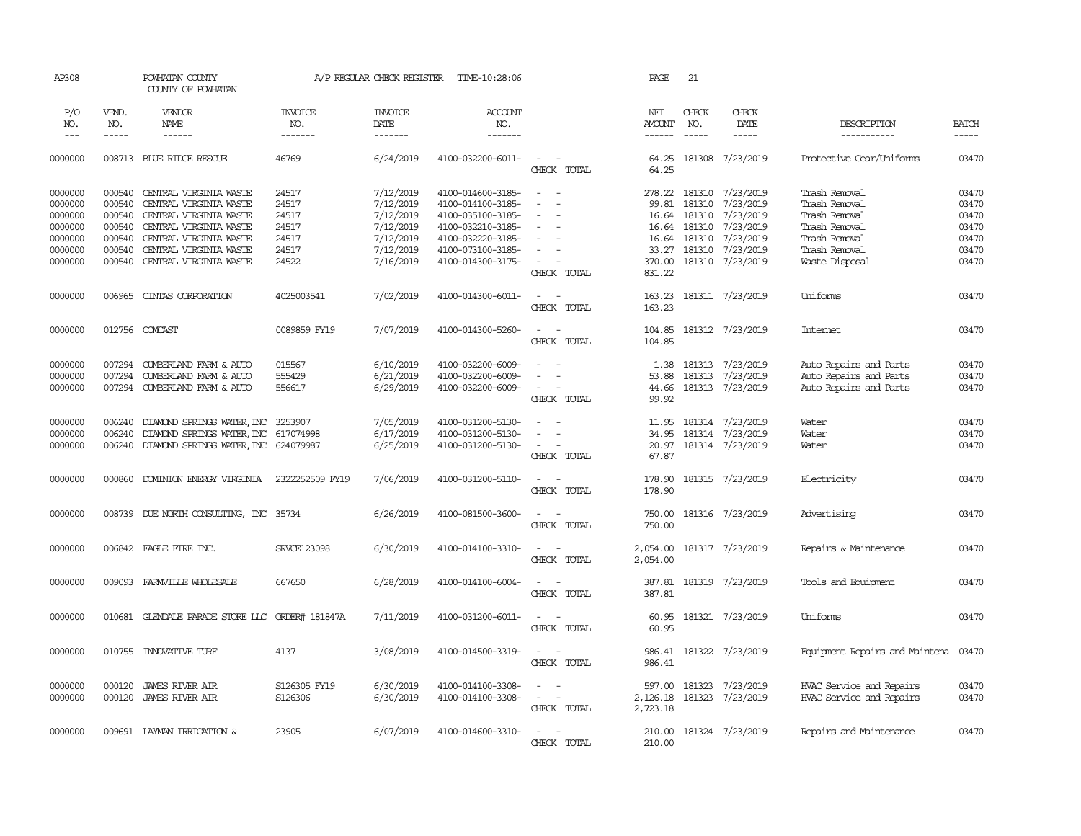| AP308      |              | POWHATAN COUNTY<br>COUNTY OF POWHATAN           |                       | A/P REGULAR CHECK REGISTER | TIME-10:28:06     |                                                      | PAGE          | 21            |                            |                                |              |
|------------|--------------|-------------------------------------------------|-----------------------|----------------------------|-------------------|------------------------------------------------------|---------------|---------------|----------------------------|--------------------------------|--------------|
| P/O<br>NO. | VEND.<br>NO. | VENDOR<br><b>NAME</b>                           | <b>INVOICE</b><br>NO. | <b>INVOICE</b><br>DATE     | ACCOUNT<br>NO.    |                                                      | NET<br>AMOUNT | CHECK<br>NO.  | CHECK<br>DATE              | DESCRIPTION                    | <b>BATCH</b> |
| $---$      | $- - - - -$  | $- - - - - -$                                   | -------               | -------                    | $- - - - - - -$   |                                                      | $- - - - - -$ | $\frac{1}{2}$ | -----                      | -----------                    | $- - - - -$  |
| 0000000    |              | 008713 BLUE RIDGE RESCUE                        | 46769                 | 6/24/2019                  | 4100-032200-6011- | $\sim$ $ \sim$<br>CHECK TOTAL                        | 64.25         |               | 64.25 181308 7/23/2019     | Protective Gear/Uniforms       | 03470        |
| 0000000    | 000540       | CENTRAL VIRGINIA WASTE                          | 24517                 | 7/12/2019                  | 4100-014600-3185- | $\sim$<br>$\sim$                                     |               |               | 278.22 181310 7/23/2019    | Trash Removal                  | 03470        |
| 0000000    | 000540       | CENTRAL VIRGINIA WASTE                          | 24517                 | 7/12/2019                  | 4100-014100-3185- | $\overline{\phantom{a}}$<br>$\overline{\phantom{a}}$ | 99.81         |               | 181310 7/23/2019           | Trash Removal                  | 03470        |
| 0000000    | 000540       | CENTRAL VIRGINIA WASTE                          | 24517                 | 7/12/2019                  | 4100-035100-3185- |                                                      | 16.64         |               | 181310 7/23/2019           | Trash Removal                  | 03470        |
| 0000000    | 000540       | CENTRAL VIRGINIA WASTE                          | 24517                 | 7/12/2019                  | 4100-032210-3185- |                                                      |               |               | 16.64 181310 7/23/2019     | Trash Removal                  | 03470        |
| 0000000    | 000540       | CENTRAL VIRGINIA WASTE                          | 24517                 | 7/12/2019                  | 4100-032220-3185- | $\equiv$                                             |               |               | 16.64 181310 7/23/2019     | Trash Removal                  | 03470        |
| 0000000    | 000540       | CENTRAL VIRGINIA WASTE                          | 24517                 | 7/12/2019                  | 4100-073100-3185- |                                                      | 33.27         | 181310        | 7/23/2019                  | Trash Removal                  | 03470        |
| 0000000    | 000540       | CENTRAL VIRGINIA WASTE                          | 24522                 | 7/16/2019                  | 4100-014300-3175- | $\sim$                                               | 370.00        |               | 181310 7/23/2019           | Waste Disposal                 | 03470        |
|            |              |                                                 |                       |                            |                   | CHECK TOTAL                                          | 831.22        |               |                            |                                |              |
| 0000000    | 006965       | CINIAS CORPORATION                              | 4025003541            | 7/02/2019                  | 4100-014300-6011- | $\overline{\phantom{a}}$<br>$\sim$                   | 163.23        |               | 181311 7/23/2019           | Uniforms                       | 03470        |
|            |              |                                                 |                       |                            |                   | CHECK TOTAL                                          | 163.23        |               |                            |                                |              |
| 0000000    | 012756       | COMCAST                                         | 0089859 FY19          | 7/07/2019                  | 4100-014300-5260- | $\sim$<br>$\sim$                                     | 104.85        |               | 181312 7/23/2019           | <b>Internet</b>                | 03470        |
|            |              |                                                 |                       |                            |                   | CHECK TOTAL                                          | 104.85        |               |                            |                                |              |
| 0000000    | 007294       | CUMBERLAND FARM & AUTO                          | 015567                | 6/10/2019                  | 4100-032200-6009- |                                                      | 1.38          |               | 181313 7/23/2019           | Auto Repairs and Parts         | 03470        |
| 0000000    | 007294       | CUMBERLAND FARM & AUTO                          | 555429                | 6/21/2019                  | 4100-032200-6009- |                                                      | 53.88         |               | 181313 7/23/2019           | Auto Repairs and Parts         | 03470        |
| 0000000    | 007294       | CUMBERLAND FARM & AUTO                          | 556617                | 6/29/2019                  | 4100-032200-6009- | $\sim$ $ \sim$                                       | 44.66         |               | 181313 7/23/2019           | Auto Repairs and Parts         | 03470        |
|            |              |                                                 |                       |                            |                   | CHECK TOTAL                                          | 99.92         |               |                            |                                |              |
| 0000000    | 006240       | DIAMOND SPRINGS WATER, INC                      | 3253907               | 7/05/2019                  | 4100-031200-5130- | $\overline{\phantom{a}}$                             | 11.95         |               | 181314 7/23/2019           | Water                          | 03470        |
| 0000000    | 006240       | DIAMOND SPRINGS WATER, INC 617074998            |                       | 6/17/2019                  | 4100-031200-5130- |                                                      | 34.95         |               | 181314 7/23/2019           | Water                          | 03470        |
| 0000000    | 006240       | DIAMOND SPRINGS WATER, INC 624079987            |                       | 6/25/2019                  | 4100-031200-5130- | $\sim$<br>CHECK TOTAL                                | 67.87         |               | 20.97 181314 7/23/2019     | Water                          | 03470        |
|            |              |                                                 |                       |                            |                   |                                                      |               |               |                            |                                |              |
| 0000000    | 000860       | DOMINION ENERGY VIRGINIA                        | 2322252509 FY19       | 7/06/2019                  | 4100-031200-5110- | $\sim$ $-$<br>$\sim$                                 | 178.90        |               | 181315 7/23/2019           | Electricity                    | 03470        |
|            |              |                                                 |                       |                            |                   | CHECK TOTAL                                          | 178.90        |               |                            |                                |              |
| 0000000    |              | 008739 DUE NORTH CONSULTING, INC 35734          |                       | 6/26/2019                  | 4100-081500-3600- | $\sim$                                               | 750.00        |               | 181316 7/23/2019           | Advertising                    | 03470        |
|            |              |                                                 |                       |                            |                   | CHECK TOTAL                                          | 750.00        |               |                            |                                |              |
| 0000000    |              | 006842 EAGLE FIRE INC.                          | <b>SRVCE123098</b>    | 6/30/2019                  | 4100-014100-3310- | $\sim$ $\sim$                                        | 2,054.00      |               | 181317 7/23/2019           | Repairs & Maintenance          | 03470        |
|            |              |                                                 |                       |                            |                   | CHECK TOTAL                                          | 2,054.00      |               |                            |                                |              |
| 0000000    | 009093       | FARMVILLE WHOLESALE                             | 667650                | 6/28/2019                  | 4100-014100-6004- | $\overline{\phantom{a}}$<br>$\sim$                   | 387.81        |               | 181319 7/23/2019           | Tools and Equipment            | 03470        |
|            |              |                                                 |                       |                            |                   | CHECK TOTAL                                          | 387.81        |               |                            |                                |              |
| 0000000    |              | 010681 GLENDALE PARADE STORE LLC ORDER# 181847A |                       | 7/11/2019                  | 4100-031200-6011- | $\overline{\phantom{a}}$                             | 60.95         |               | 181321 7/23/2019           | Uniforms                       | 03470        |
|            |              |                                                 |                       |                            |                   | CHECK TOTAL                                          | 60.95         |               |                            |                                |              |
| 0000000    | 010755       | INNOVATIVE TURF                                 | 4137                  | 3/08/2019                  | 4100-014500-3319- | $\sim$ $ \sim$                                       |               |               | 986.41 181322 7/23/2019    | Equipment Repairs and Maintena | 03470        |
|            |              |                                                 |                       |                            |                   | CHECK TOTAL                                          | 986.41        |               |                            |                                |              |
| 0000000    | 000120       | JAMES RIVER AIR                                 | S126305 FY19          | 6/30/2019                  | 4100-014100-3308- | $\overline{\phantom{a}}$                             |               |               | 597.00 181323 7/23/2019    | HVAC Service and Repairs       | 03470        |
| 0000000    | 000120       | <b>JAMES RIVER AIR</b>                          | S126306               | 6/30/2019                  | 4100-014100-3308- | $\sim$ $ -$                                          |               |               | 2, 126.18 181323 7/23/2019 | HVAC Service and Repairs       | 03470        |
|            |              |                                                 |                       |                            |                   | CHECK TOTAL                                          | 2,723.18      |               |                            |                                |              |
| 0000000    |              | 009691 LAYMAN IRRIGATION &                      | 23905                 | 6/07/2019                  | 4100-014600-3310- | $\overline{\phantom{a}}$                             |               |               | 210.00 181324 7/23/2019    | Repairs and Maintenance        | 03470        |
|            |              |                                                 |                       |                            |                   | CHECK TOTAL                                          | 210.00        |               |                            |                                |              |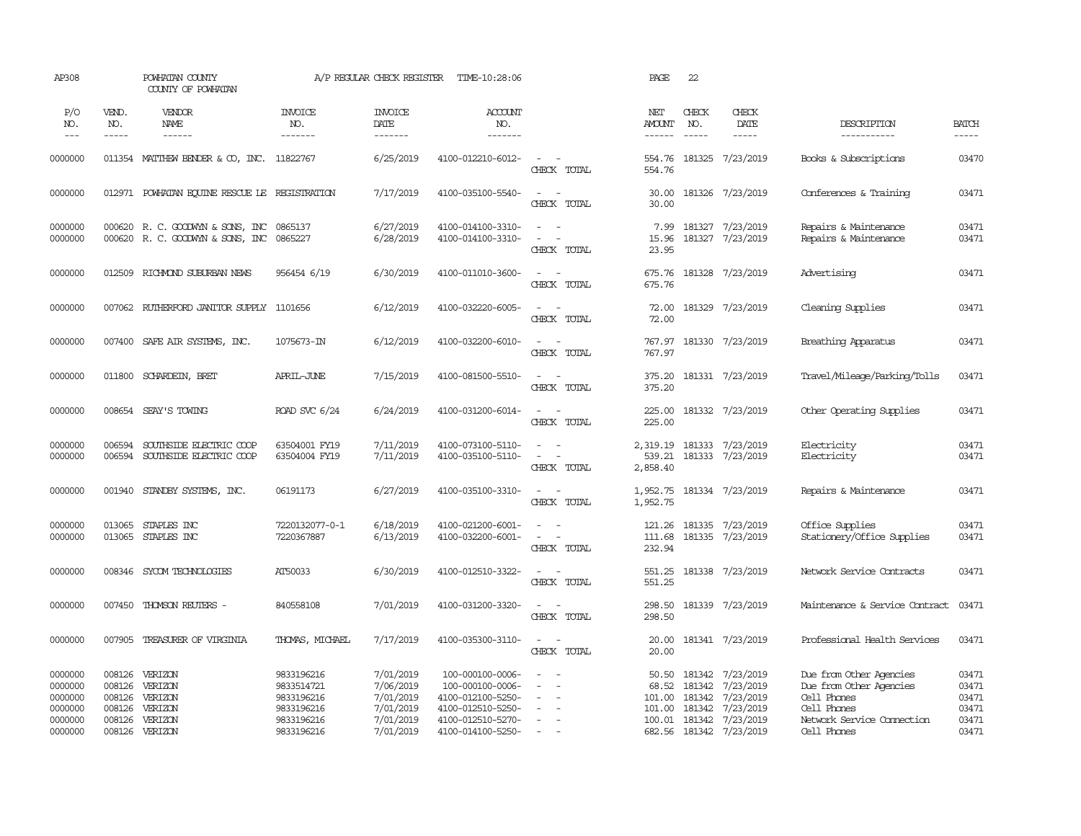| AP308                                                          |                                                          | POWHATAN COUNTY<br>COUNTY OF POWHATAN                          |                                                                                  | A/P REGULAR CHECK REGISTER                                                 | TIME-10:28:06                                                                                                            |                                                                                                                                                              | PAGE                                          | 22                          |                                                                                                       |                                                                                                                               |                                                    |
|----------------------------------------------------------------|----------------------------------------------------------|----------------------------------------------------------------|----------------------------------------------------------------------------------|----------------------------------------------------------------------------|--------------------------------------------------------------------------------------------------------------------------|--------------------------------------------------------------------------------------------------------------------------------------------------------------|-----------------------------------------------|-----------------------------|-------------------------------------------------------------------------------------------------------|-------------------------------------------------------------------------------------------------------------------------------|----------------------------------------------------|
| P/O<br>NO.<br>$---$                                            | VEND.<br>NO.<br>$- - - - -$                              | VENDOR<br>NAME<br>$- - - - - -$                                | <b>INVOICE</b><br>NO.<br>-------                                                 | <b>INVOICE</b><br>DATE<br>-------                                          | <b>ACCOUNT</b><br>NO.<br>-------                                                                                         |                                                                                                                                                              | NET<br><b>AMOUNT</b><br>------                | CHECK<br>NO.<br>$- - - - -$ | CHECK<br>DATE<br>$- - - - -$                                                                          | DESCRIPTION<br>-----------                                                                                                    | <b>BATCH</b><br>$\cdots$                           |
| 0000000                                                        |                                                          | 011354 MATTHEW BENDER & CO, INC. 11822767                      |                                                                                  | 6/25/2019                                                                  | 4100-012210-6012-                                                                                                        | $\sim$<br>$\sim$<br>CHECK TOTAL                                                                                                                              | 554.76<br>554.76                              |                             | 181325 7/23/2019                                                                                      | Books & Subscriptions                                                                                                         | 03470                                              |
| 0000000                                                        |                                                          | 012971 POWHATAN EQUINE RESCUE LE REGISTRATION                  |                                                                                  | 7/17/2019                                                                  | 4100-035100-5540-                                                                                                        | $\sim$<br>$\sim$<br>CHECK TOTAL                                                                                                                              | 30.00<br>30.00                                |                             | 181326 7/23/2019                                                                                      | Conferences & Training                                                                                                        | 03471                                              |
| 0000000<br>0000000                                             | 000620                                                   | 000620 R. C. GOODWYN & SONS, INC<br>R. C. GOODWIN & SONS, INC  | 0865137<br>0865227                                                               | 6/27/2019<br>6/28/2019                                                     | 4100-014100-3310-<br>4100-014100-3310-                                                                                   | $\omega_{\rm{max}}$ and $\omega_{\rm{max}}$<br>$\sim$<br>$\sim$<br>CHECK TOTAL                                                                               | 7.99<br>15.96<br>23.95                        |                             | 181327 7/23/2019<br>181327 7/23/2019                                                                  | Repairs & Maintenance<br>Repairs & Maintenance                                                                                | 03471<br>03471                                     |
| 0000000                                                        | 012509                                                   | RICHMOND SUBURBAN NEWS                                         | 956454 6/19                                                                      | 6/30/2019                                                                  | 4100-011010-3600-                                                                                                        | $\sim$<br>$\sim$<br>CHECK TOTAL                                                                                                                              | 675.76<br>675.76                              |                             | 181328 7/23/2019                                                                                      | Advertising                                                                                                                   | 03471                                              |
| 0000000                                                        |                                                          | 007062 RUIHERFORD JANITOR SUPPLY 1101656                       |                                                                                  | 6/12/2019                                                                  | 4100-032220-6005-                                                                                                        | $\overline{\phantom{a}}$<br>$\sim$<br>CHECK TOTAL                                                                                                            | 72.00<br>72.00                                |                             | 181329 7/23/2019                                                                                      | Cleaning Supplies                                                                                                             | 03471                                              |
| 0000000                                                        | 007400                                                   | SAFE AIR SYSTEMS, INC.                                         | 1075673-IN                                                                       | 6/12/2019                                                                  | 4100-032200-6010-                                                                                                        | $\sim$ $ \sim$<br>CHECK TOTAL                                                                                                                                | 767.97<br>767.97                              |                             | 181330 7/23/2019                                                                                      | Breathing Apparatus                                                                                                           | 03471                                              |
| 0000000                                                        | 011800                                                   | SCHARDEIN, BRET                                                | APRIL-JUNE                                                                       | 7/15/2019                                                                  | 4100-081500-5510-                                                                                                        | $\sim$ $ \sim$<br>CHECK TOTAL                                                                                                                                | 375.20<br>375.20                              |                             | 181331 7/23/2019                                                                                      | Travel/Mileage/Parking/Tolls                                                                                                  | 03471                                              |
| 0000000                                                        |                                                          | 008654 SEAY'S TOWING                                           | ROAD SVC 6/24                                                                    | 6/24/2019                                                                  | 4100-031200-6014-                                                                                                        | $\sim$ 100 $\sim$<br>CHECK TOTAL                                                                                                                             | 225.00<br>225.00                              |                             | 181332 7/23/2019                                                                                      | Other Operating Supplies                                                                                                      | 03471                                              |
| 0000000<br>0000000                                             | 006594<br>006594                                         | SOUTHSIDE ELECTRIC COOP<br>SOUTHSIDE ELECTRIC COOP             | 63504001 FY19<br>63504004 FY19                                                   | 7/11/2019<br>7/11/2019                                                     | 4100-073100-5110-<br>4100-035100-5110-                                                                                   | $\sim$<br>$\sim$<br>$\sim$<br>$\sim$<br>CHECK TOTAL                                                                                                          | 539.21<br>2,858.40                            |                             | 2,319.19 181333 7/23/2019<br>181333 7/23/2019                                                         | Electricity<br>Electricity                                                                                                    | 03471<br>03471                                     |
| 0000000                                                        | 001940                                                   | STANDBY SYSTEMS, INC.                                          | 06191173                                                                         | 6/27/2019                                                                  | 4100-035100-3310-                                                                                                        | $\sim$<br>$\sim$<br>CHECK TOTAL                                                                                                                              | 1,952.75                                      |                             | 1,952.75 181334 7/23/2019                                                                             | Repairs & Maintenance                                                                                                         | 03471                                              |
| 0000000<br>0000000                                             | 013065<br>013065                                         | STAPLES INC<br>STAPLES INC                                     | 7220132077-0-1<br>7220367887                                                     | 6/18/2019<br>6/13/2019                                                     | 4100-021200-6001-<br>4100-032200-6001-                                                                                   | $\overline{\phantom{a}}$<br>$\sim$<br>$\overline{\phantom{a}}$<br>CHECK TOTAL                                                                                | 121.26<br>111.68<br>232.94                    |                             | 181335 7/23/2019<br>181335 7/23/2019                                                                  | Office Supplies<br>Stationery/Office Supplies                                                                                 | 03471<br>03471                                     |
| 0000000                                                        | 008346                                                   | SYCOM TECHNOLOGIES                                             | AT50033                                                                          | 6/30/2019                                                                  | 4100-012510-3322-                                                                                                        | $\sim$<br>CHECK TOTAL                                                                                                                                        | 551.25<br>551.25                              |                             | 181338 7/23/2019                                                                                      | Network Service Contracts                                                                                                     | 03471                                              |
| 0000000                                                        | 007450                                                   | THOMSON REUTERS -                                              | 840558108                                                                        | 7/01/2019                                                                  | 4100-031200-3320-                                                                                                        | $\sim$<br>$\sim$<br>CHECK TOTAL                                                                                                                              | 298.50<br>298.50                              |                             | 181339 7/23/2019                                                                                      | Maintenance & Service Contract                                                                                                | 03471                                              |
| 0000000                                                        | 007905                                                   | TREASURER OF VIRGINIA                                          | THOMAS, MICHAEL                                                                  | 7/17/2019                                                                  | 4100-035300-3110-                                                                                                        | $\sim$<br>$\sim$ $-$<br>CHECK TOTAL                                                                                                                          | 20.00<br>20.00                                |                             | 181341 7/23/2019                                                                                      | Professional Health Services                                                                                                  | 03471                                              |
| 0000000<br>0000000<br>0000000<br>0000000<br>0000000<br>0000000 | 008126<br>008126<br>008126<br>008126<br>008126<br>008126 | VERIZON<br>VERIZON<br>VERIZON<br>VERIZON<br>VERIZON<br>VERIZON | 9833196216<br>9833514721<br>9833196216<br>9833196216<br>9833196216<br>9833196216 | 7/01/2019<br>7/06/2019<br>7/01/2019<br>7/01/2019<br>7/01/2019<br>7/01/2019 | 100-000100-0006-<br>100-000100-0006-<br>4100-012100-5250-<br>4100-012510-5250-<br>4100-012510-5270-<br>4100-014100-5250- | $\frac{1}{2} \left( \frac{1}{2} \right) \left( \frac{1}{2} \right) = \frac{1}{2} \left( \frac{1}{2} \right)$<br>$\sim$<br>$\sim$<br>$\overline{\phantom{a}}$ | 68.52<br>101.00<br>101.00<br>100.01<br>682.56 | 181342<br>181342<br>181342  | 50.50 181342 7/23/2019<br>7/23/2019<br>7/23/2019<br>7/23/2019<br>181342 7/23/2019<br>181342 7/23/2019 | Due from Other Agencies<br>Due from Other Agencies<br>Cell Phones<br>Cell Phones<br>Network Service Connection<br>Cell Phones | 03471<br>03471<br>03471<br>03471<br>03471<br>03471 |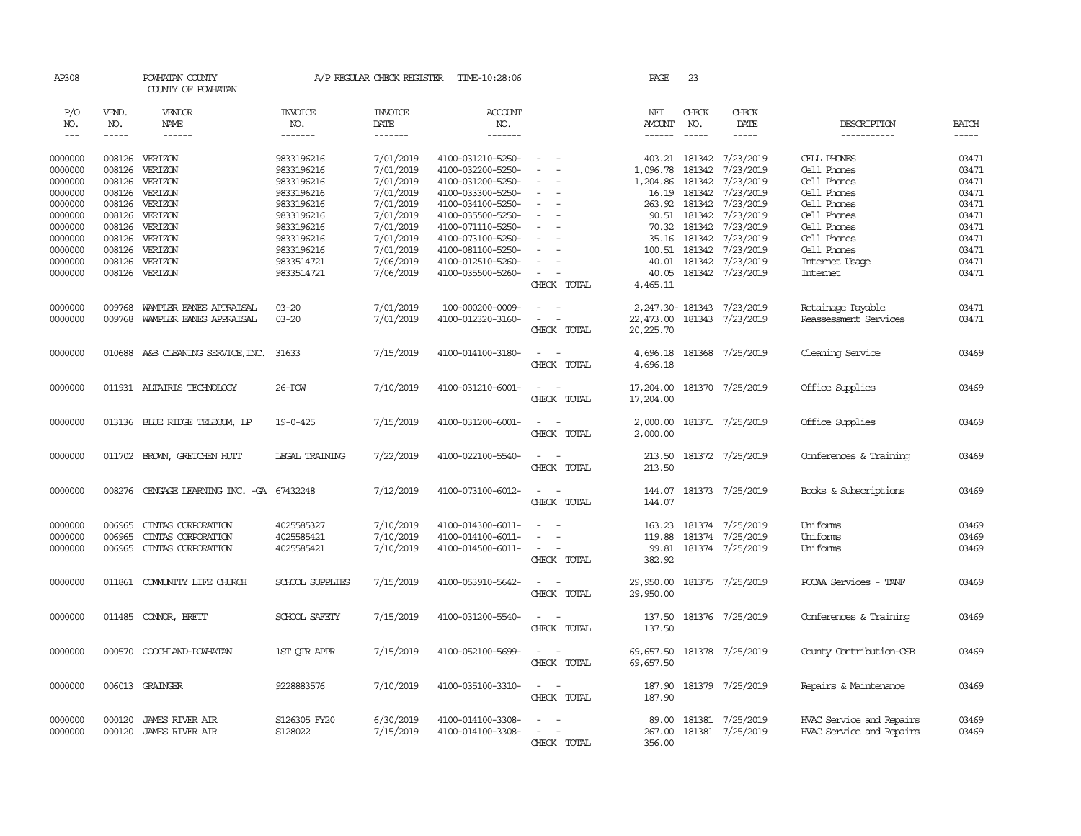| AP308         |        | POWHATAN COUNTY<br>COUNTY OF POWHATAN   |                        | A/P REGULAR CHECK REGISTER | TIME-10:28:06     |                                    | PAGE      | 23            |                              |                          |              |
|---------------|--------|-----------------------------------------|------------------------|----------------------------|-------------------|------------------------------------|-----------|---------------|------------------------------|--------------------------|--------------|
| P/O           | VEND.  | VENDOR                                  | <b>INVOICE</b>         | <b>INVOICE</b>             | ACCOUNT           |                                    | NET       | CHECK         | CHECK                        |                          |              |
| NO.           | NO.    | NAME                                    | NO.                    | DATE                       | NO.               |                                    | AMOUNT    | NO.           | DATE                         | DESCRIPTION              | <b>BATCH</b> |
| $\frac{1}{2}$ | -----  | ------                                  | -------                | $- - - - - - -$            | -------           |                                    | ------    | $\frac{1}{2}$ | $- - - - -$                  | -----------              | -----        |
| 0000000       | 008126 | VERIZON                                 | 9833196216             | 7/01/2019                  | 4100-031210-5250- | $\sim$ $\sim$                      |           |               | 403.21 181342 7/23/2019      | CELL PHONES              | 03471        |
| 0000000       | 008126 | VERIZON                                 | 9833196216             | 7/01/2019                  | 4100-032200-5250- |                                    | 1,096.78  | 181342        | 7/23/2019                    | Cell Phones              | 03471        |
| 0000000       | 008126 | VERIZON                                 | 9833196216             | 7/01/2019                  | 4100-031200-5250- |                                    | 1,204.86  |               | 181342 7/23/2019             | Cell Phones              | 03471        |
| 0000000       | 008126 | VERIZON                                 | 9833196216             | 7/01/2019                  | 4100-033300-5250- |                                    |           |               | 181342 7/23/2019             | Cell Phones              | 03471        |
|               |        |                                         |                        |                            |                   | $\overline{\phantom{a}}$           | 16.19     |               | 263.92 181342 7/23/2019      |                          | 03471        |
| 0000000       | 008126 | VERIZON                                 | 9833196216             | 7/01/2019<br>7/01/2019     | 4100-034100-5250- |                                    |           |               |                              | Cell Phones              |              |
| 0000000       | 008126 | VERIZON                                 | 9833196216             |                            | 4100-035500-5250- | $\overline{\phantom{a}}$           |           | 90.51 181342  | 7/23/2019                    | Cell Phones              | 03471        |
| 0000000       | 008126 | VERIZON                                 | 9833196216             | 7/01/2019                  | 4100-071110-5250- |                                    |           |               | 70.32 181342 7/23/2019       | Cell Phones              | 03471        |
| 0000000       | 008126 | VERIZON                                 | 9833196216             | 7/01/2019                  | 4100-073100-5250- | $\equiv$                           |           |               | 35.16 181342 7/23/2019       | Cell Phones              | 03471        |
| 0000000       | 008126 | VERIZON                                 | 9833196216             | 7/01/2019                  | 4100-081100-5250- |                                    |           |               | 100.51 181342 7/23/2019      | Cell Phones              | 03471        |
| 0000000       | 008126 | VERIZON                                 | 9833514721             | 7/06/2019                  | 4100-012510-5260- |                                    |           |               | 40.01 181342 7/23/2019       | Internet Usage           | 03471        |
| 0000000       | 008126 | VERIZON                                 | 9833514721             | 7/06/2019                  | 4100-035500-5260- |                                    |           |               | 40.05 181342 7/23/2019       | Internet                 | 03471        |
|               |        |                                         |                        |                            |                   | CHECK TOTAL                        | 4,465.11  |               |                              |                          |              |
| 0000000       | 009768 | WAMPLER EANES APPRAISAL                 | $03 - 20$              | 7/01/2019                  | 100-000200-0009-  | $\sim$                             |           |               | 2, 247.30 - 181343 7/23/2019 | Retainage Payable        | 03471        |
| 0000000       | 009768 | WAMPLER EANES APPRAISAL                 | $03 - 20$              | 7/01/2019                  | 4100-012320-3160- | $\sim$ $ \sim$                     |           |               | 22,473.00 181343 7/23/2019   | Reassessment Services    | 03471        |
|               |        |                                         |                        |                            |                   | CHECK TOTAL                        | 20,225.70 |               |                              |                          |              |
|               |        |                                         |                        |                            |                   |                                    |           |               |                              |                          |              |
| 0000000       |        | 010688 A&B CLEANING SERVICE, INC. 31633 |                        | 7/15/2019                  | 4100-014100-3180- | $\sim$ $\sim$                      |           |               | 4,696.18 181368 7/25/2019    | Cleaning Service         | 03469        |
|               |        |                                         |                        |                            |                   | CHECK TOTAL                        | 4,696.18  |               |                              |                          |              |
| 0000000       |        | 011931 ALTAIRIS TECHNOLOGY              | 26-POW                 | 7/10/2019                  | 4100-031210-6001- | $\sim$ $\sim$                      |           |               | 17,204.00 181370 7/25/2019   | Office Supplies          | 03469        |
|               |        |                                         |                        |                            |                   | CHECK TOTAL                        | 17,204.00 |               |                              |                          |              |
|               |        |                                         |                        |                            |                   |                                    |           |               |                              |                          |              |
| 0000000       |        | 013136 BILLE RIDGE TELECOM, LP          | 19-0-425               | 7/15/2019                  | 4100-031200-6001- | $\overline{\phantom{a}}$<br>$\sim$ |           |               | 2,000.00 181371 7/25/2019    | Office Supplies          | 03469        |
|               |        |                                         |                        |                            |                   | CHECK TOTAL                        | 2,000.00  |               |                              |                          |              |
| 0000000       |        | 011702 BROWN, GRETCHEN HUTT             | LEGAL TRAINING         | 7/22/2019                  | 4100-022100-5540- | $\sim$<br>$\sim$                   |           |               | 213.50 181372 7/25/2019      | Conferences & Training   | 03469        |
|               |        |                                         |                        |                            |                   | CHECK TOTAL                        | 213.50    |               |                              |                          |              |
|               |        |                                         |                        |                            |                   |                                    |           |               |                              |                          |              |
| 0000000       | 008276 | CENGAGE LEARNING INC. -GA 67432248      |                        | 7/12/2019                  | 4100-073100-6012- | $\sim$                             |           |               | 144.07 181373 7/25/2019      | Books & Subscriptions    | 03469        |
|               |        |                                         |                        |                            |                   | CHECK TOTAL                        | 144.07    |               |                              |                          |              |
| 0000000       | 006965 | CINIAS CORPORATION                      | 4025585327             | 7/10/2019                  | 4100-014300-6011- |                                    | 163.23    |               | 181374 7/25/2019             | Uniforms                 | 03469        |
| 0000000       | 006965 | CINIAS CORPORATION                      | 4025585421             | 7/10/2019                  | 4100-014100-6011- | $\sim$                             |           |               | 119.88 181374 7/25/2019      | Uniforms                 | 03469        |
| 0000000       | 006965 | CINIAS CORPORATION                      | 4025585421             | 7/10/2019                  | 4100-014500-6011- | $\sim$                             | 99.81     |               | 181374 7/25/2019             | Uniforms                 | 03469        |
|               |        |                                         |                        |                            |                   | CHECK TOTAL                        | 382.92    |               |                              |                          |              |
|               |        |                                         |                        |                            |                   |                                    |           |               |                              |                          |              |
| 0000000       |        | 011861 COMUNITY LIFE CHURCH             | <b>SCHOOL SUPPLIES</b> | 7/15/2019                  | 4100-053910-5642- | $\sim$                             |           |               | 29,950.00 181375 7/25/2019   | PCCAA Services - TANF    | 03469        |
|               |        |                                         |                        |                            |                   | CHECK TOTAL                        | 29,950.00 |               |                              |                          |              |
| 0000000       |        | 011485 CONNOR, BRETT                    | SCHOOL SAFETY          | 7/15/2019                  | 4100-031200-5540- | $\sim$ $ -$                        |           |               | 137.50 181376 7/25/2019      | Conferences & Training   | 03469        |
|               |        |                                         |                        |                            |                   | CHECK TOTAL                        | 137.50    |               |                              |                          |              |
|               |        |                                         |                        |                            |                   |                                    |           |               |                              |                          |              |
| 0000000       |        | 000570 GOOCHLAND-POWHATAN               | 1ST QTR APPR           | 7/15/2019                  | 4100-052100-5699- | $\sim$ $ \sim$                     |           |               | 69, 657.50 181378 7/25/2019  | County Contribution-CSB  | 03469        |
|               |        |                                         |                        |                            |                   | CHECK TOTAL                        | 69,657.50 |               |                              |                          |              |
| 0000000       |        | 006013 GRAINGER                         | 9228883576             | 7/10/2019                  | 4100-035100-3310- | $\sim$ $ \sim$                     |           |               | 187.90 181379 7/25/2019      | Repairs & Maintenance    | 03469        |
|               |        |                                         |                        |                            |                   | CHECK TOTAL                        | 187.90    |               |                              |                          |              |
|               |        |                                         |                        |                            |                   |                                    |           |               |                              |                          |              |
| 0000000       | 000120 | <b>JAMES RIVER AIR</b>                  | S126305 FY20           | 6/30/2019                  | 4100-014100-3308- |                                    |           |               | 89.00 181381 7/25/2019       | HVAC Service and Repairs | 03469        |
| 0000000       | 000120 | <b>JAMES RIVER AIR</b>                  | S128022                | 7/15/2019                  | 4100-014100-3308- | $\sim$ $\sim$                      |           |               | 267.00 181381 7/25/2019      | HVAC Service and Repairs | 03469        |
|               |        |                                         |                        |                            |                   | CHECK TOTAL                        | 356.00    |               |                              |                          |              |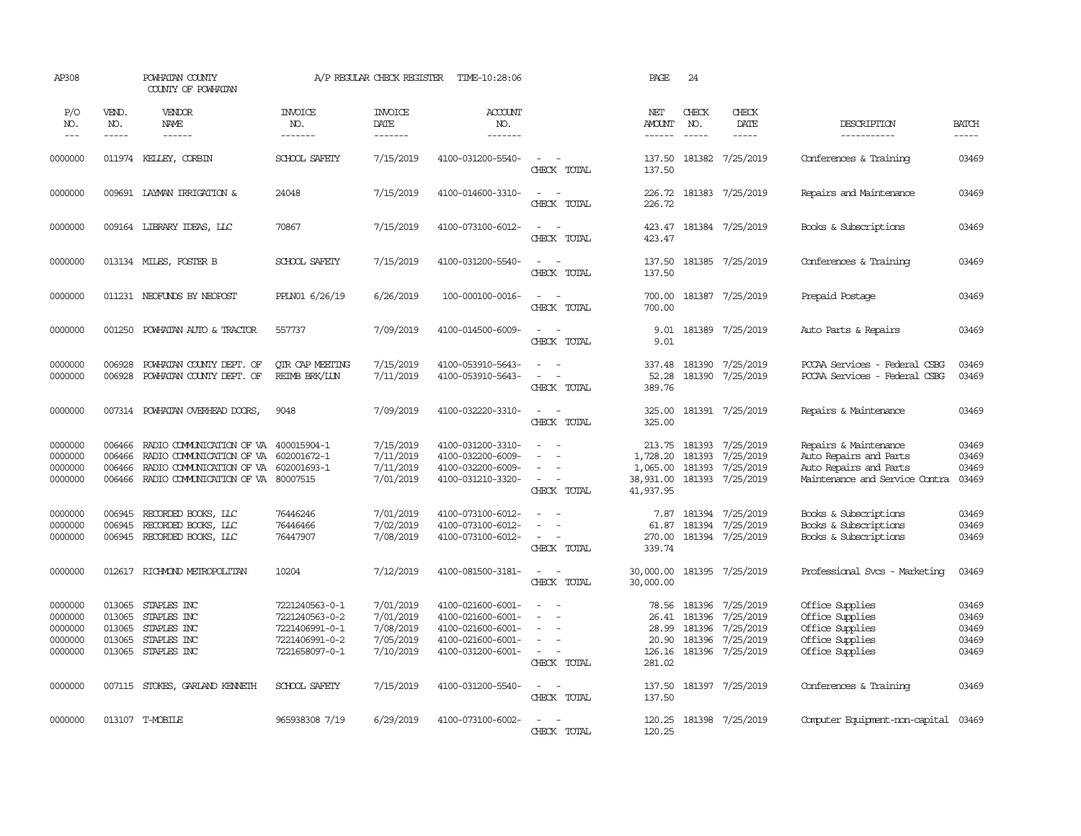| AP308                                               |                                                | POWHATAN COUNTY<br>COUNTY OF POWHATAN                                                                                                             |                                                                                        | A/P REGULAR CHECK REGISTER                                    | TIME-10:28:06                                                                                         |                                                                                               | PAGE                                                     | 24                                   |                                                                             |                                                                                                             |                                           |
|-----------------------------------------------------|------------------------------------------------|---------------------------------------------------------------------------------------------------------------------------------------------------|----------------------------------------------------------------------------------------|---------------------------------------------------------------|-------------------------------------------------------------------------------------------------------|-----------------------------------------------------------------------------------------------|----------------------------------------------------------|--------------------------------------|-----------------------------------------------------------------------------|-------------------------------------------------------------------------------------------------------------|-------------------------------------------|
| P/O<br>NO.<br>$---$                                 | VEND.<br>NO.<br>-----                          | VENDOR<br>NAME<br>$- - - - - -$                                                                                                                   | <b>INVOICE</b><br>NO.<br>-------                                                       | <b>INVOICE</b><br>DATE<br>-------                             | ACCOUNT<br>NO.<br>-------                                                                             |                                                                                               | NET<br><b>AMOUNT</b><br>------                           | CHECK<br>NO.<br>$\frac{1}{2}$        | CHECK<br>DATE<br>$- - - - -$                                                | DESCRIPTION<br>-----------                                                                                  | <b>BATCH</b><br>-----                     |
| 0000000                                             |                                                | 011974 KELLEY, CORBIN                                                                                                                             | SCHOOL SAFETY                                                                          | 7/15/2019                                                     | 4100-031200-5540-                                                                                     | $\sim$<br>$\sim$<br>CHECK TOTAL                                                               | 137.50<br>137.50                                         |                                      | 181382 7/25/2019                                                            | Conferences & Training                                                                                      | 03469                                     |
| 0000000                                             |                                                | 009691 LAYMAN IRRIGATION &                                                                                                                        | 24048                                                                                  | 7/15/2019                                                     | 4100-014600-3310-                                                                                     | $\overline{\phantom{a}}$<br>$\sim$<br>CHECK TOTAL                                             | 226.72<br>226.72                                         |                                      | 181383 7/25/2019                                                            | Repairs and Maintenance                                                                                     | 03469                                     |
| 0000000                                             |                                                | 009164 LIBRARY IDEAS, LLC                                                                                                                         | 70867                                                                                  | 7/15/2019                                                     | 4100-073100-6012-                                                                                     | $\equiv$<br>$\sim$<br>CHECK TOTAL                                                             | 423.47                                                   |                                      | 423.47 181384 7/25/2019                                                     | Books & Subscriptions                                                                                       | 03469                                     |
| 0000000                                             |                                                | 013134 MILES, FOSTER B                                                                                                                            | SCHOOL SAFETY                                                                          | 7/15/2019                                                     | 4100-031200-5540-                                                                                     | $\sim$<br>$\sim$<br>CHECK TOTAL                                                               | 137.50<br>137.50                                         |                                      | 181385 7/25/2019                                                            | Conferences & Training                                                                                      | 03469                                     |
| 0000000                                             |                                                | 011231 NEOFUNDS BY NEOPOST                                                                                                                        | PPLN01 6/26/19                                                                         | 6/26/2019                                                     | 100-000100-0016-                                                                                      | $\sim$ $ \sim$<br>CHECK TOTAL                                                                 | 700.00<br>700.00                                         |                                      | 181387 7/25/2019                                                            | Prepaid Postage                                                                                             | 03469                                     |
| 0000000                                             | 001250                                         | POWHATAN AUTO & TRACTOR                                                                                                                           | 557737                                                                                 | 7/09/2019                                                     | 4100-014500-6009-                                                                                     | $\sim$<br>$\sim$<br>CHECK TOTAL                                                               | 9.01<br>9.01                                             |                                      | 181389 7/25/2019                                                            | Auto Parts & Repairs                                                                                        | 03469                                     |
| 0000000<br>0000000                                  | 006928<br>006928                               | POWHATAN COUNTY DEPT. OF<br>POWHATAN COUNTY DEPT. OF                                                                                              | OIR CAP MEETING<br>REIMB BRK/LUN                                                       | 7/15/2019<br>7/11/2019                                        | 4100-053910-5643-<br>4100-053910-5643-                                                                | $\sim$<br>- 11<br>$\equiv$<br>$\sim$<br>CHECK TOTAL                                           | 337.48<br>52.28<br>389.76                                |                                      | 181390 7/25/2019<br>181390 7/25/2019                                        | PCCAA Services - Federal CSBG<br>PCCAA Services - Federal CSBG                                              | 03469<br>03469                            |
| 0000000                                             | 007314                                         | POWHATAN OVERHEAD DOORS,                                                                                                                          | 9048                                                                                   | 7/09/2019                                                     | 4100-032220-3310-                                                                                     | $\sim$<br>$\sim$<br>CHECK TOTAL                                                               | 325.00<br>325.00                                         |                                      | 181391 7/25/2019                                                            | Repairs & Maintenance                                                                                       | 03469                                     |
| 0000000<br>0000000<br>0000000<br>0000000            | 006466<br>006466<br>006466<br>006466           | RADIO COMMUNICATION OF VA 400015904-1<br>RADIO COMMUNICATION OF VA<br>RADIO COMMUNICATION OF VA 602001693-1<br>RADIO COMMUNICATION OF VA 80007515 | 602001672-1                                                                            | 7/15/2019<br>7/11/2019<br>7/11/2019<br>7/01/2019              | 4100-031200-3310-<br>4100-032200-6009-<br>4100-032200-6009-<br>4100-031210-3320-                      | $\equiv$<br>$\equiv$<br>$\sim$<br>$\sim$<br>CHECK TOTAL                                       | 213.75<br>1,728.20<br>1,065.00<br>38,931.00<br>41,937.95 | 181393<br>181393<br>181393<br>181393 | 7/25/2019<br>7/25/2019<br>7/25/2019<br>7/25/2019                            | Repairs & Maintenance<br>Auto Repairs and Parts<br>Auto Repairs and Parts<br>Maintenance and Service Contra | 03469<br>03469<br>03469<br>03469          |
| 0000000<br>0000000<br>0000000                       | 006945<br>006945<br>006945                     | RECORDED BOOKS, LLC<br>RECORDED BOOKS, LLC<br>RECORDED BOOKS, LLC                                                                                 | 76446246<br>76446466<br>76447907                                                       | 7/01/2019<br>7/02/2019<br>7/08/2019                           | 4100-073100-6012-<br>4100-073100-6012-<br>4100-073100-6012-                                           | $\sim$<br>CHECK TOTAL                                                                         | 7.87<br>61.87<br>270.00<br>339.74                        |                                      | 181394 7/25/2019<br>181394 7/25/2019<br>181394 7/25/2019                    | Books & Subscriptions<br>Books & Subscriptions<br>Books & Subscriptions                                     | 03469<br>03469<br>03469                   |
| 0000000                                             | 012617                                         | RICHMOND METROPOLITAN                                                                                                                             | 10204                                                                                  | 7/12/2019                                                     | 4100-081500-3181-                                                                                     | $\overline{\phantom{a}}$<br>$\sim$<br>CHECK TOTAL                                             | 30,000.00<br>30,000.00                                   |                                      | 181395 7/25/2019                                                            | Professional Svcs - Marketing                                                                               | 03469                                     |
| 0000000<br>0000000<br>0000000<br>0000000<br>0000000 | 013065<br>013065<br>013065<br>013065<br>013065 | STAPLES INC<br>STAPLES INC<br>STAPLES INC<br>STAPLES INC<br>STAPLES INC                                                                           | 7221240563-0-1<br>7221240563-0-2<br>7221406991-0-1<br>7221406991-0-2<br>7221658097-0-1 | 7/01/2019<br>7/01/2019<br>7/08/2019<br>7/05/2019<br>7/10/2019 | 4100-021600-6001-<br>4100-021600-6001-<br>4100-021600-6001-<br>4100-021600-6001-<br>4100-031200-6001- | $\sim$ $-$<br>$\sim$<br>$\sim$<br>$\overline{\phantom{a}}$<br>$\sim$<br>$\sim$<br>CHECK TOTAL | 78.56<br>26.41<br>28.99<br>20.90<br>126.16<br>281.02     | 181396<br>181396<br>181396           | 181396 7/25/2019<br>7/25/2019<br>7/25/2019<br>7/25/2019<br>181396 7/25/2019 | Office Supplies<br>Office Supplies<br>Office Supplies<br>Office Supplies<br>Office Supplies                 | 03469<br>03469<br>03469<br>03469<br>03469 |
| 0000000                                             |                                                | 007115 STOKES, GARLAND KENNETH                                                                                                                    | SCHOOL SAFETY                                                                          | 7/15/2019                                                     | 4100-031200-5540-                                                                                     | $\sim$ 100 $\sim$<br>CHECK TOTAL                                                              | 137.50<br>137.50                                         |                                      | 181397 7/25/2019                                                            | Conferences & Training                                                                                      | 03469                                     |
| 0000000                                             |                                                | 013107 T-MOBILE                                                                                                                                   | 965938308 7/19                                                                         | 6/29/2019                                                     | 4100-073100-6002-                                                                                     | $\sim$<br>$\overline{\phantom{a}}$<br>CHECK TOTAL                                             | 120.25<br>120.25                                         |                                      | 181398 7/25/2019                                                            | Computer Equipment-non-capital                                                                              | 03469                                     |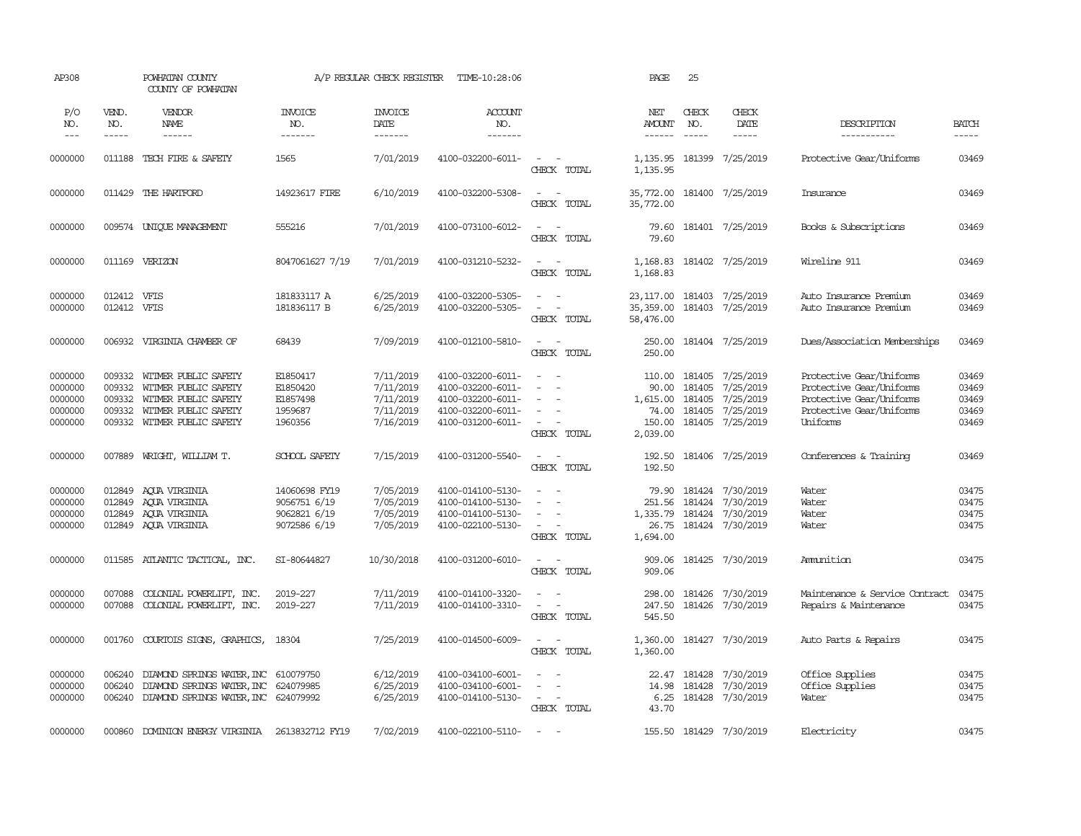| AP308                                               |                                                | POWHATAN COUNTY<br>COUNTY OF POWHATAN                                                                                |                                                               | A/P REGULAR CHECK REGISTER                                    | TIME-10:28:06                                                                                         |                                                                                                             | PAGE                                                       | 25                         |                                                                              |                                                                                                                          |                                           |
|-----------------------------------------------------|------------------------------------------------|----------------------------------------------------------------------------------------------------------------------|---------------------------------------------------------------|---------------------------------------------------------------|-------------------------------------------------------------------------------------------------------|-------------------------------------------------------------------------------------------------------------|------------------------------------------------------------|----------------------------|------------------------------------------------------------------------------|--------------------------------------------------------------------------------------------------------------------------|-------------------------------------------|
| P/O<br>NO.<br>$---$                                 | VEND.<br>NO.<br>-----                          | <b>VENDOR</b><br>NAME                                                                                                | <b>INVOICE</b><br>NO.<br>-------                              | <b>INVOICE</b><br>DATE<br>-------                             | ACCOUNT<br>NO.<br>-------                                                                             |                                                                                                             | NET<br>AMOUNT<br>------                                    | CHECK<br>NO.               | CHECK<br>DATE<br>-----                                                       | DESCRIPTION<br>-----------                                                                                               | <b>BATCH</b><br>-----                     |
| 0000000                                             | 011188                                         | TECH FIRE & SAFETY                                                                                                   | 1565                                                          | 7/01/2019                                                     | 4100-032200-6011-                                                                                     | $\sim$<br>$\sim$<br>CHECK TOTAL                                                                             | 1,135.95<br>1,135.95                                       | 181399                     | 7/25/2019                                                                    | Protective Gear/Uniforms                                                                                                 | 03469                                     |
| 0000000                                             |                                                | 011429 THE HARTFORD                                                                                                  | 14923617 FIRE                                                 | 6/10/2019                                                     | 4100-032200-5308-                                                                                     | $\sim$<br>$\sim$<br>CHECK TOTAL                                                                             | 35,772.00<br>35,772.00                                     |                            | 181400 7/25/2019                                                             | Insurance                                                                                                                | 03469                                     |
| 0000000                                             |                                                | 009574 UNIQUE MANAGEMENT                                                                                             | 555216                                                        | 7/01/2019                                                     | 4100-073100-6012-                                                                                     | $\sim$<br>$\sim$<br>CHECK TOTAL                                                                             | 79.60<br>79.60                                             |                            | 181401 7/25/2019                                                             | Books & Subscriptions                                                                                                    | 03469                                     |
| 0000000                                             |                                                | 011169 VERIZON                                                                                                       | 8047061627 7/19                                               | 7/01/2019                                                     | 4100-031210-5232-                                                                                     | $\sim$ $ \sim$<br>CHECK TOTAL                                                                               | 1,168.83<br>1,168.83                                       |                            | 181402 7/25/2019                                                             | Wireline 911                                                                                                             | 03469                                     |
| 0000000<br>0000000                                  | 012412<br>012412 VFIS                          | VFIS                                                                                                                 | 181833117 A<br>181836117 B                                    | 6/25/2019<br>6/25/2019                                        | 4100-032200-5305-<br>4100-032200-5305-                                                                | $\equiv$<br>$\sim$<br>$\overline{\phantom{a}}$<br>CHECK TOTAL                                               | 23, 117.00<br>35,359.00<br>58,476.00                       |                            | 181403 7/25/2019<br>181403 7/25/2019                                         | Auto Insurance Premium<br>Auto Insurance Premium                                                                         | 03469<br>03469                            |
| 0000000                                             | 006932                                         | VIRGINIA CHAMBER OF                                                                                                  | 68439                                                         | 7/09/2019                                                     | 4100-012100-5810-                                                                                     | $\sim$ $\sim$<br>CHECK TOTAL                                                                                | 250.00<br>250.00                                           |                            | 181404 7/25/2019                                                             | Dues/Association Memberships                                                                                             | 03469                                     |
| 0000000<br>0000000<br>0000000<br>0000000<br>0000000 | 009332<br>009332<br>009332<br>009332<br>009332 | WITMER PUBLIC SAFETY<br>WITMER PUBLIC SAFETY<br>WITMER PUBLIC SAFETY<br>WITMER PUBLIC SAFETY<br>WITMER PUBLIC SAFETY | E1850417<br>E1850420<br>E1857498<br>1959687<br>1960356        | 7/11/2019<br>7/11/2019<br>7/11/2019<br>7/11/2019<br>7/16/2019 | 4100-032200-6011-<br>4100-032200-6011-<br>4100-032200-6011-<br>4100-032200-6011-<br>4100-031200-6011- | $\sim$<br>$\sim$<br>$\sim$<br>$\overline{\phantom{a}}$<br>$\sim$<br>$\overline{\phantom{a}}$<br>CHECK TOTAL | 110.00<br>90.00<br>1,615.00<br>74.00<br>150.00<br>2,039.00 | 181405<br>181405<br>181405 | 181405 7/25/2019<br>7/25/2019<br>7/25/2019<br>7/25/2019<br>181405 7/25/2019  | Protective Gear/Uniforms<br>Protective Gear/Uniforms<br>Protective Gear/Uniforms<br>Protective Gear/Uniforms<br>Uniforms | 03469<br>03469<br>03469<br>03469<br>03469 |
| 0000000                                             | 007889                                         | WRIGHT, WILLIAM T.                                                                                                   | SCHOOL SAFETY                                                 | 7/15/2019                                                     | 4100-031200-5540-                                                                                     | $\sim$ $ \sim$<br>CHECK TOTAL                                                                               | 192.50<br>192.50                                           |                            | 181406 7/25/2019                                                             | Conferences & Training                                                                                                   | 03469                                     |
| 0000000<br>0000000<br>0000000<br>0000000            | 012849<br>012849<br>012849                     | AOUA VIRGINIA<br>AOUA VIRGINIA<br>AQUA VIRGINIA<br>012849 AQUA VIRGINIA                                              | 14060698 FY19<br>9056751 6/19<br>9062821 6/19<br>9072586 6/19 | 7/05/2019<br>7/05/2019<br>7/05/2019<br>7/05/2019              | 4100-014100-5130-<br>4100-014100-5130-<br>4100-014100-5130-<br>4100-022100-5130-                      | $\sim$<br>$\equiv$<br>$\equiv$<br>$\sim$ $\sim$<br>CHECK TOTAL                                              | 79.90<br>251.56<br>1,335.79<br>26.75<br>1,694.00           |                            | 181424 7/30/2019<br>181424 7/30/2019<br>181424 7/30/2019<br>181424 7/30/2019 | Water<br>Water<br>Water<br>Water                                                                                         | 03475<br>03475<br>03475<br>03475          |
| 0000000                                             | 011585                                         | ATLANTIC TACTICAL, INC.                                                                                              | SI-80644827                                                   | 10/30/2018                                                    | 4100-031200-6010-                                                                                     | $\sim$<br>$\sim$<br>CHECK TOTAL                                                                             | 909.06<br>909.06                                           |                            | 181425 7/30/2019                                                             | Ammition                                                                                                                 | 03475                                     |
| 0000000<br>0000000                                  | 007088<br>007088                               | COLONIAL POWERLIFT, INC.<br>COLONIAL POWERLIFT, INC.                                                                 | 2019-227<br>2019-227                                          | 7/11/2019<br>7/11/2019                                        | 4100-014100-3320-<br>4100-014100-3310-                                                                | $\overline{\phantom{a}}$<br>$\sim$<br>$\sim$<br>$\equiv$<br>CHECK TOTAL                                     | 298.00<br>247.50<br>545.50                                 |                            | 181426 7/30/2019<br>181426 7/30/2019                                         | Maintenance & Service Contract<br>Repairs & Maintenance                                                                  | 03475<br>03475                            |
| 0000000                                             | 001760                                         | COURTOIS SIGNS, GRAPHICS,                                                                                            | 18304                                                         | 7/25/2019                                                     | 4100-014500-6009-                                                                                     | $\equiv$<br>CHECK TOTAL                                                                                     | 1,360.00<br>1,360.00                                       |                            | 181427 7/30/2019                                                             | Auto Parts & Repairs                                                                                                     | 03475                                     |
| 0000000<br>0000000<br>0000000                       | 006240<br>006240<br>006240                     | DIAMOND SPRINGS WATER, INC 610079750<br>DIAMOND SPRINGS WATER, INC 624079985<br>DIAMOND SPRINGS WATER, INC 624079992 |                                                               | 6/12/2019<br>6/25/2019<br>6/25/2019                           | 4100-034100-6001-<br>4100-034100-6001-<br>4100-014100-5130-                                           | $\equiv$<br>$\equiv$<br>$\sim$<br>$\sim$<br>CHECK TOTAL                                                     | 22.47<br>14.98<br>6.25<br>43.70                            | 181428<br>181428           | 7/30/2019<br>7/30/2019<br>181428 7/30/2019                                   | Office Supplies<br>Office Supplies<br>Water                                                                              | 03475<br>03475<br>03475                   |
| 0000000                                             | 000860                                         | DOMINION ENERGY VIRGINIA                                                                                             | 2613832712 FY19                                               | 7/02/2019                                                     | 4100-022100-5110-                                                                                     | $\sim$                                                                                                      |                                                            |                            | 155.50 181429 7/30/2019                                                      | Electricity                                                                                                              | 03475                                     |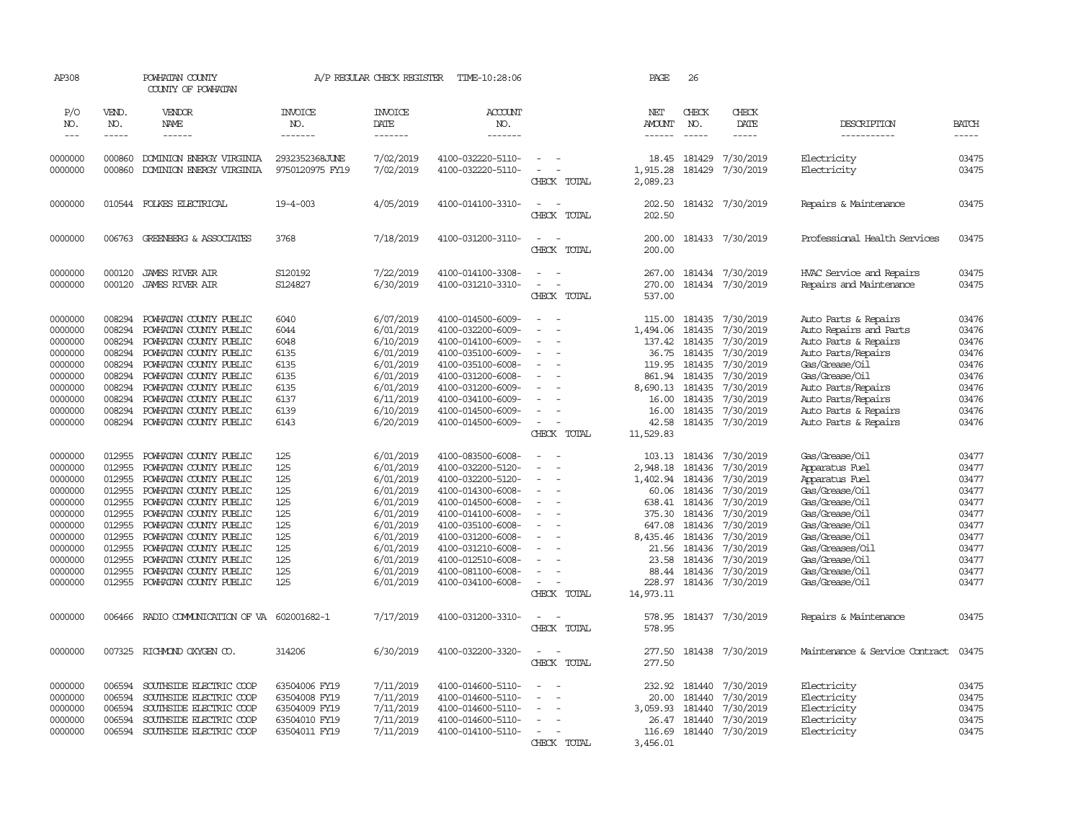| AP308               |                  | POWHATAN COUNTY<br>COUNTY OF POWHATAN                |                                   | A/P REGULAR CHECK REGISTER | TIME-10:28:06                          |                                                   | PAGE                 | 26               |                        |                                          |                |
|---------------------|------------------|------------------------------------------------------|-----------------------------------|----------------------------|----------------------------------------|---------------------------------------------------|----------------------|------------------|------------------------|------------------------------------------|----------------|
| P/O<br>NO.          | VEND.<br>NO.     | VENDOR<br><b>NAME</b>                                | <b>INVOICE</b><br>NO.             | <b>INVOICE</b><br>DATE     | ACCOUNT<br>NO.                         |                                                   | NET<br><b>AMOUNT</b> | CHECK<br>NO.     | CHECK<br>DATE          | DESCRIPTION                              | <b>BATCH</b>   |
| $\qquad \qquad - -$ | $- - - - -$      | ------                                               | -------                           | -------                    | -------                                |                                                   | ------               | $\frac{1}{2}$    | -----                  | -----------                              | -----          |
| 0000000<br>0000000  | 000860<br>000860 | DOMINION ENERGY VIRGINIA<br>DOMINION ENERGY VIRGINIA | 2932352368JUNE<br>9750120975 FY19 | 7/02/2019<br>7/02/2019     | 4100-032220-5110-<br>4100-032220-5110- | $\overline{\phantom{a}}$                          | 18.45<br>1,915.28    | 181429<br>181429 | 7/30/2019<br>7/30/2019 | Electricity<br>Electricity               | 03475<br>03475 |
|                     |                  |                                                      |                                   |                            |                                        | CHECK TOTAL                                       | 2,089.23             |                  |                        |                                          |                |
| 0000000             |                  | 010544 FOLKES ELECTRICAL                             | $19 - 4 - 003$                    | 4/05/2019                  | 4100-014100-3310-                      | $\equiv$<br>CHECK TOTAL                           | 202.50<br>202.50     |                  | 181432 7/30/2019       | Repairs & Maintenance                    | 03475          |
| 0000000             | 006763           | GREENBERG & ASSOCIATES                               | 3768                              | 7/18/2019                  | 4100-031200-3110-                      | $\sim$<br>$\sim$<br>CHECK TOTAL                   | 200.00<br>200.00     |                  | 181433 7/30/2019       | Professional Health Services             | 03475          |
| 0000000             | 000120           | <b>JAMES RIVER AIR</b>                               | S120192                           | 7/22/2019                  | 4100-014100-3308-                      | $\sim$                                            | 267.00               |                  | 181434 7/30/2019       | HVAC Service and Repairs                 | 03475          |
| 0000000             | 000120           | <b>JAMES RIVER AIR</b>                               | S124827                           | 6/30/2019                  | 4100-031210-3310-                      | $\equiv$<br>- 11                                  | 270.00               |                  | 181434 7/30/2019       | Repairs and Maintenance                  | 03475          |
|                     |                  |                                                      |                                   |                            |                                        | CHECK TOTAL                                       | 537.00               |                  |                        |                                          |                |
| 0000000             | 008294           | POWHATAN COUNTY PUBLIC                               | 6040                              | 6/07/2019                  | 4100-014500-6009-                      | $\sim$                                            | 115.00               | 181435           | 7/30/2019              | Auto Parts & Repairs                     | 03476          |
| 0000000             | 008294           | POWHATAN COUNTY PUBLIC                               | 6044                              | 6/01/2019                  | 4100-032200-6009-                      | $\equiv$                                          | 1,494.06             | 181435           | 7/30/2019              | Auto Repairs and Parts                   | 03476          |
| 0000000             | 008294           | POWHATAN COUNTY PUBLIC                               | 6048                              | 6/10/2019                  | 4100-014100-6009-                      | $\overline{a}$                                    | 137.42               | 181435           | 7/30/2019              | Auto Parts & Repairs                     | 03476          |
| 0000000             | 008294           | POWHATAN COUNTY PUBLIC                               | 6135                              | 6/01/2019                  | 4100-035100-6009-                      | ÷.                                                | 36.75                | 181435           | 7/30/2019              | Auto Parts/Repairs                       | 03476          |
| 0000000             | 008294           | POWHATAN COUNTY PUBLIC                               | 6135                              | 6/01/2019                  | 4100-035100-6008-                      |                                                   | 119.95               | 181435           | 7/30/2019              | Gas/Grease/Oil                           | 03476          |
| 0000000             | 008294           | POWHATAN COUNTY PUBLIC                               | 6135                              | 6/01/2019                  | 4100-031200-6008-                      |                                                   | 861.94               | 181435           | 7/30/2019              | Gas/Grease/Oil                           | 03476          |
| 0000000<br>0000000  | 008294<br>008294 | POWHATAN COUNTY PUBLIC<br>POWHATAN COUNTY PUBLIC     | 6135<br>6137                      | 6/01/2019<br>6/11/2019     | 4100-031200-6009-<br>4100-034100-6009- | $\overline{\phantom{a}}$                          | 8,690.13<br>16.00    | 181435<br>181435 | 7/30/2019<br>7/30/2019 | Auto Parts/Repairs<br>Auto Parts/Repairs | 03476<br>03476 |
| 0000000             | 008294           | POWHATAN COUNTY PUBLIC                               | 6139                              | 6/10/2019                  | 4100-014500-6009-                      |                                                   | 16.00                | 181435           | 7/30/2019              | Auto Parts & Repairs                     | 03476          |
| 0000000             | 008294           | POWHATAN COUNTY PUBLIC                               | 6143                              | 6/20/2019                  | 4100-014500-6009-                      | $\sim$                                            | 42.58                |                  | 181435 7/30/2019       | Auto Parts & Repairs                     | 03476          |
|                     |                  |                                                      |                                   |                            |                                        | CHECK TOTAL                                       | 11,529.83            |                  |                        |                                          |                |
| 0000000             | 012955           | POWHATAN COUNTY PUBLIC                               | 125                               | 6/01/2019                  | 4100-083500-6008-                      |                                                   | 103.13               | 181436           | 7/30/2019              | Gas/Grease/Oil                           | 03477          |
| 0000000             | 012955           | POWHATAN COUNTY PUBLIC                               | 125                               | 6/01/2019                  | 4100-032200-5120-                      | ÷                                                 | 2,948.18             | 181436           | 7/30/2019              | Apparatus Fuel                           | 03477          |
| 0000000             | 012955           | POWHATAN COUNTY PUBLIC                               | 125                               | 6/01/2019                  | 4100-032200-5120-                      | ÷.                                                | 1,402.94             | 181436           | 7/30/2019              | Apparatus Fuel                           | 03477          |
| 0000000             | 012955           | POWHATAN COUNTY PUBLIC                               | 125                               | 6/01/2019                  | 4100-014300-6008-                      | ÷.                                                | 60.06                | 181436           | 7/30/2019              | Gas/Grease/Oil                           | 03477          |
| 0000000             | 012955           | POWHATAN COUNTY PUBLIC                               | 125                               | 6/01/2019                  | 4100-014500-6008-                      |                                                   | 638.41               | 181436           | 7/30/2019              | Gas/Grease/0il                           | 03477          |
| 0000000             | 012955           | POWHATAN COUNTY PUBLIC                               | 125                               | 6/01/2019                  | 4100-014100-6008-                      | $\overline{\phantom{a}}$                          | 375.30               | 181436           | 7/30/2019              | Gas/Grease/Oil                           | 03477          |
| 0000000             | 012955           | POWHATAN COUNTY PUBLIC                               | 125                               | 6/01/2019                  | 4100-035100-6008-                      | $\overline{a}$                                    | 647.08               | 181436           | 7/30/2019              | Gas/Grease/Oil                           | 03477          |
| 0000000             | 012955           | POWHATAN COUNTY PUBLIC                               | 125                               | 6/01/2019                  | 4100-031200-6008-                      | $\overline{\phantom{a}}$                          | 8,435.46             | 181436           | 7/30/2019              | Gas/Grease/Oil                           | 03477          |
| 0000000             | 012955           | POWHATAN COUNTY PUBLIC                               | 125                               | 6/01/2019                  | 4100-031210-6008-                      |                                                   | 21.56                | 181436           | 7/30/2019              | Gas/Greases/Oil                          | 03477          |
| 0000000             | 012955           | POWHATAN COUNTY PUBLIC                               | 125                               | 6/01/2019                  | 4100-012510-6008-                      | $\overline{a}$                                    | 23.58                | 181436           | 7/30/2019              | Gas/Grease/Oil                           | 03477          |
| 0000000             | 012955           | POWHATAN COUNTY PUBLIC                               | 125                               | 6/01/2019                  | 4100-081100-6008-                      | $\overline{\phantom{a}}$<br>$\overline{a}$        | 88.44                | 181436           | 7/30/2019              | Gas/Grease/Oil                           | 03477          |
| 0000000             | 012955           | POWHATAN COUNTY PUBLIC                               | 125                               | 6/01/2019                  | 4100-034100-6008-                      | CHECK TOTAL                                       | 228.97<br>14,973.11  | 181436           | 7/30/2019              | Gas/Grease/0il                           | 03477          |
| 0000000             | 006466           | RADIO COMMUNICATION OF VA 602001682-1                |                                   | 7/17/2019                  | 4100-031200-3310-                      | $\overline{\phantom{a}}$<br>$\sim$<br>CHECK TOTAL | 578.95<br>578.95     |                  | 181437 7/30/2019       | Repairs & Maintenance                    | 03475          |
| 0000000             |                  | 007325 RICHMOND OXYGEN CO.                           | 314206                            | 6/30/2019                  | 4100-032200-3320-                      | $\overline{\phantom{a}}$<br>$\sim$<br>CHECK TOTAL | 277.50<br>277.50     |                  | 181438 7/30/2019       | Maintenance & Service Contract           | 03475          |
| 0000000             | 006594           | SOUTHSIDE ELECTRIC COOP                              | 63504006 FY19                     | 7/11/2019                  | 4100-014600-5110-                      |                                                   | 232.92               | 181440           | 7/30/2019              | Electricity                              | 03475          |
| 0000000             | 006594           | SOUTHSIDE ELECTRIC COOP                              | 63504008 FY19                     | 7/11/2019                  | 4100-014600-5110-                      |                                                   | 20.00                | 181440           | 7/30/2019              | Electricity                              | 03475          |
| 0000000             | 006594           | SOUTHSIDE ELECTRIC COOP                              | 63504009 FY19                     | 7/11/2019                  | 4100-014600-5110-                      |                                                   | 3,059.93             | 181440           | 7/30/2019              | Electricity                              | 03475          |
| 0000000             | 006594           | SOUTHSIDE ELECTRIC COOP                              | 63504010 FY19                     | 7/11/2019                  | 4100-014600-5110-                      |                                                   | 26.47                | 181440           | 7/30/2019              | Electricity                              | 03475          |
| 0000000             | 006594           | SOUTHSIDE ELECTRIC COOP                              | 63504011 FY19                     | 7/11/2019                  | 4100-014100-5110-                      |                                                   | 116.69               |                  | 181440 7/30/2019       | Electricity                              | 03475          |
|                     |                  |                                                      |                                   |                            |                                        | CHECK TOTAL                                       | 3,456.01             |                  |                        |                                          |                |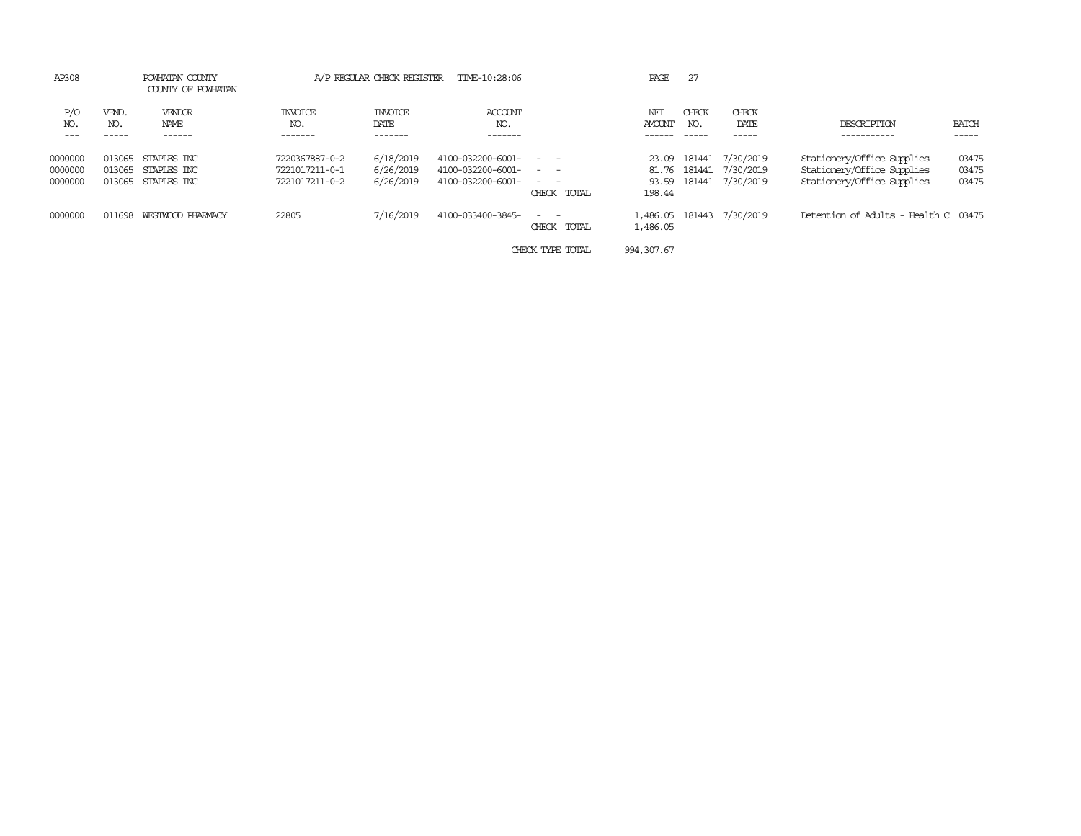| AP308                         | POWHATAN COUNTY<br>COUNTY OF POWHATAN |                                                  |                                                    | A/P REGULAR CHECK REGISTER          | TIME-10:28:06<br>PAGE                                       |                                                                                                                                                    |                                   | 27           |                                                          |                                                                                        |                         |
|-------------------------------|---------------------------------------|--------------------------------------------------|----------------------------------------------------|-------------------------------------|-------------------------------------------------------------|----------------------------------------------------------------------------------------------------------------------------------------------------|-----------------------------------|--------------|----------------------------------------------------------|----------------------------------------------------------------------------------------|-------------------------|
| P/O<br>NO.                    | VEND.<br>NO.                          | VENDOR<br>NAME                                   | <b>INVOICE</b><br>NO.<br>------                    | <b>INVOICE</b><br>DATE<br>-------   | ACCOUNT<br>NO.<br>-------                                   |                                                                                                                                                    | NET<br><b>AMOUNT</b>              | CHECK<br>NO. | CHECK<br>DATE                                            | DESCRIPTION<br>-----------                                                             | BATCH<br>-----          |
| 0000000<br>0000000<br>0000000 | 013065<br>013065                      | STAPLES INC<br>STAPLES INC<br>013065 STAPLES INC | 7220367887-0-2<br>7221017211-0-1<br>7221017211-0-2 | 6/18/2019<br>6/26/2019<br>6/26/2019 | 4100-032200-6001-<br>4100-032200-6001-<br>4100-032200-6001- | $\frac{1}{2} \left( \frac{1}{2} \right) \left( \frac{1}{2} \right) = \frac{1}{2} \left( \frac{1}{2} \right)$<br>$\sim$ $ -$<br>$ -$<br>CHECK TOTAL | 23.09<br>81.76<br>93.59<br>198.44 |              | 181441 7/30/2019<br>181441 7/30/2019<br>181441 7/30/2019 | Stationery/Office Supplies<br>Stationery/Office Supplies<br>Stationery/Office Supplies | 03475<br>03475<br>03475 |
| 0000000                       | 011698                                | WESTWOOD PHARMACY                                | 22805                                              | 7/16/2019                           | 4100-033400-3845-                                           | $\sim$<br>CHECK TOTAL                                                                                                                              | 1,486.05<br>1,486.05              |              | 181443 7/30/2019                                         | Detention of Adults - Health C 03475                                                   |                         |
|                               |                                       |                                                  |                                                    |                                     |                                                             | CHECK TYPE TOTAL                                                                                                                                   | 994, 307.67                       |              |                                                          |                                                                                        |                         |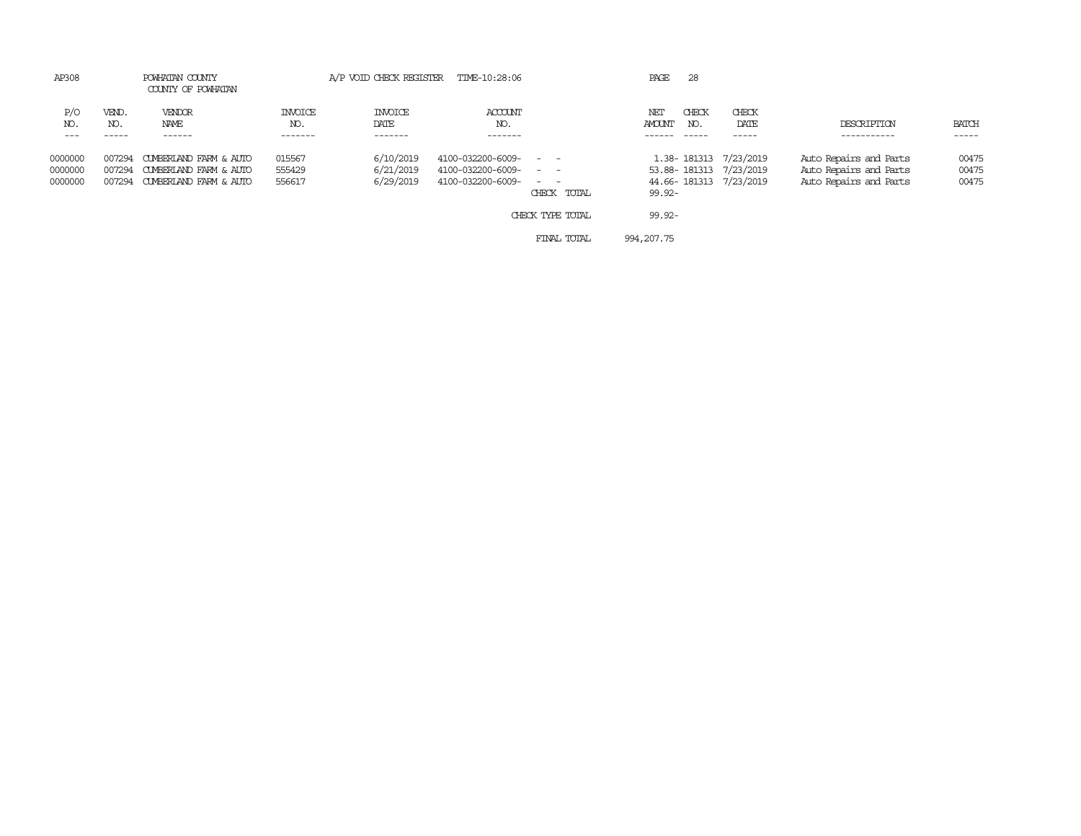| AP308                         |              | POWHATAN COUNTY<br>COUNTY OF POWHATAN                                                    |                                  |                                     | A/P VOID CHECK REGISTER TIME-10:28:06                       |                                                                                                                                                              | PAGE<br>28                           |                                                                           |                                                                            |                         |
|-------------------------------|--------------|------------------------------------------------------------------------------------------|----------------------------------|-------------------------------------|-------------------------------------------------------------|--------------------------------------------------------------------------------------------------------------------------------------------------------------|--------------------------------------|---------------------------------------------------------------------------|----------------------------------------------------------------------------|-------------------------|
| P/O<br>NO.                    | VEND.<br>NO. | VENDOR<br>NAME<br>------                                                                 | <b>INVOICE</b><br>NO.<br>------- | <b>INVOICE</b><br>DATE              | ACCOUNT<br>NO.<br>-------                                   |                                                                                                                                                              | CHECK<br>NET<br><b>AMOUNT</b><br>NO. | CHECK<br>DATE                                                             | DESCRIPTION                                                                | <b>BATCH</b><br>-----   |
| 0000000<br>0000000<br>0000000 | 007294       | CUMBERLAND FARM & AUTO<br>007294 CUMBERLAND FARM & AUTO<br>007294 CUMBERIAND FARM & AUTO | 015567<br>555429<br>556617       | 6/10/2019<br>6/21/2019<br>6/29/2019 | 4100-032200-6009-<br>4100-032200-6009-<br>4100-032200-6009- | $\frac{1}{2} \left( \frac{1}{2} \right) \left( \frac{1}{2} \right) = \frac{1}{2} \left( \frac{1}{2} \right)$<br>$\sim$ $  -$<br>$\sim$ $\sim$<br>CHECK TOTAL | $99.92 -$                            | 1.38-181313 7/23/2019<br>53.88-181313 7/23/2019<br>44.66-181313 7/23/2019 | Auto Repairs and Parts<br>Auto Repairs and Parts<br>Auto Repairs and Parts | 00475<br>00475<br>00475 |
|                               |              |                                                                                          |                                  |                                     |                                                             | CHECK TYPE TOTAL                                                                                                                                             | $99.92 -$                            |                                                                           |                                                                            |                         |
|                               |              |                                                                                          |                                  |                                     |                                                             | FINAL TOTAL                                                                                                                                                  | 994, 207, 75                         |                                                                           |                                                                            |                         |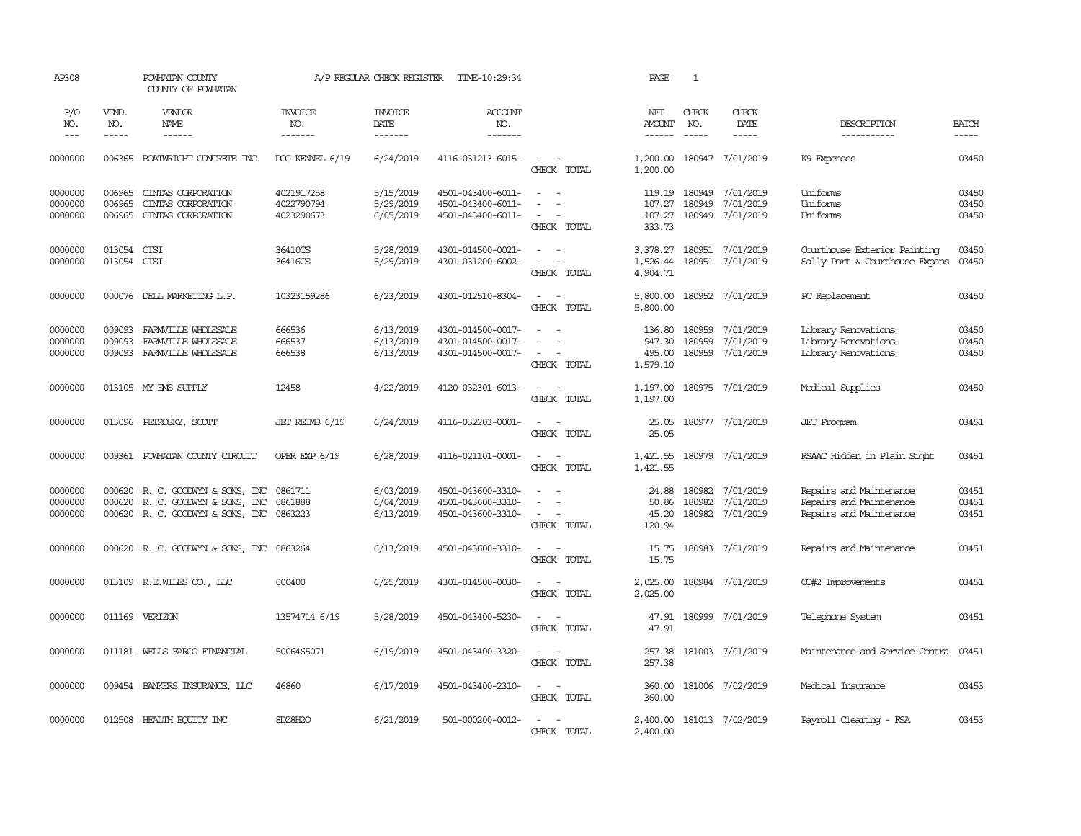| AP308                         |                            | POWHATAN COUNTY<br>COUNTY OF POWHATAN                                                              |                                        | A/P REGULAR CHECK REGISTER          | TIME-10:29:34                                               |                                                                               | PAGE                                   | <sup>1</sup>                  |                                                          |                                                                               |                             |
|-------------------------------|----------------------------|----------------------------------------------------------------------------------------------------|----------------------------------------|-------------------------------------|-------------------------------------------------------------|-------------------------------------------------------------------------------|----------------------------------------|-------------------------------|----------------------------------------------------------|-------------------------------------------------------------------------------|-----------------------------|
| P/O<br>NO.<br>$---$           | VEND.<br>NO.<br>-----      | VENDOR<br>NAME<br>$- - - - - -$                                                                    | <b>INVOICE</b><br>NO.<br>-------       | <b>INVOICE</b><br>DATE<br>-------   | ACCOUNT<br>NO.<br>$- - - - - - -$                           |                                                                               | NET<br><b>AMOUNT</b><br>------         | CHECK<br>NO.<br>$\frac{1}{2}$ | CHECK<br>DATE<br>-----                                   | DESCRIPTION<br>-----------                                                    | <b>BATCH</b><br>$- - - - -$ |
| 0000000                       | 006365                     | BOATWRIGHT CONCRETE INC.                                                                           | DOG KENNEL 6/19                        | 6/24/2019                           | 4116-031213-6015-                                           | $\sim$<br>$\sim$<br>CHECK TOTAL                                               | 1,200.00<br>1,200.00                   |                               | 180947 7/01/2019                                         | K9 Expenses                                                                   | 03450                       |
| 0000000<br>0000000<br>0000000 | 006965<br>006965<br>006965 | CINIAS CORPORATION<br>CINIAS CORPORATION<br>CINIAS CORPORATION                                     | 4021917258<br>4022790794<br>4023290673 | 5/15/2019<br>5/29/2019<br>6/05/2019 | 4501-043400-6011-<br>4501-043400-6011-<br>4501-043400-6011- | $ -$<br>$\overline{\phantom{a}}$<br>CHECK TOTAL                               | 107.27<br>107.27<br>333.73             | 180949                        | 119.19 180949 7/01/2019<br>7/01/2019<br>180949 7/01/2019 | Uniforms<br>Uniforms<br>Uniforms                                              | 03450<br>03450<br>03450     |
| 0000000<br>0000000            | 013054<br>013054 CTSI      | CTSI                                                                                               | 36410CS<br>36416CS                     | 5/28/2019<br>5/29/2019              | 4301-014500-0021-<br>4301-031200-6002-                      | $\sim$<br>$\sim$<br>$\sim$<br>CHECK TOTAL                                     | 3,378.27<br>1,526.44<br>4,904.71       |                               | 180951 7/01/2019<br>180951 7/01/2019                     | Courthouse Exterior Painting<br>Sally Port & Courthouse Expans                | 03450<br>03450              |
| 0000000                       |                            | 000076 DELL MARKETING L.P.                                                                         | 10323159286                            | 6/23/2019                           | 4301-012510-8304-                                           | $\sim$<br>$\sim$<br>CHECK TOTAL                                               | 5,800.00<br>5,800.00                   |                               | 180952 7/01/2019                                         | PC Replacement                                                                | 03450                       |
| 0000000<br>0000000<br>0000000 | 009093<br>009093<br>009093 | FARMVILLE WHOLESALE<br>FARMVILLE WHOLESALE<br>FARMVILLE WHOLESALE                                  | 666536<br>666537<br>666538             | 6/13/2019<br>6/13/2019<br>6/13/2019 | 4301-014500-0017-<br>4301-014500-0017-<br>4301-014500-0017- | $\sim$<br>$\sim$<br>$\sim$<br>CHECK TOTAL                                     | 136.80<br>947.30<br>495.00<br>1,579.10 | 180959<br>180959              | 7/01/2019<br>7/01/2019<br>180959 7/01/2019               | Library Renovations<br>Library Renovations<br>Library Renovations             | 03450<br>03450<br>03450     |
| 0000000                       |                            | 013105 MY EMS SUPPLY                                                                               | 12458                                  | 4/22/2019                           | 4120-032301-6013-                                           | $\sim$ $\sim$<br>CHECK TOTAL                                                  | 1,197.00                               |                               | 1,197.00 180975 7/01/2019                                | Medical Supplies                                                              | 03450                       |
| 0000000                       | 013096                     | PETROSKY, SCOTT                                                                                    | JET REIMB 6/19                         | 6/24/2019                           | 4116-032203-0001-                                           | $\overline{\phantom{a}}$<br>$\sim$<br>CHECK TOTAL                             | 25.05<br>25.05                         |                               | 180977 7/01/2019                                         | <b>JET</b> Program                                                            | 03451                       |
| 0000000                       |                            | 009361 POWHATAN COUNTY CIRCUIT                                                                     | OPER EXP 6/19                          | 6/28/2019                           | 4116-021101-0001-                                           | $\sim$<br>$\sim$<br>CHECK TOTAL                                               | 1,421.55<br>1,421.55                   |                               | 180979 7/01/2019                                         | RSAAC Hidden in Plain Sight                                                   | 03451                       |
| 0000000<br>0000000<br>0000000 | 000620<br>000620           | R. C. GOODWIN & SONS, INC<br>R. C. GOODWIN & SONS, INC<br>000620 R. C. GOODWIN & SONS, INC 0863223 | 0861711<br>0861888                     | 6/03/2019<br>6/04/2019<br>6/13/2019 | 4501-043600-3310-<br>4501-043600-3310-<br>4501-043600-3310- | $\sim$<br>$\overline{\phantom{a}}$<br>$\overline{\phantom{a}}$<br>CHECK TOTAL | 24.88<br>50.86<br>45.20<br>120.94      | 180982<br>180982              | 7/01/2019<br>7/01/2019<br>180982 7/01/2019               | Repairs and Maintenance<br>Repairs and Maintenance<br>Repairs and Maintenance | 03451<br>03451<br>03451     |
| 0000000                       |                            | 000620 R.C. GOODWYN & SONS, INC 0863264                                                            |                                        | 6/13/2019                           | 4501-043600-3310-                                           | $\sim$ $\sim$<br>CHECK TOTAL                                                  | 15.75<br>15.75                         |                               | 180983 7/01/2019                                         | Repairs and Maintenance                                                       | 03451                       |
| 0000000                       |                            | 013109 R.E.WILES CO., LLC                                                                          | 000400                                 | 6/25/2019                           | 4301-014500-0030-                                           | $\sim$ $ \sim$<br>CHECK TOTAL                                                 | 2,025.00<br>2,025.00                   |                               | 180984 7/01/2019                                         | CO#2 Improvements                                                             | 03451                       |
| 0000000                       |                            | 011169 VERIZON                                                                                     | 13574714 6/19                          | 5/28/2019                           | 4501-043400-5230-                                           | $\sim$<br>$\sim$<br>CHECK TOTAL                                               | 47.91<br>47.91                         |                               | 180999 7/01/2019                                         | Telephone System                                                              | 03451                       |
| 0000000                       |                            | 011181 WELLS FARGO FINANCIAL                                                                       | 5006465071                             | 6/19/2019                           | 4501-043400-3320-                                           | $\sim$<br>$\sim$<br>CHECK TOTAL                                               | 257.38<br>257.38                       |                               | 181003 7/01/2019                                         | Maintenance and Service Contra                                                | 03451                       |
| 0000000                       | 009454                     | BANKERS INSURANCE, LLC                                                                             | 46860                                  | 6/17/2019                           | 4501-043400-2310-                                           | $\sim$ $ -$<br>CHECK TOTAL                                                    | 360.00<br>360.00                       |                               | 181006 7/02/2019                                         | Medical Insurance                                                             | 03453                       |
| 0000000                       |                            | 012508 HEALTH EQUITY INC                                                                           | 8DZ8H2O                                | 6/21/2019                           | 501-000200-0012-                                            | $\sim$<br>$\sim$<br>CHECK TOTAL                                               | 2,400.00<br>2,400.00                   |                               | 181013 7/02/2019                                         | Payroll Clearing - FSA                                                        | 03453                       |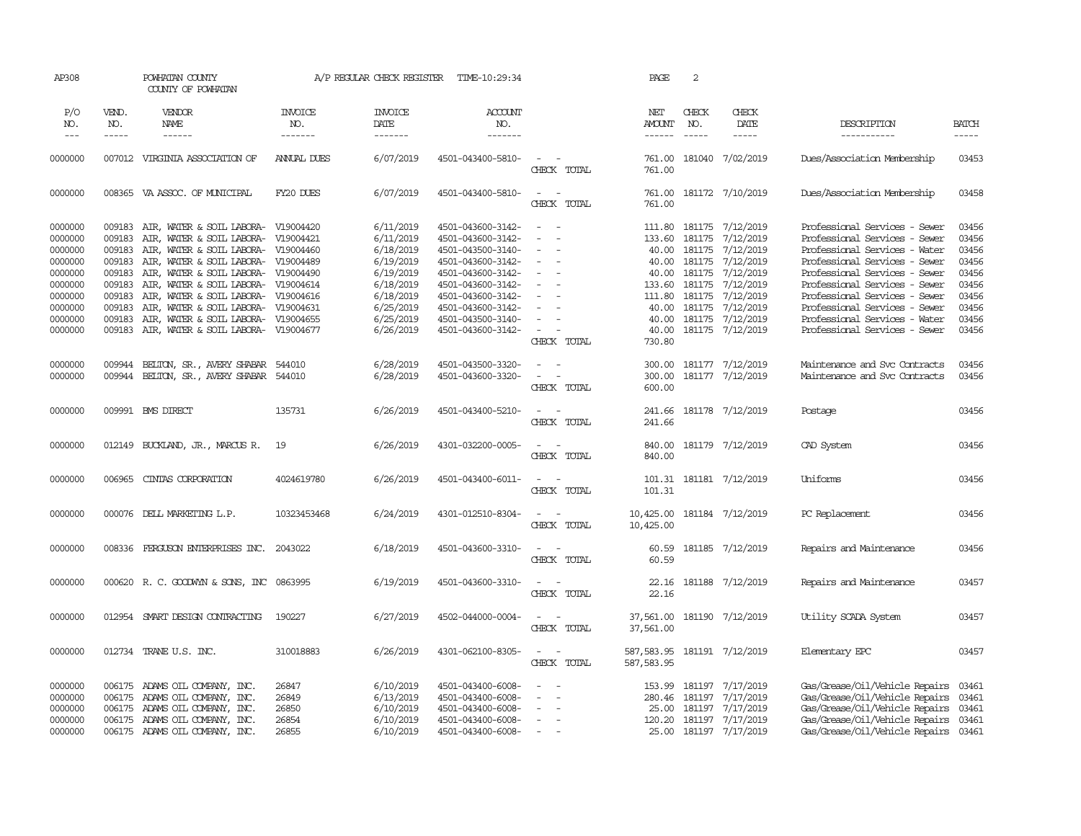| AP308                                                                                                      |                                                                                        | POWHATAN COUNTY<br>COUNTY OF POWHATAN                                                                                                                                                                                                                                                                                                                                                                     |                                           | A/P REGULAR CHECK REGISTER                                                                                                     | TIME-10:29:34                                                                                                                                                                                                  |                                                                                                                                                                          | PAGE                                                                    | 2                                                                                  |                                                                                                                                                     |                                                                                                                                                                                                                                                                                                                                        |                                                                                        |
|------------------------------------------------------------------------------------------------------------|----------------------------------------------------------------------------------------|-----------------------------------------------------------------------------------------------------------------------------------------------------------------------------------------------------------------------------------------------------------------------------------------------------------------------------------------------------------------------------------------------------------|-------------------------------------------|--------------------------------------------------------------------------------------------------------------------------------|----------------------------------------------------------------------------------------------------------------------------------------------------------------------------------------------------------------|--------------------------------------------------------------------------------------------------------------------------------------------------------------------------|-------------------------------------------------------------------------|------------------------------------------------------------------------------------|-----------------------------------------------------------------------------------------------------------------------------------------------------|----------------------------------------------------------------------------------------------------------------------------------------------------------------------------------------------------------------------------------------------------------------------------------------------------------------------------------------|----------------------------------------------------------------------------------------|
| P/O<br>NO.<br>$---$                                                                                        | VEND.<br>NO.<br>$- - - - -$                                                            | VENDOR<br>NAME<br>$- - - - - -$                                                                                                                                                                                                                                                                                                                                                                           | <b>INVOICE</b><br>NO.<br>-------          | <b>INVOICE</b><br>DATE<br>-------                                                                                              | ACCOUNT<br>NO.<br>-------                                                                                                                                                                                      |                                                                                                                                                                          | NET<br><b>AMOUNT</b>                                                    | CHECK<br>NO.                                                                       | CHECK<br>DATE<br>$- - - - -$                                                                                                                        | DESCRIPTION<br>-----------                                                                                                                                                                                                                                                                                                             | <b>BATCH</b><br>-----                                                                  |
| 0000000                                                                                                    | 007012                                                                                 | VIRGINIA ASSOCIATION OF                                                                                                                                                                                                                                                                                                                                                                                   | <b>ANNUAL DUES</b>                        | 6/07/2019                                                                                                                      | 4501-043400-5810-                                                                                                                                                                                              | $\sim$<br>$\sim$<br>CHECK TOTAL                                                                                                                                          | 761.00<br>761.00                                                        | 181040                                                                             | 7/02/2019                                                                                                                                           | Dues/Association Membership                                                                                                                                                                                                                                                                                                            | 03453                                                                                  |
| 0000000                                                                                                    |                                                                                        | 008365 VA ASSOC. OF MUNICIPAL                                                                                                                                                                                                                                                                                                                                                                             | FY20 DUES                                 | 6/07/2019                                                                                                                      | 4501-043400-5810-                                                                                                                                                                                              | $\sim$<br>$\sim$<br>CHECK TOTAL                                                                                                                                          | 761.00<br>761.00                                                        |                                                                                    | 181172 7/10/2019                                                                                                                                    | Dues/Association Membership                                                                                                                                                                                                                                                                                                            | 03458                                                                                  |
| 0000000<br>0000000<br>0000000<br>0000000<br>0000000<br>0000000<br>0000000<br>0000000<br>0000000<br>0000000 | 009183<br>009183<br>009183<br>009183<br>009183<br>009183<br>009183<br>009183<br>009183 | 009183 AIR, WATER & SOIL LABORA- V19004420<br>AIR, WATER & SOIL LABORA- V19004421<br>AIR, WATER & SOIL LABORA- V19004460<br>AIR, WATER & SOIL LABORA- V19004489<br>AIR, WATER & SOIL LABORA- V19004490<br>AIR, WATER & SOIL LABORA- V19004614<br>AIR, WATER & SOIL LABORA- V19004616<br>AIR, WATER & SOIL LABORA- V19004631<br>AIR, WATER & SOIL LABORA- V19004655<br>AIR, WATER & SOIL LABORA- V19004677 |                                           | 6/11/2019<br>6/11/2019<br>6/18/2019<br>6/19/2019<br>6/19/2019<br>6/18/2019<br>6/18/2019<br>6/25/2019<br>6/25/2019<br>6/26/2019 | 4501-043600-3142-<br>4501-043600-3142-<br>4501-043500-3140-<br>4501-043600-3142-<br>4501-043600-3142-<br>4501-043600-3142-<br>4501-043600-3142-<br>4501-043600-3142-<br>4501-043500-3140-<br>4501-043600-3142- | $\sim$ $ \sim$<br>$\sim$<br>$\blacksquare$<br>$\equiv$<br>$\overline{\phantom{a}}$<br>$\overline{\phantom{a}}$<br>$\sim$<br>$\sim$<br>$\sim$<br>$\overline{\phantom{a}}$ | 133.60<br>40.00<br>40.00<br>133.60<br>111.80<br>40.00<br>40.00<br>40.00 | 181175<br>181175<br>40.00 181175<br>181175<br>181175<br>181175<br>181175<br>181175 | 111.80 181175 7/12/2019<br>7/12/2019<br>7/12/2019<br>7/12/2019<br>7/12/2019<br>7/12/2019<br>7/12/2019<br>7/12/2019<br>7/12/2019<br>181175 7/12/2019 | Professional Services - Sewer<br>Professional Services - Sewer<br>Professional Services - Water<br>Professional Services - Sewer<br>Professional Services - Sewer<br>Professional Services - Sewer<br>Professional Services - Sewer<br>Professional Services - Sewer<br>Professional Services - Water<br>Professional Services - Sewer | 03456<br>03456<br>03456<br>03456<br>03456<br>03456<br>03456<br>03456<br>03456<br>03456 |
| 0000000<br>0000000                                                                                         | 009944<br>009944                                                                       | BELTON, SR., AVERY SHABAR 544010<br>BELTON, SR., AVERY SHABAR 544010                                                                                                                                                                                                                                                                                                                                      |                                           | 6/28/2019<br>6/28/2019                                                                                                         | 4501-043500-3320-<br>4501-043600-3320-                                                                                                                                                                         | CHECK TOTAL<br>$\sim$<br>$\sim$<br>$\sim$<br>CHECK TOTAL                                                                                                                 | 730.80<br>300.00<br>300.00<br>600.00                                    |                                                                                    | 181177 7/12/2019<br>181177 7/12/2019                                                                                                                | Maintenance and Svc Contracts<br>Maintenance and Svc Contracts                                                                                                                                                                                                                                                                         | 03456<br>03456                                                                         |
| 0000000                                                                                                    |                                                                                        | 009991 BMS DIRECT                                                                                                                                                                                                                                                                                                                                                                                         | 135731                                    | 6/26/2019                                                                                                                      | 4501-043400-5210-                                                                                                                                                                                              | $\sim$<br>CHECK TOTAL                                                                                                                                                    | 241.66<br>241.66                                                        |                                                                                    | 181178 7/12/2019                                                                                                                                    | Postage                                                                                                                                                                                                                                                                                                                                | 03456                                                                                  |
| 0000000                                                                                                    | 012149                                                                                 | BUCKLAND, JR., MARCUS R.                                                                                                                                                                                                                                                                                                                                                                                  | 19                                        | 6/26/2019                                                                                                                      | 4301-032200-0005-                                                                                                                                                                                              | $\overline{\phantom{a}}$<br>$\overline{\phantom{a}}$<br>CHECK TOTAL                                                                                                      | 840.00<br>840.00                                                        |                                                                                    | 181179 7/12/2019                                                                                                                                    | CAD System                                                                                                                                                                                                                                                                                                                             | 03456                                                                                  |
| 0000000                                                                                                    | 006965                                                                                 | CINIAS CORPORATION                                                                                                                                                                                                                                                                                                                                                                                        | 4024619780                                | 6/26/2019                                                                                                                      | 4501-043400-6011-                                                                                                                                                                                              | $\sim$<br>CHECK TOTAL                                                                                                                                                    | 101.31<br>101.31                                                        |                                                                                    | 181181 7/12/2019                                                                                                                                    | Uniforms                                                                                                                                                                                                                                                                                                                               | 03456                                                                                  |
| 0000000                                                                                                    |                                                                                        | 000076 DELL MARKETING L.P.                                                                                                                                                                                                                                                                                                                                                                                | 10323453468                               | 6/24/2019                                                                                                                      | 4301-012510-8304-                                                                                                                                                                                              | $\overline{\phantom{a}}$<br>CHECK TOTAL                                                                                                                                  | 10,425.00<br>10,425.00                                                  |                                                                                    | 181184 7/12/2019                                                                                                                                    | PC Replacement                                                                                                                                                                                                                                                                                                                         | 03456                                                                                  |
| 0000000                                                                                                    | 008336                                                                                 | FERGUSON ENTERPRISES INC. 2043022                                                                                                                                                                                                                                                                                                                                                                         |                                           | 6/18/2019                                                                                                                      | 4501-043600-3310-                                                                                                                                                                                              | $\overline{\phantom{a}}$<br>CHECK TOTAL                                                                                                                                  | 60.59<br>60.59                                                          |                                                                                    | 181185 7/12/2019                                                                                                                                    | Repairs and Maintenance                                                                                                                                                                                                                                                                                                                | 03456                                                                                  |
| 0000000                                                                                                    |                                                                                        | 000620 R.C. GOODWYN & SONS, INC 0863995                                                                                                                                                                                                                                                                                                                                                                   |                                           | 6/19/2019                                                                                                                      | 4501-043600-3310-                                                                                                                                                                                              | $\sim$<br>$\sim$<br>CHECK TOTAL                                                                                                                                          | 22.16<br>22.16                                                          |                                                                                    | 181188 7/12/2019                                                                                                                                    | Repairs and Maintenance                                                                                                                                                                                                                                                                                                                | 03457                                                                                  |
| 0000000                                                                                                    |                                                                                        | 012954 SMART DESIGN CONTRACTING                                                                                                                                                                                                                                                                                                                                                                           | 190227                                    | 6/27/2019                                                                                                                      | 4502-044000-0004-                                                                                                                                                                                              | $\sim$<br>$\sim$<br>CHECK TOTAL                                                                                                                                          | 37,561.00<br>37,561.00                                                  |                                                                                    | 181190 7/12/2019                                                                                                                                    | Utility SCADA System                                                                                                                                                                                                                                                                                                                   | 03457                                                                                  |
| 0000000                                                                                                    |                                                                                        | 012734 TRANE U.S. INC.                                                                                                                                                                                                                                                                                                                                                                                    | 310018883                                 | 6/26/2019                                                                                                                      | 4301-062100-8305-                                                                                                                                                                                              | $\sim$ $\sim$<br>CHECK TOTAL                                                                                                                                             | 587,583.95<br>587, 583.95                                               |                                                                                    | 181191 7/12/2019                                                                                                                                    | Elementary EPC                                                                                                                                                                                                                                                                                                                         | 03457                                                                                  |
| 0000000<br>0000000<br>0000000<br>0000000<br>0000000                                                        | 006175<br>006175<br>006175                                                             | 006175 ADAMS OIL COMPANY, INC.<br>ADAMS OIL COMPANY, INC.<br>ADAMS OIL COMPANY, INC.<br>ADAMS OIL COMPANY, INC.<br>006175 ADAMS OIL COMPANY, INC.                                                                                                                                                                                                                                                         | 26847<br>26849<br>26850<br>26854<br>26855 | 6/10/2019<br>6/13/2019<br>6/10/2019<br>6/10/2019<br>6/10/2019                                                                  | 4501-043400-6008-<br>4501-043400-6008-<br>4501-043400-6008-<br>4501-043400-6008-<br>4501-043400-6008-                                                                                                          | $\overline{\phantom{a}}$<br>$\overline{\phantom{a}}$<br>$\equiv$<br>$\sim$                                                                                               | 153.99<br>280.46<br>25.00<br>120.20<br>25.00                            | 181197                                                                             | 181197 7/17/2019<br>7/17/2019<br>181197 7/17/2019<br>181197 7/17/2019<br>181197 7/17/2019                                                           | Gas/Grease/Oil/Vehicle Repairs<br>Gas/Grease/Oil/Vehicle Repairs<br>Gas/Grease/Oil/Vehicle Repairs<br>Gas/Grease/Oil/Vehicle Repairs<br>Gas/Grease/Oil/Vehicle Repairs                                                                                                                                                                 | 03461<br>03461<br>03461<br>03461<br>03461                                              |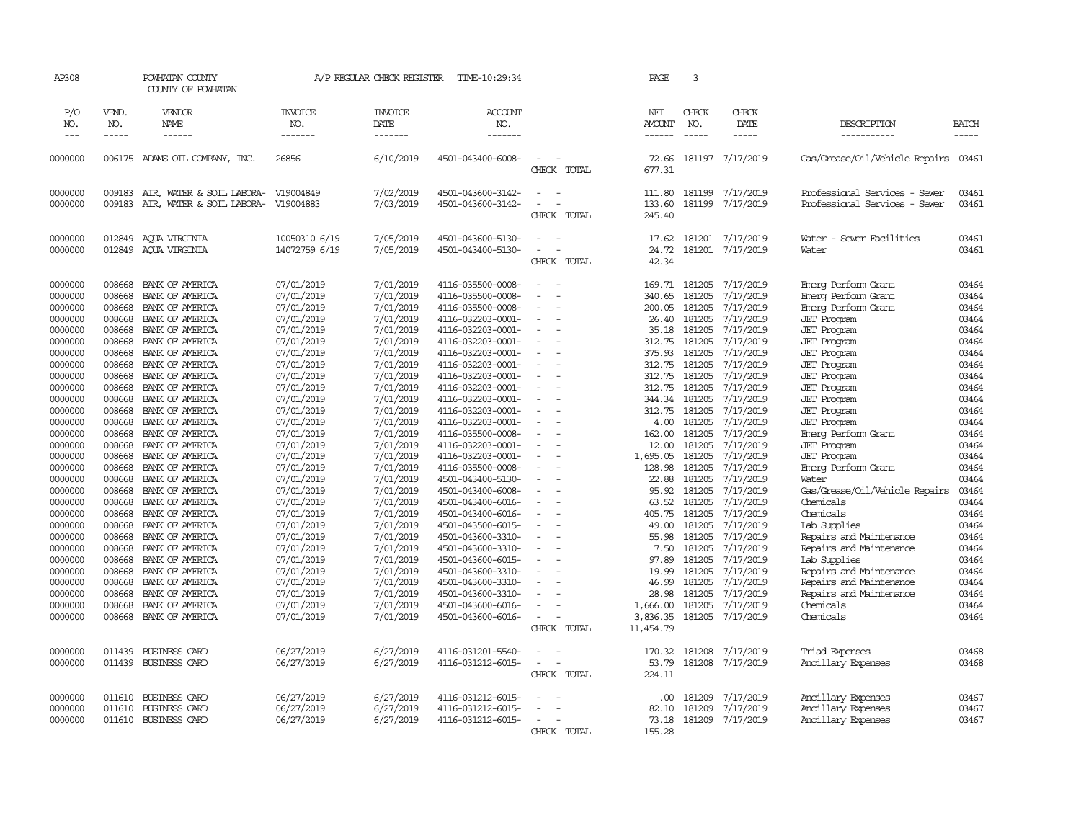| AP308                                    |                                      | POWHATAN COUNTY<br>COUNTY OF POWHATAN                                    |                                                      | A/P REGULAR CHECK REGISTER                       | TIME-10:29:34                                                                    |                                                                  | PAGE                                 | 3                                           |                                                  |                                                                                               |                                  |
|------------------------------------------|--------------------------------------|--------------------------------------------------------------------------|------------------------------------------------------|--------------------------------------------------|----------------------------------------------------------------------------------|------------------------------------------------------------------|--------------------------------------|---------------------------------------------|--------------------------------------------------|-----------------------------------------------------------------------------------------------|----------------------------------|
| P/O<br>NO.<br>$\frac{1}{2}$              | VEND.<br>NO.<br>-----                | VENDOR<br><b>NAME</b><br>------                                          | <b>INVOICE</b><br>NO.<br>-------                     | <b>INVOICE</b><br>DATE<br>-------                | <b>ACCOUNT</b><br>NO.<br>-------                                                 |                                                                  | NET<br>AMOUNT<br>------              | CHECK<br>NO.<br>$- - - - -$                 | CHECK<br>DATE<br>$- - - - -$                     | DESCRIPTION                                                                                   | <b>BATCH</b><br>-----            |
|                                          |                                      |                                                                          |                                                      |                                                  |                                                                                  |                                                                  |                                      |                                             |                                                  | -----------                                                                                   |                                  |
| 0000000                                  |                                      | 006175 ADAMS OIL COMPANY, INC.                                           | 26856                                                | 6/10/2019                                        | 4501-043400-6008-                                                                | $\equiv$<br>CHECK TOTAL                                          | 72.66<br>677.31                      |                                             | 181197 7/17/2019                                 | Gas/Grease/Oil/Vehicle Repairs 03461                                                          |                                  |
| 0000000<br>0000000                       | 009183<br>009183                     | AIR, WATER & SOIL LABORA-<br>AIR, WATER & SOIL LABORA-                   | V19004849<br>V19004883                               | 7/02/2019<br>7/03/2019                           | 4501-043600-3142-<br>4501-043600-3142-                                           | $\sim$<br>÷.<br>CHECK TOTAL                                      | 111.80<br>133.60<br>245.40           | 181199                                      | 181199 7/17/2019<br>7/17/2019                    | Professional Services - Sewer<br>Professional Services - Sewer                                | 03461<br>03461                   |
| 0000000<br>0000000                       | 012849<br>012849                     | AOUA VIRGINIA<br>AOUA VIRGINIA                                           | 10050310 6/19<br>14072759 6/19                       | 7/05/2019<br>7/05/2019                           | 4501-043600-5130-<br>4501-043400-5130-                                           | $\equiv$<br>$\sim$<br>$\sim$<br>$\sim$<br>CHECK TOTAL            | 17.62<br>24.72<br>42.34              |                                             | 181201 7/17/2019<br>181201 7/17/2019             | Water - Sewer Facilities<br>Water                                                             | 03461<br>03461                   |
| 0000000<br>0000000<br>0000000<br>0000000 | 008668<br>008668<br>008668<br>008668 | BANK OF AMERICA<br>BANK OF AMERICA<br>BANK OF AMERICA<br>BANK OF AMERICA | 07/01/2019<br>07/01/2019<br>07/01/2019<br>07/01/2019 | 7/01/2019<br>7/01/2019<br>7/01/2019<br>7/01/2019 | 4116-035500-0008-<br>4116-035500-0008-<br>4116-035500-0008-<br>4116-032203-0001- | $\sim$<br>$\sim$<br>$\equiv$<br>$\overline{\phantom{a}}$         | 340.65<br>200.05<br>26.40            | 169.71 181205<br>181205<br>181205<br>181205 | 7/17/2019<br>7/17/2019<br>7/17/2019<br>7/17/2019 | Einerg Perform Grant<br>Emerg Perform Grant<br>Emerg Perform Grant<br><b>JET</b> Program      | 03464<br>03464<br>03464<br>03464 |
| 0000000<br>0000000<br>0000000<br>0000000 | 008668<br>008668<br>008668<br>008668 | BANK OF AMERICA<br>BANK OF AMERICA<br>BANK OF AMERICA<br>BANK OF AMERICA | 07/01/2019<br>07/01/2019<br>07/01/2019<br>07/01/2019 | 7/01/2019<br>7/01/2019<br>7/01/2019<br>7/01/2019 | 4116-032203-0001-<br>4116-032203-0001-<br>4116-032203-0001-<br>4116-032203-0001- | $\sim$<br>$\equiv$<br>$\sim$<br>$\equiv$                         | 35.18<br>312.75<br>375.93<br>312.75  | 181205<br>181205<br>181205<br>181205        | 7/17/2019<br>7/17/2019<br>7/17/2019<br>7/17/2019 | <b>JET</b> Program<br><b>JET</b> Program<br><b>JET</b> Program<br><b>JET</b> Program          | 03464<br>03464<br>03464<br>03464 |
| 0000000<br>0000000<br>0000000<br>0000000 | 008668<br>008668<br>008668<br>008668 | BANK OF AMERICA<br>BANK OF AMERICA<br>BANK OF AMERICA<br>BANK OF AMERICA | 07/01/2019<br>07/01/2019<br>07/01/2019<br>07/01/2019 | 7/01/2019<br>7/01/2019<br>7/01/2019<br>7/01/2019 | 4116-032203-0001-<br>4116-032203-0001-<br>4116-032203-0001-<br>4116-032203-0001- | $\equiv$<br>$\equiv$<br>$\sim$                                   | 312.75<br>312.75<br>344.34<br>312.75 | 181205<br>181205<br>181205<br>181205        | 7/17/2019<br>7/17/2019<br>7/17/2019<br>7/17/2019 | <b>JET</b> Program<br><b>JET</b> Program<br><b>JET</b> Program<br><b>JET</b> Program          | 03464<br>03464<br>03464<br>03464 |
| 0000000<br>0000000<br>0000000<br>0000000 | 008668<br>008668<br>008668<br>008668 | BANK OF AMERICA<br>BANK OF AMERICA<br>BANK OF AMERICA<br>BANK OF AMERICA | 07/01/2019<br>07/01/2019<br>07/01/2019<br>07/01/2019 | 7/01/2019<br>7/01/2019<br>7/01/2019<br>7/01/2019 | 4116-032203-0001-<br>4116-035500-0008-<br>4116-032203-0001-<br>4116-032203-0001- | $\equiv$<br>$\sim$<br>$\sim$<br>$\sim$                           | 4.00<br>162.00<br>12.00<br>1,695.05  | 181205<br>181205<br>181205<br>181205        | 7/17/2019<br>7/17/2019<br>7/17/2019<br>7/17/2019 | <b>JET</b> Program<br>Emerg Perform Grant<br><b>JET Program</b><br><b>JET</b> Program         | 03464<br>03464<br>03464<br>03464 |
| 0000000<br>0000000<br>0000000<br>0000000 | 008668<br>008668<br>008668<br>008668 | BANK OF AMERICA<br>BANK OF AMERICA<br>BANK OF AMERICA<br>BANK OF AMERICA | 07/01/2019<br>07/01/2019<br>07/01/2019<br>07/01/2019 | 7/01/2019<br>7/01/2019<br>7/01/2019<br>7/01/2019 | 4116-035500-0008-<br>4501-043400-5130-<br>4501-043400-6008-<br>4501-043400-6016- | $\equiv$<br>$\overline{\phantom{a}}$<br>$\equiv$<br>$\sim$       | 128.98<br>22.88<br>95.92<br>63.52    | 181205<br>181205<br>181205<br>181205        | 7/17/2019<br>7/17/2019<br>7/17/2019<br>7/17/2019 | Emerg Perform Grant<br>Water<br>Gas/Grease/Oil/Vehicle Repairs<br>Chemicals                   | 03464<br>03464<br>03464<br>03464 |
| 0000000<br>0000000<br>0000000<br>0000000 | 008668<br>008668<br>008668<br>008668 | BANK OF AMERICA<br>BANK OF AMERICA<br>BANK OF AMERICA<br>BANK OF AMERICA | 07/01/2019<br>07/01/2019<br>07/01/2019<br>07/01/2019 | 7/01/2019<br>7/01/2019<br>7/01/2019<br>7/01/2019 | 4501-043400-6016-<br>4501-043500-6015-<br>4501-043600-3310-<br>4501-043600-3310- | $\sim$<br>$\overline{a}$<br>$\sim$                               | 405.75<br>49.00<br>55.98<br>7.50     | 181205<br>181205<br>181205<br>181205        | 7/17/2019<br>7/17/2019<br>7/17/2019<br>7/17/2019 | Chemicals<br>Lab Supplies<br>Repairs and Maintenance<br>Repairs and Maintenance               | 03464<br>03464<br>03464<br>03464 |
| 0000000<br>0000000<br>0000000<br>0000000 | 008668<br>008668<br>008668<br>008668 | BANK OF AMERICA<br>BANK OF AMERICA<br>BANK OF AMERICA<br>BANK OF AMERICA | 07/01/2019<br>07/01/2019<br>07/01/2019<br>07/01/2019 | 7/01/2019<br>7/01/2019<br>7/01/2019<br>7/01/2019 | 4501-043600-6015-<br>4501-043600-3310-<br>4501-043600-3310-<br>4501-043600-3310- | $\equiv$                                                         | 97.89<br>19.99<br>46.99<br>28.98     | 181205<br>181205<br>181205<br>181205        | 7/17/2019<br>7/17/2019<br>7/17/2019<br>7/17/2019 | Lab Supplies<br>Repairs and Maintenance<br>Repairs and Maintenance<br>Repairs and Maintenance | 03464<br>03464<br>03464<br>03464 |
| 0000000<br>0000000                       | 008668<br>008668                     | BANK OF AMERICA<br>BANK OF AMERICA                                       | 07/01/2019<br>07/01/2019                             | 7/01/2019<br>7/01/2019                           | 4501-043600-6016-<br>4501-043600-6016-                                           | $\equiv$<br>$\sim$<br>CHECK TOTAL                                | 1,666.00<br>3,836.35<br>11,454.79    | 181205<br>181205                            | 7/17/2019<br>7/17/2019                           | Chemicals<br>Chemicals                                                                        | 03464<br>03464                   |
| 0000000<br>0000000                       | 011439<br>011439                     | BUSINESS CARD<br>BUSINESS CARD                                           | 06/27/2019<br>06/27/2019                             | 6/27/2019<br>6/27/2019                           | 4116-031201-5540-<br>4116-031212-6015-                                           | $\equiv$<br>$\bar{a}$<br>$\overline{\phantom{a}}$<br>CHECK TOTAL | 170.32<br>53.79<br>224.11            | 181208<br>181208                            | 7/17/2019<br>7/17/2019                           | Triad Expenses<br>Ancillary Expenses                                                          | 03468<br>03468                   |
| 0000000<br>0000000<br>0000000            | 011610<br>011610<br>011610           | BUSINESS CARD<br>BUSINESS CARD<br>BUSINESS CARD                          | 06/27/2019<br>06/27/2019<br>06/27/2019               | 6/27/2019<br>6/27/2019<br>6/27/2019              | 4116-031212-6015-<br>4116-031212-6015-<br>4116-031212-6015-                      | CHECK TOTAL                                                      | .00<br>82.10<br>73.18<br>155.28      | 181209<br>181209                            | 7/17/2019<br>7/17/2019<br>181209 7/17/2019       | Ancillary Expenses<br>Ancillary Expenses<br>Ancillary Expenses                                | 03467<br>03467<br>03467          |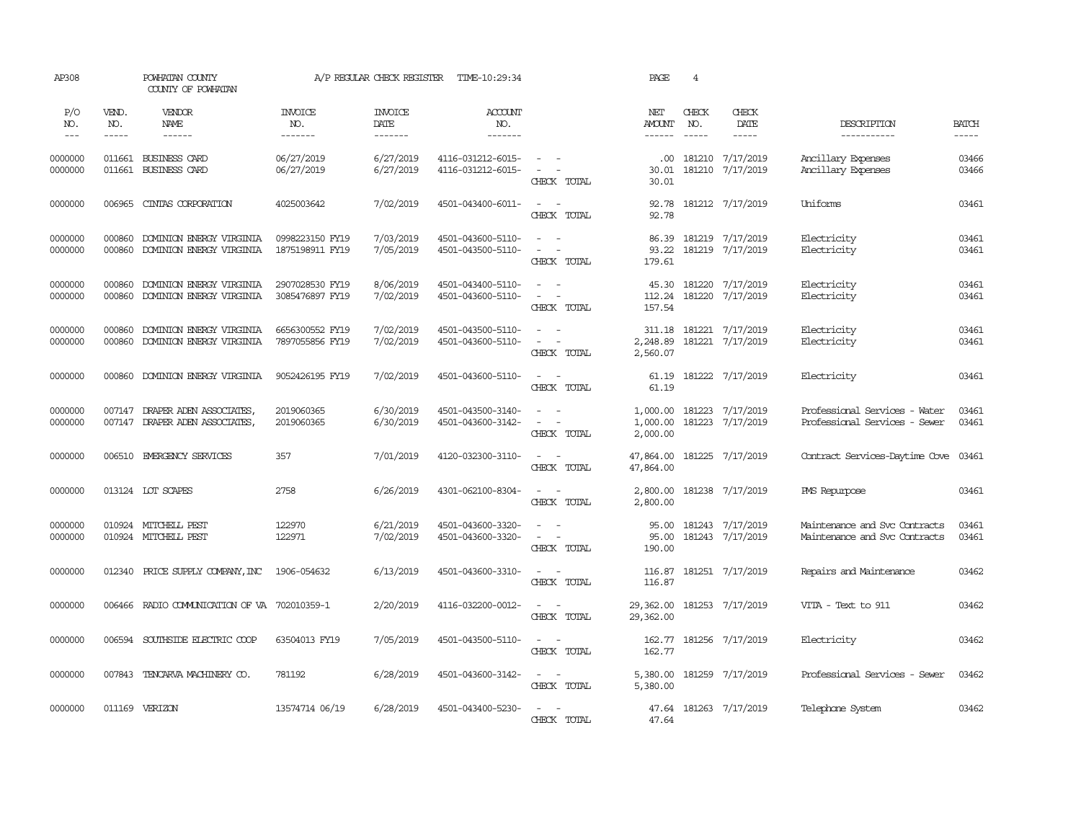| AP308                              |                       | POWHATAN COUNTY<br>COUNTY OF POWHATAN                |                                          | A/P REGULAR CHECK REGISTER        | TIME-10:29:34                            |                                                                                                  | PAGE                                  | $\overline{4}$ |                                      |                                                                |                             |
|------------------------------------|-----------------------|------------------------------------------------------|------------------------------------------|-----------------------------------|------------------------------------------|--------------------------------------------------------------------------------------------------|---------------------------------------|----------------|--------------------------------------|----------------------------------------------------------------|-----------------------------|
| P/O<br>NO.<br>$\sim$ $\sim$ $\sim$ | VEND.<br>NO.<br>----- | VENDOR<br>NAME<br>$- - - - - -$                      | <b>INVOICE</b><br>NO.<br>$- - - - - - -$ | <b>INVOICE</b><br>DATE<br>------- | <b>ACCOUNT</b><br>NO.<br>$- - - - - - -$ |                                                                                                  | NET<br><b>AMOUNT</b><br>$- - - - - -$ | CHECK<br>NO.   | CHECK<br>DATE                        | DESCRIPTION<br>-----------                                     | <b>BATCH</b><br>$- - - - -$ |
| 0000000<br>0000000                 | 011661                | BUSINESS CARD<br>011661 BUSINESS CARD                | 06/27/2019<br>06/27/2019                 | 6/27/2019<br>6/27/2019            | 4116-031212-6015-<br>4116-031212-6015-   | $\overline{\phantom{a}}$<br>$\sim$<br>CHECK TOTAL                                                | .00.<br>30.01<br>30.01                |                | 181210 7/17/2019<br>181210 7/17/2019 | Ancillary Expenses<br>Ancillary Expenses                       | 03466<br>03466              |
| 0000000                            | 006965                | CINIAS CORPORATION                                   | 4025003642                               | 7/02/2019                         | 4501-043400-6011-                        | $\sim$ $ -$<br>CHECK TOTAL                                                                       | 92.78<br>92.78                        |                | 181212 7/17/2019                     | Uniforms                                                       | 03461                       |
| 0000000<br>0000000                 | 000860<br>000860      | DOMINION ENERGY VIRGINIA<br>DOMINION ENERGY VIRGINIA | 0998223150 FY19<br>1875198911 FY19       | 7/03/2019<br>7/05/2019            | 4501-043600-5110-<br>4501-043500-5110-   | $\sim$<br>$\sim$<br>$\sim$<br>$\sim$<br>CHECK TOTAL                                              | 86.39<br>93.22<br>179.61              |                | 181219 7/17/2019<br>181219 7/17/2019 | Electricity<br>Electricity                                     | 03461<br>03461              |
| 0000000<br>0000000                 | 000860<br>000860      | DOMINION ENERGY VIRGINIA<br>DOMINION ENERGY VIRGINIA | 2907028530 FY19<br>3085476897 FY19       | 8/06/2019<br>7/02/2019            | 4501-043400-5110-<br>4501-043600-5110-   | $\sim$<br>$\sim$ $\sim$<br>$\sim$<br>$\sim$ $-$<br>CHECK TOTAL                                   | 45.30<br>112.24<br>157.54             |                | 181220 7/17/2019<br>181220 7/17/2019 | Electricity<br>Electricity                                     | 03461<br>03461              |
| 0000000<br>0000000                 | 000860<br>000860      | DOMINION ENERGY VIRGINIA<br>DOMINION ENERGY VIRGINIA | 6656300552 FY19<br>7897055856 FY19       | 7/02/2019<br>7/02/2019            | 4501-043500-5110-<br>4501-043600-5110-   | $\omega_{\rm{max}}$ and $\omega_{\rm{max}}$<br>$\overline{\phantom{a}}$<br>$\sim$<br>CHECK TOTAL | 311.18<br>2,248.89<br>2,560.07        |                | 181221 7/17/2019<br>181221 7/17/2019 | Electricity<br>Electricity                                     | 03461<br>03461              |
| 0000000                            | 000860                | DOMINION ENERGY VIRGINIA                             | 9052426195 FY19                          | 7/02/2019                         | 4501-043600-5110-                        | $\sim$<br>$\sim$<br>CHECK TOTAL                                                                  | 61.19<br>61.19                        |                | 181222 7/17/2019                     | Electricity                                                    | 03461                       |
| 0000000<br>0000000                 | 007147<br>007147      | DRAPER ADEN ASSOCIATES,<br>DRAPER ADEN ASSOCIATES,   | 2019060365<br>2019060365                 | 6/30/2019<br>6/30/2019            | 4501-043500-3140-<br>4501-043600-3142-   | $\sim$<br>$\sim$<br>$\sim$<br>CHECK TOTAL                                                        | 1,000.00<br>1,000.00<br>2,000.00      |                | 181223 7/17/2019<br>181223 7/17/2019 | Professional Services - Water<br>Professional Services - Sewer | 03461<br>03461              |
| 0000000                            |                       | 006510 EMERGENCY SERVICES                            | 357                                      | 7/01/2019                         | 4120-032300-3110-                        | $\sim$ $ \sim$<br>CHECK TOTAL                                                                    | 47,864.00<br>47,864.00                |                | 181225 7/17/2019                     | Contract Services-Daytime Cove                                 | 03461                       |
| 0000000                            |                       | 013124 LOT SCAPES                                    | 2758                                     | 6/26/2019                         | 4301-062100-8304-                        | $\overline{\phantom{a}}$<br>$\sim$<br>CHECK TOTAL                                                | 2,800.00<br>2,800.00                  |                | 181238 7/17/2019                     | PMS Repurpose                                                  | 03461                       |
| 0000000<br>0000000                 |                       | 010924 MITCHELL PEST<br>010924 MITCHELL PEST         | 122970<br>122971                         | 6/21/2019<br>7/02/2019            | 4501-043600-3320-<br>4501-043600-3320-   | $\sim$<br>$\sim$ $\sim$<br>CHECK TOTAL                                                           | 95.00<br>95.00<br>190.00              |                | 181243 7/17/2019<br>181243 7/17/2019 | Maintenance and Svc Contracts<br>Maintenance and Svc Contracts | 03461<br>03461              |
| 0000000                            | 012340                | PRICE SUPPLY COMPANY, INC                            | 1906-054632                              | 6/13/2019                         | 4501-043600-3310-                        | $\sim$ $  -$<br>CHECK TOTAL                                                                      | 116.87<br>116.87                      |                | 181251 7/17/2019                     | Repairs and Maintenance                                        | 03462                       |
| 0000000                            | 006466                | RADIO COMMUNICATION OF VA 702010359-1                |                                          | 2/20/2019                         | 4116-032200-0012-                        | $\sim$ $ -$<br>CHECK TOTAL                                                                       | 29,362.00<br>29,362.00                |                | 181253 7/17/2019                     | VITA - Text to 911                                             | 03462                       |
| 0000000                            | 006594                | SOUTHSIDE ELECTRIC COOP                              | 63504013 FY19                            | 7/05/2019                         | 4501-043500-5110-                        | $\sim$ $\sim$<br>CHECK TOTAL                                                                     | 162.77<br>162.77                      |                | 181256 7/17/2019                     | Electricity                                                    | 03462                       |
| 0000000                            | 007843                | TENCARVA MACHINERY CO.                               | 781192                                   | 6/28/2019                         | 4501-043600-3142-                        | $\sim$<br>$\sim$<br>CHECK TOTAL                                                                  | 5,380.00<br>5,380.00                  |                | 181259 7/17/2019                     | Professional Services - Sewer                                  | 03462                       |
| 0000000                            |                       | 011169 VERIZON                                       | 13574714 06/19                           | 6/28/2019                         | 4501-043400-5230-                        | $\sim$<br>$\sim$<br>CHECK TOTAL                                                                  | 47.64<br>47.64                        |                | 181263 7/17/2019                     | Telephone System                                               | 03462                       |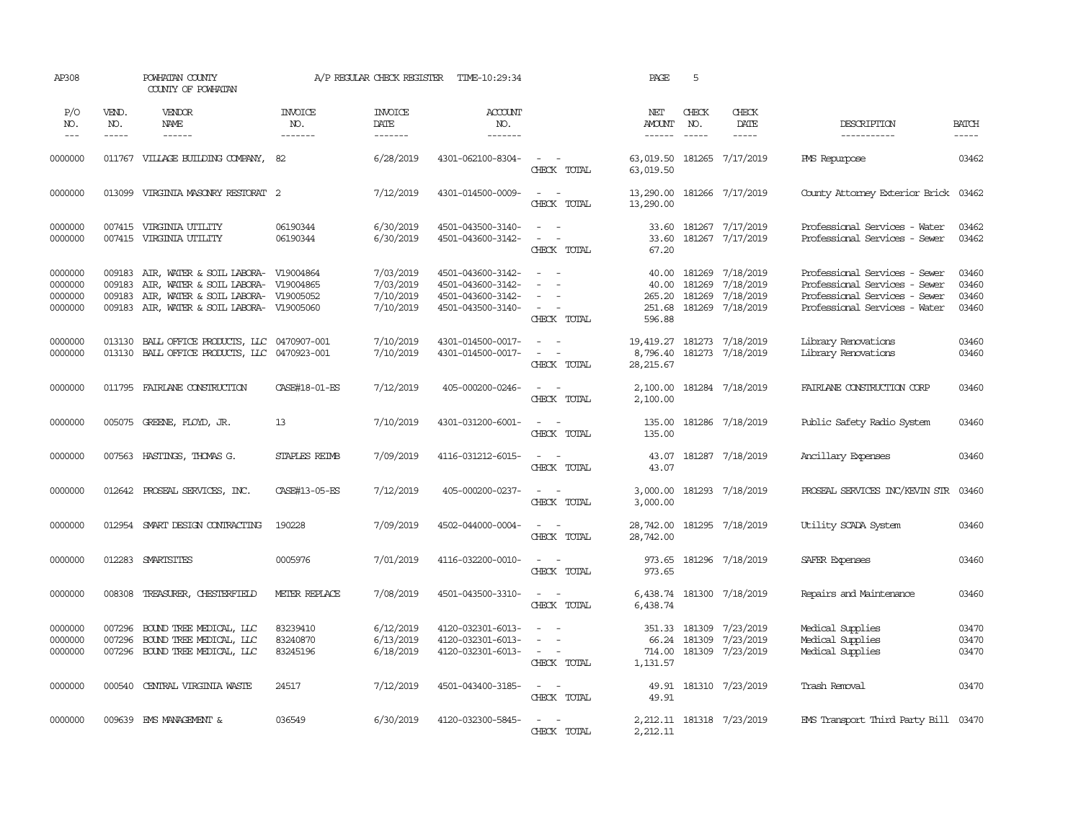| AP308                                    |                             | POWHATAN COUNTY<br>COUNTY OF POWHATAN                                                                                                                           |                                  | A/P REGULAR CHECK REGISTER                       | TIME-10:29:34                                                                    |                                                                                      | PAGE                                         | 5                             |                                                         |                                                                                                                                  |                                  |
|------------------------------------------|-----------------------------|-----------------------------------------------------------------------------------------------------------------------------------------------------------------|----------------------------------|--------------------------------------------------|----------------------------------------------------------------------------------|--------------------------------------------------------------------------------------|----------------------------------------------|-------------------------------|---------------------------------------------------------|----------------------------------------------------------------------------------------------------------------------------------|----------------------------------|
| P/O<br>NO.<br>$\frac{1}{2}$              | VEND.<br>NO.<br>$- - - - -$ | VENDOR<br><b>NAME</b><br>$- - - - - -$                                                                                                                          | <b>INVOICE</b><br>NO.<br>------- | <b>INVOICE</b><br>DATE<br>-------                | ACCOUNT<br>NO.<br>-------                                                        |                                                                                      | NET<br><b>AMOUNT</b><br>$- - - - - -$        | CHECK<br>NO.<br>$\frac{1}{2}$ | CHECK<br><b>DATE</b><br>$- - - - -$                     | DESCRIPTION<br>-----------                                                                                                       | <b>BATCH</b><br>-----            |
| 0000000                                  |                             | 011767 VILLAGE BUILDING COMPANY,                                                                                                                                | -82                              | 6/28/2019                                        | 4301-062100-8304-                                                                | $\omega_{\rm{max}}$ and $\omega_{\rm{max}}$<br>CHECK TOTAL                           | 63,019.50<br>63,019.50                       | 181265                        | 7/17/2019                                               | PMS Repurpose                                                                                                                    | 03462                            |
| 0000000                                  |                             | 013099 VIRGINIA MASONRY RESTORAT 2                                                                                                                              |                                  | 7/12/2019                                        | 4301-014500-0009-                                                                | $\sim$<br>$\sim$<br>CHECK TOTAL                                                      | 13,290.00 181266 7/17/2019<br>13,290.00      |                               |                                                         | County Attorney Exterior Brick 03462                                                                                             |                                  |
| 0000000<br>0000000                       |                             | 007415 VIRGINIA UTILITY<br>007415 VIRGINIA UTILITY                                                                                                              | 06190344<br>06190344             | 6/30/2019<br>6/30/2019                           | 4501-043500-3140-<br>4501-043600-3142-                                           | $\sim$ $-$<br>$\sim$<br>$\sim$<br>$\sim$<br>CHECK TOTAL                              | 33.60<br>33.60<br>67.20                      |                               | 181267 7/17/2019<br>181267 7/17/2019                    | Professional Services - Water<br>Professional Services - Sewer                                                                   | 03462<br>03462                   |
| 0000000<br>0000000<br>0000000<br>0000000 | 009183<br>009183<br>009183  | AIR, WATER & SOIL LABORA- V19004864<br>AIR, WATER & SOIL LABORA- V19004865<br>AIR, WATER & SOIL LABORA- V19005052<br>009183 AIR, WATER & SOIL LABORA- V19005060 |                                  | 7/03/2019<br>7/03/2019<br>7/10/2019<br>7/10/2019 | 4501-043600-3142-<br>4501-043600-3142-<br>4501-043600-3142-<br>4501-043500-3140- | $\sim$ $\sim$<br>$\sim$<br>$\overline{\phantom{a}}$<br>$\overline{a}$<br>CHECK TOTAL | 40.00<br>40.00<br>265.20<br>251.68<br>596.88 | 181269<br>181269<br>181269    | 7/18/2019<br>7/18/2019<br>7/18/2019<br>181269 7/18/2019 | Professional Services - Sewer<br>Professional Services - Sewer<br>Professional Services - Sewer<br>Professional Services - Water | 03460<br>03460<br>03460<br>03460 |
| 0000000<br>0000000                       | 013130                      | BALL OFFICE PRODUCTS, LLC 0470907-001<br>013130 BALL OFFICE PRODUCTS, LLC 0470923-001                                                                           |                                  | 7/10/2019<br>7/10/2019                           | 4301-014500-0017-<br>4301-014500-0017-                                           | $\sim$<br>$\sim$<br>$\sim$ $ -$<br>CHECK TOTAL                                       | 19,419.27<br>8,796.40<br>28,215.67           | 181273                        | 7/18/2019<br>181273 7/18/2019                           | Library Renovations<br>Library Renovations                                                                                       | 03460<br>03460                   |
| 0000000                                  |                             | 011795 FAIRLANE CONSTRUCTION                                                                                                                                    | CASE#18-01-ES                    | 7/12/2019                                        | 405-000200-0246-                                                                 | $\sim$ $ \sim$<br>CHECK TOTAL                                                        | 2,100.00<br>2,100.00                         |                               | 181284 7/18/2019                                        | FAIRLANE CONSTRUCTION CORP                                                                                                       | 03460                            |
| 0000000                                  |                             | 005075 GREENE, FLOYD, JR.                                                                                                                                       | 13                               | 7/10/2019                                        | 4301-031200-6001-                                                                | $\sim$ $ \sim$<br>CHECK TOTAL                                                        | 135.00<br>135.00                             |                               | 181286 7/18/2019                                        | Public Safety Radio System                                                                                                       | 03460                            |
| 0000000                                  |                             | 007563 HASTINGS, THOMAS G.                                                                                                                                      | <b>STAPLES REIMB</b>             | 7/09/2019                                        | 4116-031212-6015-                                                                | $\sim$ $ \sim$<br>CHECK TOTAL                                                        | 43.07<br>43.07                               |                               | 181287 7/18/2019                                        | Ancillary Expenses                                                                                                               | 03460                            |
| 0000000                                  |                             | 012642 PROSEAL SERVICES, INC.                                                                                                                                   | CASE#13-05-ES                    | 7/12/2019                                        | 405-000200-0237-                                                                 | $\sim$<br>$\sim$<br>CHECK TOTAL                                                      | 3,000.00<br>3,000.00                         |                               | 181293 7/18/2019                                        | PROSEAL SERVICES INC/KEVIN STR                                                                                                   | 03460                            |
| 0000000                                  | 012954                      | SMART DESIGN CONTRACTING                                                                                                                                        | 190228                           | 7/09/2019                                        | 4502-044000-0004-                                                                | $\sim$<br>$\sim$<br>CHECK TOTAL                                                      | 28,742.00<br>28,742.00                       |                               | 181295 7/18/2019                                        | Utility SCADA System                                                                                                             | 03460                            |
| 0000000                                  |                             | 012283 SMARTSITES                                                                                                                                               | 0005976                          | 7/01/2019                                        | 4116-032200-0010-                                                                | $\sim$ $ \sim$<br>CHECK TOTAL                                                        | 973.65                                       |                               | 973.65 181296 7/18/2019                                 | SAFER Expenses                                                                                                                   | 03460                            |
| 0000000                                  | 008308                      | TREASURER, CHESTERFIELD                                                                                                                                         | METER REPLACE                    | 7/08/2019                                        | 4501-043500-3310-                                                                | $\sim$ $ -$<br>CHECK TOTAL                                                           | 6,438.74                                     |                               | 6,438.74 181300 7/18/2019                               | Repairs and Maintenance                                                                                                          | 03460                            |
| 0000000<br>0000000<br>0000000            | 007296<br>007296<br>007296  | BOUND TREE MEDICAL, LLC<br>BOUND TREE MEDICAL, LLC<br>BOUND TREE MEDICAL, LLC                                                                                   | 83239410<br>83240870<br>83245196 | 6/12/2019<br>6/13/2019<br>6/18/2019              | 4120-032301-6013-<br>4120-032301-6013-<br>4120-032301-6013-                      | $\equiv$<br>$\overline{\phantom{a}}$<br>$\sim$ $\sim$<br>CHECK TOTAL                 | 351.33<br>66.24<br>714.00<br>1,131.57        | 181309<br>181309              | 7/23/2019<br>7/23/2019<br>181309 7/23/2019              | Medical Supplies<br>Medical Supplies<br>Medical Supplies                                                                         | 03470<br>03470<br>03470          |
| 0000000                                  | 000540                      | CENTRAL VIRGINIA WASTE                                                                                                                                          | 24517                            | 7/12/2019                                        | 4501-043400-3185-                                                                | $\sim$ $ \sim$<br>CHECK TOTAL                                                        | 49.91<br>49.91                               |                               | 181310 7/23/2019                                        | Trash Removal                                                                                                                    | 03470                            |
| 0000000                                  | 009639                      | EMS MANAGEMENT &                                                                                                                                                | 036549                           | 6/30/2019                                        | 4120-032300-5845-                                                                | $\sim$ $ \sim$<br>CHECK TOTAL                                                        | 2,212.11                                     |                               | 2, 212.11 181318 7/23/2019                              | EMS Transport Third Party Bill 03470                                                                                             |                                  |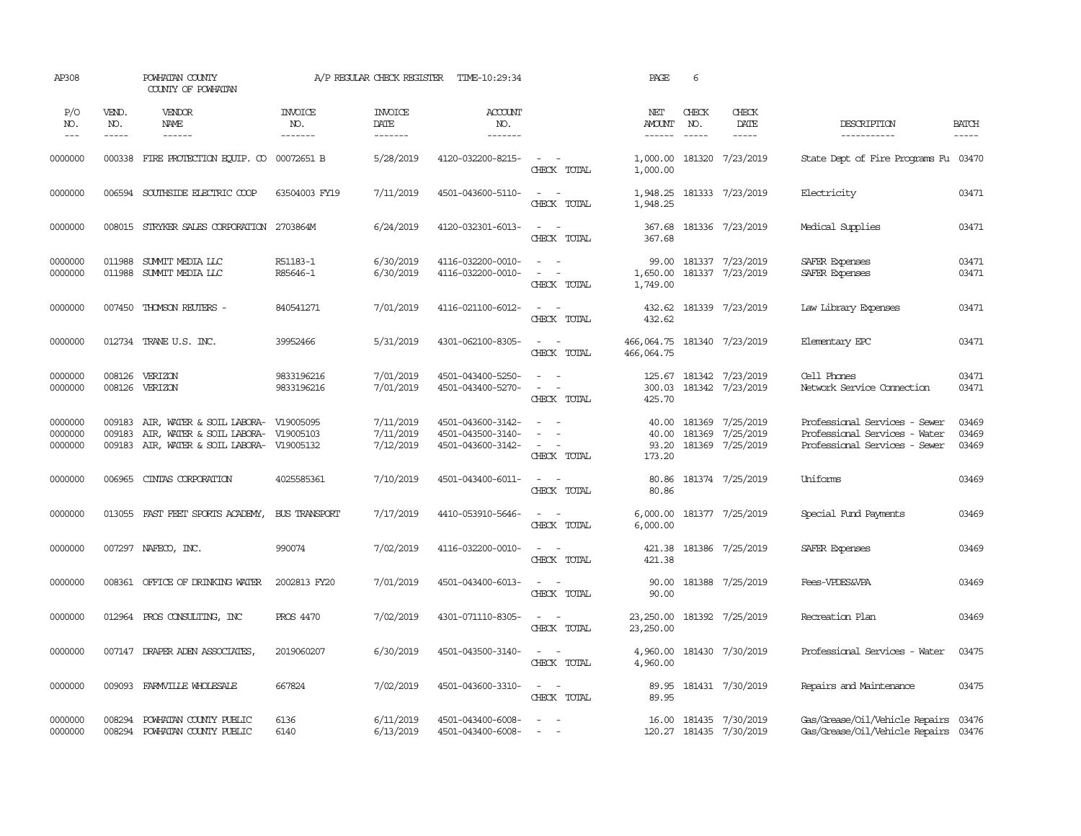| AP308                         |                             | POWHATAN COUNTY<br>COUNTY OF POWHATAN                                                                             |                                  | A/P REGULAR CHECK REGISTER          | TIME-10:29:34                                               |                                                                                 | PAGE                                  | 6                             |                                                   |                                                                                                 |                             |
|-------------------------------|-----------------------------|-------------------------------------------------------------------------------------------------------------------|----------------------------------|-------------------------------------|-------------------------------------------------------------|---------------------------------------------------------------------------------|---------------------------------------|-------------------------------|---------------------------------------------------|-------------------------------------------------------------------------------------------------|-----------------------------|
| P/O<br>NO.<br>$---$           | VEND.<br>NO.<br>$- - - - -$ | VENDOR<br>NAME<br>$- - - - - -$                                                                                   | <b>INVOICE</b><br>NO.<br>------- | <b>INVOICE</b><br>DATE<br>-------   | ACCOUNT<br>NO.<br>$- - - - - - -$                           |                                                                                 | NET<br><b>AMOUNT</b><br>$- - - - - -$ | CHECK<br>NO.<br>$\frac{1}{2}$ | CHECK<br>DATE<br>$- - - - -$                      | DESCRIPTION<br>-----------                                                                      | <b>BATCH</b><br>$- - - - -$ |
| 0000000                       |                             | 000338 FIRE PROTECTION EQUIP. CO 00072651 B                                                                       |                                  | 5/28/2019                           | 4120-032200-8215-                                           | $\sim$<br>$\sim$ $-$<br>CHECK TOTAL                                             | 1,000.00<br>1,000.00                  |                               | 181320 7/23/2019                                  | State Dept of Fire Programs Fu 03470                                                            |                             |
| 0000000                       |                             | 006594 SOUTHSIDE ELECTRIC COOP                                                                                    | 63504003 FY19                    | 7/11/2019                           | 4501-043600-5110-                                           | $\sim$ $ \sim$<br>CHECK TOTAL                                                   | 1,948.25                              |                               | 1,948.25 181333 7/23/2019                         | Electricity                                                                                     | 03471                       |
| 0000000                       | 008015                      | STRYKER SALES CORPORATION 2703864M                                                                                |                                  | 6/24/2019                           | 4120-032301-6013-                                           | $\sim$<br>$\sim$ $-$<br>CHECK TOTAL                                             | 367.68<br>367.68                      |                               | 181336 7/23/2019                                  | Medical Supplies                                                                                | 03471                       |
| 0000000<br>0000000            | 011988<br>011988            | SUMMIT MEDIA LLC<br>SUMMIT MEDIA LLC                                                                              | R51183-1<br>R85646-1             | 6/30/2019<br>6/30/2019              | 4116-032200-0010-<br>4116-032200-0010-                      | $\sim$<br>$\overline{a}$<br>$\sim$<br>$\sim$<br>CHECK TOTAL                     | 99.00<br>1,650.00<br>1,749.00         |                               | 181337 7/23/2019<br>181337 7/23/2019              | SAFER Expenses<br>SAFER Expenses                                                                | 03471<br>03471              |
| 0000000                       |                             | 007450 THOMSON REUTERS -                                                                                          | 840541271                        | 7/01/2019                           | 4116-021100-6012-                                           | $\sim$<br>$\sim$<br>CHECK TOTAL                                                 | 432.62                                |                               | 432.62 181339 7/23/2019                           | Law Library Expenses                                                                            | 03471                       |
| 0000000                       |                             | 012734 TRANE U.S. INC.                                                                                            | 39952466                         | 5/31/2019                           | 4301-062100-8305-                                           | $\sim$ $ -$<br>CHECK TOTAL                                                      | 466,064.75<br>466,064.75              |                               | 181340 7/23/2019                                  | Elementary EPC                                                                                  | 03471                       |
| 0000000<br>0000000            | 008126<br>008126            | VERIZON<br>VERIZON                                                                                                | 9833196216<br>9833196216         | 7/01/2019<br>7/01/2019              | 4501-043400-5250-<br>4501-043400-5270-                      | $\sim$<br>$\sim$ $ \sim$<br>CHECK TOTAL                                         | 300.03<br>425.70                      |                               | 125.67 181342 7/23/2019<br>181342 7/23/2019       | Cell Phones<br>Network Service Connection                                                       | 03471<br>03471              |
| 0000000<br>0000000<br>0000000 | 009183<br>009183<br>009183  | AIR, WATER & SOIL LABORA- V19005095<br>AIR, WATER & SOIL LABORA- V19005103<br>AIR, WATER & SOIL LABORA- V19005132 |                                  | 7/11/2019<br>7/11/2019<br>7/12/2019 | 4501-043600-3142-<br>4501-043500-3140-<br>4501-043600-3142- | $\sim$<br>$\sim$<br>$\overline{a}$<br>$\sim$<br>$\sim$<br>$\sim$<br>CHECK TOTAL | 40.00<br>40.00<br>93.20<br>173.20     | 181369                        | 181369 7/25/2019<br>7/25/2019<br>181369 7/25/2019 | Professional Services - Sewer<br>Professional Services - Water<br>Professional Services - Sewer | 03469<br>03469<br>03469     |
| 0000000                       | 006965                      | CINIAS CORPORATION                                                                                                | 4025585361                       | 7/10/2019                           | 4501-043400-6011-                                           | $\sim$<br>$\sim$<br>CHECK TOTAL                                                 | 80.86<br>80.86                        |                               | 181374 7/25/2019                                  | Uniforms                                                                                        | 03469                       |
| 0000000                       | 013055                      | FAST FEET SPORTS ACADEMY,                                                                                         | BUS TRANSPORT                    | 7/17/2019                           | 4410-053910-5646-                                           | $\sim$<br>$\sim$<br>CHECK TOTAL                                                 | 6,000.00<br>6,000.00                  |                               | 181377 7/25/2019                                  | Special Fund Payments                                                                           | 03469                       |
| 0000000                       |                             | 007297 NAFECO, INC.                                                                                               | 990074                           | 7/02/2019                           | 4116-032200-0010-                                           | $\sim$<br>$\sim$<br>CHECK TOTAL                                                 | 421.38<br>421.38                      |                               | 181386 7/25/2019                                  | SAFER Expenses                                                                                  | 03469                       |
| 0000000                       |                             | 008361 OFFICE OF DRINKING WATER                                                                                   | 2002813 FY20                     | 7/01/2019                           | 4501-043400-6013-                                           | $\sim$ $-$<br>$\sim$<br>CHECK TOTAL                                             | 90.00<br>90.00                        |                               | 181388 7/25/2019                                  | <b>Fees-VPDES&amp;VPA</b>                                                                       | 03469                       |
| 0000000                       |                             | 012964 PROS CONSULTING, INC                                                                                       | PROS 4470                        | 7/02/2019                           | 4301-071110-8305-                                           | $\sim$ $ \sim$<br>CHECK TOTAL                                                   | 23,250.00<br>23,250.00                |                               | 181392 7/25/2019                                  | Recreation Plan                                                                                 | 03469                       |
| 0000000                       |                             | 007147 DRAPER ADEN ASSOCIATES,                                                                                    | 2019060207                       | 6/30/2019                           | 4501-043500-3140-                                           | $\sim$ $ -$<br>CHECK TOTAL                                                      | 4,960.00<br>4,960.00                  |                               | 181430 7/30/2019                                  | Professional Services - Water                                                                   | 03475                       |
| 0000000                       | 009093                      | FARMVILLE WHOLESALE                                                                                               | 667824                           | 7/02/2019                           | 4501-043600-3310-                                           | $\sim$ $  -$<br>CHECK TOTAL                                                     | 89.95<br>89.95                        |                               | 181431 7/30/2019                                  | Repairs and Maintenance                                                                         | 03475                       |
| 0000000<br>0000000            | 008294<br>008294            | POWHATAN COUNTY PUBLIC<br>POWHATAN COUNTY PUBLIC                                                                  | 6136<br>6140                     | 6/11/2019<br>6/13/2019              | 4501-043400-6008-<br>4501-043400-6008-                      | $\sim$<br>$\sim$<br>$\sim$                                                      |                                       |                               | 16.00 181435 7/30/2019<br>120.27 181435 7/30/2019 | Gas/Grease/Oil/Vehicle Repairs 03476<br>Gas/Grease/Oil/Vehicle Repairs 03476                    |                             |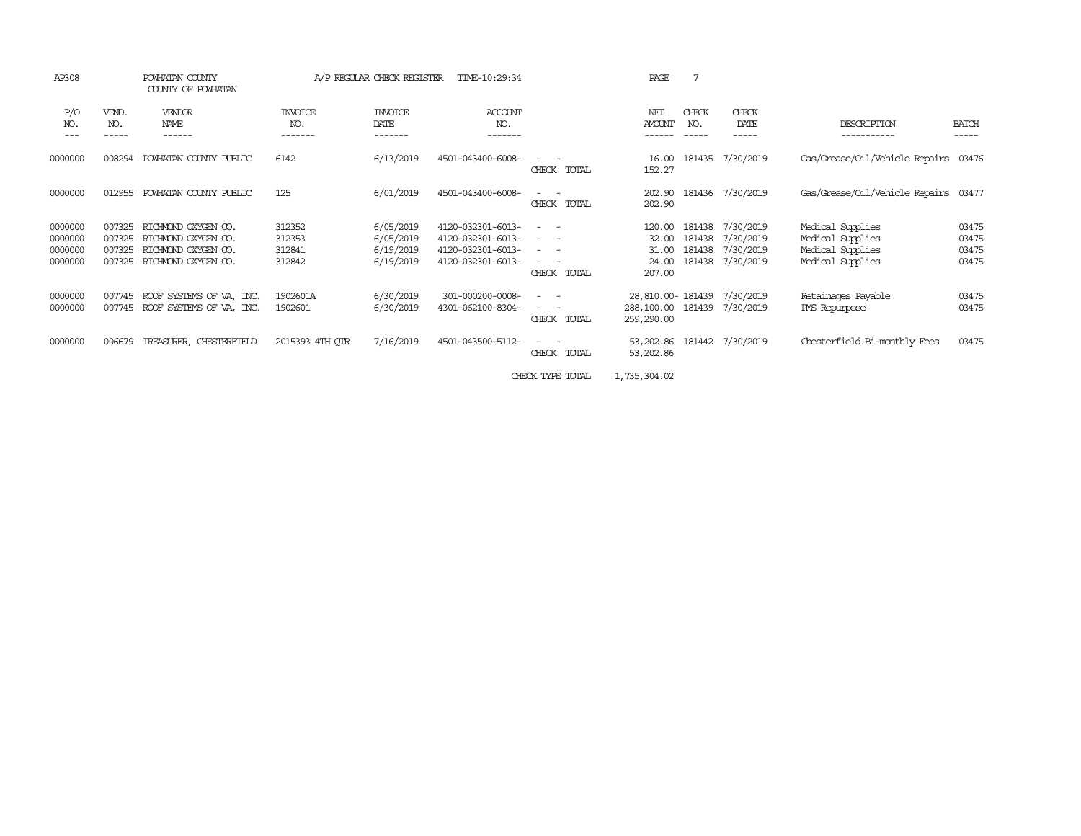| AP308                                    |                                      | POWHATAN COUNTY<br>COUNTY OF POWHATAN                                                    |                                      | A/P REGULAR CHECK REGISTER                       | TIME-10:29:34                                                                    |                                                                                                                                                                                                                                                                                                                                                                                                              | PAGE                                                   |              |                                                                              |                                                                              |                                  |
|------------------------------------------|--------------------------------------|------------------------------------------------------------------------------------------|--------------------------------------|--------------------------------------------------|----------------------------------------------------------------------------------|--------------------------------------------------------------------------------------------------------------------------------------------------------------------------------------------------------------------------------------------------------------------------------------------------------------------------------------------------------------------------------------------------------------|--------------------------------------------------------|--------------|------------------------------------------------------------------------------|------------------------------------------------------------------------------|----------------------------------|
| P/O<br>NO.<br>---                        | VEND.<br>NO.                         | VENDOR<br>NAME<br>------                                                                 | <b>INVOICE</b><br>NO.<br>-------     | <b>INVOICE</b><br>DATE<br>-------                | <b>ACCOUNT</b><br>NO.<br>-------                                                 |                                                                                                                                                                                                                                                                                                                                                                                                              | NET<br><b>AMOUNT</b>                                   | CHECK<br>NO. | CHECK<br>DATE                                                                | <b>DESCRIPTION</b><br>-----------                                            | <b>BATCH</b><br>-----            |
| 0000000                                  | 008294                               | POWHATAN COUNTY PUBLIC                                                                   | 6142                                 | 6/13/2019                                        | 4501-043400-6008-                                                                | CHECK TOTAL                                                                                                                                                                                                                                                                                                                                                                                                  | 16.00<br>152.27                                        |              | 181435 7/30/2019                                                             | Gas/Grease/Oil/Vehicle Repairs 03476                                         |                                  |
| 0000000                                  | 012955                               | POWHATAN COUNTY PUBLIC                                                                   | 125                                  | 6/01/2019                                        | 4501-043400-6008-                                                                | $\frac{1}{2} \left( \frac{1}{2} \right) \left( \frac{1}{2} \right) \left( \frac{1}{2} \right) \left( \frac{1}{2} \right)$<br>CHECK TOTAL                                                                                                                                                                                                                                                                     | 202.90<br>202.90                                       |              | 181436 7/30/2019                                                             | Gas/Grease/Oil/Vehicle Repairs                                               | 03477                            |
| 0000000<br>0000000<br>0000000<br>0000000 | 007325<br>007325<br>007325<br>007325 | RICHMOND OXYGEN CO.<br>RICHMOND OXYGEN CO.<br>RICHMOND OXYGEN CO.<br>RICHMOND OXYGEN CO. | 312352<br>312353<br>312841<br>312842 | 6/05/2019<br>6/05/2019<br>6/19/2019<br>6/19/2019 | 4120-032301-6013-<br>4120-032301-6013-<br>4120-032301-6013-<br>4120-032301-6013- | $\sim$<br>$\frac{1}{2} \left( \frac{1}{2} \right) \left( \frac{1}{2} \right) \left( \frac{1}{2} \right) \left( \frac{1}{2} \right)$<br>$\frac{1}{2} \left( \frac{1}{2} \right) \left( \frac{1}{2} \right) \left( \frac{1}{2} \right) \left( \frac{1}{2} \right)$<br>$\frac{1}{2} \left( \frac{1}{2} \right) \left( \frac{1}{2} \right) \left( \frac{1}{2} \right) \left( \frac{1}{2} \right)$<br>CHECK TOTAL | 120.00<br>32.00<br>31.00<br>24.00<br>207.00            |              | 181438 7/30/2019<br>181438 7/30/2019<br>181438 7/30/2019<br>181438 7/30/2019 | Medical Supplies<br>Medical Supplies<br>Medical Supplies<br>Medical Supplies | 03475<br>03475<br>03475<br>03475 |
| 0000000<br>0000000                       | 007745<br>007745                     | ROOF SYSTEMS OF VA, INC.<br>ROOF SYSTEMS OF VA, INC.                                     | 1902601A<br>1902601                  | 6/30/2019<br>6/30/2019                           | 301-000200-0008-<br>4301-062100-8304-                                            | $\frac{1}{2} \left( \frac{1}{2} \right) \left( \frac{1}{2} \right) \left( \frac{1}{2} \right) \left( \frac{1}{2} \right)$<br>CHECK TOTAL                                                                                                                                                                                                                                                                     | 28,810.00-181439 7/30/2019<br>288,100.00<br>259,290.00 | 181439       | 7/30/2019                                                                    | Retainages Payable<br>PMS Repurpose                                          | 03475<br>03475                   |
| 0000000                                  | 006679                               | TREASURER, CHESTERFIELD                                                                  | 2015393 4TH QTR                      | 7/16/2019                                        | 4501-043500-5112-                                                                | $\sim$<br>CHECK<br>TOTAL                                                                                                                                                                                                                                                                                                                                                                                     | 53,202.86<br>53,202.86                                 |              | 181442 7/30/2019                                                             | Chesterfield Bi-monthly Fees                                                 | 03475                            |

CHECK TYPE TOTAL 1,735,304.02